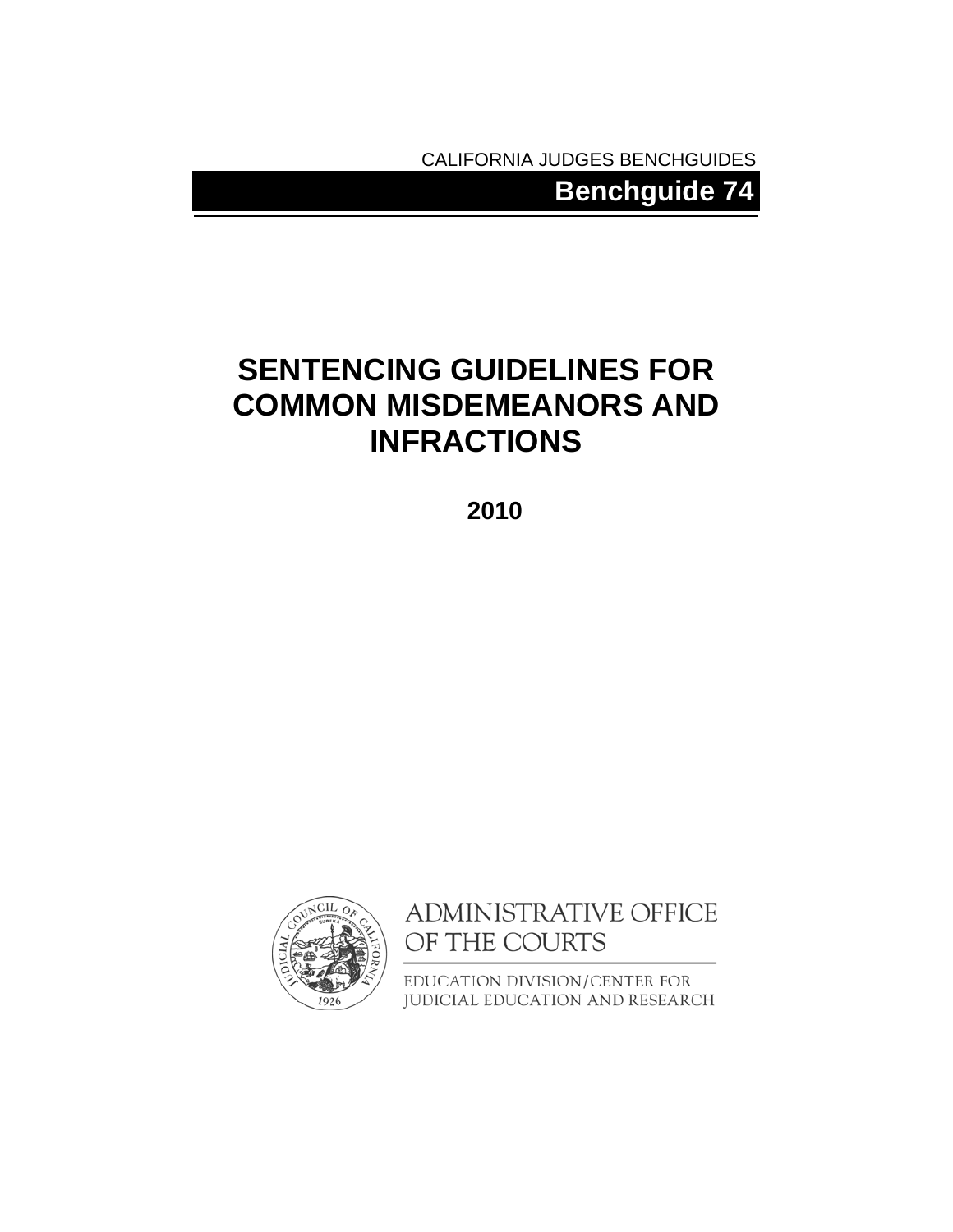CALIFORNIA JUDGES BENCHGUIDES

**Benchguide 74** 

## **SENTENCING GUIDELINES FOR COMMON MISDEMEANORS AND INFRACTIONS**

**2010** 



ADMINISTRATIVE OFFICE OF THE COURTS

EDUCATION DIVISION/CENTER FOR JUDICIAL EDUCATION AND RESEARCH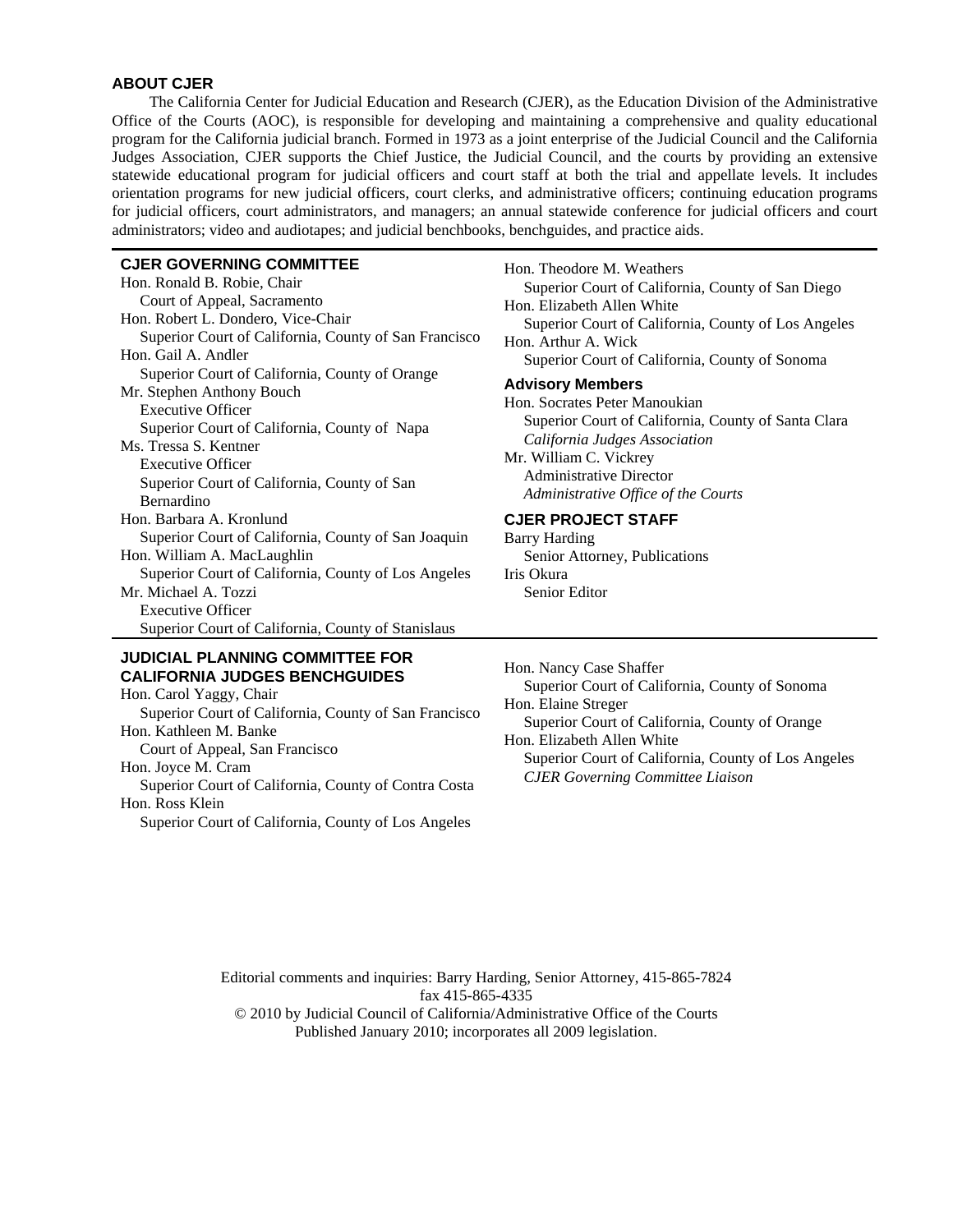### **ABOUT CJER**

The California Center for Judicial Education and Research (CJER), as the Education Division of the Administrative Office of the Courts (AOC), is responsible for developing and maintaining a comprehensive and quality educational program for the California judicial branch. Formed in 1973 as a joint enterprise of the Judicial Council and the California Judges Association, CJER supports the Chief Justice, the Judicial Council, and the courts by providing an extensive statewide educational program for judicial officers and court staff at both the trial and appellate levels. It includes orientation programs for new judicial officers, court clerks, and administrative officers; continuing education programs for judicial officers, court administrators, and managers; an annual statewide conference for judicial officers and court administrators; video and audiotapes; and judicial benchbooks, benchguides, and practice aids.

#### **CJER GOVERNING COMMITTEE**

Hon. Ronald B. Robie, Chair Court of Appeal, Sacramento Hon. Robert L. Dondero, Vice-Chair Superior Court of California, County of San Francisco Hon. Gail A. Andler Superior Court of California, County of Orange Mr. Stephen Anthony Bouch Executive Officer Superior Court of California, County of Napa Ms. Tressa S. Kentner Executive Officer Superior Court of California, County of San Bernardino Hon. Barbara A. Kronlund Superior Court of California, County of San Joaquin Hon. William A. MacLaughlin Superior Court of California, County of Los Angeles Mr. Michael A. Tozzi Executive Officer Superior Court of California, County of Stanislaus

### **JUDICIAL PLANNING COMMITTEE FOR CALIFORNIA JUDGES BENCHGUIDES**

Hon. Carol Yaggy, Chair Superior Court of California, County of San Francisco Hon. Kathleen M. Banke Court of Appeal, San Francisco Hon. Joyce M. Cram Superior Court of California, County of Contra Costa Hon. Ross Klein Superior Court of California, County of Los Angeles

Hon. Theodore M. Weathers Superior Court of California, County of San Diego Hon. Elizabeth Allen White Superior Court of California, County of Los Angeles Hon. Arthur A. Wick Superior Court of California, County of Sonoma **Advisory Members** Hon. Socrates Peter Manoukian Superior Court of California, County of Santa Clara *California Judges Association*  Mr. William C. Vickrey Administrative Director *Administrative Office of the Courts* **CJER PROJECT STAFF** 

Barry Harding Senior Attorney, Publications Iris Okura Senior Editor

Hon. Nancy Case Shaffer Superior Court of California, County of Sonoma Hon. Elaine Streger Superior Court of California, County of Orange Hon. Elizabeth Allen White Superior Court of California, County of Los Angeles *CJER Governing Committee Liaison*

Editorial comments and inquiries: Barry Harding, Senior Attorney, 415-865-7824 fax 415-865-4335 © 2010 by Judicial Council of California/Administrative Office of the Courts Published January 2010; incorporates all 2009 legislation.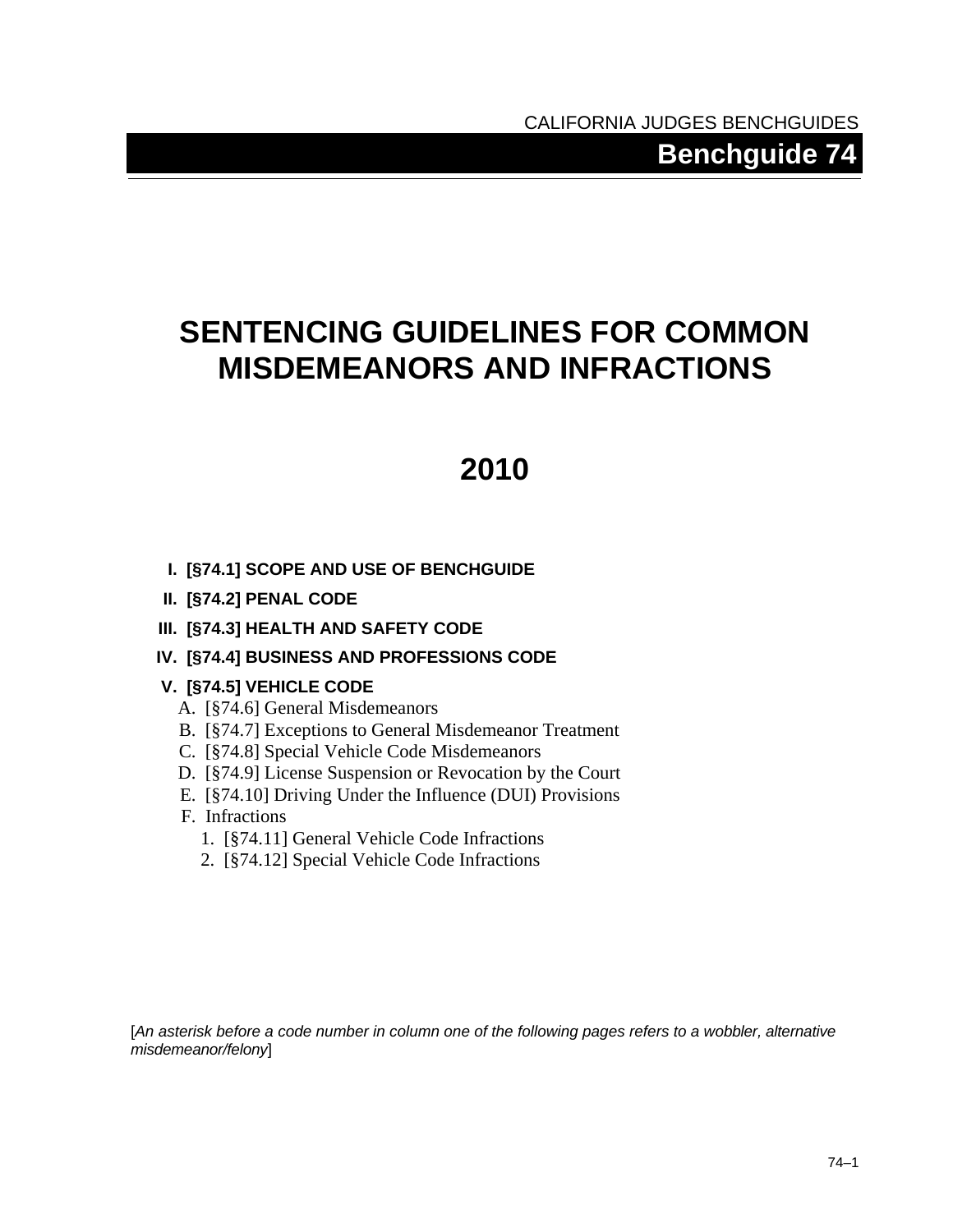# **SENTENCING GUIDELINES FOR COMMON MISDEMEANORS AND INFRACTIONS**

# **2010**

- **I. [§74.1] SCOPE AND USE OF BENCHGUIDE**
- **II. [§[74.2](#page-3-0)] PENAL CODE**
- **III. [§[74.3](#page-47-0)] HEALTH AND SAFETY CODE**

## **IV. [§[74.4](#page-55-0)] BUSINESS AND PROFESSIONS CODE**

### **V. [§[74.5](#page-58-0)] VEHICLE CODE**

- A. [§[74.6\]](#page-58-1) General Misdemeanors
- B. [§[74.7\]](#page-60-0) Exceptions to General Misdemeanor Treatment
- C. [§[74.8\]](#page-68-0) Special Vehicle Code Misdemeanors
- D. [§[74.9\]](#page-69-0) License Suspension or Revocation by the Court
- E. [§[74.10\]](#page-70-0) Driving Under the Influence (DUI) Provisions
- F. Infractions
	- 1. [§[74.11\]](#page-84-0) General Vehicle Code Infractions
	- 2. [§[74.12\]](#page-85-0) Special Vehicle Code Infractions

[*An asterisk before a code number in column one of the following pages refers to a wobbler, alternative misdemeanor/felony*]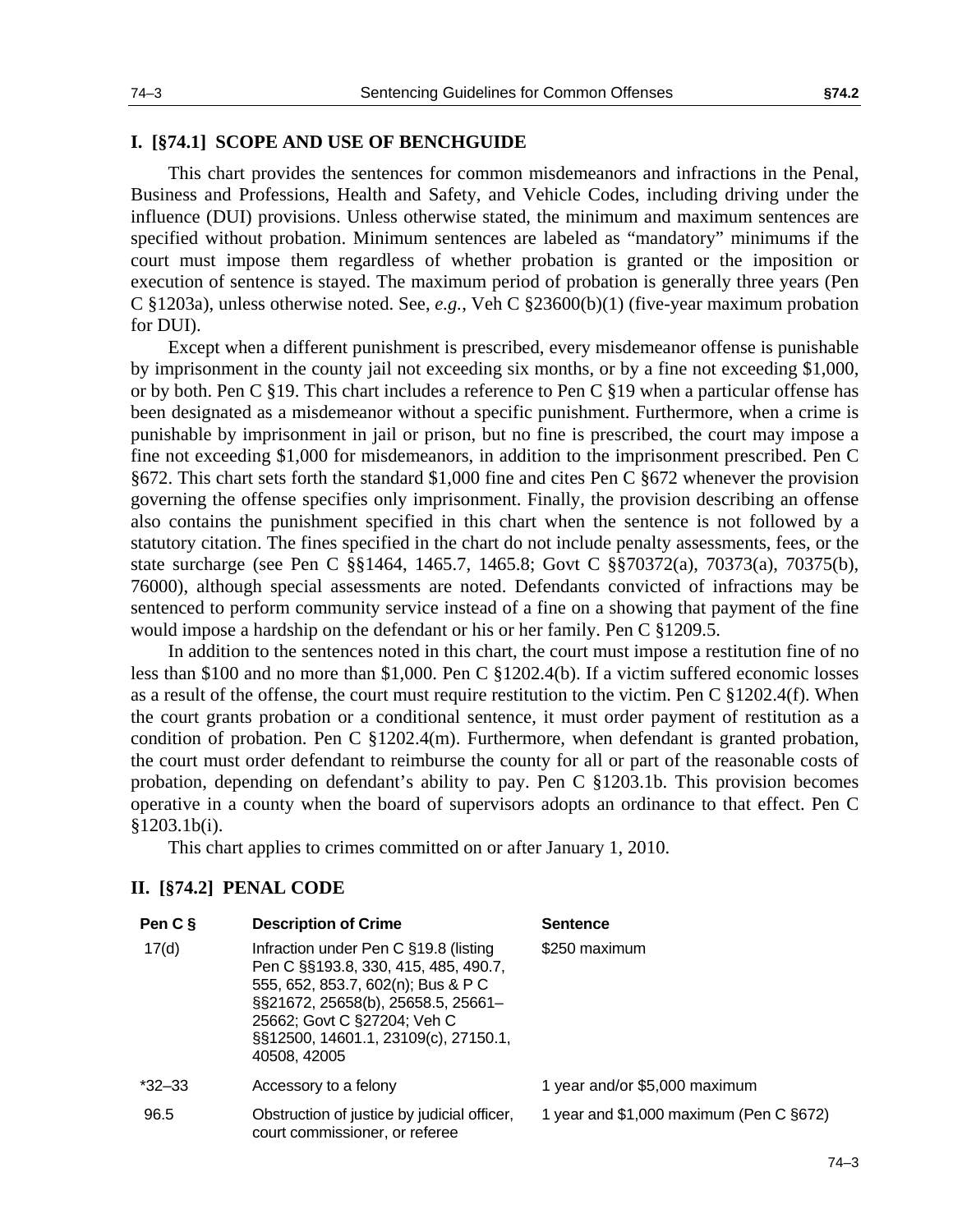### **I. [§74.1] SCOPE AND USE OF BENCHGUIDE**

This chart provides the sentences for common misdemeanors and infractions in the Penal, Business and Professions, Health and Safety, and Vehicle Codes, including driving under the influence (DUI) provisions. Unless otherwise stated, the minimum and maximum sentences are specified without probation. Minimum sentences are labeled as "mandatory" minimums if the court must impose them regardless of whether probation is granted or the imposition or execution of sentence is stayed. The maximum period of probation is generally three years (Pen C §1203a), unless otherwise noted. See, *e.g.*, Veh C §23600(b)(1) (five-year maximum probation for DUI).

Except when a different punishment is prescribed, every misdemeanor offense is punishable by imprisonment in the county jail not exceeding six months, or by a fine not exceeding \$1,000, or by both. Pen C §19. This chart includes a reference to Pen C §19 when a particular offense has been designated as a misdemeanor without a specific punishment. Furthermore, when a crime is punishable by imprisonment in jail or prison, but no fine is prescribed, the court may impose a fine not exceeding \$1,000 for misdemeanors, in addition to the imprisonment prescribed. Pen C §672. This chart sets forth the standard \$1,000 fine and cites Pen C §672 whenever the provision governing the offense specifies only imprisonment. Finally, the provision describing an offense also contains the punishment specified in this chart when the sentence is not followed by a statutory citation. The fines specified in the chart do not include penalty assessments, fees, or the state surcharge (see Pen C §§1464, 1465.7, 1465.8; Govt C §§70372(a), 70373(a), 70375(b), 76000), although special assessments are noted. Defendants convicted of infractions may be sentenced to perform community service instead of a fine on a showing that payment of the fine would impose a hardship on the defendant or his or her family. Pen C §1209.5.

In addition to the sentences noted in this chart, the court must impose a restitution fine of no less than \$100 and no more than \$1,000. Pen C §1202.4(b). If a victim suffered economic losses as a result of the offense, the court must require restitution to the victim. Pen C §1202.4(f). When the court grants probation or a conditional sentence, it must order payment of restitution as a condition of probation. Pen C §1202.4(m). Furthermore, when defendant is granted probation, the court must order defendant to reimburse the county for all or part of the reasonable costs of probation, depending on defendant's ability to pay. Pen C §1203.1b. This provision becomes operative in a county when the board of supervisors adopts an ordinance to that effect. Pen C §1203.1b(i).

This chart applies to crimes committed on or after January 1, 2010.

### <span id="page-3-0"></span>**II. [§74.2] PENAL CODE**

| Pen C §    | <b>Description of Crime</b>                                                                                                                                                                                                                      | <b>Sentence</b>                         |
|------------|--------------------------------------------------------------------------------------------------------------------------------------------------------------------------------------------------------------------------------------------------|-----------------------------------------|
| 17(d)      | Infraction under Pen C §19.8 (listing<br>Pen C §§193.8, 330, 415, 485, 490.7,<br>555, 652, 853.7, 602(n); Bus & P C<br>§§21672, 25658(b), 25658.5, 25661-<br>25662; Govt C §27204; Veh C<br>§§12500, 14601.1, 23109(c), 27150.1,<br>40508, 42005 | \$250 maximum                           |
| $*32 - 33$ | Accessory to a felony                                                                                                                                                                                                                            | 1 year and/or \$5,000 maximum           |
| 96.5       | Obstruction of justice by judicial officer,<br>court commissioner, or referee                                                                                                                                                                    | 1 year and \$1,000 maximum (Pen C §672) |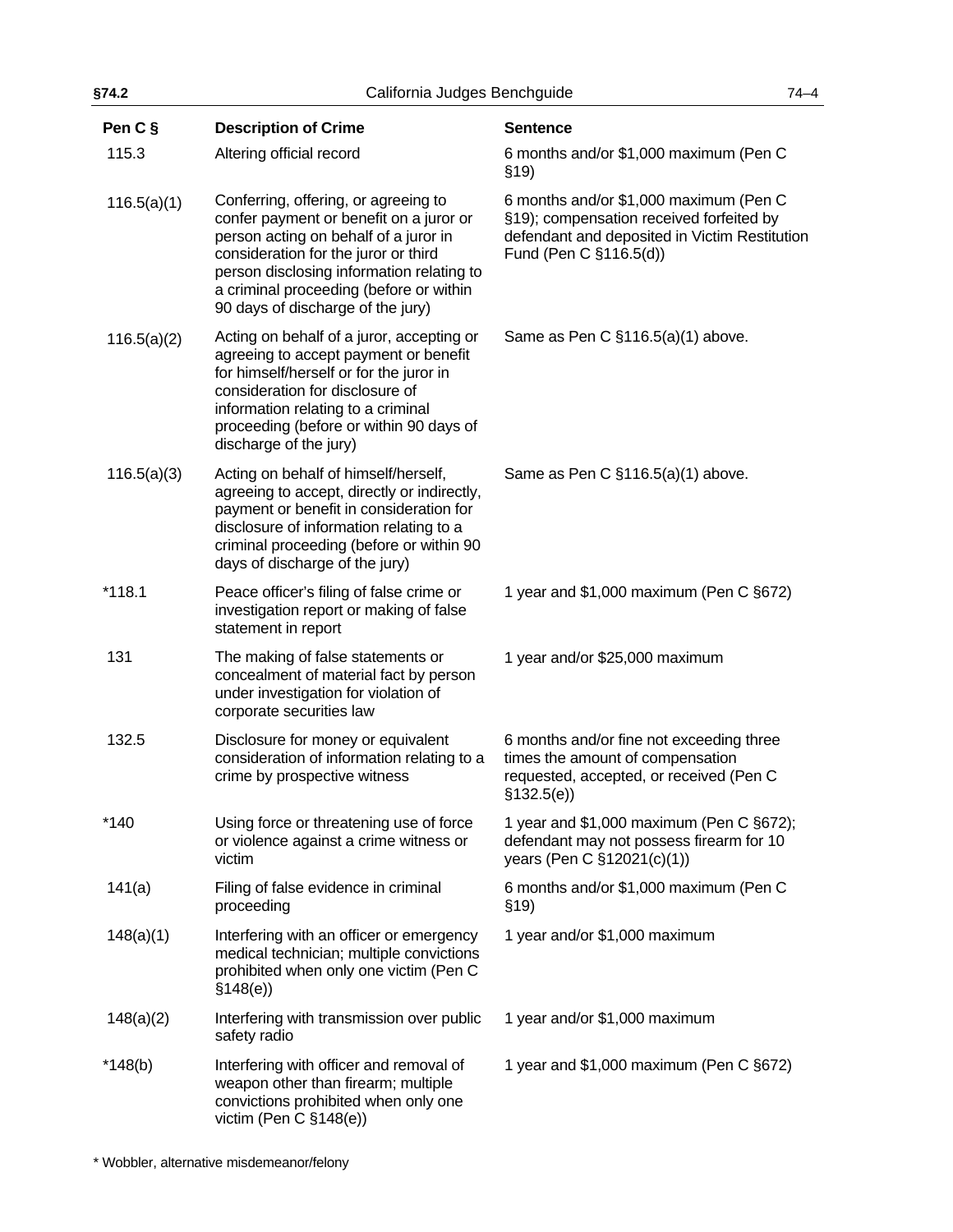| §74.2       | California Judges Benchguide                                                                                                                                                                                                                                                                  |                                                                                                                                                               | $74 - 4$ |
|-------------|-----------------------------------------------------------------------------------------------------------------------------------------------------------------------------------------------------------------------------------------------------------------------------------------------|---------------------------------------------------------------------------------------------------------------------------------------------------------------|----------|
| Pen C §     | <b>Description of Crime</b>                                                                                                                                                                                                                                                                   | <b>Sentence</b>                                                                                                                                               |          |
| 115.3       | Altering official record                                                                                                                                                                                                                                                                      | 6 months and/or \$1,000 maximum (Pen C<br>\$19)                                                                                                               |          |
| 116.5(a)(1) | Conferring, offering, or agreeing to<br>confer payment or benefit on a juror or<br>person acting on behalf of a juror in<br>consideration for the juror or third<br>person disclosing information relating to<br>a criminal proceeding (before or within<br>90 days of discharge of the jury) | 6 months and/or \$1,000 maximum (Pen C<br>§19); compensation received forfeited by<br>defendant and deposited in Victim Restitution<br>Fund (Pen C §116.5(d)) |          |
| 116.5(a)(2) | Acting on behalf of a juror, accepting or<br>agreeing to accept payment or benefit<br>for himself/herself or for the juror in<br>consideration for disclosure of<br>information relating to a criminal<br>proceeding (before or within 90 days of<br>discharge of the jury)                   | Same as Pen C §116.5(a)(1) above.                                                                                                                             |          |
| 116.5(a)(3) | Acting on behalf of himself/herself,<br>agreeing to accept, directly or indirectly,<br>payment or benefit in consideration for<br>disclosure of information relating to a<br>criminal proceeding (before or within 90<br>days of discharge of the jury)                                       | Same as Pen C §116.5(a)(1) above.                                                                                                                             |          |
| $*118.1$    | Peace officer's filing of false crime or<br>investigation report or making of false<br>statement in report                                                                                                                                                                                    | 1 year and \$1,000 maximum (Pen C §672)                                                                                                                       |          |
| 131         | The making of false statements or<br>concealment of material fact by person<br>under investigation for violation of<br>corporate securities law                                                                                                                                               | 1 year and/or \$25,000 maximum                                                                                                                                |          |
| 132.5       | Disclosure for money or equivalent<br>consideration of information relating to a<br>crime by prospective witness                                                                                                                                                                              | 6 months and/or fine not exceeding three<br>times the amount of compensation<br>requested, accepted, or received (Pen C<br>\$132.5(e)                         |          |
| $*140$      | Using force or threatening use of force<br>or violence against a crime witness or<br>victim                                                                                                                                                                                                   | 1 year and \$1,000 maximum (Pen C §672);<br>defendant may not possess firearm for 10<br>years (Pen C §12021(c)(1))                                            |          |
| 141(a)      | Filing of false evidence in criminal<br>proceeding                                                                                                                                                                                                                                            | 6 months and/or \$1,000 maximum (Pen C<br>\$19)                                                                                                               |          |
| 148(a)(1)   | Interfering with an officer or emergency<br>medical technician; multiple convictions<br>prohibited when only one victim (Pen C<br>\$148(e)                                                                                                                                                    | 1 year and/or \$1,000 maximum                                                                                                                                 |          |
| 148(a)(2)   | Interfering with transmission over public<br>safety radio                                                                                                                                                                                                                                     | 1 year and/or \$1,000 maximum                                                                                                                                 |          |
| $*148(b)$   | Interfering with officer and removal of<br>weapon other than firearm; multiple<br>convictions prohibited when only one<br>victim (Pen C §148(e))                                                                                                                                              | 1 year and \$1,000 maximum (Pen C §672)                                                                                                                       |          |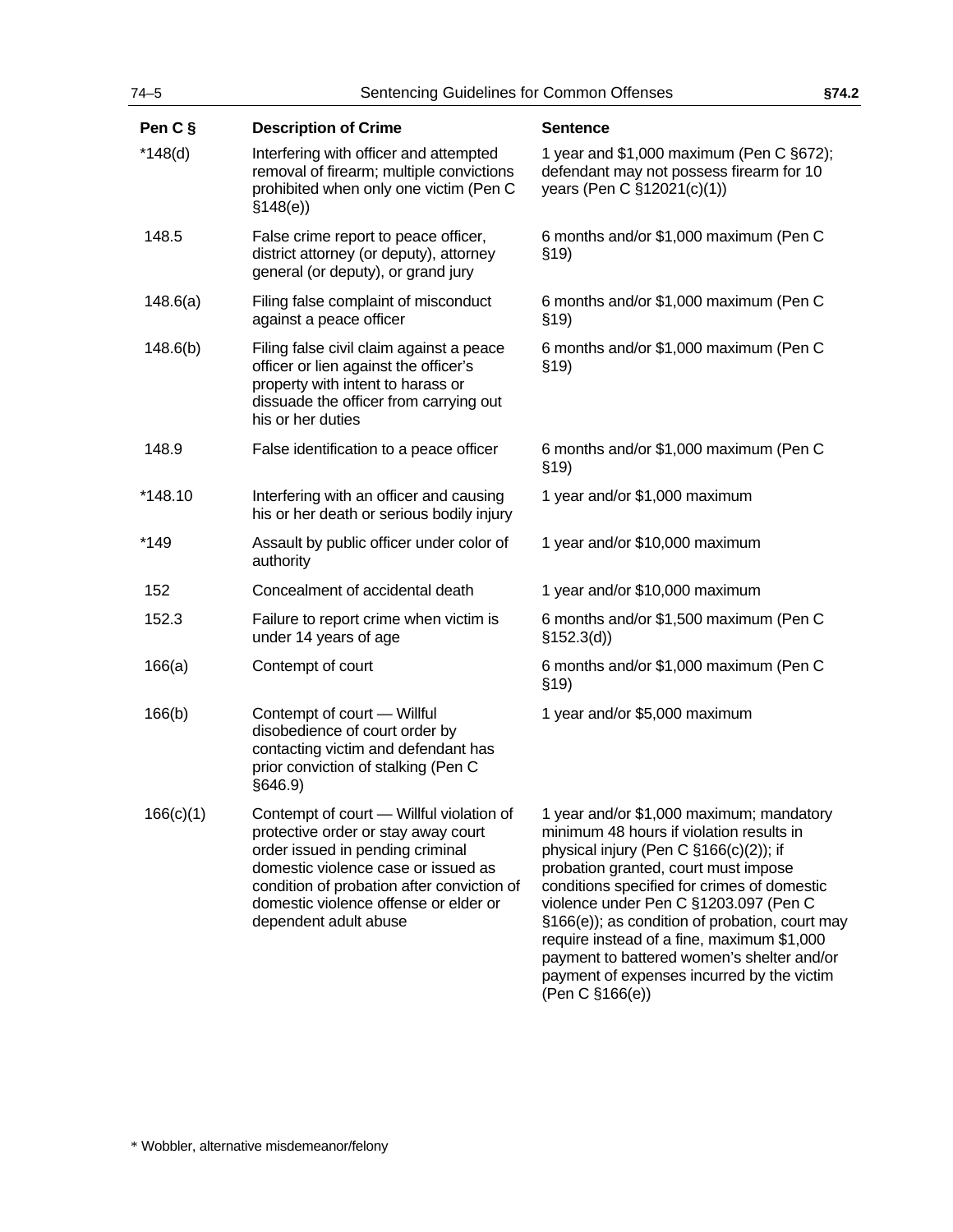| $74 - 5$  | Sentencing Guidelines for Common Offenses                                                                                                                                                                                                                                  |                                                                                                                                                                                                                                                                                                                                                                                                                                                                               | §74.2 |
|-----------|----------------------------------------------------------------------------------------------------------------------------------------------------------------------------------------------------------------------------------------------------------------------------|-------------------------------------------------------------------------------------------------------------------------------------------------------------------------------------------------------------------------------------------------------------------------------------------------------------------------------------------------------------------------------------------------------------------------------------------------------------------------------|-------|
| Pen C §   | <b>Description of Crime</b>                                                                                                                                                                                                                                                | <b>Sentence</b>                                                                                                                                                                                                                                                                                                                                                                                                                                                               |       |
| $*148(d)$ | Interfering with officer and attempted<br>removal of firearm; multiple convictions<br>prohibited when only one victim (Pen C<br>\$148(e)                                                                                                                                   | 1 year and \$1,000 maximum (Pen C §672);<br>defendant may not possess firearm for 10<br>years (Pen C §12021(c)(1))                                                                                                                                                                                                                                                                                                                                                            |       |
| 148.5     | False crime report to peace officer,<br>district attorney (or deputy), attorney<br>general (or deputy), or grand jury                                                                                                                                                      | 6 months and/or \$1,000 maximum (Pen C<br>\$19)                                                                                                                                                                                                                                                                                                                                                                                                                               |       |
| 148.6(a)  | Filing false complaint of misconduct<br>against a peace officer                                                                                                                                                                                                            | 6 months and/or \$1,000 maximum (Pen C<br>\$19)                                                                                                                                                                                                                                                                                                                                                                                                                               |       |
| 148.6(b)  | Filing false civil claim against a peace<br>officer or lien against the officer's<br>property with intent to harass or<br>dissuade the officer from carrying out<br>his or her duties                                                                                      | 6 months and/or \$1,000 maximum (Pen C<br>\$19)                                                                                                                                                                                                                                                                                                                                                                                                                               |       |
| 148.9     | False identification to a peace officer                                                                                                                                                                                                                                    | 6 months and/or \$1,000 maximum (Pen C<br>\$19)                                                                                                                                                                                                                                                                                                                                                                                                                               |       |
| *148.10   | Interfering with an officer and causing<br>his or her death or serious bodily injury                                                                                                                                                                                       | 1 year and/or \$1,000 maximum                                                                                                                                                                                                                                                                                                                                                                                                                                                 |       |
| $*149$    | Assault by public officer under color of<br>authority                                                                                                                                                                                                                      | 1 year and/or \$10,000 maximum                                                                                                                                                                                                                                                                                                                                                                                                                                                |       |
| 152       | Concealment of accidental death                                                                                                                                                                                                                                            | 1 year and/or \$10,000 maximum                                                                                                                                                                                                                                                                                                                                                                                                                                                |       |
| 152.3     | Failure to report crime when victim is<br>under 14 years of age                                                                                                                                                                                                            | 6 months and/or \$1,500 maximum (Pen C<br>§152.3(d)                                                                                                                                                                                                                                                                                                                                                                                                                           |       |
| 166(a)    | Contempt of court                                                                                                                                                                                                                                                          | 6 months and/or \$1,000 maximum (Pen C<br>\$19)                                                                                                                                                                                                                                                                                                                                                                                                                               |       |
| 166(b)    | Contempt of court - Willful<br>disobedience of court order by<br>contacting victim and defendant has<br>prior conviction of stalking (Pen C<br>§646.9)                                                                                                                     | 1 year and/or \$5,000 maximum                                                                                                                                                                                                                                                                                                                                                                                                                                                 |       |
| 166(c)(1) | Contempt of court - Willful violation of<br>protective order or stay away court<br>order issued in pending criminal<br>domestic violence case or issued as<br>condition of probation after conviction of<br>domestic violence offense or elder or<br>dependent adult abuse | 1 year and/or \$1,000 maximum; mandatory<br>minimum 48 hours if violation results in<br>physical injury (Pen C §166(c)(2)); if<br>probation granted, court must impose<br>conditions specified for crimes of domestic<br>violence under Pen C §1203.097 (Pen C<br>§166(e)); as condition of probation, court may<br>require instead of a fine, maximum \$1,000<br>payment to battered women's shelter and/or<br>payment of expenses incurred by the victim<br>(Pen C §166(e)) |       |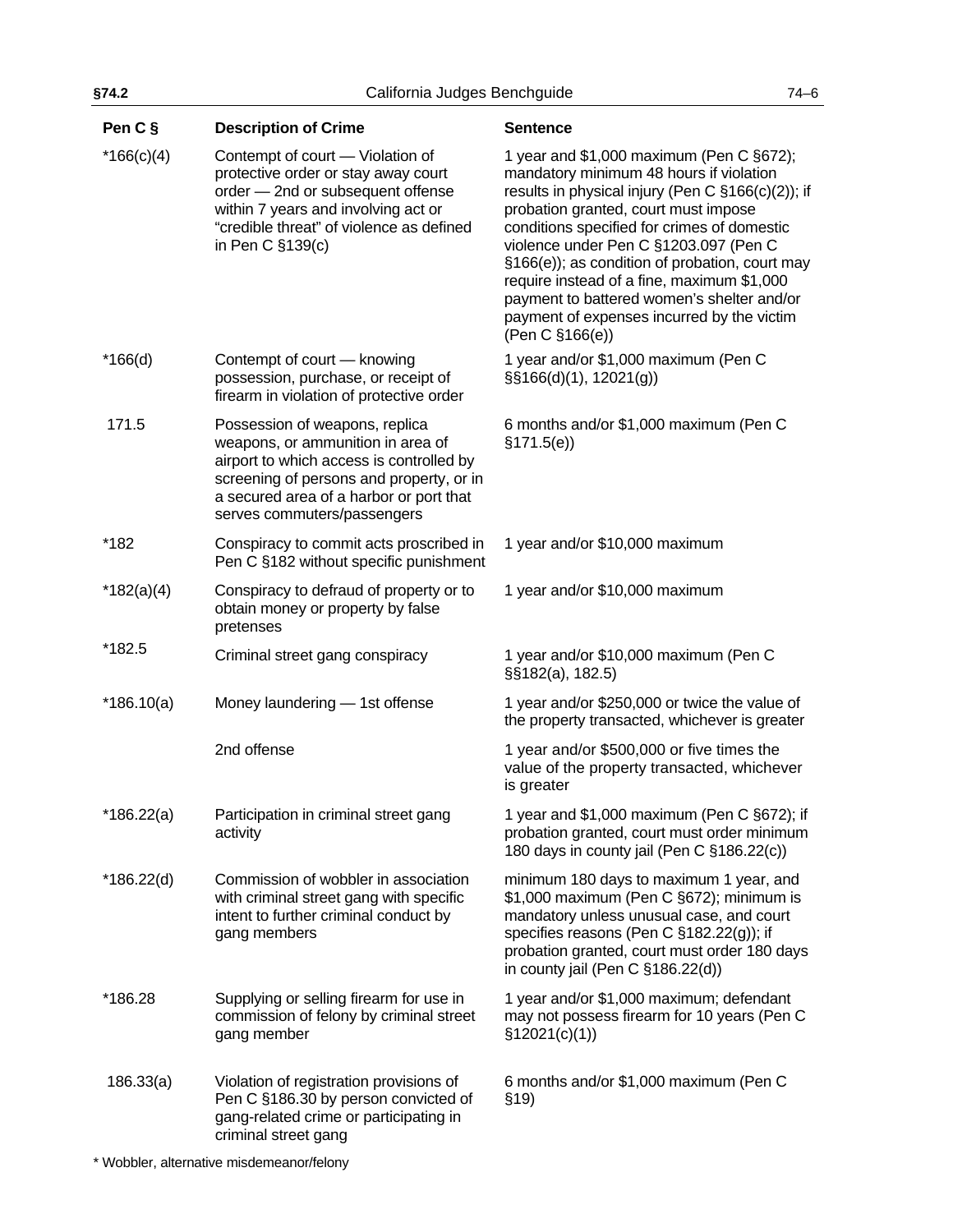| Pen C §      | <b>Description of Crime</b>                                                                                                                                                                                                           | <b>Sentence</b>                                                                                                                                                                                                                                                                                                                                                                                                                                                                         |
|--------------|---------------------------------------------------------------------------------------------------------------------------------------------------------------------------------------------------------------------------------------|-----------------------------------------------------------------------------------------------------------------------------------------------------------------------------------------------------------------------------------------------------------------------------------------------------------------------------------------------------------------------------------------------------------------------------------------------------------------------------------------|
| $*166(c)(4)$ | Contempt of court - Violation of<br>protective order or stay away court<br>order - 2nd or subsequent offense<br>within 7 years and involving act or<br>"credible threat" of violence as defined<br>in Pen C §139(c)                   | 1 year and \$1,000 maximum (Pen C §672);<br>mandatory minimum 48 hours if violation<br>results in physical injury (Pen C §166(c)(2)); if<br>probation granted, court must impose<br>conditions specified for crimes of domestic<br>violence under Pen C §1203.097 (Pen C<br>§166(e)); as condition of probation, court may<br>require instead of a fine, maximum \$1,000<br>payment to battered women's shelter and/or<br>payment of expenses incurred by the victim<br>(Pen C §166(e)) |
| $*166(d)$    | Contempt of court - knowing<br>possession, purchase, or receipt of<br>firearm in violation of protective order                                                                                                                        | 1 year and/or \$1,000 maximum (Pen C<br>$\S$ \$166(d)(1), 12021(g))                                                                                                                                                                                                                                                                                                                                                                                                                     |
| 171.5        | Possession of weapons, replica<br>weapons, or ammunition in area of<br>airport to which access is controlled by<br>screening of persons and property, or in<br>a secured area of a harbor or port that<br>serves commuters/passengers | 6 months and/or \$1,000 maximum (Pen C<br>\$171.5(e)                                                                                                                                                                                                                                                                                                                                                                                                                                    |
| *182         | Conspiracy to commit acts proscribed in<br>Pen C §182 without specific punishment                                                                                                                                                     | 1 year and/or \$10,000 maximum                                                                                                                                                                                                                                                                                                                                                                                                                                                          |
| $*182(a)(4)$ | Conspiracy to defraud of property or to<br>obtain money or property by false<br>pretenses                                                                                                                                             | 1 year and/or \$10,000 maximum                                                                                                                                                                                                                                                                                                                                                                                                                                                          |
| *182.5       | Criminal street gang conspiracy                                                                                                                                                                                                       | 1 year and/or \$10,000 maximum (Pen C<br>§§182(a), 182.5)                                                                                                                                                                                                                                                                                                                                                                                                                               |
| $*186.10(a)$ | Money laundering - 1st offense                                                                                                                                                                                                        | 1 year and/or \$250,000 or twice the value of<br>the property transacted, whichever is greater                                                                                                                                                                                                                                                                                                                                                                                          |
|              | 2nd offense                                                                                                                                                                                                                           | 1 year and/or \$500,000 or five times the<br>value of the property transacted, whichever<br>is greater                                                                                                                                                                                                                                                                                                                                                                                  |
| $*186.22(a)$ | Participation in criminal street gang<br>activity                                                                                                                                                                                     | 1 year and \$1,000 maximum (Pen C §672); if<br>probation granted, court must order minimum<br>180 days in county jail (Pen C §186.22(c))                                                                                                                                                                                                                                                                                                                                                |
| $*186.22(d)$ | Commission of wobbler in association<br>with criminal street gang with specific<br>intent to further criminal conduct by<br>gang members                                                                                              | minimum 180 days to maximum 1 year, and<br>\$1,000 maximum (Pen C §672); minimum is<br>mandatory unless unusual case, and court<br>specifies reasons (Pen C §182.22(g)); if<br>probation granted, court must order 180 days<br>in county jail (Pen C §186.22(d))                                                                                                                                                                                                                        |
| *186.28      | Supplying or selling firearm for use in<br>commission of felony by criminal street<br>gang member                                                                                                                                     | 1 year and/or \$1,000 maximum; defendant<br>may not possess firearm for 10 years (Pen C<br>\$12021(c)(1))                                                                                                                                                                                                                                                                                                                                                                               |
| 186.33(a)    | Violation of registration provisions of<br>Pen C §186.30 by person convicted of<br>gang-related crime or participating in<br>criminal street gang                                                                                     | 6 months and/or \$1,000 maximum (Pen C<br>\$19)                                                                                                                                                                                                                                                                                                                                                                                                                                         |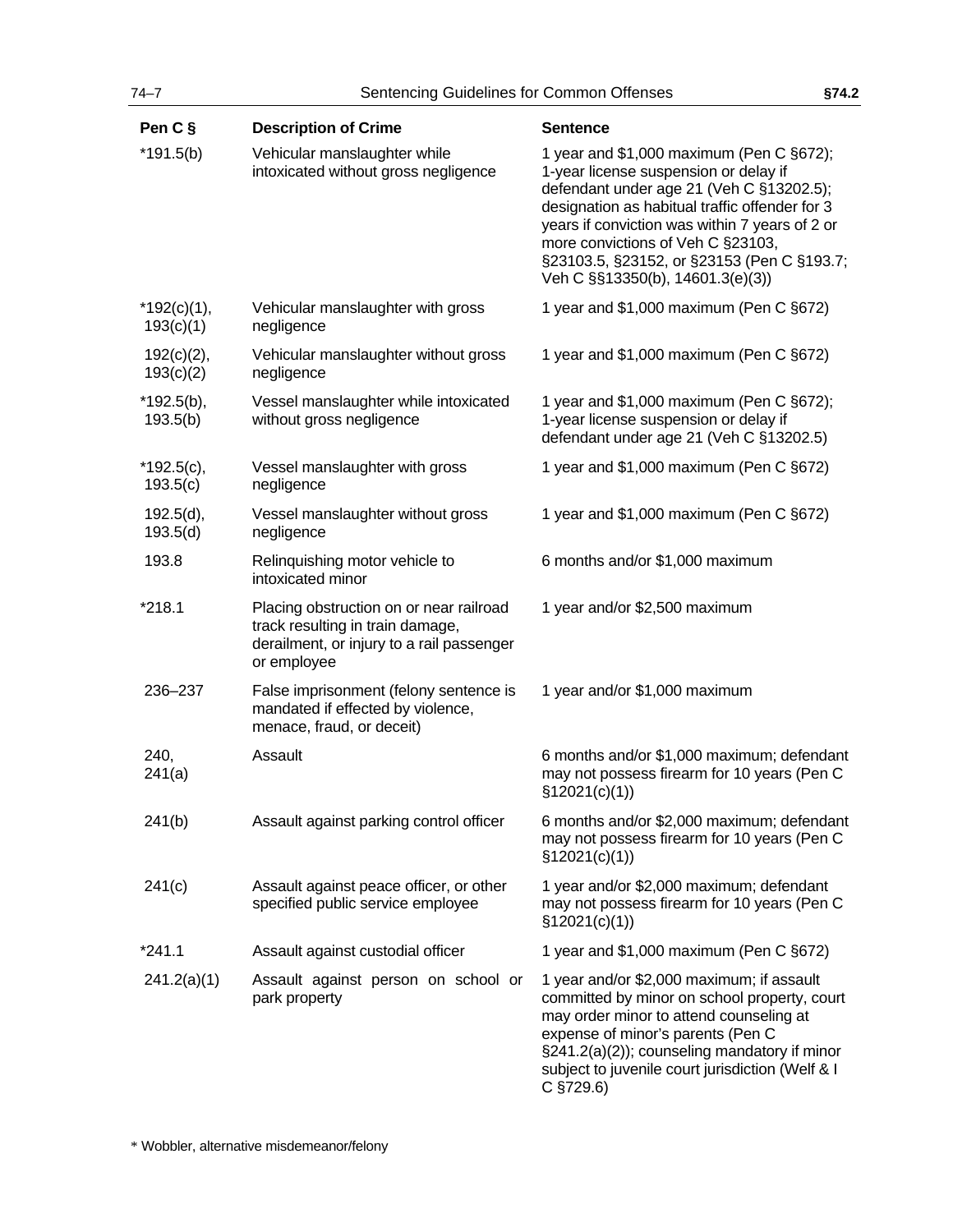| Pen C §                    | <b>Description of Crime</b>                                                                                                             | <b>Sentence</b>                                                                                                                                                                                                                                                                                                                                          |
|----------------------------|-----------------------------------------------------------------------------------------------------------------------------------------|----------------------------------------------------------------------------------------------------------------------------------------------------------------------------------------------------------------------------------------------------------------------------------------------------------------------------------------------------------|
| $*191.5(b)$                | Vehicular manslaughter while<br>intoxicated without gross negligence                                                                    | 1 year and \$1,000 maximum (Pen C §672);<br>1-year license suspension or delay if<br>defendant under age 21 (Veh C §13202.5);<br>designation as habitual traffic offender for 3<br>years if conviction was within 7 years of 2 or<br>more convictions of Veh C §23103,<br>§23103.5, §23152, or §23153 (Pen C §193.7;<br>Veh C §§13350(b), 14601.3(e)(3)) |
| $*192(c)(1),$<br>193(c)(1) | Vehicular manslaughter with gross<br>negligence                                                                                         | 1 year and \$1,000 maximum (Pen C §672)                                                                                                                                                                                                                                                                                                                  |
| 192(c)(2),<br>193(c)(2)    | Vehicular manslaughter without gross<br>negligence                                                                                      | 1 year and \$1,000 maximum (Pen C §672)                                                                                                                                                                                                                                                                                                                  |
| $*192.5(b),$<br>193.5(b)   | Vessel manslaughter while intoxicated<br>without gross negligence                                                                       | 1 year and \$1,000 maximum (Pen C §672);<br>1-year license suspension or delay if<br>defendant under age 21 (Veh C §13202.5)                                                                                                                                                                                                                             |
| $*192.5(c),$<br>193.5(c)   | Vessel manslaughter with gross<br>negligence                                                                                            | 1 year and \$1,000 maximum (Pen C §672)                                                                                                                                                                                                                                                                                                                  |
| 192.5(d),<br>193.5(d)      | Vessel manslaughter without gross<br>negligence                                                                                         | 1 year and \$1,000 maximum (Pen C §672)                                                                                                                                                                                                                                                                                                                  |
| 193.8                      | Relinquishing motor vehicle to<br>intoxicated minor                                                                                     | 6 months and/or \$1,000 maximum                                                                                                                                                                                                                                                                                                                          |
| *218.1                     | Placing obstruction on or near railroad<br>track resulting in train damage,<br>derailment, or injury to a rail passenger<br>or employee | 1 year and/or \$2,500 maximum                                                                                                                                                                                                                                                                                                                            |
| 236-237                    | False imprisonment (felony sentence is<br>mandated if effected by violence,<br>menace, fraud, or deceit)                                | 1 year and/or \$1,000 maximum                                                                                                                                                                                                                                                                                                                            |
| 240,<br>241(a)             | Assault                                                                                                                                 | 6 months and/or \$1,000 maximum; defendant<br>may not possess firearm for 10 years (Pen C<br>\$12021(c)(1))                                                                                                                                                                                                                                              |
| 241(b)                     | Assault against parking control officer                                                                                                 | 6 months and/or \$2,000 maximum; defendant<br>may not possess firearm for 10 years (Pen C<br>\$12021(c)(1))                                                                                                                                                                                                                                              |
| 241(c)                     | Assault against peace officer, or other<br>specified public service employee                                                            | 1 year and/or \$2,000 maximum; defendant<br>may not possess firearm for 10 years (Pen C<br>\$12021(c)(1))                                                                                                                                                                                                                                                |
| $*241.1$                   | Assault against custodial officer                                                                                                       | 1 year and \$1,000 maximum (Pen C §672)                                                                                                                                                                                                                                                                                                                  |
| 241.2(a)(1)                | Assault against person on school or<br>park property                                                                                    | 1 year and/or \$2,000 maximum; if assault<br>committed by minor on school property, court<br>may order minor to attend counseling at<br>expense of minor's parents (Pen C<br>§241.2(a)(2)); counseling mandatory if minor<br>subject to juvenile court jurisdiction (Welf & I<br>$C$ §729.6)                                                             |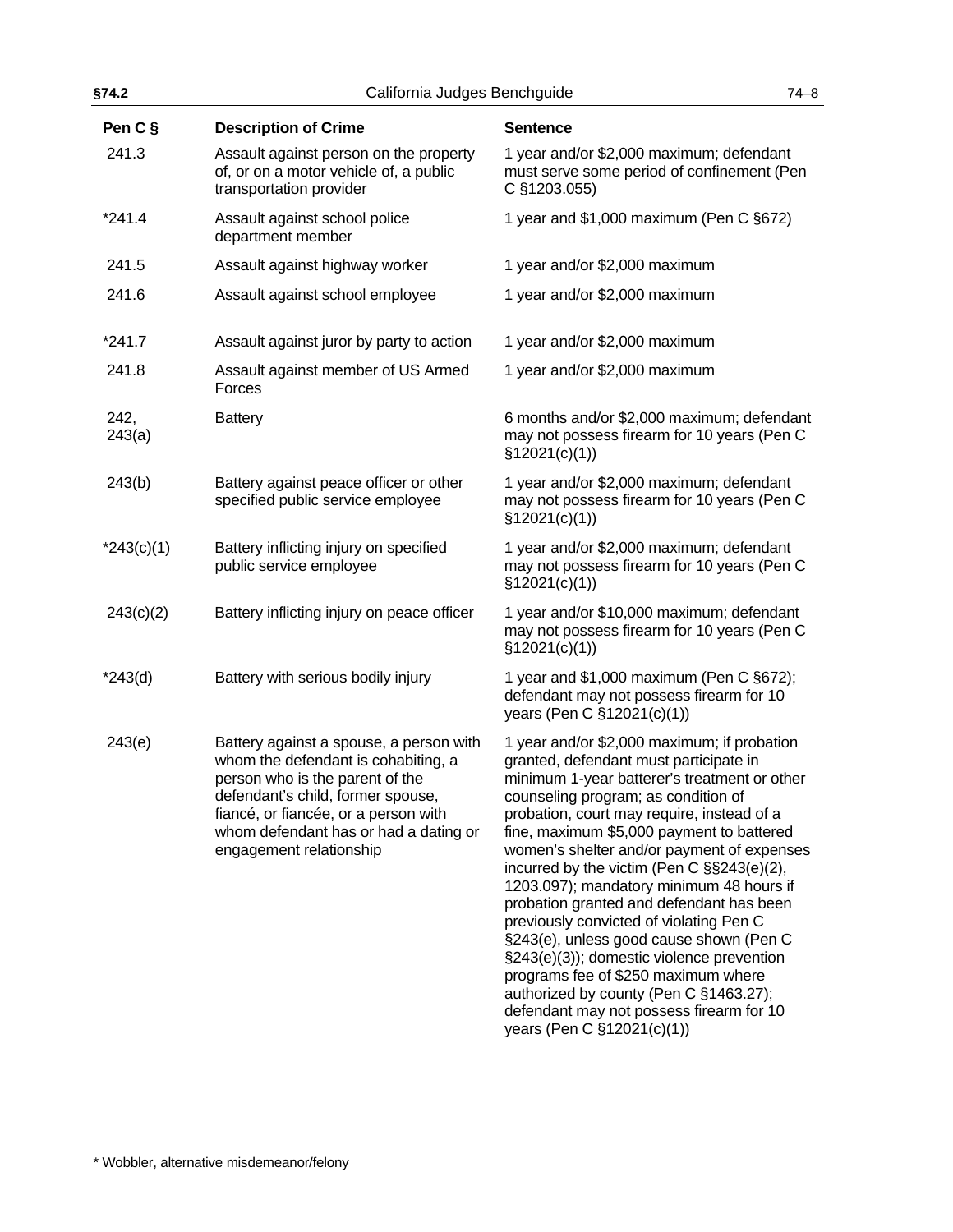| §74.2<br>California Judges Benchguide |                                                                                                                                                                                                                                                                    | $74 - 8$                                                                                                                                                                                                                                                                                                                                                                                                                                                                                                                                                                                                                                                                                                                                                  |  |
|---------------------------------------|--------------------------------------------------------------------------------------------------------------------------------------------------------------------------------------------------------------------------------------------------------------------|-----------------------------------------------------------------------------------------------------------------------------------------------------------------------------------------------------------------------------------------------------------------------------------------------------------------------------------------------------------------------------------------------------------------------------------------------------------------------------------------------------------------------------------------------------------------------------------------------------------------------------------------------------------------------------------------------------------------------------------------------------------|--|
| Pen C §                               | <b>Description of Crime</b>                                                                                                                                                                                                                                        | <b>Sentence</b>                                                                                                                                                                                                                                                                                                                                                                                                                                                                                                                                                                                                                                                                                                                                           |  |
| 241.3                                 | Assault against person on the property<br>of, or on a motor vehicle of, a public<br>transportation provider                                                                                                                                                        | 1 year and/or \$2,000 maximum; defendant<br>must serve some period of confinement (Pen<br>C §1203.055)                                                                                                                                                                                                                                                                                                                                                                                                                                                                                                                                                                                                                                                    |  |
| $*241.4$                              | Assault against school police<br>department member                                                                                                                                                                                                                 | 1 year and \$1,000 maximum (Pen C §672)                                                                                                                                                                                                                                                                                                                                                                                                                                                                                                                                                                                                                                                                                                                   |  |
| 241.5                                 | Assault against highway worker                                                                                                                                                                                                                                     | 1 year and/or \$2,000 maximum                                                                                                                                                                                                                                                                                                                                                                                                                                                                                                                                                                                                                                                                                                                             |  |
| 241.6                                 | Assault against school employee                                                                                                                                                                                                                                    | 1 year and/or \$2,000 maximum                                                                                                                                                                                                                                                                                                                                                                                                                                                                                                                                                                                                                                                                                                                             |  |
| $*241.7$                              | Assault against juror by party to action                                                                                                                                                                                                                           | 1 year and/or \$2,000 maximum                                                                                                                                                                                                                                                                                                                                                                                                                                                                                                                                                                                                                                                                                                                             |  |
| 241.8                                 | Assault against member of US Armed<br>Forces                                                                                                                                                                                                                       | 1 year and/or \$2,000 maximum                                                                                                                                                                                                                                                                                                                                                                                                                                                                                                                                                                                                                                                                                                                             |  |
| 242,<br>243(a)                        | <b>Battery</b>                                                                                                                                                                                                                                                     | 6 months and/or \$2,000 maximum; defendant<br>may not possess firearm for 10 years (Pen C<br>\$12021(c)(1))                                                                                                                                                                                                                                                                                                                                                                                                                                                                                                                                                                                                                                               |  |
| 243(b)                                | Battery against peace officer or other<br>specified public service employee                                                                                                                                                                                        | 1 year and/or \$2,000 maximum; defendant<br>may not possess firearm for 10 years (Pen C<br>\$12021(c)(1))                                                                                                                                                                                                                                                                                                                                                                                                                                                                                                                                                                                                                                                 |  |
| $*243(c)(1)$                          | Battery inflicting injury on specified<br>public service employee                                                                                                                                                                                                  | 1 year and/or \$2,000 maximum; defendant<br>may not possess firearm for 10 years (Pen C<br>\$12021(c)(1))                                                                                                                                                                                                                                                                                                                                                                                                                                                                                                                                                                                                                                                 |  |
| 243(c)(2)                             | Battery inflicting injury on peace officer                                                                                                                                                                                                                         | 1 year and/or \$10,000 maximum; defendant<br>may not possess firearm for 10 years (Pen C<br>\$12021(c)(1))                                                                                                                                                                                                                                                                                                                                                                                                                                                                                                                                                                                                                                                |  |
| $*243(d)$                             | Battery with serious bodily injury                                                                                                                                                                                                                                 | 1 year and \$1,000 maximum (Pen C §672);<br>defendant may not possess firearm for 10<br>years (Pen C §12021(c)(1))                                                                                                                                                                                                                                                                                                                                                                                                                                                                                                                                                                                                                                        |  |
| 243(e)                                | Battery against a spouse, a person with<br>whom the defendant is cohabiting, a<br>person who is the parent of the<br>defendant's child, former spouse,<br>fiancé, or fiancée, or a person with<br>whom defendant has or had a dating or<br>engagement relationship | 1 year and/or \$2,000 maximum; if probation<br>granted, defendant must participate in<br>minimum 1-year batterer's treatment or other<br>counseling program; as condition of<br>probation, court may require, instead of a<br>fine, maximum \$5,000 payment to battered<br>women's shelter and/or payment of expenses<br>incurred by the victim (Pen C §§243(e)(2),<br>1203.097); mandatory minimum 48 hours if<br>probation granted and defendant has been<br>previously convicted of violating Pen C<br>§243(e), unless good cause shown (Pen C<br>§243(e)(3)); domestic violence prevention<br>programs fee of \$250 maximum where<br>authorized by county (Pen C §1463.27);<br>defendant may not possess firearm for 10<br>years (Pen C §12021(c)(1)) |  |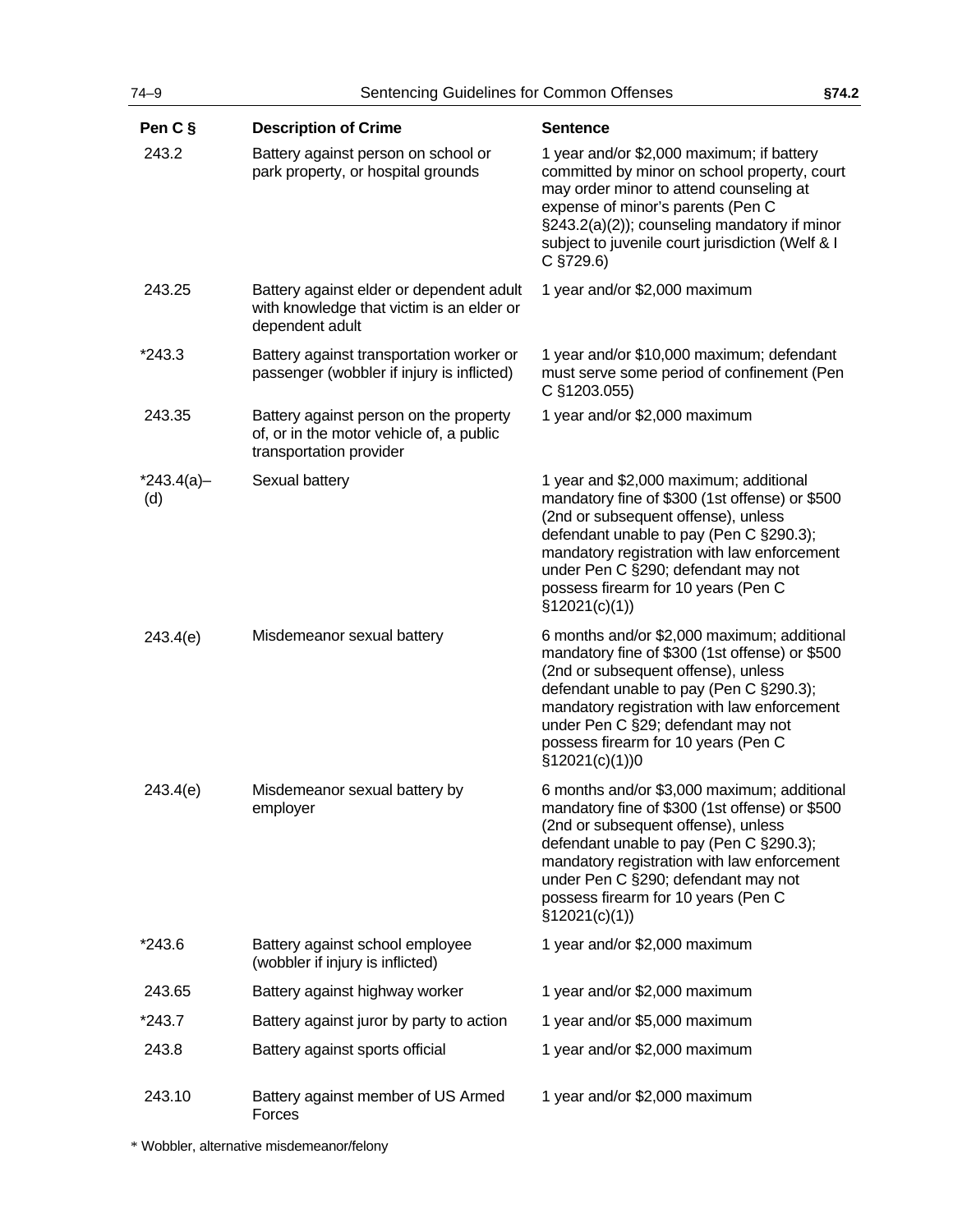| $74 - 9$<br>Sentencing Guidelines for Common Offenses |                                                                                                               |                                                                                                                                                                                                                                                                                                                                | §74.2 |
|-------------------------------------------------------|---------------------------------------------------------------------------------------------------------------|--------------------------------------------------------------------------------------------------------------------------------------------------------------------------------------------------------------------------------------------------------------------------------------------------------------------------------|-------|
| Pen C §                                               | <b>Description of Crime</b>                                                                                   | <b>Sentence</b>                                                                                                                                                                                                                                                                                                                |       |
| 243.2                                                 | Battery against person on school or<br>park property, or hospital grounds                                     | 1 year and/or \$2,000 maximum; if battery<br>committed by minor on school property, court<br>may order minor to attend counseling at<br>expense of minor's parents (Pen C<br>§243.2(a)(2)); counseling mandatory if minor<br>subject to juvenile court jurisdiction (Welf & I<br>$C$ §729.6)                                   |       |
| 243.25                                                | Battery against elder or dependent adult<br>with knowledge that victim is an elder or<br>dependent adult      | 1 year and/or \$2,000 maximum                                                                                                                                                                                                                                                                                                  |       |
| $*243.3$                                              | Battery against transportation worker or<br>passenger (wobbler if injury is inflicted)                        | 1 year and/or \$10,000 maximum; defendant<br>must serve some period of confinement (Pen<br>C §1203.055)                                                                                                                                                                                                                        |       |
| 243.35                                                | Battery against person on the property<br>of, or in the motor vehicle of, a public<br>transportation provider | 1 year and/or \$2,000 maximum                                                                                                                                                                                                                                                                                                  |       |
| $*243.4(a)$ -<br>(d)                                  | Sexual battery                                                                                                | 1 year and \$2,000 maximum; additional<br>mandatory fine of \$300 (1st offense) or \$500<br>(2nd or subsequent offense), unless<br>defendant unable to pay (Pen C §290.3);<br>mandatory registration with law enforcement<br>under Pen C §290; defendant may not<br>possess firearm for 10 years (Pen C<br>\$12021(c)(1))      |       |
| 243.4(e)                                              | Misdemeanor sexual battery                                                                                    | 6 months and/or \$2,000 maximum; additional<br>mandatory fine of \$300 (1st offense) or \$500<br>(2nd or subsequent offense), unless<br>defendant unable to pay (Pen C §290.3);<br>mandatory registration with law enforcement<br>under Pen C §29; defendant may not<br>possess firearm for 10 years (Pen C<br>§12021(c)(1))0  |       |
| 243.4(e)                                              | Misdemeanor sexual battery by<br>employer                                                                     | 6 months and/or \$3,000 maximum; additional<br>mandatory fine of \$300 (1st offense) or \$500<br>(2nd or subsequent offense), unless<br>defendant unable to pay (Pen C §290.3);<br>mandatory registration with law enforcement<br>under Pen C §290; defendant may not<br>possess firearm for 10 years (Pen C<br>\$12021(c)(1)) |       |
| $*243.6$                                              | Battery against school employee<br>(wobbler if injury is inflicted)                                           | 1 year and/or \$2,000 maximum                                                                                                                                                                                                                                                                                                  |       |
| 243.65                                                | Battery against highway worker                                                                                | 1 year and/or \$2,000 maximum                                                                                                                                                                                                                                                                                                  |       |
| $*243.7$                                              | Battery against juror by party to action                                                                      | 1 year and/or \$5,000 maximum                                                                                                                                                                                                                                                                                                  |       |
| 243.8                                                 | Battery against sports official                                                                               | 1 year and/or \$2,000 maximum                                                                                                                                                                                                                                                                                                  |       |
| 243.10                                                | Battery against member of US Armed<br>Forces                                                                  | 1 year and/or \$2,000 maximum                                                                                                                                                                                                                                                                                                  |       |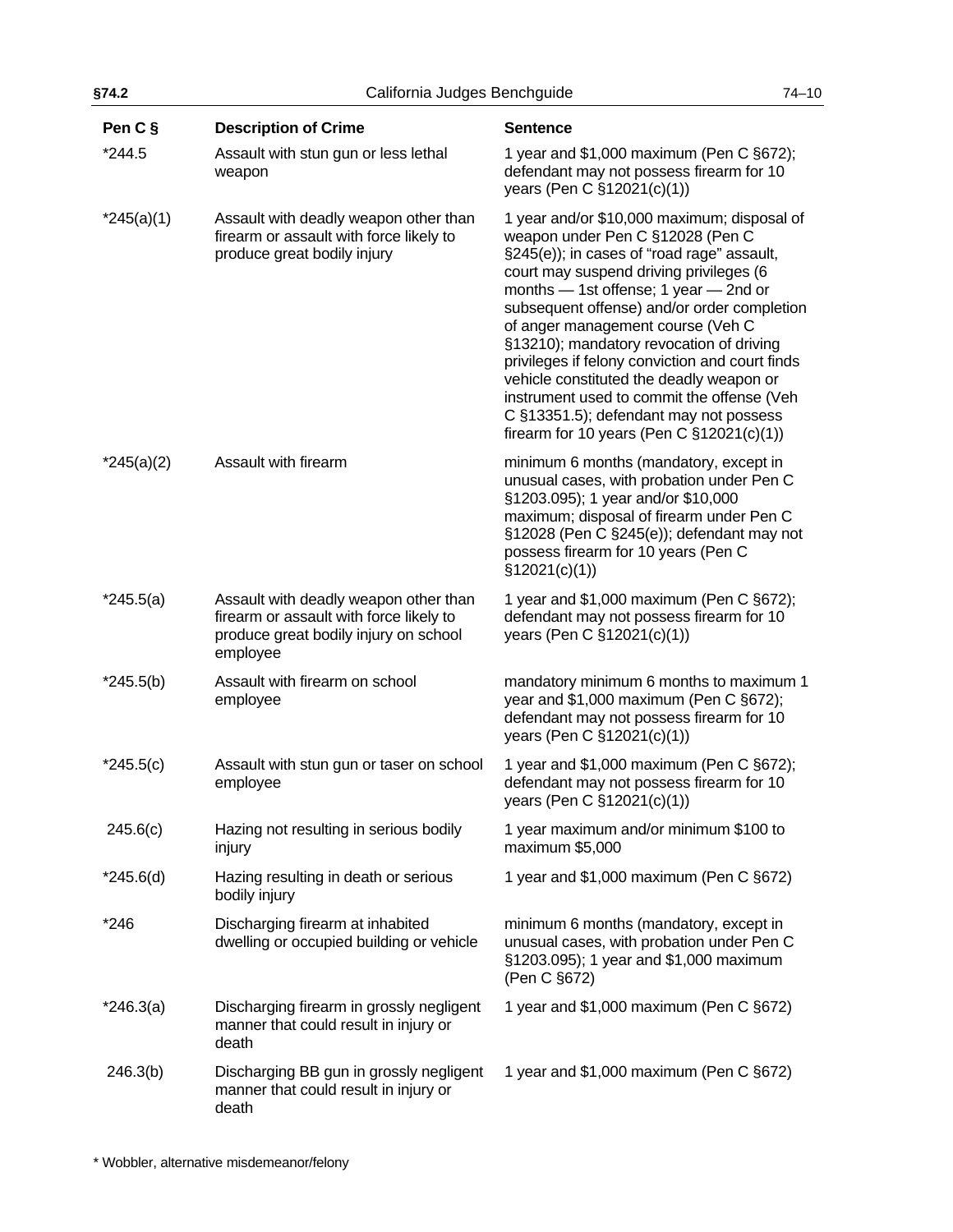| §74.2        | California Judges Benchguide                                                                                                          |                                                                                                                                                                                                                                                                                                                                                                                                                                                                                                                                                                                           | $74 - 10$ |
|--------------|---------------------------------------------------------------------------------------------------------------------------------------|-------------------------------------------------------------------------------------------------------------------------------------------------------------------------------------------------------------------------------------------------------------------------------------------------------------------------------------------------------------------------------------------------------------------------------------------------------------------------------------------------------------------------------------------------------------------------------------------|-----------|
| Pen C §      | <b>Description of Crime</b>                                                                                                           | <b>Sentence</b>                                                                                                                                                                                                                                                                                                                                                                                                                                                                                                                                                                           |           |
| *244.5       | Assault with stun gun or less lethal<br>weapon                                                                                        | 1 year and \$1,000 maximum (Pen C §672);<br>defendant may not possess firearm for 10<br>years (Pen C §12021(c)(1))                                                                                                                                                                                                                                                                                                                                                                                                                                                                        |           |
| $*245(a)(1)$ | Assault with deadly weapon other than<br>firearm or assault with force likely to<br>produce great bodily injury                       | 1 year and/or \$10,000 maximum; disposal of<br>weapon under Pen C §12028 (Pen C<br>§245(e)); in cases of "road rage" assault,<br>court may suspend driving privileges (6<br>months - 1st offense; 1 year - 2nd or<br>subsequent offense) and/or order completion<br>of anger management course (Veh C<br>§13210); mandatory revocation of driving<br>privileges if felony conviction and court finds<br>vehicle constituted the deadly weapon or<br>instrument used to commit the offense (Veh<br>C §13351.5); defendant may not possess<br>firearm for 10 years (Pen C $\S$ 12021(c)(1)) |           |
| $*245(a)(2)$ | Assault with firearm                                                                                                                  | minimum 6 months (mandatory, except in<br>unusual cases, with probation under Pen C<br>§1203.095); 1 year and/or \$10,000<br>maximum; disposal of firearm under Pen C<br>§12028 (Pen C §245(e)); defendant may not<br>possess firearm for 10 years (Pen C<br>\$12021(c)(1))                                                                                                                                                                                                                                                                                                               |           |
| $*245.5(a)$  | Assault with deadly weapon other than<br>firearm or assault with force likely to<br>produce great bodily injury on school<br>employee | 1 year and \$1,000 maximum (Pen C §672);<br>defendant may not possess firearm for 10<br>years (Pen C §12021(c)(1))                                                                                                                                                                                                                                                                                                                                                                                                                                                                        |           |
| $*245.5(b)$  | Assault with firearm on school<br>employee                                                                                            | mandatory minimum 6 months to maximum 1<br>year and \$1,000 maximum (Pen C §672);<br>defendant may not possess firearm for 10<br>years (Pen C §12021(c)(1))                                                                                                                                                                                                                                                                                                                                                                                                                               |           |
| $*245.5(c)$  | Assault with stun gun or taser on school<br>employee                                                                                  | 1 year and \$1,000 maximum (Pen C §672);<br>defendant may not possess firearm for 10<br>years (Pen C §12021(c)(1))                                                                                                                                                                                                                                                                                                                                                                                                                                                                        |           |
| 245.6(c)     | Hazing not resulting in serious bodily<br>injury                                                                                      | 1 year maximum and/or minimum \$100 to<br>maximum \$5,000                                                                                                                                                                                                                                                                                                                                                                                                                                                                                                                                 |           |
| $*245.6(d)$  | Hazing resulting in death or serious<br>bodily injury                                                                                 | 1 year and \$1,000 maximum (Pen C §672)                                                                                                                                                                                                                                                                                                                                                                                                                                                                                                                                                   |           |
| $*246$       | Discharging firearm at inhabited<br>dwelling or occupied building or vehicle                                                          | minimum 6 months (mandatory, except in<br>unusual cases, with probation under Pen C<br>§1203.095); 1 year and \$1,000 maximum<br>(Pen C §672)                                                                                                                                                                                                                                                                                                                                                                                                                                             |           |
| $*246.3(a)$  | Discharging firearm in grossly negligent<br>manner that could result in injury or<br>death                                            | 1 year and \$1,000 maximum (Pen C §672)                                                                                                                                                                                                                                                                                                                                                                                                                                                                                                                                                   |           |
| 246.3(b)     | Discharging BB gun in grossly negligent<br>manner that could result in injury or<br>death                                             | 1 year and \$1,000 maximum (Pen C §672)                                                                                                                                                                                                                                                                                                                                                                                                                                                                                                                                                   |           |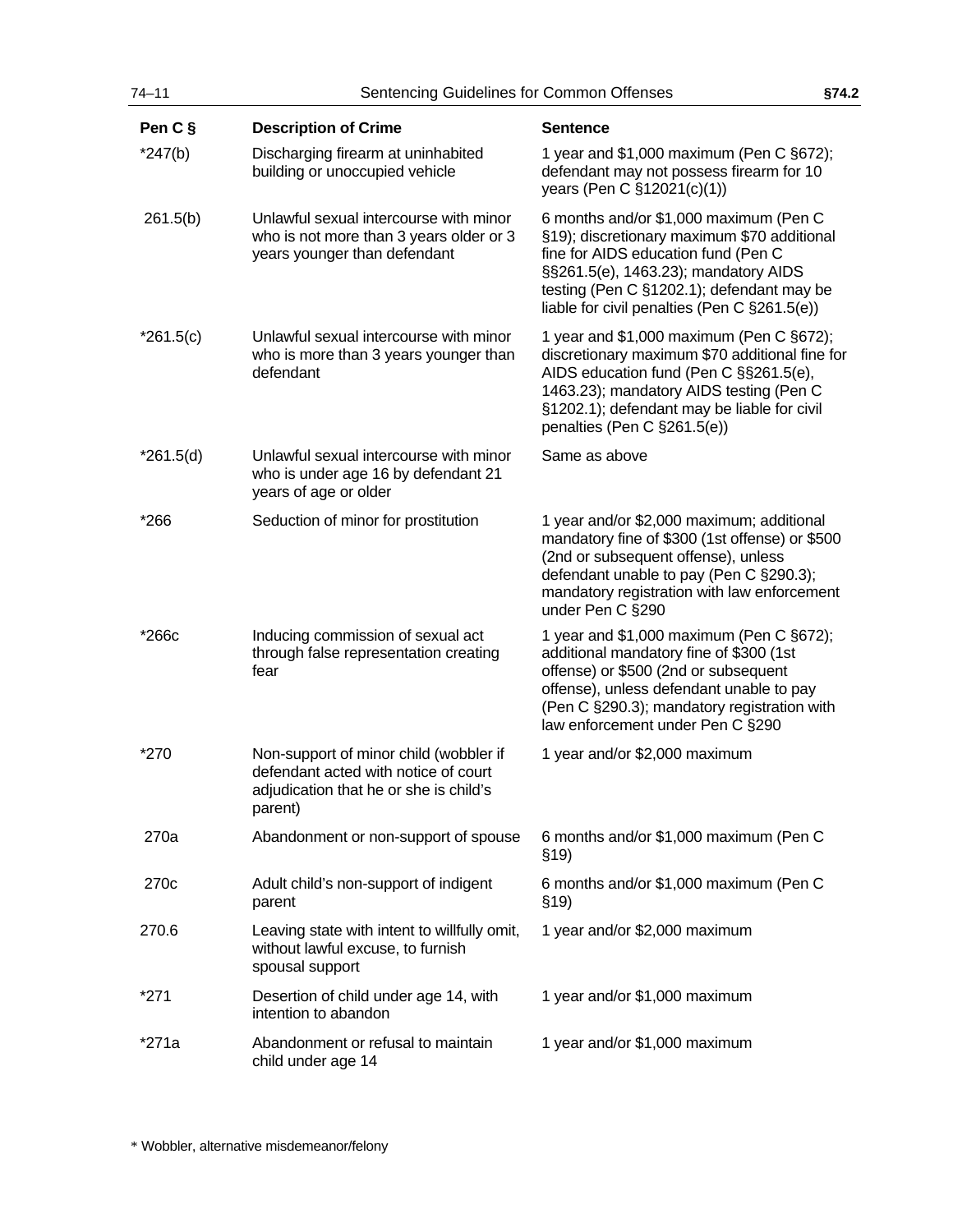| $74 - 11$        | Sentencing Guidelines for Common Offenses                                                                                           |                                                                                                                                                                                                                                                                   | §74.2 |
|------------------|-------------------------------------------------------------------------------------------------------------------------------------|-------------------------------------------------------------------------------------------------------------------------------------------------------------------------------------------------------------------------------------------------------------------|-------|
| Pen C §          | <b>Description of Crime</b>                                                                                                         | <b>Sentence</b>                                                                                                                                                                                                                                                   |       |
| $*247(b)$        | Discharging firearm at uninhabited<br>building or unoccupied vehicle                                                                | 1 year and \$1,000 maximum (Pen C §672);<br>defendant may not possess firearm for 10<br>years (Pen C §12021(c)(1))                                                                                                                                                |       |
| 261.5(b)         | Unlawful sexual intercourse with minor<br>who is not more than 3 years older or 3<br>years younger than defendant                   | 6 months and/or \$1,000 maximum (Pen C<br>§19); discretionary maximum \$70 additional<br>fine for AIDS education fund (Pen C<br>§§261.5(e), 1463.23); mandatory AIDS<br>testing (Pen C §1202.1); defendant may be<br>liable for civil penalties (Pen C §261.5(e)) |       |
| $*261.5(c)$      | Unlawful sexual intercourse with minor<br>who is more than 3 years younger than<br>defendant                                        | 1 year and \$1,000 maximum (Pen C §672);<br>discretionary maximum \$70 additional fine for<br>AIDS education fund (Pen C §§261.5(e),<br>1463.23); mandatory AIDS testing (Pen C<br>§1202.1); defendant may be liable for civil<br>penalties (Pen C §261.5(e))     |       |
| $*261.5(d)$      | Unlawful sexual intercourse with minor<br>who is under age 16 by defendant 21<br>years of age or older                              | Same as above                                                                                                                                                                                                                                                     |       |
| *266             | Seduction of minor for prostitution                                                                                                 | 1 year and/or \$2,000 maximum; additional<br>mandatory fine of \$300 (1st offense) or \$500<br>(2nd or subsequent offense), unless<br>defendant unable to pay (Pen C §290.3);<br>mandatory registration with law enforcement<br>under Pen C §290                  |       |
| $*266c$          | Inducing commission of sexual act<br>through false representation creating<br>fear                                                  | 1 year and \$1,000 maximum (Pen C §672);<br>additional mandatory fine of \$300 (1st<br>offense) or \$500 (2nd or subsequent<br>offense), unless defendant unable to pay<br>(Pen C §290.3); mandatory registration with<br>law enforcement under Pen C §290        |       |
| *270             | Non-support of minor child (wobbler if<br>defendant acted with notice of court<br>adjudication that he or she is child's<br>parent) | 1 year and/or \$2,000 maximum                                                                                                                                                                                                                                     |       |
| 270a             | Abandonment or non-support of spouse                                                                                                | 6 months and/or \$1,000 maximum (Pen C<br>\$19)                                                                                                                                                                                                                   |       |
| 270 <sub>c</sub> | Adult child's non-support of indigent<br>parent                                                                                     | 6 months and/or \$1,000 maximum (Pen C<br>\$19)                                                                                                                                                                                                                   |       |
| 270.6            | Leaving state with intent to willfully omit,<br>without lawful excuse, to furnish<br>spousal support                                | 1 year and/or \$2,000 maximum                                                                                                                                                                                                                                     |       |
| *271             | Desertion of child under age 14, with<br>intention to abandon                                                                       | 1 year and/or \$1,000 maximum                                                                                                                                                                                                                                     |       |
| *271a            | Abandonment or refusal to maintain<br>child under age 14                                                                            | 1 year and/or \$1,000 maximum                                                                                                                                                                                                                                     |       |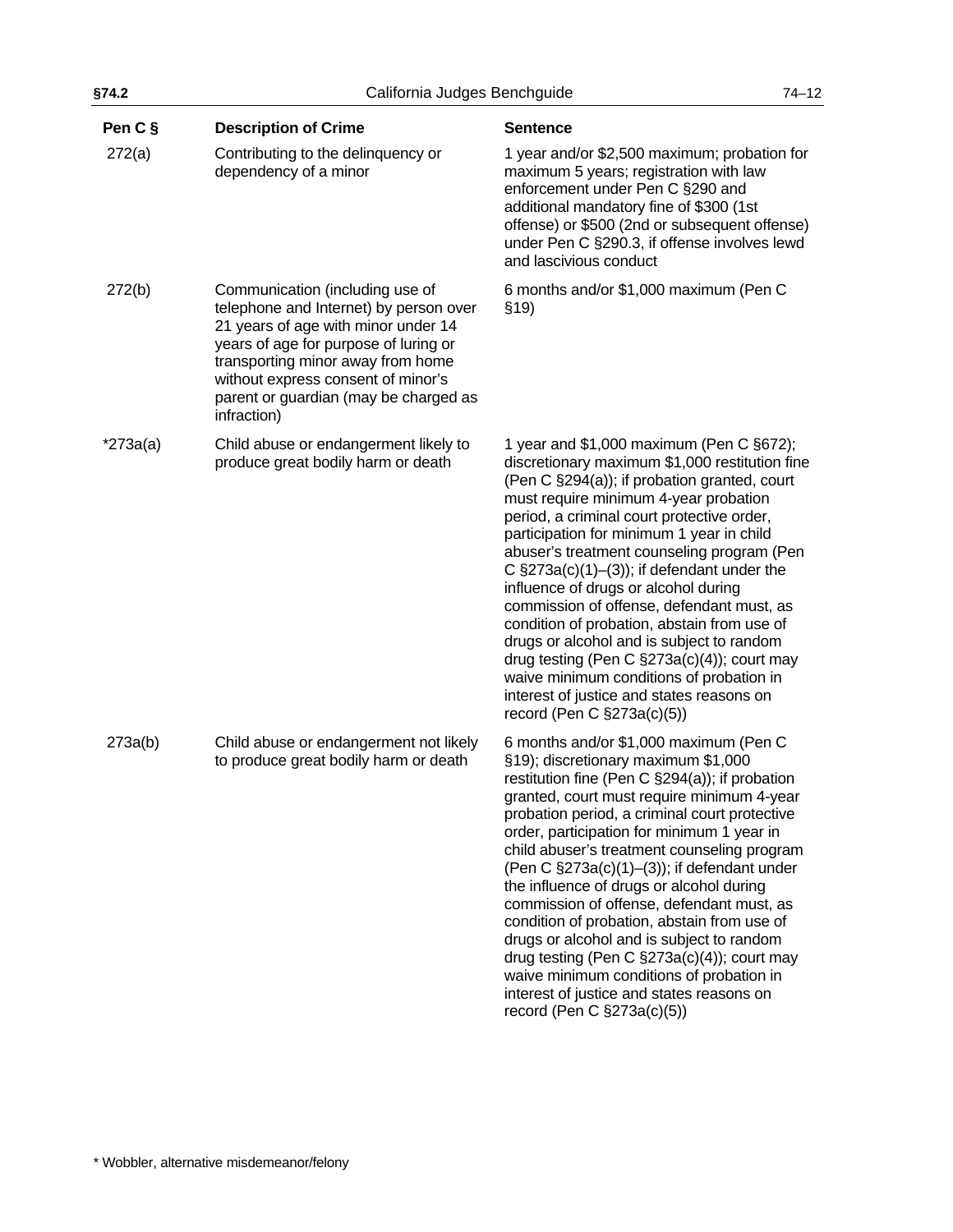|                                                                                                                                                                                                                                                                                              |                                                                                                       | $74 - 12$                                                                                                                                                                                                                                                                                                                                                                                                                                                                                                                                                                                                                                                                                                                                                                                                                                                                                                                                                                                                                                                                                                                                                                                                                                                                                                                                                                                                                                                                                                                                                                                                                |
|----------------------------------------------------------------------------------------------------------------------------------------------------------------------------------------------------------------------------------------------------------------------------------------------|-------------------------------------------------------------------------------------------------------|--------------------------------------------------------------------------------------------------------------------------------------------------------------------------------------------------------------------------------------------------------------------------------------------------------------------------------------------------------------------------------------------------------------------------------------------------------------------------------------------------------------------------------------------------------------------------------------------------------------------------------------------------------------------------------------------------------------------------------------------------------------------------------------------------------------------------------------------------------------------------------------------------------------------------------------------------------------------------------------------------------------------------------------------------------------------------------------------------------------------------------------------------------------------------------------------------------------------------------------------------------------------------------------------------------------------------------------------------------------------------------------------------------------------------------------------------------------------------------------------------------------------------------------------------------------------------------------------------------------------------|
| <b>Description of Crime</b>                                                                                                                                                                                                                                                                  | <b>Sentence</b>                                                                                       |                                                                                                                                                                                                                                                                                                                                                                                                                                                                                                                                                                                                                                                                                                                                                                                                                                                                                                                                                                                                                                                                                                                                                                                                                                                                                                                                                                                                                                                                                                                                                                                                                          |
| Contributing to the delinquency or<br>dependency of a minor                                                                                                                                                                                                                                  | enforcement under Pen C §290 and<br>additional mandatory fine of \$300 (1st<br>and lascivious conduct |                                                                                                                                                                                                                                                                                                                                                                                                                                                                                                                                                                                                                                                                                                                                                                                                                                                                                                                                                                                                                                                                                                                                                                                                                                                                                                                                                                                                                                                                                                                                                                                                                          |
| Communication (including use of<br>telephone and Internet) by person over<br>21 years of age with minor under 14<br>years of age for purpose of luring or<br>transporting minor away from home<br>without express consent of minor's<br>parent or guardian (may be charged as<br>infraction) | \$19)                                                                                                 |                                                                                                                                                                                                                                                                                                                                                                                                                                                                                                                                                                                                                                                                                                                                                                                                                                                                                                                                                                                                                                                                                                                                                                                                                                                                                                                                                                                                                                                                                                                                                                                                                          |
| Child abuse or endangerment likely to<br>produce great bodily harm or death                                                                                                                                                                                                                  | influence of drugs or alcohol during<br>record (Pen C §273a(c)(5))                                    |                                                                                                                                                                                                                                                                                                                                                                                                                                                                                                                                                                                                                                                                                                                                                                                                                                                                                                                                                                                                                                                                                                                                                                                                                                                                                                                                                                                                                                                                                                                                                                                                                          |
| Child abuse or endangerment not likely<br>to produce great bodily harm or death                                                                                                                                                                                                              | §19); discretionary maximum \$1,000<br>record (Pen C $\S$ 273a(c)(5))                                 |                                                                                                                                                                                                                                                                                                                                                                                                                                                                                                                                                                                                                                                                                                                                                                                                                                                                                                                                                                                                                                                                                                                                                                                                                                                                                                                                                                                                                                                                                                                                                                                                                          |
|                                                                                                                                                                                                                                                                                              |                                                                                                       | California Judges Benchguide<br>1 year and/or \$2,500 maximum; probation for<br>maximum 5 years; registration with law<br>offense) or \$500 (2nd or subsequent offense)<br>under Pen C §290.3, if offense involves lewd<br>6 months and/or \$1,000 maximum (Pen C<br>1 year and $$1,000$ maximum (Pen C $§672$ );<br>discretionary maximum \$1,000 restitution fine<br>(Pen C §294(a)); if probation granted, court<br>must require minimum 4-year probation<br>period, a criminal court protective order,<br>participation for minimum 1 year in child<br>abuser's treatment counseling program (Pen<br>C $\S$ 273a(c)(1)-(3)); if defendant under the<br>commission of offense, defendant must, as<br>condition of probation, abstain from use of<br>drugs or alcohol and is subject to random<br>drug testing (Pen C $\S273a(c)(4)$ ); court may<br>waive minimum conditions of probation in<br>interest of justice and states reasons on<br>6 months and/or \$1,000 maximum (Pen C<br>restitution fine (Pen C §294(a)); if probation<br>granted, court must require minimum 4-year<br>probation period, a criminal court protective<br>order, participation for minimum 1 year in<br>child abuser's treatment counseling program<br>(Pen C $\S273a(c)(1)–(3)$ ); if defendant under<br>the influence of drugs or alcohol during<br>commission of offense, defendant must, as<br>condition of probation, abstain from use of<br>drugs or alcohol and is subject to random<br>drug testing (Pen C $\S273a(c)(4)$ ); court may<br>waive minimum conditions of probation in<br>interest of justice and states reasons on |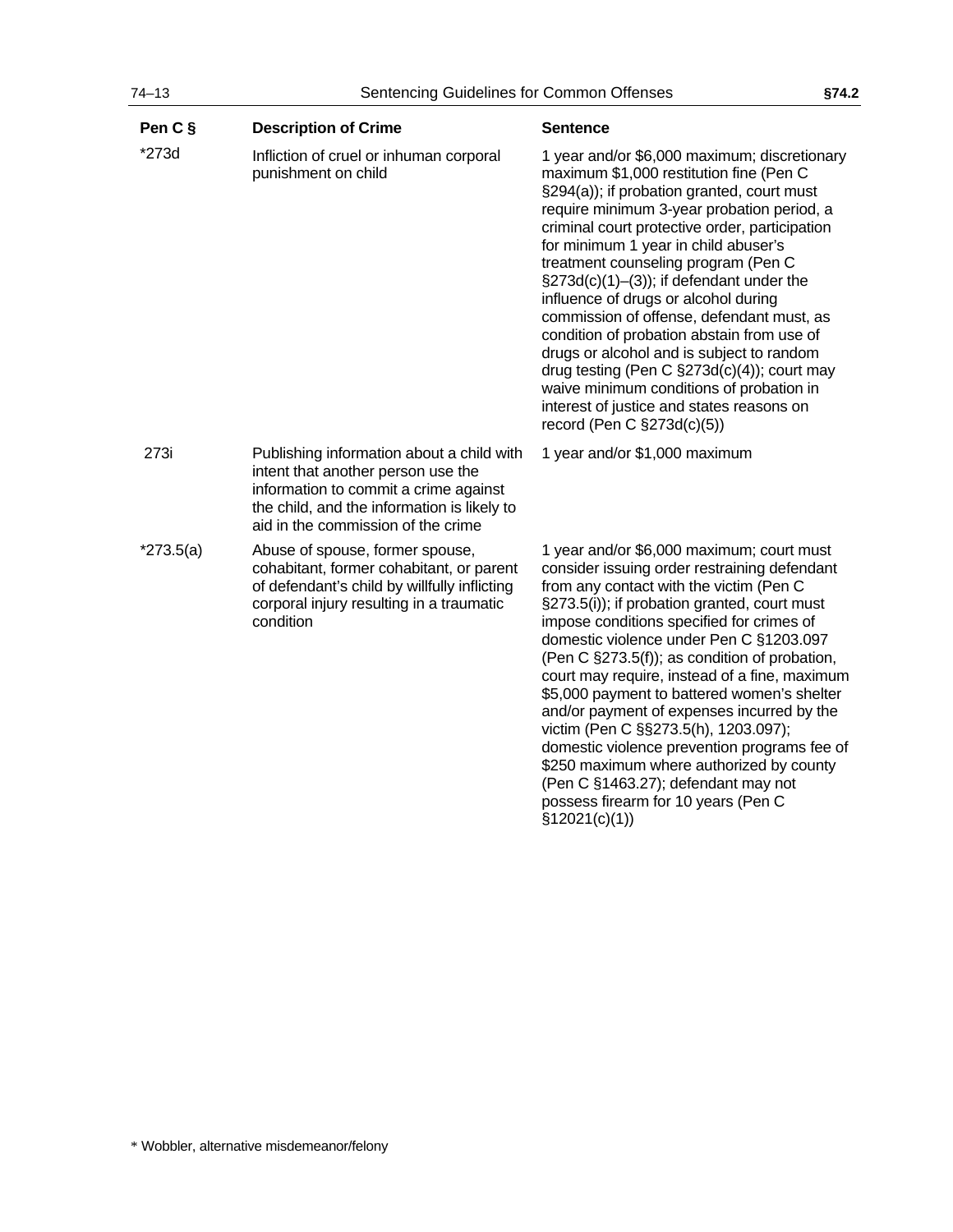| Pen C §     | <b>Description of Crime</b>                                                                                                                                                                                   | <b>Sentence</b>                                                                                                                                                                                                                                                                                                                                                                                                                                                                                                                                                                                                                                                                                                               |
|-------------|---------------------------------------------------------------------------------------------------------------------------------------------------------------------------------------------------------------|-------------------------------------------------------------------------------------------------------------------------------------------------------------------------------------------------------------------------------------------------------------------------------------------------------------------------------------------------------------------------------------------------------------------------------------------------------------------------------------------------------------------------------------------------------------------------------------------------------------------------------------------------------------------------------------------------------------------------------|
| *273d       | Infliction of cruel or inhuman corporal<br>punishment on child                                                                                                                                                | 1 year and/or \$6,000 maximum; discretionary<br>maximum \$1,000 restitution fine (Pen C<br>§294(a)); if probation granted, court must<br>require minimum 3-year probation period, a<br>criminal court protective order, participation<br>for minimum 1 year in child abuser's<br>treatment counseling program (Pen C<br>$\S273d(c)(1)–(3)$ ; if defendant under the<br>influence of drugs or alcohol during<br>commission of offense, defendant must, as<br>condition of probation abstain from use of<br>drugs or alcohol and is subject to random<br>drug testing (Pen C $\S273d(c)(4)$ ); court may<br>waive minimum conditions of probation in<br>interest of justice and states reasons on<br>record (Pen C §273d(c)(5)) |
| 273i        | Publishing information about a child with<br>intent that another person use the<br>information to commit a crime against<br>the child, and the information is likely to<br>aid in the commission of the crime | 1 year and/or \$1,000 maximum                                                                                                                                                                                                                                                                                                                                                                                                                                                                                                                                                                                                                                                                                                 |
| $*273.5(a)$ | Abuse of spouse, former spouse,<br>cohabitant, former cohabitant, or parent<br>of defendant's child by willfully inflicting<br>corporal injury resulting in a traumatic<br>condition                          | 1 year and/or \$6,000 maximum; court must<br>consider issuing order restraining defendant<br>from any contact with the victim (Pen C<br>§273.5(i)); if probation granted, court must<br>impose conditions specified for crimes of<br>domestic violence under Pen C §1203.097<br>(Pen C §273.5(f)); as condition of probation,<br>court may require, instead of a fine, maximum<br>\$5,000 payment to battered women's shelter<br>and/or payment of expenses incurred by the<br>victim (Pen C §§273.5(h), 1203.097);<br>domestic violence prevention programs fee of<br>\$250 maximum where authorized by county<br>(Pen C §1463.27); defendant may not<br>possess firearm for 10 years (Pen C<br>\$12021(c)(1))               |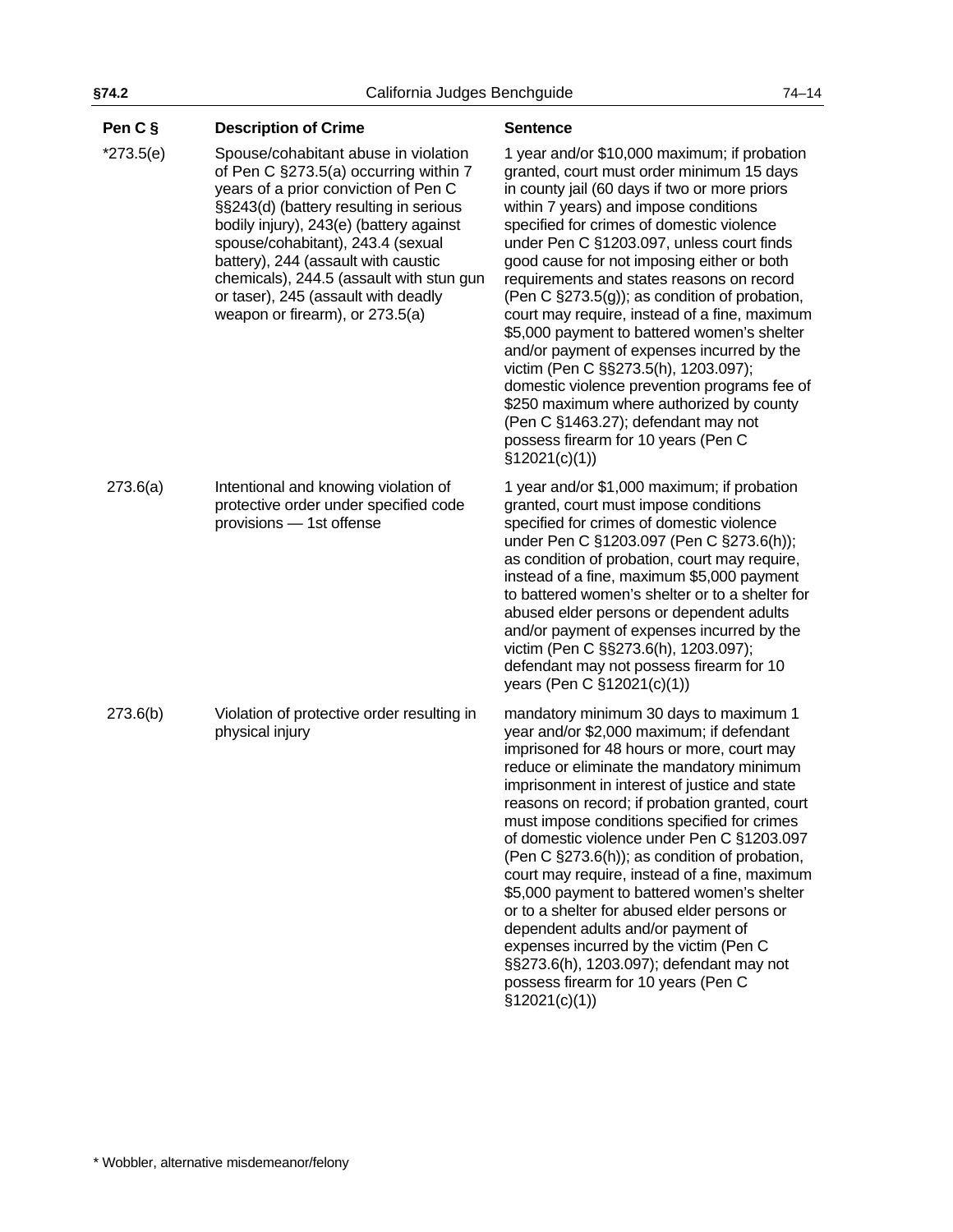**Pen C § Description of Crime Sentence** 

| $*273.5(e)$ | Spouse/cohabitant abuse in violation<br>of Pen C §273.5(a) occurring within 7<br>years of a prior conviction of Pen C<br>§§243(d) (battery resulting in serious<br>bodily injury), 243(e) (battery against<br>spouse/cohabitant), 243.4 (sexual<br>battery), 244 (assault with caustic<br>chemicals), 244.5 (assault with stun gun<br>or taser), 245 (assault with deadly<br>weapon or firearm), or 273.5(a) | 1 year and/or \$10,000 maximum; if probation<br>granted, court must order minimum 15 days<br>in county jail (60 days if two or more priors<br>within 7 years) and impose conditions<br>specified for crimes of domestic violence<br>under Pen C §1203.097, unless court finds<br>good cause for not imposing either or both<br>requirements and states reasons on record<br>(Pen C §273.5(g)); as condition of probation,<br>court may require, instead of a fine, maximum<br>\$5,000 payment to battered women's shelter<br>and/or payment of expenses incurred by the<br>victim (Pen C §§273.5(h), 1203.097);<br>domestic violence prevention programs fee of<br>\$250 maximum where authorized by county<br>(Pen C §1463.27); defendant may not<br>possess firearm for 10 years (Pen C<br>\$12021(c)(1)) |
|-------------|--------------------------------------------------------------------------------------------------------------------------------------------------------------------------------------------------------------------------------------------------------------------------------------------------------------------------------------------------------------------------------------------------------------|-------------------------------------------------------------------------------------------------------------------------------------------------------------------------------------------------------------------------------------------------------------------------------------------------------------------------------------------------------------------------------------------------------------------------------------------------------------------------------------------------------------------------------------------------------------------------------------------------------------------------------------------------------------------------------------------------------------------------------------------------------------------------------------------------------------|
| 273.6(a)    | Intentional and knowing violation of<br>protective order under specified code<br>provisions - 1st offense                                                                                                                                                                                                                                                                                                    | 1 year and/or \$1,000 maximum; if probation<br>granted, court must impose conditions<br>specified for crimes of domestic violence<br>under Pen C §1203.097 (Pen C §273.6(h));<br>as condition of probation, court may require,<br>instead of a fine, maximum \$5,000 payment<br>to battered women's shelter or to a shelter for<br>abused elder persons or dependent adults<br>and/or payment of expenses incurred by the<br>victim (Pen C §§273.6(h), 1203.097);<br>defendant may not possess firearm for 10<br>years (Pen C §12021(c)(1))                                                                                                                                                                                                                                                                 |
| 273.6(b)    | Violation of protective order resulting in<br>physical injury                                                                                                                                                                                                                                                                                                                                                | mandatory minimum 30 days to maximum 1<br>year and/or \$2,000 maximum; if defendant<br>imprisoned for 48 hours or more, court may<br>reduce or eliminate the mandatory minimum<br>imprisonment in interest of justice and state<br>reasons on record; if probation granted, court<br>must impose conditions specified for crimes<br>of domestic violence under Pen C §1203.097<br>(Pen C §273.6(h)); as condition of probation,<br>court may require, instead of a fine, maximum<br>\$5,000 payment to battered women's shelter<br>or to a shelter for abused elder persons or<br>dependent adults and/or payment of<br>expenses incurred by the victim (Pen C<br>§§273.6(h), 1203.097); defendant may not<br>possess firearm for 10 years (Pen C<br>\$12021(c)(1))                                         |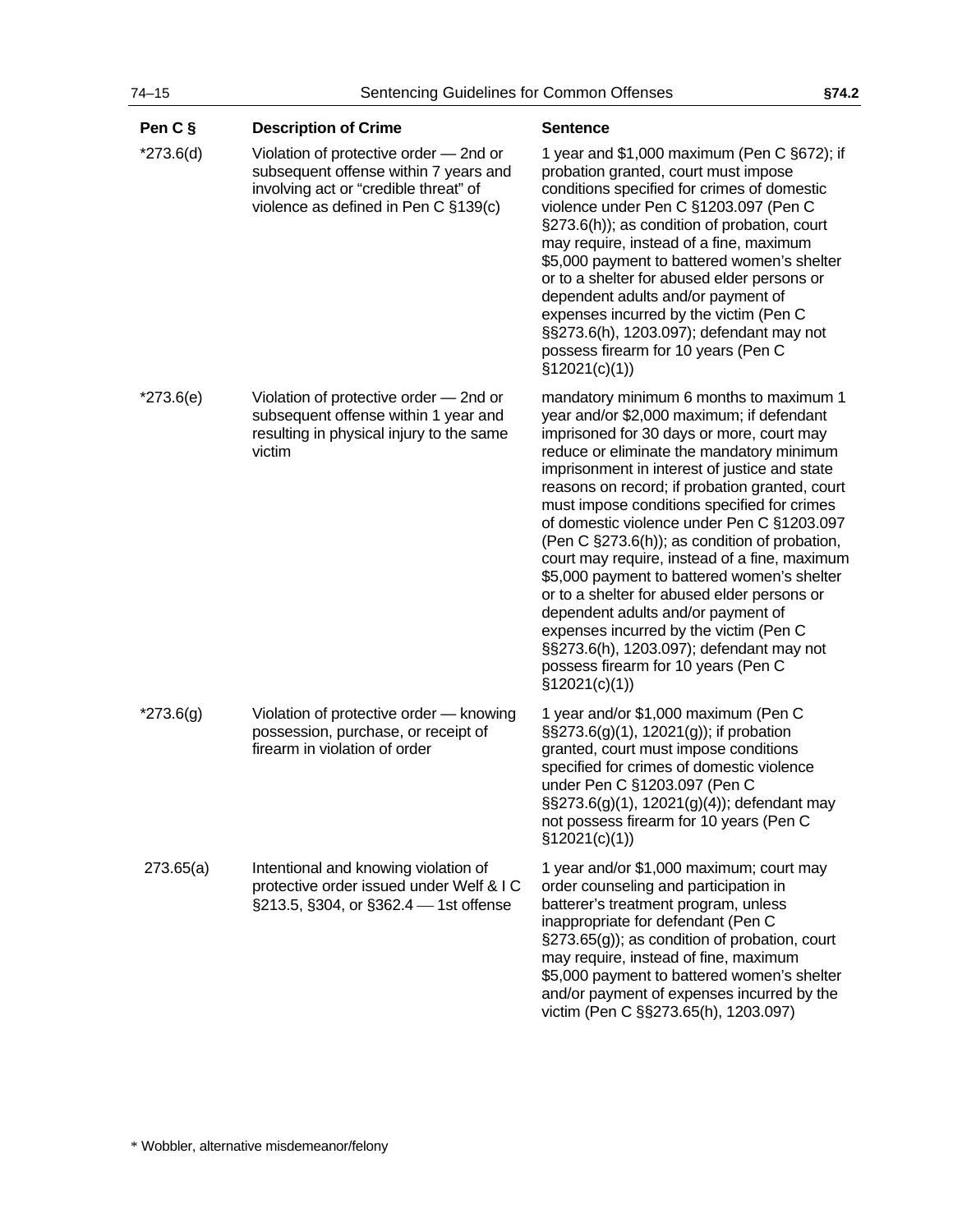| Pen C §     | <b>Description of Crime</b>                                                                                                                                      | <b>Sentence</b>                                                                                                                                                                                                                                                                                                                                                                                                                                                                                                                                                                                                                                                                                                                                                     |
|-------------|------------------------------------------------------------------------------------------------------------------------------------------------------------------|---------------------------------------------------------------------------------------------------------------------------------------------------------------------------------------------------------------------------------------------------------------------------------------------------------------------------------------------------------------------------------------------------------------------------------------------------------------------------------------------------------------------------------------------------------------------------------------------------------------------------------------------------------------------------------------------------------------------------------------------------------------------|
| $*273.6(d)$ | Violation of protective order - 2nd or<br>subsequent offense within 7 years and<br>involving act or "credible threat" of<br>violence as defined in Pen C §139(c) | 1 year and \$1,000 maximum (Pen C §672); if<br>probation granted, court must impose<br>conditions specified for crimes of domestic<br>violence under Pen C §1203.097 (Pen C<br>§273.6(h)); as condition of probation, court<br>may require, instead of a fine, maximum<br>\$5,000 payment to battered women's shelter<br>or to a shelter for abused elder persons or<br>dependent adults and/or payment of<br>expenses incurred by the victim (Pen C<br>§§273.6(h), 1203.097); defendant may not<br>possess firearm for 10 years (Pen C<br>\$12021(c)(1))                                                                                                                                                                                                           |
| $*273.6(e)$ | Violation of protective order - 2nd or<br>subsequent offense within 1 year and<br>resulting in physical injury to the same<br>victim                             | mandatory minimum 6 months to maximum 1<br>year and/or \$2,000 maximum; if defendant<br>imprisoned for 30 days or more, court may<br>reduce or eliminate the mandatory minimum<br>imprisonment in interest of justice and state<br>reasons on record; if probation granted, court<br>must impose conditions specified for crimes<br>of domestic violence under Pen C §1203.097<br>(Pen C §273.6(h)); as condition of probation,<br>court may require, instead of a fine, maximum<br>\$5,000 payment to battered women's shelter<br>or to a shelter for abused elder persons or<br>dependent adults and/or payment of<br>expenses incurred by the victim (Pen C<br>§§273.6(h), 1203.097); defendant may not<br>possess firearm for 10 years (Pen C<br>\$12021(c)(1)) |
| $*273.6(g)$ | Violation of protective order - knowing<br>possession, purchase, or receipt of<br>firearm in violation of order                                                  | 1 year and/or \$1,000 maximum (Pen C<br>§§273.6(g)(1), 12021(g)); if probation<br>granted, court must impose conditions<br>specified for crimes of domestic violence<br>under Pen C §1203.097 (Pen C<br>§§273.6(g)(1), 12021(g)(4)); defendant may<br>not possess firearm for 10 years (Pen C<br>\$12021(c)(1))                                                                                                                                                                                                                                                                                                                                                                                                                                                     |
| 273.65(a)   | Intentional and knowing violation of<br>protective order issued under Welf & I C<br>§213.5, §304, or §362.4 - 1st offense                                        | 1 year and/or \$1,000 maximum; court may<br>order counseling and participation in<br>batterer's treatment program, unless<br>inappropriate for defendant (Pen C<br>§273.65(g)); as condition of probation, court<br>may require, instead of fine, maximum<br>\$5,000 payment to battered women's shelter<br>and/or payment of expenses incurred by the<br>victim (Pen C §§273.65(h), 1203.097)                                                                                                                                                                                                                                                                                                                                                                      |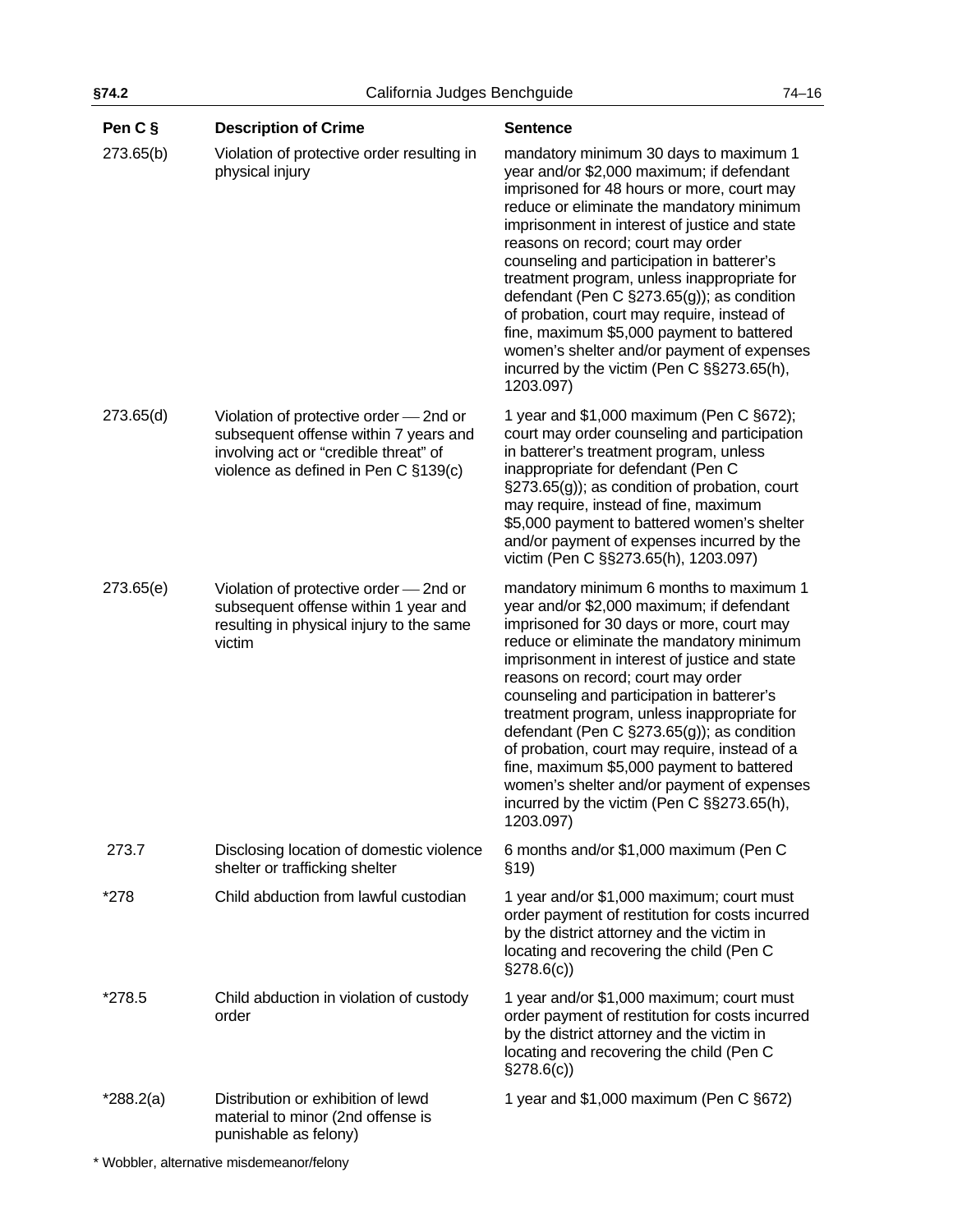| Pen C §     | <b>Description of Crime</b>                                                                                                                                      | <b>Sentence</b>                                                                                                                                                                                                                                                                                                                                                                                                                                                                                                                                                                                                         |
|-------------|------------------------------------------------------------------------------------------------------------------------------------------------------------------|-------------------------------------------------------------------------------------------------------------------------------------------------------------------------------------------------------------------------------------------------------------------------------------------------------------------------------------------------------------------------------------------------------------------------------------------------------------------------------------------------------------------------------------------------------------------------------------------------------------------------|
| 273.65(b)   | Violation of protective order resulting in<br>physical injury                                                                                                    | mandatory minimum 30 days to maximum 1<br>year and/or \$2,000 maximum; if defendant<br>imprisoned for 48 hours or more, court may<br>reduce or eliminate the mandatory minimum<br>imprisonment in interest of justice and state<br>reasons on record; court may order<br>counseling and participation in batterer's<br>treatment program, unless inappropriate for<br>defendant (Pen C §273.65(g)); as condition<br>of probation, court may require, instead of<br>fine, maximum \$5,000 payment to battered<br>women's shelter and/or payment of expenses<br>incurred by the victim (Pen C §§273.65(h),<br>1203.097)   |
| 273.65(d)   | Violation of protective order - 2nd or<br>subsequent offense within 7 years and<br>involving act or "credible threat" of<br>violence as defined in Pen C §139(c) | 1 year and $$1,000$ maximum (Pen C $§672$ );<br>court may order counseling and participation<br>in batterer's treatment program, unless<br>inappropriate for defendant (Pen C<br>§273.65(g)); as condition of probation, court<br>may require, instead of fine, maximum<br>\$5,000 payment to battered women's shelter<br>and/or payment of expenses incurred by the<br>victim (Pen C §§273.65(h), 1203.097)                                                                                                                                                                                                            |
| 273.65(e)   | Violation of protective order - 2nd or<br>subsequent offense within 1 year and<br>resulting in physical injury to the same<br>victim                             | mandatory minimum 6 months to maximum 1<br>year and/or \$2,000 maximum; if defendant<br>imprisoned for 30 days or more, court may<br>reduce or eliminate the mandatory minimum<br>imprisonment in interest of justice and state<br>reasons on record; court may order<br>counseling and participation in batterer's<br>treatment program, unless inappropriate for<br>defendant (Pen C §273.65(g)); as condition<br>of probation, court may require, instead of a<br>fine, maximum \$5,000 payment to battered<br>women's shelter and/or payment of expenses<br>incurred by the victim (Pen C §§273.65(h),<br>1203.097) |
| 273.7       | Disclosing location of domestic violence<br>shelter or trafficking shelter                                                                                       | 6 months and/or \$1,000 maximum (Pen C<br>\$19)                                                                                                                                                                                                                                                                                                                                                                                                                                                                                                                                                                         |
| *278        | Child abduction from lawful custodian                                                                                                                            | 1 year and/or \$1,000 maximum; court must<br>order payment of restitution for costs incurred<br>by the district attorney and the victim in<br>locating and recovering the child (Pen C<br>$\S278.6(c)$                                                                                                                                                                                                                                                                                                                                                                                                                  |
| *278.5      | Child abduction in violation of custody<br>order                                                                                                                 | 1 year and/or \$1,000 maximum; court must<br>order payment of restitution for costs incurred<br>by the district attorney and the victim in<br>locating and recovering the child (Pen C<br>$\S278.6(c)$                                                                                                                                                                                                                                                                                                                                                                                                                  |
| $*288.2(a)$ | Distribution or exhibition of lewd<br>material to minor (2nd offense is<br>punishable as felony)                                                                 | 1 year and \$1,000 maximum (Pen C §672)                                                                                                                                                                                                                                                                                                                                                                                                                                                                                                                                                                                 |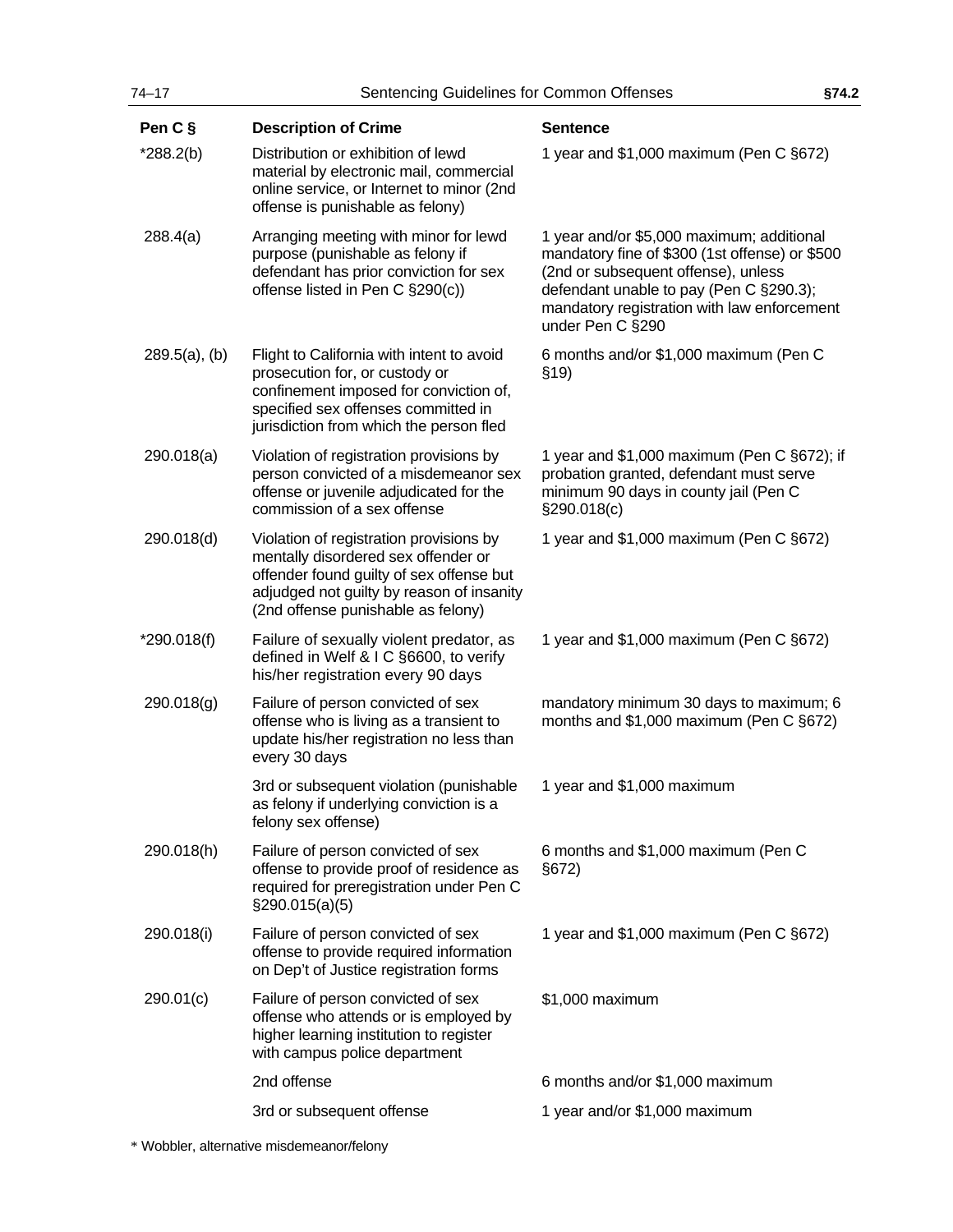| $74 - 17$        | Sentencing Guidelines for Common Offenses                                                                                                                                                                     |                                                                                                                                                                                                                                                  | §74.2 |
|------------------|---------------------------------------------------------------------------------------------------------------------------------------------------------------------------------------------------------------|--------------------------------------------------------------------------------------------------------------------------------------------------------------------------------------------------------------------------------------------------|-------|
| Pen C §          | <b>Description of Crime</b>                                                                                                                                                                                   | <b>Sentence</b>                                                                                                                                                                                                                                  |       |
| $*288.2(b)$      | Distribution or exhibition of lewd<br>material by electronic mail, commercial<br>online service, or Internet to minor (2nd<br>offense is punishable as felony)                                                | 1 year and \$1,000 maximum (Pen C §672)                                                                                                                                                                                                          |       |
| 288.4(a)         | Arranging meeting with minor for lewd<br>purpose (punishable as felony if<br>defendant has prior conviction for sex<br>offense listed in Pen C §290(c))                                                       | 1 year and/or \$5,000 maximum; additional<br>mandatory fine of \$300 (1st offense) or \$500<br>(2nd or subsequent offense), unless<br>defendant unable to pay (Pen C §290.3);<br>mandatory registration with law enforcement<br>under Pen C §290 |       |
| $289.5(a)$ , (b) | Flight to California with intent to avoid<br>prosecution for, or custody or<br>confinement imposed for conviction of,<br>specified sex offenses committed in<br>jurisdiction from which the person fled       | 6 months and/or \$1,000 maximum (Pen C<br>\$19)                                                                                                                                                                                                  |       |
| 290.018(a)       | Violation of registration provisions by<br>person convicted of a misdemeanor sex<br>offense or juvenile adjudicated for the<br>commission of a sex offense                                                    | 1 year and \$1,000 maximum (Pen C §672); if<br>probation granted, defendant must serve<br>minimum 90 days in county jail (Pen C<br>§290.018(c)                                                                                                   |       |
| 290.018(d)       | Violation of registration provisions by<br>mentally disordered sex offender or<br>offender found guilty of sex offense but<br>adjudged not guilty by reason of insanity<br>(2nd offense punishable as felony) | 1 year and \$1,000 maximum (Pen C §672)                                                                                                                                                                                                          |       |
| $*290.018(f)$    | Failure of sexually violent predator, as<br>defined in Welf & I C §6600, to verify<br>his/her registration every 90 days                                                                                      | 1 year and \$1,000 maximum (Pen C §672)                                                                                                                                                                                                          |       |
| 290.018(g)       | Failure of person convicted of sex<br>offense who is living as a transient to<br>update his/her registration no less than<br>every 30 days                                                                    | mandatory minimum 30 days to maximum; 6<br>months and \$1,000 maximum (Pen C §672)                                                                                                                                                               |       |
|                  | 3rd or subsequent violation (punishable<br>as felony if underlying conviction is a<br>felony sex offense)                                                                                                     | 1 year and \$1,000 maximum                                                                                                                                                                                                                       |       |
| 290.018(h)       | Failure of person convicted of sex<br>offense to provide proof of residence as<br>required for preregistration under Pen C<br>$\S290.015(a)(5)$                                                               | 6 months and \$1,000 maximum (Pen C<br>§672)                                                                                                                                                                                                     |       |
| 290.018(i)       | Failure of person convicted of sex<br>offense to provide required information<br>on Dep't of Justice registration forms                                                                                       | 1 year and \$1,000 maximum (Pen C §672)                                                                                                                                                                                                          |       |
| 290.01(c)        | Failure of person convicted of sex<br>offense who attends or is employed by<br>higher learning institution to register<br>with campus police department                                                       | \$1,000 maximum                                                                                                                                                                                                                                  |       |
|                  | 2nd offense                                                                                                                                                                                                   | 6 months and/or \$1,000 maximum                                                                                                                                                                                                                  |       |
|                  | 3rd or subsequent offense                                                                                                                                                                                     | 1 year and/or \$1,000 maximum                                                                                                                                                                                                                    |       |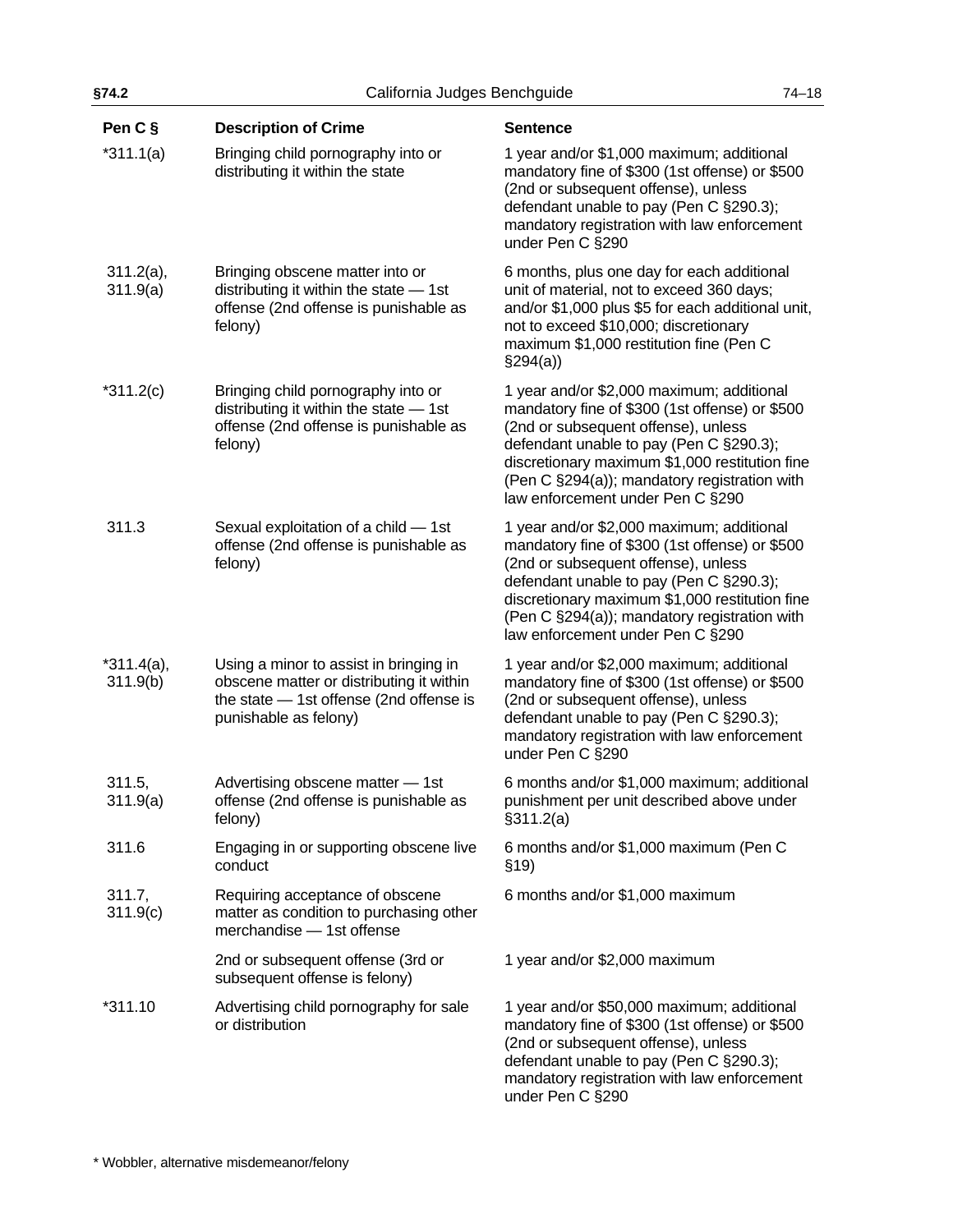| Pen C §                  | <b>Description of Crime</b>                                                                                                                              | <b>Sentence</b>                                                                                                                                                                                                                                                                                                     |
|--------------------------|----------------------------------------------------------------------------------------------------------------------------------------------------------|---------------------------------------------------------------------------------------------------------------------------------------------------------------------------------------------------------------------------------------------------------------------------------------------------------------------|
| $*311.1(a)$              | Bringing child pornography into or<br>distributing it within the state                                                                                   | 1 year and/or \$1,000 maximum; additional<br>mandatory fine of \$300 (1st offense) or \$500<br>(2nd or subsequent offense), unless<br>defendant unable to pay (Pen C §290.3);<br>mandatory registration with law enforcement<br>under Pen C §290                                                                    |
| $311.2(a)$ ,<br>311.9(a) | Bringing obscene matter into or<br>distributing it within the state $-$ 1st<br>offense (2nd offense is punishable as<br>felony)                          | 6 months, plus one day for each additional<br>unit of material, not to exceed 360 days;<br>and/or \$1,000 plus \$5 for each additional unit,<br>not to exceed \$10,000; discretionary<br>maximum \$1,000 restitution fine (Pen C<br>\$294(a)                                                                        |
| $*311.2(c)$              | Bringing child pornography into or<br>distributing it within the state $-$ 1st<br>offense (2nd offense is punishable as<br>felony)                       | 1 year and/or \$2,000 maximum; additional<br>mandatory fine of \$300 (1st offense) or \$500<br>(2nd or subsequent offense), unless<br>defendant unable to pay (Pen C §290.3);<br>discretionary maximum \$1,000 restitution fine<br>(Pen C §294(a)); mandatory registration with<br>law enforcement under Pen C §290 |
| 311.3                    | Sexual exploitation of a child - 1st<br>offense (2nd offense is punishable as<br>felony)                                                                 | 1 year and/or \$2,000 maximum; additional<br>mandatory fine of \$300 (1st offense) or \$500<br>(2nd or subsequent offense), unless<br>defendant unable to pay (Pen C §290.3);<br>discretionary maximum \$1,000 restitution fine<br>(Pen C §294(a)); mandatory registration with<br>law enforcement under Pen C §290 |
| $*311.4(a),$<br>311.9(b) | Using a minor to assist in bringing in<br>obscene matter or distributing it within<br>the state $-$ 1st offense (2nd offense is<br>punishable as felony) | 1 year and/or \$2,000 maximum; additional<br>mandatory fine of \$300 (1st offense) or \$500<br>(2nd or subsequent offense), unless<br>defendant unable to pay (Pen C §290.3);<br>mandatory registration with law enforcement<br>under Pen C §290                                                                    |
| 311.5,<br>311.9(a)       | Advertising obscene matter - 1st<br>offense (2nd offense is punishable as<br>felony)                                                                     | 6 months and/or \$1,000 maximum; additional<br>punishment per unit described above under<br>§311.2(a)                                                                                                                                                                                                               |
| 311.6                    | Engaging in or supporting obscene live<br>conduct                                                                                                        | 6 months and/or \$1,000 maximum (Pen C<br>\$19)                                                                                                                                                                                                                                                                     |
| 311.7,<br>311.9(c)       | Requiring acceptance of obscene<br>matter as condition to purchasing other<br>merchandise - 1st offense                                                  | 6 months and/or \$1,000 maximum                                                                                                                                                                                                                                                                                     |
|                          | 2nd or subsequent offense (3rd or<br>subsequent offense is felony)                                                                                       | 1 year and/or \$2,000 maximum                                                                                                                                                                                                                                                                                       |
| *311.10                  | Advertising child pornography for sale<br>or distribution                                                                                                | 1 year and/or \$50,000 maximum; additional<br>mandatory fine of \$300 (1st offense) or \$500<br>(2nd or subsequent offense), unless<br>defendant unable to pay (Pen C §290.3);<br>mandatory registration with law enforcement                                                                                       |

under Pen C §290

**§74.2** California Judges Benchguide 74–18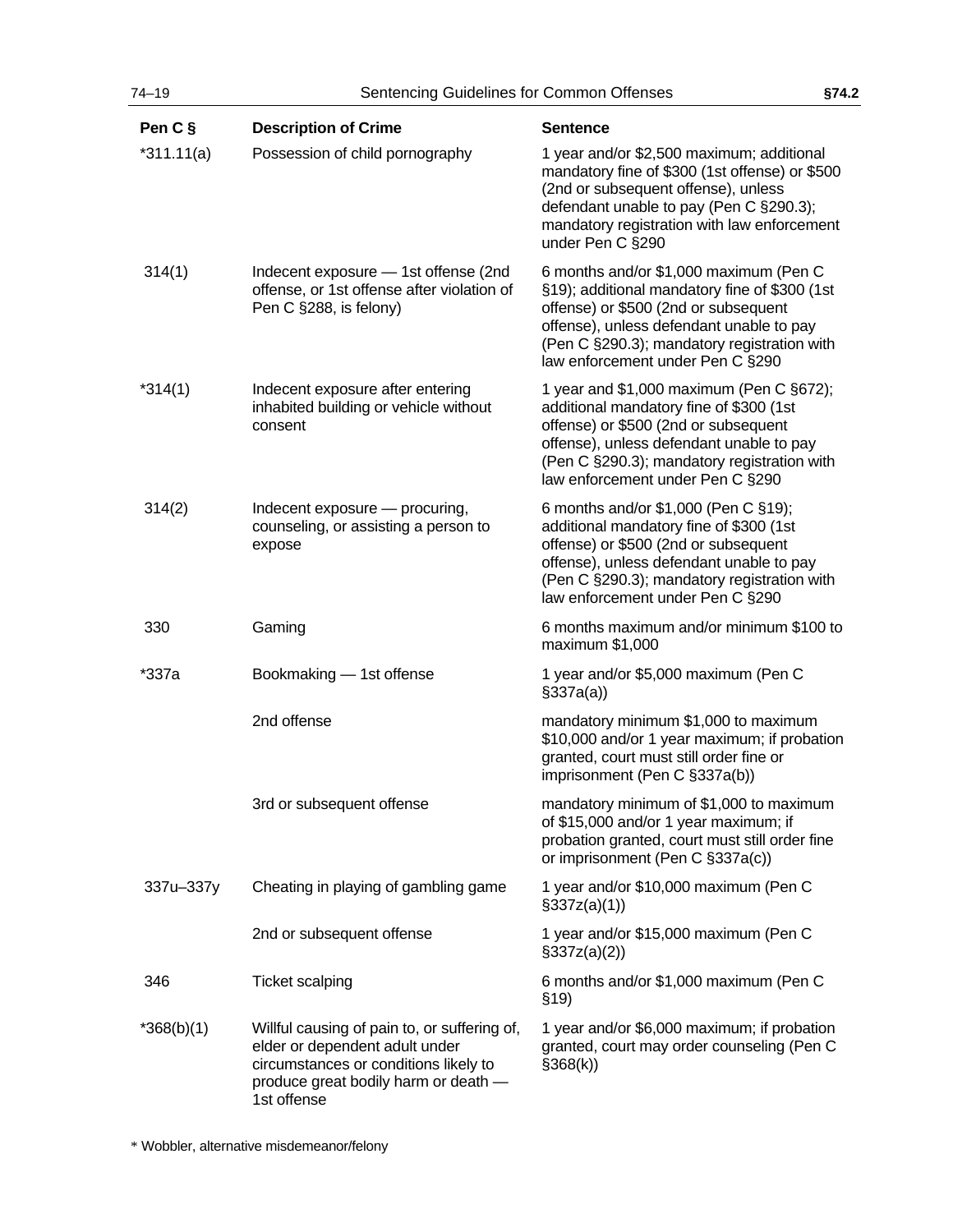| Pen C §      | <b>Description of Crime</b>                                                                                                                                                    | <b>Sentence</b>                                                                                                                                                                                                                                                |
|--------------|--------------------------------------------------------------------------------------------------------------------------------------------------------------------------------|----------------------------------------------------------------------------------------------------------------------------------------------------------------------------------------------------------------------------------------------------------------|
| $*311.11(a)$ | Possession of child pornography                                                                                                                                                | 1 year and/or \$2,500 maximum; additional<br>mandatory fine of \$300 (1st offense) or \$500<br>(2nd or subsequent offense), unless<br>defendant unable to pay (Pen C §290.3);<br>mandatory registration with law enforcement<br>under Pen C §290               |
| 314(1)       | Indecent exposure - 1st offense (2nd<br>offense, or 1st offense after violation of<br>Pen C §288, is felony)                                                                   | 6 months and/or \$1,000 maximum (Pen C<br>§19); additional mandatory fine of \$300 (1st<br>offense) or \$500 (2nd or subsequent<br>offense), unless defendant unable to pay<br>(Pen C §290.3); mandatory registration with<br>law enforcement under Pen C §290 |
| $*314(1)$    | Indecent exposure after entering<br>inhabited building or vehicle without<br>consent                                                                                           | 1 year and \$1,000 maximum (Pen C §672);<br>additional mandatory fine of \$300 (1st<br>offense) or \$500 (2nd or subsequent<br>offense), unless defendant unable to pay<br>(Pen C §290.3); mandatory registration with<br>law enforcement under Pen C §290     |
| 314(2)       | Indecent exposure - procuring,<br>counseling, or assisting a person to<br>expose                                                                                               | 6 months and/or \$1,000 (Pen C §19);<br>additional mandatory fine of \$300 (1st<br>offense) or \$500 (2nd or subsequent<br>offense), unless defendant unable to pay<br>(Pen C §290.3); mandatory registration with<br>law enforcement under Pen C §290         |
| 330          | Gaming                                                                                                                                                                         | 6 months maximum and/or minimum \$100 to<br>maximum \$1,000                                                                                                                                                                                                    |
| *337a        | Bookmaking - 1st offense                                                                                                                                                       | 1 year and/or \$5,000 maximum (Pen C<br>$\S337a(a)$                                                                                                                                                                                                            |
|              | 2nd offense                                                                                                                                                                    | mandatory minimum \$1,000 to maximum<br>\$10,000 and/or 1 year maximum; if probation<br>granted, court must still order fine or<br>imprisonment (Pen C §337a(b))                                                                                               |
|              | 3rd or subsequent offense                                                                                                                                                      | mandatory minimum of \$1,000 to maximum<br>of \$15,000 and/or 1 year maximum; if<br>probation granted, court must still order fine<br>or imprisonment (Pen C §337a(c))                                                                                         |
| 337u-337y    | Cheating in playing of gambling game                                                                                                                                           | 1 year and/or \$10,000 maximum (Pen C<br>\$337z(a)(1))                                                                                                                                                                                                         |
|              | 2nd or subsequent offense                                                                                                                                                      | 1 year and/or \$15,000 maximum (Pen C<br>\$337z(a)(2)                                                                                                                                                                                                          |
| 346          | <b>Ticket scalping</b>                                                                                                                                                         | 6 months and/or \$1,000 maximum (Pen C<br>\$19)                                                                                                                                                                                                                |
| $*368(b)(1)$ | Willful causing of pain to, or suffering of,<br>elder or dependent adult under<br>circumstances or conditions likely to<br>produce great bodily harm or death -<br>1st offense | 1 year and/or \$6,000 maximum; if probation<br>granted, court may order counseling (Pen C<br>\$368(k)                                                                                                                                                          |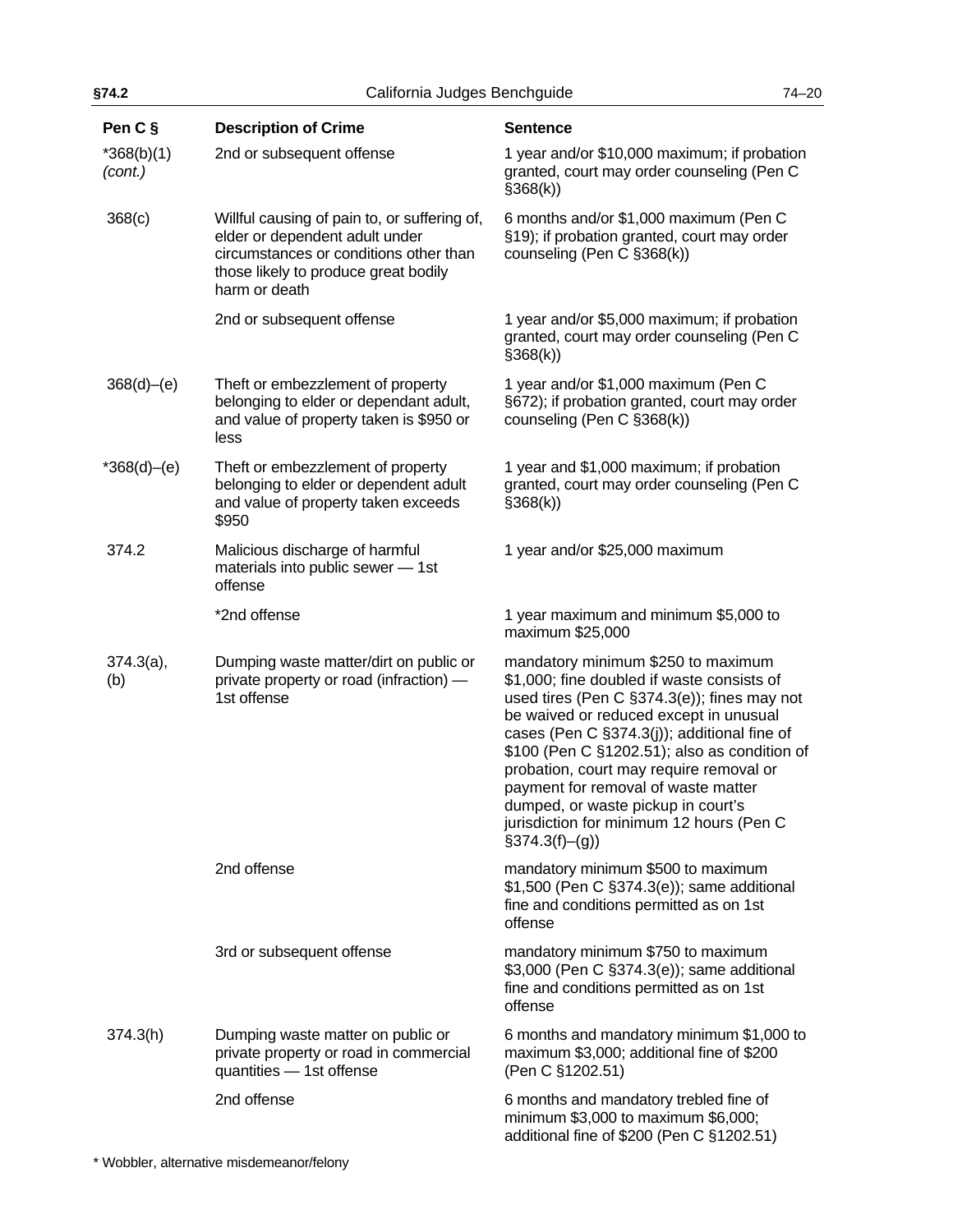| §74.2<br>California Judges Benchguide<br>$74 - 20$ |                                                                                                                                                                                   |                                                                                                                                                                                                                                                                                                                                                                                                                                                                 |  |
|----------------------------------------------------|-----------------------------------------------------------------------------------------------------------------------------------------------------------------------------------|-----------------------------------------------------------------------------------------------------------------------------------------------------------------------------------------------------------------------------------------------------------------------------------------------------------------------------------------------------------------------------------------------------------------------------------------------------------------|--|
| Pen C §                                            | <b>Description of Crime</b>                                                                                                                                                       | <b>Sentence</b>                                                                                                                                                                                                                                                                                                                                                                                                                                                 |  |
| $*368(b)(1)$<br>(cont.)                            | 2nd or subsequent offense                                                                                                                                                         | 1 year and/or \$10,000 maximum; if probation<br>granted, court may order counseling (Pen C<br>\$368(k)                                                                                                                                                                                                                                                                                                                                                          |  |
| 368(c)                                             | Willful causing of pain to, or suffering of,<br>elder or dependent adult under<br>circumstances or conditions other than<br>those likely to produce great bodily<br>harm or death | 6 months and/or \$1,000 maximum (Pen C<br>§19); if probation granted, court may order<br>counseling (Pen C §368(k))                                                                                                                                                                                                                                                                                                                                             |  |
|                                                    | 2nd or subsequent offense                                                                                                                                                         | 1 year and/or \$5,000 maximum; if probation<br>granted, court may order counseling (Pen C<br>\$368(k)                                                                                                                                                                                                                                                                                                                                                           |  |
| 368(d)–(e)                                         | Theft or embezzlement of property<br>belonging to elder or dependant adult,<br>and value of property taken is \$950 or<br>less                                                    | 1 year and/or \$1,000 maximum (Pen C<br>§672); if probation granted, court may order<br>counseling (Pen C §368(k))                                                                                                                                                                                                                                                                                                                                              |  |
| $*368(d)–(e)$                                      | Theft or embezzlement of property<br>belonging to elder or dependent adult<br>and value of property taken exceeds<br>\$950                                                        | 1 year and \$1,000 maximum; if probation<br>granted, court may order counseling (Pen C<br>\$368(k)                                                                                                                                                                                                                                                                                                                                                              |  |
| 374.2                                              | Malicious discharge of harmful<br>materials into public sewer - 1st<br>offense                                                                                                    | 1 year and/or \$25,000 maximum                                                                                                                                                                                                                                                                                                                                                                                                                                  |  |
|                                                    | *2nd offense                                                                                                                                                                      | 1 year maximum and minimum \$5,000 to<br>maximum \$25,000                                                                                                                                                                                                                                                                                                                                                                                                       |  |
| $374.3(a)$ ,<br>(b)                                | Dumping waste matter/dirt on public or<br>private property or road (infraction) -<br>1st offense                                                                                  | mandatory minimum \$250 to maximum<br>\$1,000; fine doubled if waste consists of<br>used tires (Pen C §374.3(e)); fines may not<br>be waived or reduced except in unusual<br>cases (Pen C §374.3(j)); additional fine of<br>\$100 (Pen C §1202.51); also as condition of<br>probation, court may require removal or<br>payment for removal of waste matter<br>dumped, or waste pickup in court's<br>jurisdiction for minimum 12 hours (Pen C<br>$§374.3(f)-(g)$ |  |
|                                                    | 2nd offense                                                                                                                                                                       | mandatory minimum \$500 to maximum<br>\$1,500 (Pen C §374.3(e)); same additional<br>fine and conditions permitted as on 1st<br>offense                                                                                                                                                                                                                                                                                                                          |  |
|                                                    | 3rd or subsequent offense                                                                                                                                                         | mandatory minimum \$750 to maximum<br>\$3,000 (Pen C §374.3(e)); same additional<br>fine and conditions permitted as on 1st<br>offense                                                                                                                                                                                                                                                                                                                          |  |
| 374.3(h)                                           | Dumping waste matter on public or<br>private property or road in commercial<br>quantities - 1st offense                                                                           | 6 months and mandatory minimum \$1,000 to<br>maximum \$3,000; additional fine of \$200<br>(Pen C §1202.51)                                                                                                                                                                                                                                                                                                                                                      |  |
|                                                    | 2nd offense                                                                                                                                                                       | 6 months and mandatory trebled fine of<br>minimum \$3,000 to maximum \$6,000;<br>additional fine of \$200 (Pen C §1202.51)                                                                                                                                                                                                                                                                                                                                      |  |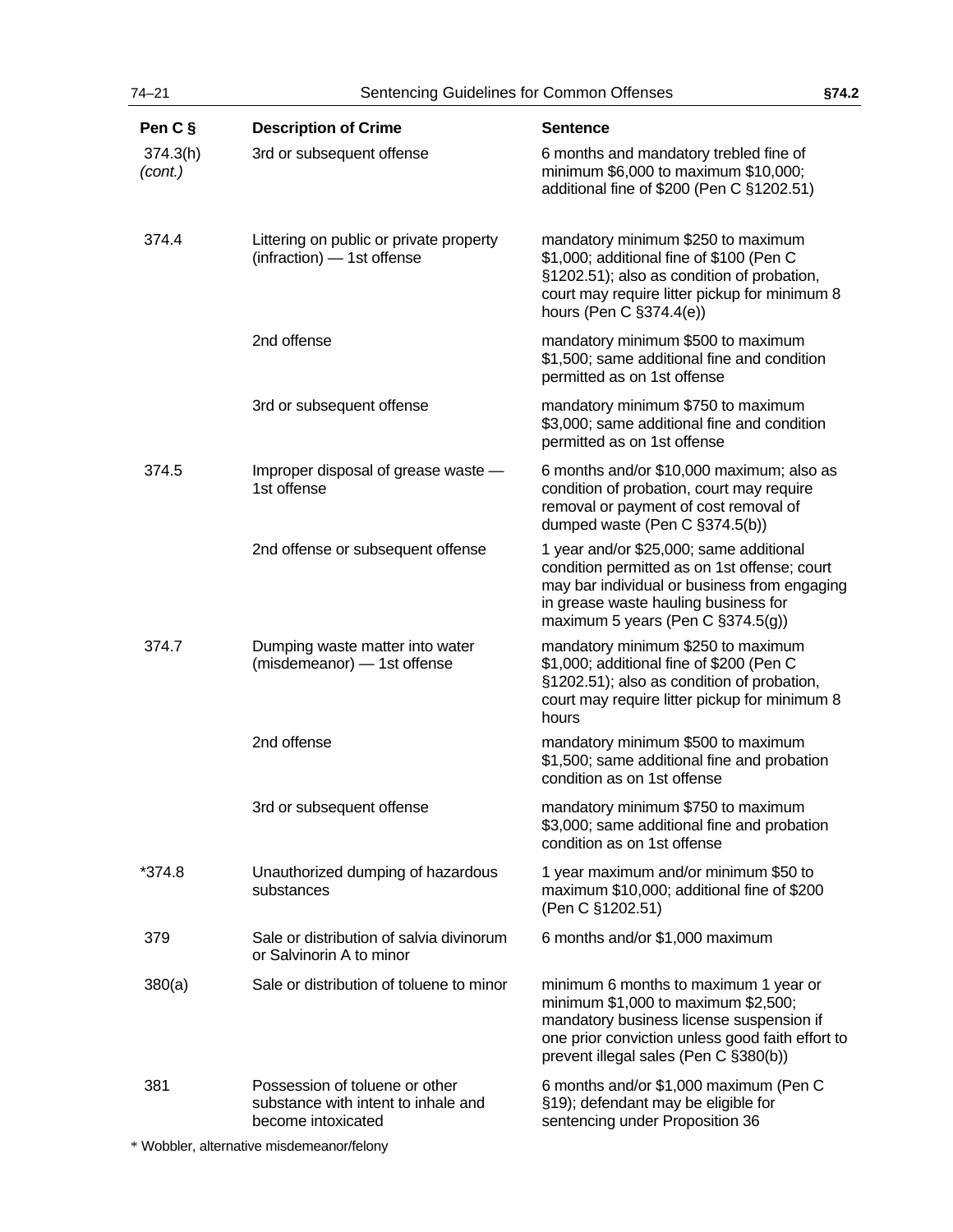| Pen C §             | <b>Description of Crime</b>                                                                 | <b>Sentence</b>                                                                                                                                                                                                       |
|---------------------|---------------------------------------------------------------------------------------------|-----------------------------------------------------------------------------------------------------------------------------------------------------------------------------------------------------------------------|
| 374.3(h)<br>(cont.) | 3rd or subsequent offense                                                                   | 6 months and mandatory trebled fine of<br>minimum \$6,000 to maximum \$10,000;<br>additional fine of \$200 (Pen C §1202.51)                                                                                           |
| 374.4               | Littering on public or private property<br>(infraction) - 1st offense                       | mandatory minimum \$250 to maximum<br>\$1,000; additional fine of \$100 (Pen C<br>§1202.51); also as condition of probation,<br>court may require litter pickup for minimum 8<br>hours (Pen C §374.4(e))              |
|                     | 2nd offense                                                                                 | mandatory minimum \$500 to maximum<br>\$1,500; same additional fine and condition<br>permitted as on 1st offense                                                                                                      |
|                     | 3rd or subsequent offense                                                                   | mandatory minimum \$750 to maximum<br>\$3,000; same additional fine and condition<br>permitted as on 1st offense                                                                                                      |
| 374.5               | Improper disposal of grease waste -<br>1st offense                                          | 6 months and/or \$10,000 maximum; also as<br>condition of probation, court may require<br>removal or payment of cost removal of<br>dumped waste (Pen C §374.5(b))                                                     |
|                     | 2nd offense or subsequent offense                                                           | 1 year and/or \$25,000; same additional<br>condition permitted as on 1st offense; court<br>may bar individual or business from engaging<br>in grease waste hauling business for<br>maximum 5 years (Pen C §374.5(g))  |
| 374.7               | Dumping waste matter into water<br>(misdemeanor) - 1st offense                              | mandatory minimum \$250 to maximum<br>\$1,000; additional fine of \$200 (Pen C<br>§1202.51); also as condition of probation,<br>court may require litter pickup for minimum 8<br>hours                                |
|                     | 2nd offense                                                                                 | mandatory minimum \$500 to maximum<br>\$1,500; same additional fine and probation<br>condition as on 1st offense                                                                                                      |
|                     | 3rd or subsequent offense                                                                   | mandatory minimum \$750 to maximum<br>\$3,000; same additional fine and probation<br>condition as on 1st offense                                                                                                      |
| *374.8              | Unauthorized dumping of hazardous<br>substances                                             | 1 year maximum and/or minimum \$50 to<br>maximum \$10,000; additional fine of \$200<br>(Pen C §1202.51)                                                                                                               |
| 379                 | Sale or distribution of salvia divinorum<br>or Salvinorin A to minor                        | 6 months and/or \$1,000 maximum                                                                                                                                                                                       |
| 380(a)              | Sale or distribution of toluene to minor                                                    | minimum 6 months to maximum 1 year or<br>minimum \$1,000 to maximum \$2,500;<br>mandatory business license suspension if<br>one prior conviction unless good faith effort to<br>prevent illegal sales (Pen C §380(b)) |
| 381                 | Possession of toluene or other<br>substance with intent to inhale and<br>become intoxicated | 6 months and/or \$1,000 maximum (Pen C<br>§19); defendant may be eligible for<br>sentencing under Proposition 36                                                                                                      |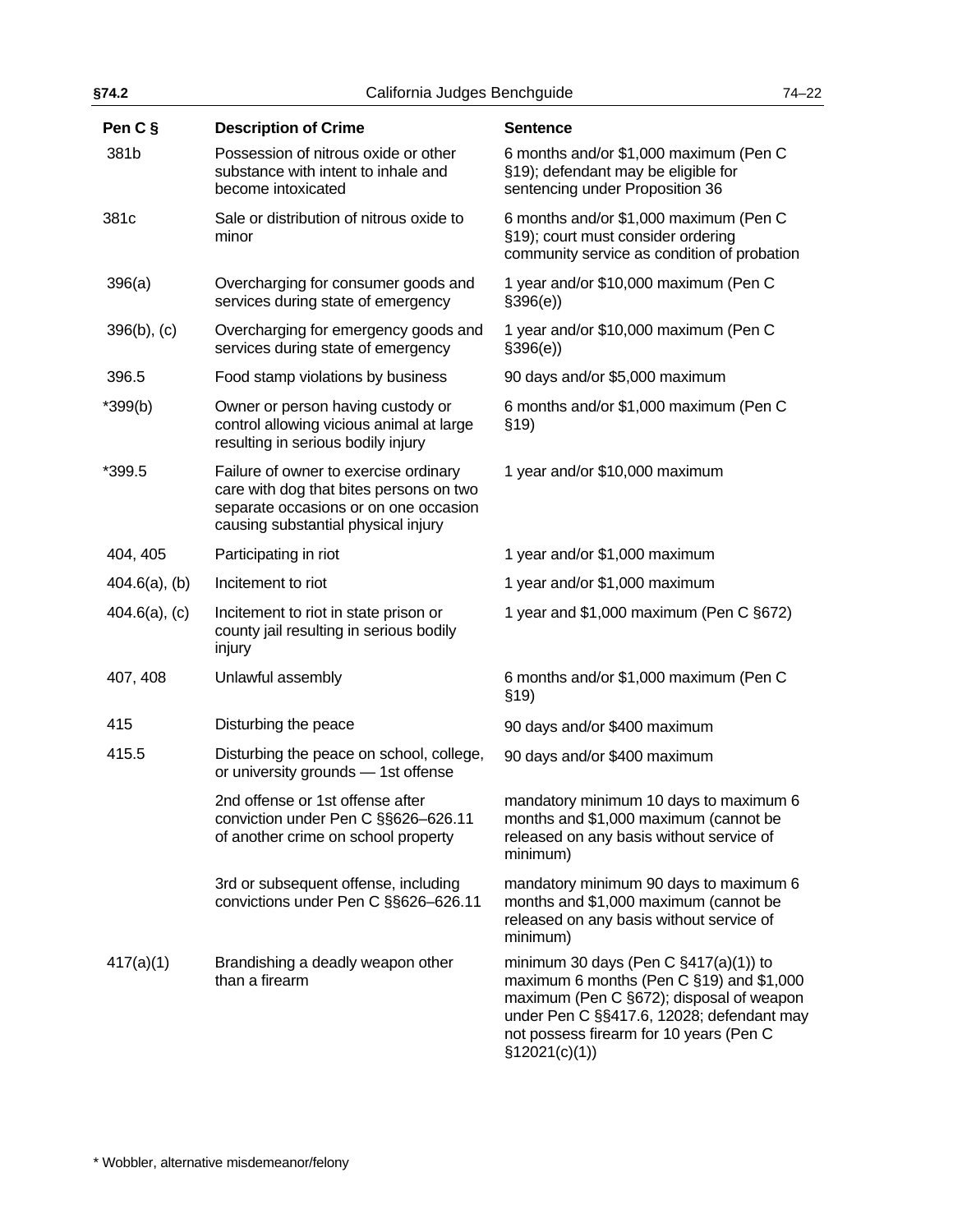| §74.2            | California Judges Benchguide                                                                                                                                     |                                                                                                                                                                                                                                             | $74 - 22$ |
|------------------|------------------------------------------------------------------------------------------------------------------------------------------------------------------|---------------------------------------------------------------------------------------------------------------------------------------------------------------------------------------------------------------------------------------------|-----------|
| Pen C §          | <b>Description of Crime</b>                                                                                                                                      | <b>Sentence</b>                                                                                                                                                                                                                             |           |
| 381b             | Possession of nitrous oxide or other<br>substance with intent to inhale and<br>become intoxicated                                                                | 6 months and/or \$1,000 maximum (Pen C<br>§19); defendant may be eligible for<br>sentencing under Proposition 36                                                                                                                            |           |
| 381c             | Sale or distribution of nitrous oxide to<br>minor                                                                                                                | 6 months and/or \$1,000 maximum (Pen C<br>§19); court must consider ordering<br>community service as condition of probation                                                                                                                 |           |
| 396(a)           | Overcharging for consumer goods and<br>services during state of emergency                                                                                        | 1 year and/or \$10,000 maximum (Pen C<br>\$396(e)                                                                                                                                                                                           |           |
| $396(b)$ , (c)   | Overcharging for emergency goods and<br>services during state of emergency                                                                                       | 1 year and/or \$10,000 maximum (Pen C<br>\$396(e)                                                                                                                                                                                           |           |
| 396.5            | Food stamp violations by business                                                                                                                                | 90 days and/or \$5,000 maximum                                                                                                                                                                                                              |           |
| $*399(b)$        | Owner or person having custody or<br>control allowing vicious animal at large<br>resulting in serious bodily injury                                              | 6 months and/or \$1,000 maximum (Pen C<br>\$19)                                                                                                                                                                                             |           |
| *399.5           | Failure of owner to exercise ordinary<br>care with dog that bites persons on two<br>separate occasions or on one occasion<br>causing substantial physical injury | 1 year and/or \$10,000 maximum                                                                                                                                                                                                              |           |
| 404, 405         | Participating in riot                                                                                                                                            | 1 year and/or \$1,000 maximum                                                                                                                                                                                                               |           |
| $404.6(a)$ , (b) | Incitement to riot                                                                                                                                               | 1 year and/or \$1,000 maximum                                                                                                                                                                                                               |           |
| $404.6(a)$ , (c) | Incitement to riot in state prison or<br>county jail resulting in serious bodily<br>injury                                                                       | 1 year and \$1,000 maximum (Pen C §672)                                                                                                                                                                                                     |           |
| 407, 408         | Unlawful assembly                                                                                                                                                | 6 months and/or \$1,000 maximum (Pen C<br>\$19)                                                                                                                                                                                             |           |
| 415              | Disturbing the peace                                                                                                                                             | 90 days and/or \$400 maximum                                                                                                                                                                                                                |           |
| 415.5            | Disturbing the peace on school, college,<br>or university grounds - 1st offense                                                                                  | 90 days and/or \$400 maximum                                                                                                                                                                                                                |           |
|                  | 2nd offense or 1st offense after<br>conviction under Pen C §§626-626.11<br>of another crime on school property                                                   | mandatory minimum 10 days to maximum 6<br>months and \$1,000 maximum (cannot be<br>released on any basis without service of<br>minimum)                                                                                                     |           |
|                  | 3rd or subsequent offense, including<br>convictions under Pen C §§626-626.11                                                                                     | mandatory minimum 90 days to maximum 6<br>months and \$1,000 maximum (cannot be<br>released on any basis without service of<br>minimum)                                                                                                     |           |
| 417(a)(1)        | Brandishing a deadly weapon other<br>than a firearm                                                                                                              | minimum 30 days (Pen C $\S417(a)(1)$ ) to<br>maximum 6 months (Pen C §19) and \$1,000<br>maximum (Pen C §672); disposal of weapon<br>under Pen C §§417.6, 12028; defendant may<br>not possess firearm for 10 years (Pen C<br>\$12021(c)(1)) |           |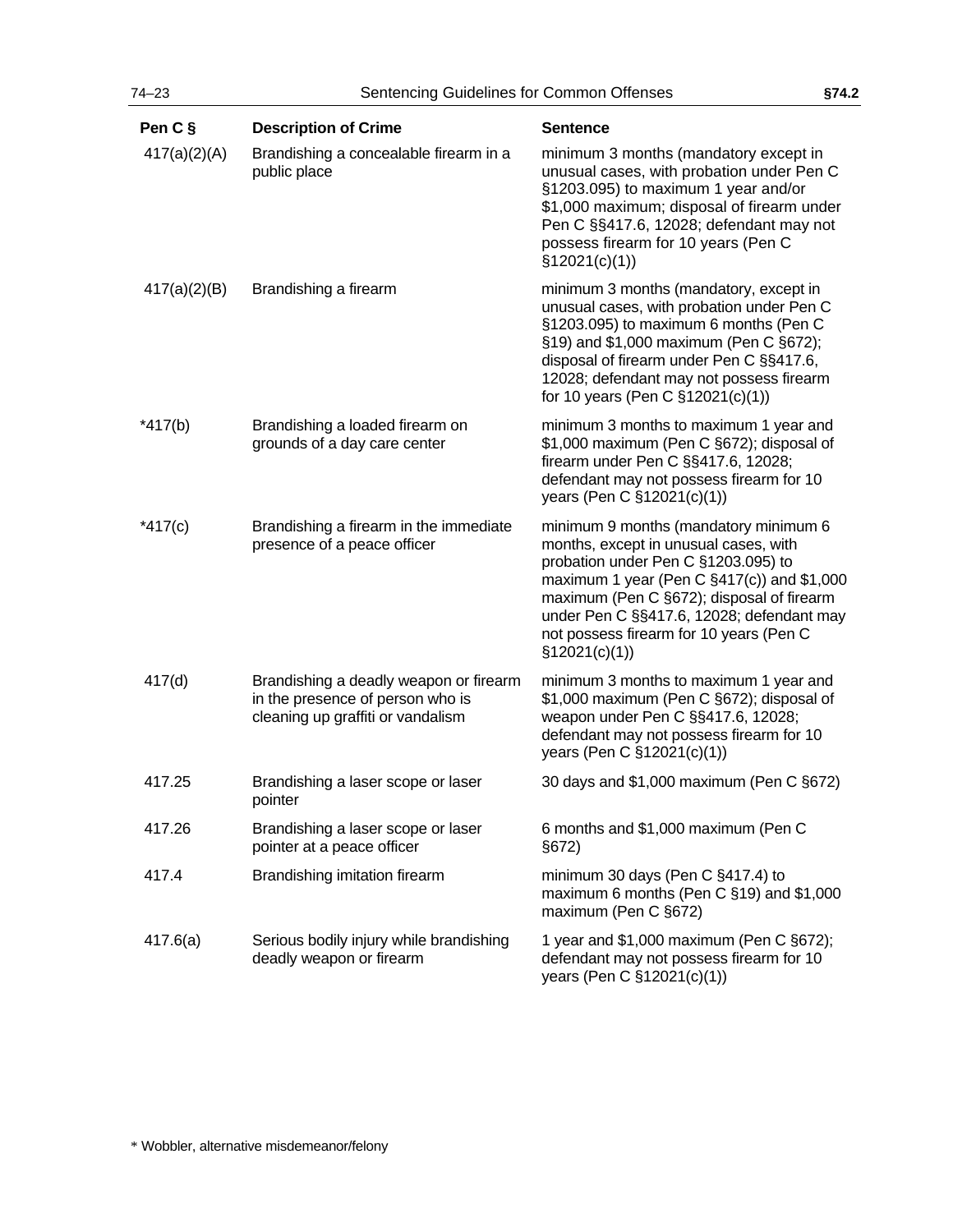| Pen C §      | <b>Description of Crime</b>                                                                                     | <b>Sentence</b>                                                                                                                                                                                                                                                                                                                |
|--------------|-----------------------------------------------------------------------------------------------------------------|--------------------------------------------------------------------------------------------------------------------------------------------------------------------------------------------------------------------------------------------------------------------------------------------------------------------------------|
| 417(a)(2)(A) | Brandishing a concealable firearm in a<br>public place                                                          | minimum 3 months (mandatory except in<br>unusual cases, with probation under Pen C<br>§1203.095) to maximum 1 year and/or<br>\$1,000 maximum; disposal of firearm under<br>Pen C §§417.6, 12028; defendant may not<br>possess firearm for 10 years (Pen C<br>\$12021(c)(1))                                                    |
| 417(a)(2)(B) | Brandishing a firearm                                                                                           | minimum 3 months (mandatory, except in<br>unusual cases, with probation under Pen C<br>§1203.095) to maximum 6 months (Pen C<br>§19) and \$1,000 maximum (Pen C §672);<br>disposal of firearm under Pen C §§417.6,<br>12028; defendant may not possess firearm<br>for 10 years (Pen C §12021(c)(1))                            |
| $*417(b)$    | Brandishing a loaded firearm on<br>grounds of a day care center                                                 | minimum 3 months to maximum 1 year and<br>\$1,000 maximum (Pen C §672); disposal of<br>firearm under Pen C §§417.6, 12028;<br>defendant may not possess firearm for 10<br>years (Pen C §12021(c)(1))                                                                                                                           |
| $*417(c)$    | Brandishing a firearm in the immediate<br>presence of a peace officer                                           | minimum 9 months (mandatory minimum 6<br>months, except in unusual cases, with<br>probation under Pen C §1203.095) to<br>maximum 1 year (Pen C $\S417(c)$ ) and \$1,000<br>maximum (Pen C §672); disposal of firearm<br>under Pen C §§417.6, 12028; defendant may<br>not possess firearm for 10 years (Pen C<br>\$12021(c)(1)) |
| 417(d)       | Brandishing a deadly weapon or firearm<br>in the presence of person who is<br>cleaning up graffiti or vandalism | minimum 3 months to maximum 1 year and<br>\$1,000 maximum (Pen C §672); disposal of<br>weapon under Pen C §§417.6, 12028;<br>defendant may not possess firearm for 10<br>years (Pen C §12021(c)(1))                                                                                                                            |
| 417.25       | Brandishing a laser scope or laser<br>pointer                                                                   | 30 days and \$1,000 maximum (Pen C §672)                                                                                                                                                                                                                                                                                       |
| 417.26       | Brandishing a laser scope or laser<br>pointer at a peace officer                                                | 6 months and \$1,000 maximum (Pen C<br>§672)                                                                                                                                                                                                                                                                                   |
| 417.4        | Brandishing imitation firearm                                                                                   | minimum 30 days (Pen C §417.4) to<br>maximum 6 months (Pen C $\S$ 19) and \$1,000<br>maximum (Pen C §672)                                                                                                                                                                                                                      |
| 417.6(a)     | Serious bodily injury while brandishing<br>deadly weapon or firearm                                             | 1 year and \$1,000 maximum (Pen C §672);<br>defendant may not possess firearm for 10<br>years (Pen C §12021(c)(1))                                                                                                                                                                                                             |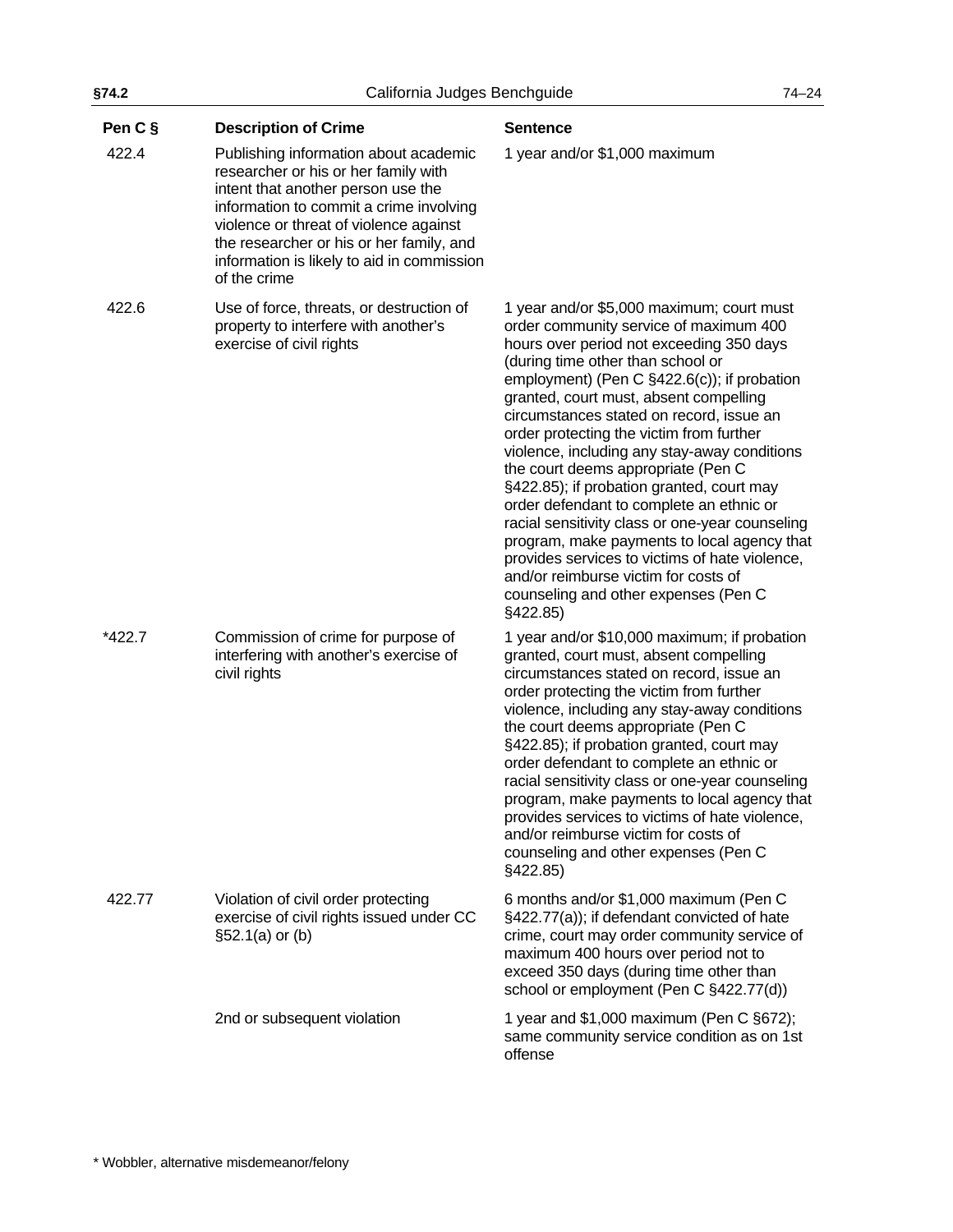| §74.2   | California Judges Benchguide                                                                                                                                                                                                                                                                                       |                                                                                                                                                                                                                                                                                                                                                                                                                                                                                                                                                                                                                                                                                                                                                                                      | $74 - 24$ |
|---------|--------------------------------------------------------------------------------------------------------------------------------------------------------------------------------------------------------------------------------------------------------------------------------------------------------------------|--------------------------------------------------------------------------------------------------------------------------------------------------------------------------------------------------------------------------------------------------------------------------------------------------------------------------------------------------------------------------------------------------------------------------------------------------------------------------------------------------------------------------------------------------------------------------------------------------------------------------------------------------------------------------------------------------------------------------------------------------------------------------------------|-----------|
| Pen C § | <b>Description of Crime</b>                                                                                                                                                                                                                                                                                        | <b>Sentence</b>                                                                                                                                                                                                                                                                                                                                                                                                                                                                                                                                                                                                                                                                                                                                                                      |           |
| 422.4   | Publishing information about academic<br>researcher or his or her family with<br>intent that another person use the<br>information to commit a crime involving<br>violence or threat of violence against<br>the researcher or his or her family, and<br>information is likely to aid in commission<br>of the crime | 1 year and/or \$1,000 maximum                                                                                                                                                                                                                                                                                                                                                                                                                                                                                                                                                                                                                                                                                                                                                        |           |
| 422.6   | Use of force, threats, or destruction of<br>property to interfere with another's<br>exercise of civil rights                                                                                                                                                                                                       | 1 year and/or \$5,000 maximum; court must<br>order community service of maximum 400<br>hours over period not exceeding 350 days<br>(during time other than school or<br>employment) (Pen C §422.6(c)); if probation<br>granted, court must, absent compelling<br>circumstances stated on record, issue an<br>order protecting the victim from further<br>violence, including any stay-away conditions<br>the court deems appropriate (Pen C<br>§422.85); if probation granted, court may<br>order defendant to complete an ethnic or<br>racial sensitivity class or one-year counseling<br>program, make payments to local agency that<br>provides services to victims of hate violence,<br>and/or reimburse victim for costs of<br>counseling and other expenses (Pen C<br>§422.85) |           |
| *422.7  | Commission of crime for purpose of<br>interfering with another's exercise of<br>civil rights                                                                                                                                                                                                                       | 1 year and/or \$10,000 maximum; if probation<br>granted, court must, absent compelling<br>circumstances stated on record, issue an<br>order protecting the victim from further<br>violence, including any stay-away conditions<br>the court deems appropriate (Pen C<br>§422.85); if probation granted, court may<br>order defendant to complete an ethnic or<br>racial sensitivity class or one-year counseling<br>program, make payments to local agency that<br>provides services to victims of hate violence,<br>and/or reimburse victim for costs of<br>counseling and other expenses (Pen C<br>§422.85)                                                                                                                                                                        |           |
| 422.77  | Violation of civil order protecting<br>exercise of civil rights issued under CC<br>§52.1(a) or (b)                                                                                                                                                                                                                 | 6 months and/or \$1,000 maximum (Pen C<br>§422.77(a)); if defendant convicted of hate<br>crime, court may order community service of<br>maximum 400 hours over period not to<br>exceed 350 days (during time other than<br>school or employment (Pen C §422.77(d))                                                                                                                                                                                                                                                                                                                                                                                                                                                                                                                   |           |
|         | 2nd or subsequent violation                                                                                                                                                                                                                                                                                        | 1 year and $$1,000$ maximum (Pen C $§672$ );<br>same community service condition as on 1st<br>offense                                                                                                                                                                                                                                                                                                                                                                                                                                                                                                                                                                                                                                                                                |           |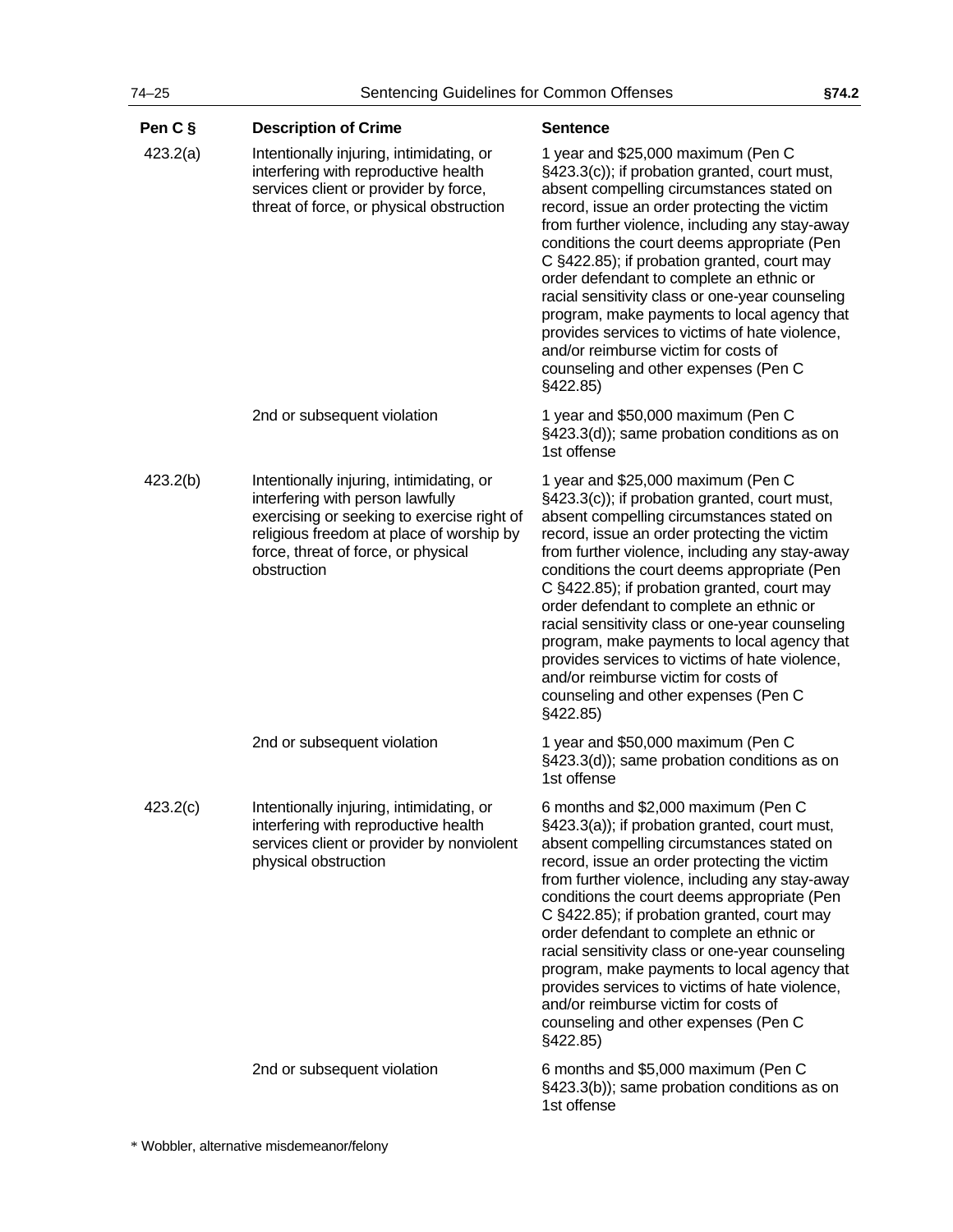| Pen C §  | <b>Description of Crime</b>                                                                                                                                                                                                  | <b>Sentence</b>                                                                                                                                                                                                                                                                                                                                                                                                                                                                                                                                                                                                               |
|----------|------------------------------------------------------------------------------------------------------------------------------------------------------------------------------------------------------------------------------|-------------------------------------------------------------------------------------------------------------------------------------------------------------------------------------------------------------------------------------------------------------------------------------------------------------------------------------------------------------------------------------------------------------------------------------------------------------------------------------------------------------------------------------------------------------------------------------------------------------------------------|
| 423.2(a) | Intentionally injuring, intimidating, or<br>interfering with reproductive health<br>services client or provider by force,<br>threat of force, or physical obstruction                                                        | 1 year and \$25,000 maximum (Pen C<br>§423.3(c)); if probation granted, court must,<br>absent compelling circumstances stated on<br>record, issue an order protecting the victim<br>from further violence, including any stay-away<br>conditions the court deems appropriate (Pen<br>C §422.85); if probation granted, court may<br>order defendant to complete an ethnic or<br>racial sensitivity class or one-year counseling<br>program, make payments to local agency that<br>provides services to victims of hate violence,<br>and/or reimburse victim for costs of<br>counseling and other expenses (Pen C<br>§422.85)  |
|          | 2nd or subsequent violation                                                                                                                                                                                                  | 1 year and \$50,000 maximum (Pen C<br>§423.3(d)); same probation conditions as on<br>1st offense                                                                                                                                                                                                                                                                                                                                                                                                                                                                                                                              |
| 423.2(b) | Intentionally injuring, intimidating, or<br>interfering with person lawfully<br>exercising or seeking to exercise right of<br>religious freedom at place of worship by<br>force, threat of force, or physical<br>obstruction | 1 year and \$25,000 maximum (Pen C<br>§423.3(c)); if probation granted, court must,<br>absent compelling circumstances stated on<br>record, issue an order protecting the victim<br>from further violence, including any stay-away<br>conditions the court deems appropriate (Pen<br>C §422.85); if probation granted, court may<br>order defendant to complete an ethnic or<br>racial sensitivity class or one-year counseling<br>program, make payments to local agency that<br>provides services to victims of hate violence,<br>and/or reimburse victim for costs of<br>counseling and other expenses (Pen C<br>§422.85)  |
|          | 2nd or subsequent violation                                                                                                                                                                                                  | 1 year and \$50,000 maximum (Pen C<br>§423.3(d)); same probation conditions as on<br>1st offense                                                                                                                                                                                                                                                                                                                                                                                                                                                                                                                              |
| 423.2(c) | Intentionally injuring, intimidating, or<br>interfering with reproductive health<br>services client or provider by nonviolent<br>physical obstruction                                                                        | 6 months and \$2,000 maximum (Pen C<br>§423.3(a)); if probation granted, court must,<br>absent compelling circumstances stated on<br>record, issue an order protecting the victim<br>from further violence, including any stay-away<br>conditions the court deems appropriate (Pen<br>C §422.85); if probation granted, court may<br>order defendant to complete an ethnic or<br>racial sensitivity class or one-year counseling<br>program, make payments to local agency that<br>provides services to victims of hate violence,<br>and/or reimburse victim for costs of<br>counseling and other expenses (Pen C<br>§422.85) |
|          | 2nd or subsequent violation                                                                                                                                                                                                  | 6 months and \$5,000 maximum (Pen C<br>§423.3(b)); same probation conditions as on<br>1st offense                                                                                                                                                                                                                                                                                                                                                                                                                                                                                                                             |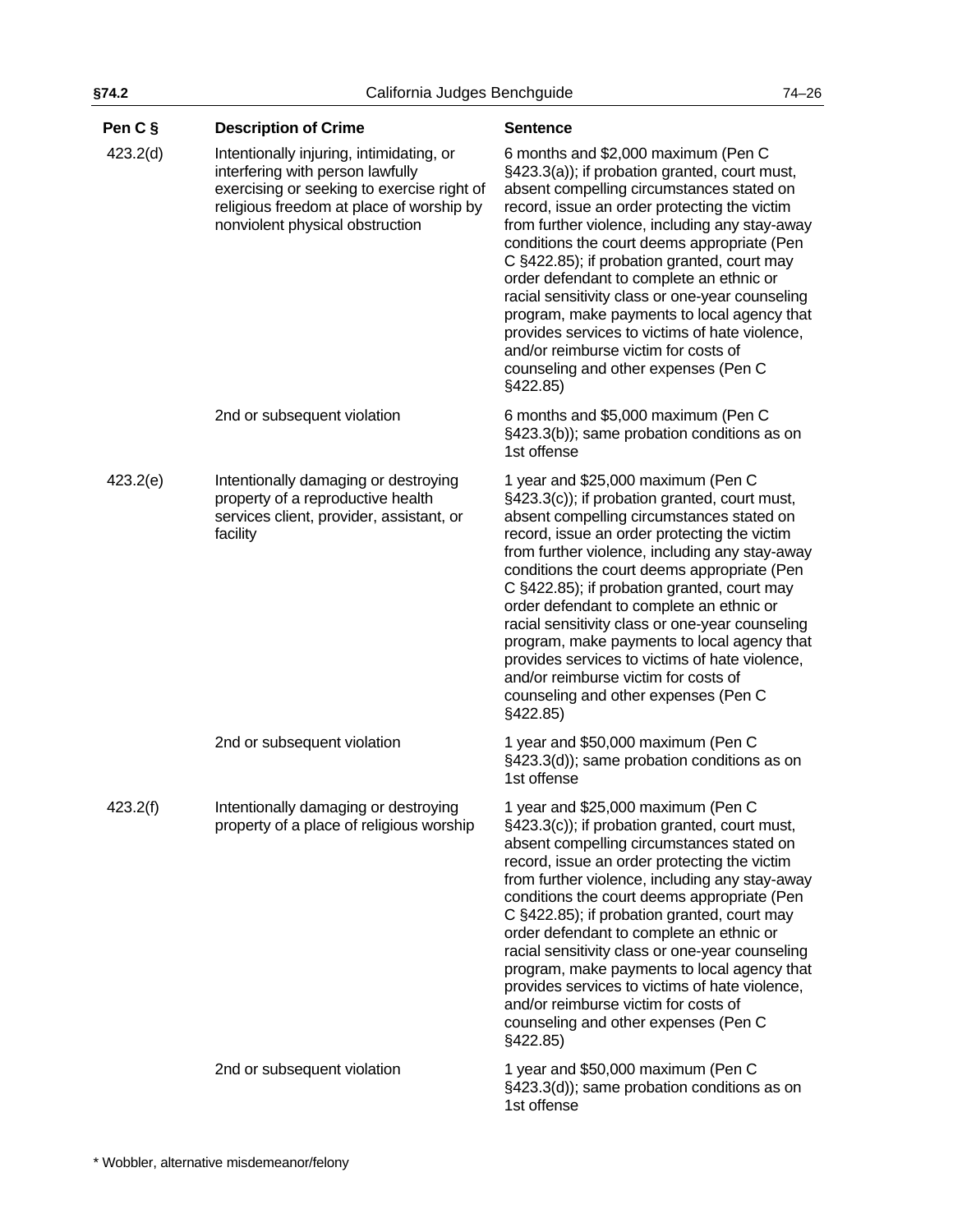| Pen C §  | <b>Description of Crime</b>                                                                                                                                                                               | <b>Sentence</b>                                                                                                                                                                                                                                                                                                                                                                                                                                                                                                                                                                                                               |
|----------|-----------------------------------------------------------------------------------------------------------------------------------------------------------------------------------------------------------|-------------------------------------------------------------------------------------------------------------------------------------------------------------------------------------------------------------------------------------------------------------------------------------------------------------------------------------------------------------------------------------------------------------------------------------------------------------------------------------------------------------------------------------------------------------------------------------------------------------------------------|
| 423.2(d) | Intentionally injuring, intimidating, or<br>interfering with person lawfully<br>exercising or seeking to exercise right of<br>religious freedom at place of worship by<br>nonviolent physical obstruction | 6 months and \$2,000 maximum (Pen C<br>§423.3(a)); if probation granted, court must,<br>absent compelling circumstances stated on<br>record, issue an order protecting the victim<br>from further violence, including any stay-away<br>conditions the court deems appropriate (Pen<br>C §422.85); if probation granted, court may<br>order defendant to complete an ethnic or<br>racial sensitivity class or one-year counseling<br>program, make payments to local agency that<br>provides services to victims of hate violence,<br>and/or reimburse victim for costs of<br>counseling and other expenses (Pen C<br>§422.85) |
|          | 2nd or subsequent violation                                                                                                                                                                               | 6 months and \$5,000 maximum (Pen C<br>§423.3(b)); same probation conditions as on<br>1st offense                                                                                                                                                                                                                                                                                                                                                                                                                                                                                                                             |
| 423.2(e) | Intentionally damaging or destroying<br>property of a reproductive health<br>services client, provider, assistant, or<br>facility                                                                         | 1 year and \$25,000 maximum (Pen C<br>§423.3(c)); if probation granted, court must,<br>absent compelling circumstances stated on<br>record, issue an order protecting the victim<br>from further violence, including any stay-away<br>conditions the court deems appropriate (Pen<br>C §422.85); if probation granted, court may<br>order defendant to complete an ethnic or<br>racial sensitivity class or one-year counseling<br>program, make payments to local agency that<br>provides services to victims of hate violence,<br>and/or reimburse victim for costs of<br>counseling and other expenses (Pen C<br>§422.85)  |
|          | 2nd or subsequent violation                                                                                                                                                                               | 1 year and \$50,000 maximum (Pen C<br>§423.3(d)); same probation conditions as on<br>1st offense                                                                                                                                                                                                                                                                                                                                                                                                                                                                                                                              |
| 423.2(f) | Intentionally damaging or destroying<br>property of a place of religious worship                                                                                                                          | 1 year and \$25,000 maximum (Pen C<br>§423.3(c)); if probation granted, court must,<br>absent compelling circumstances stated on<br>record, issue an order protecting the victim<br>from further violence, including any stay-away<br>conditions the court deems appropriate (Pen<br>C §422.85); if probation granted, court may<br>order defendant to complete an ethnic or<br>racial sensitivity class or one-year counseling<br>program, make payments to local agency that<br>provides services to victims of hate violence,<br>and/or reimburse victim for costs of<br>counseling and other expenses (Pen C<br>§422.85)  |
|          | 2nd or subsequent violation                                                                                                                                                                               | 1 year and \$50,000 maximum (Pen C<br>§423.3(d)); same probation conditions as on<br>1st offense                                                                                                                                                                                                                                                                                                                                                                                                                                                                                                                              |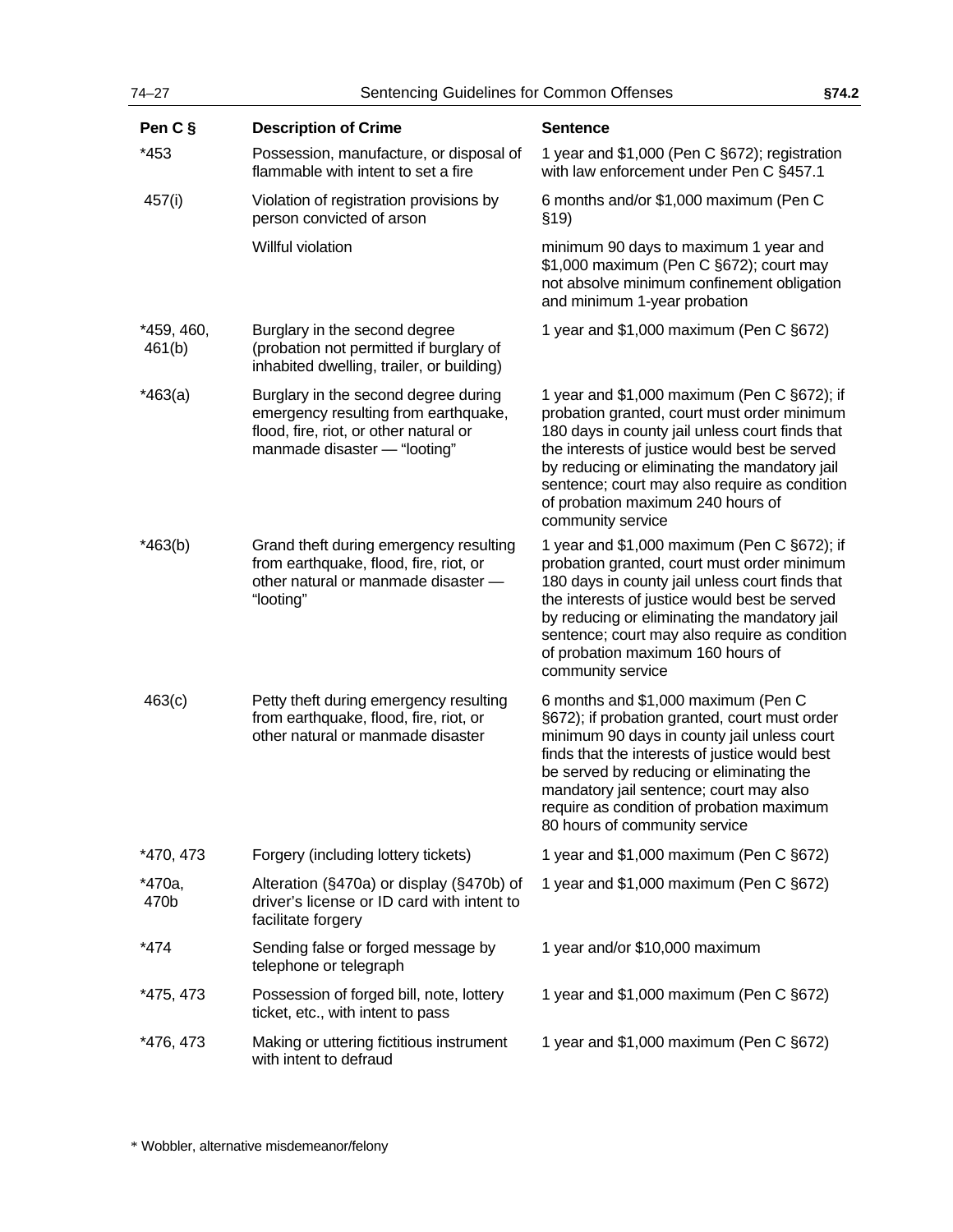| $74 - 27$            | Sentencing Guidelines for Common Offenses                                                                                                              |                                                                                                                                                                                                                                                                                                                                                            | §74.2 |  |
|----------------------|--------------------------------------------------------------------------------------------------------------------------------------------------------|------------------------------------------------------------------------------------------------------------------------------------------------------------------------------------------------------------------------------------------------------------------------------------------------------------------------------------------------------------|-------|--|
| Pen C §              | <b>Description of Crime</b>                                                                                                                            | <b>Sentence</b>                                                                                                                                                                                                                                                                                                                                            |       |  |
| *453                 | Possession, manufacture, or disposal of<br>flammable with intent to set a fire                                                                         | 1 year and \$1,000 (Pen C §672); registration<br>with law enforcement under Pen C §457.1                                                                                                                                                                                                                                                                   |       |  |
| 457(i)               | Violation of registration provisions by<br>person convicted of arson                                                                                   | 6 months and/or \$1,000 maximum (Pen C<br>\$19)                                                                                                                                                                                                                                                                                                            |       |  |
|                      | Willful violation                                                                                                                                      | minimum 90 days to maximum 1 year and<br>\$1,000 maximum (Pen C §672); court may<br>not absolve minimum confinement obligation<br>and minimum 1-year probation                                                                                                                                                                                             |       |  |
| *459, 460,<br>461(b) | Burglary in the second degree<br>(probation not permitted if burglary of<br>inhabited dwelling, trailer, or building)                                  | 1 year and \$1,000 maximum (Pen C §672)                                                                                                                                                                                                                                                                                                                    |       |  |
| $*463(a)$            | Burglary in the second degree during<br>emergency resulting from earthquake,<br>flood, fire, riot, or other natural or<br>manmade disaster - "looting" | 1 year and \$1,000 maximum (Pen C §672); if<br>probation granted, court must order minimum<br>180 days in county jail unless court finds that<br>the interests of justice would best be served<br>by reducing or eliminating the mandatory jail<br>sentence; court may also require as condition<br>of probation maximum 240 hours of<br>community service |       |  |
| $*463(b)$            | Grand theft during emergency resulting<br>from earthquake, flood, fire, riot, or<br>other natural or manmade disaster -<br>"looting"                   | 1 year and \$1,000 maximum (Pen C §672); if<br>probation granted, court must order minimum<br>180 days in county jail unless court finds that<br>the interests of justice would best be served<br>by reducing or eliminating the mandatory jail<br>sentence; court may also require as condition<br>of probation maximum 160 hours of<br>community service |       |  |
| 463(c)               | Petty theft during emergency resulting<br>from earthquake, flood, fire, riot, or<br>other natural or manmade disaster                                  | 6 months and \$1,000 maximum (Pen C<br>§672); if probation granted, court must order<br>minimum 90 days in county jail unless court<br>finds that the interests of justice would best<br>be served by reducing or eliminating the<br>mandatory jail sentence; court may also<br>require as condition of probation maximum<br>80 hours of community service |       |  |
| *470, 473            | Forgery (including lottery tickets)                                                                                                                    | 1 year and \$1,000 maximum (Pen C §672)                                                                                                                                                                                                                                                                                                                    |       |  |
| *470a,<br>470b       | Alteration (§470a) or display (§470b) of<br>driver's license or ID card with intent to<br>facilitate forgery                                           | 1 year and \$1,000 maximum (Pen C §672)                                                                                                                                                                                                                                                                                                                    |       |  |
| $*474$               | Sending false or forged message by<br>telephone or telegraph                                                                                           | 1 year and/or \$10,000 maximum                                                                                                                                                                                                                                                                                                                             |       |  |
| *475, 473            | Possession of forged bill, note, lottery<br>ticket, etc., with intent to pass                                                                          | 1 year and \$1,000 maximum (Pen C §672)                                                                                                                                                                                                                                                                                                                    |       |  |
| *476, 473            | Making or uttering fictitious instrument<br>with intent to defraud                                                                                     | 1 year and \$1,000 maximum (Pen C §672)                                                                                                                                                                                                                                                                                                                    |       |  |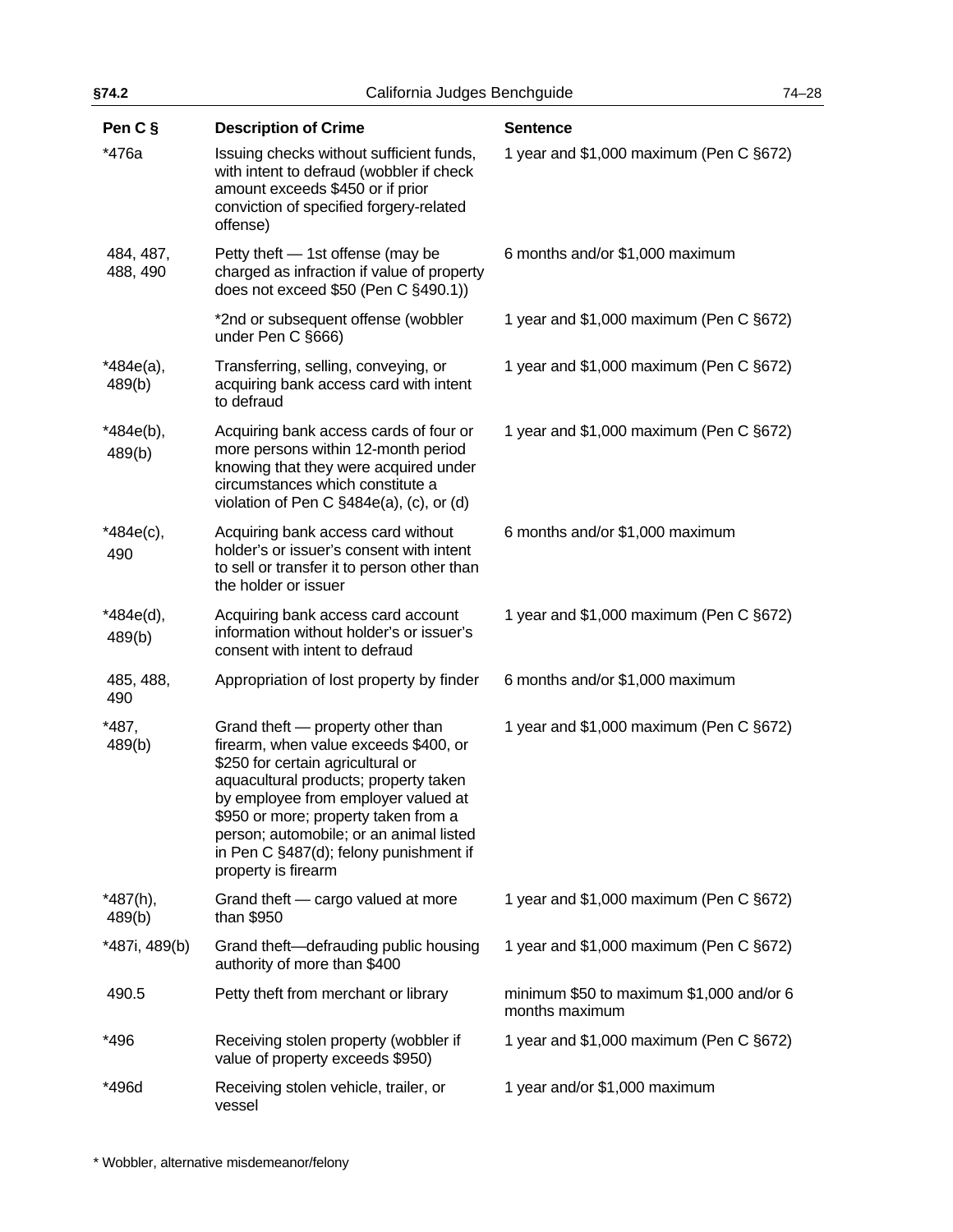| §74.2                 | California Judges Benchguide                                                                                                                                                                                                                                                                                                                        |                                                            | $74 - 28$ |
|-----------------------|-----------------------------------------------------------------------------------------------------------------------------------------------------------------------------------------------------------------------------------------------------------------------------------------------------------------------------------------------------|------------------------------------------------------------|-----------|
| Pen C §               | <b>Description of Crime</b>                                                                                                                                                                                                                                                                                                                         | <b>Sentence</b>                                            |           |
| *476a                 | Issuing checks without sufficient funds,<br>with intent to defraud (wobbler if check<br>amount exceeds \$450 or if prior<br>conviction of specified forgery-related<br>offense)                                                                                                                                                                     | 1 year and \$1,000 maximum (Pen C §672)                    |           |
| 484, 487,<br>488, 490 | Petty theft - 1st offense (may be<br>charged as infraction if value of property<br>does not exceed \$50 (Pen C §490.1))                                                                                                                                                                                                                             | 6 months and/or \$1,000 maximum                            |           |
|                       | *2nd or subsequent offense (wobbler<br>under Pen C §666)                                                                                                                                                                                                                                                                                            | 1 year and \$1,000 maximum (Pen C §672)                    |           |
| *484e(a),<br>489(b)   | Transferring, selling, conveying, or<br>acquiring bank access card with intent<br>to defraud                                                                                                                                                                                                                                                        | 1 year and \$1,000 maximum (Pen C §672)                    |           |
| *484e(b),<br>489(b)   | Acquiring bank access cards of four or<br>more persons within 12-month period<br>knowing that they were acquired under<br>circumstances which constitute a<br>violation of Pen C §484e(a), (c), or (d)                                                                                                                                              | 1 year and \$1,000 maximum (Pen C §672)                    |           |
| $*484e(c),$<br>490    | Acquiring bank access card without<br>holder's or issuer's consent with intent<br>to sell or transfer it to person other than<br>the holder or issuer                                                                                                                                                                                               | 6 months and/or \$1,000 maximum                            |           |
| *484e(d),<br>489(b)   | Acquiring bank access card account<br>information without holder's or issuer's<br>consent with intent to defraud                                                                                                                                                                                                                                    | 1 year and \$1,000 maximum (Pen C §672)                    |           |
| 485, 488,<br>490      | Appropriation of lost property by finder                                                                                                                                                                                                                                                                                                            | 6 months and/or \$1,000 maximum                            |           |
| *487,<br>489(b)       | Grand theft - property other than<br>firearm, when value exceeds \$400, or<br>\$250 for certain agricultural or<br>aquacultural products; property taken<br>by employee from employer valued at<br>\$950 or more; property taken from a<br>person; automobile; or an animal listed<br>in Pen C §487(d); felony punishment if<br>property is firearm | 1 year and \$1,000 maximum (Pen C §672)                    |           |
| *487(h),<br>489(b)    | Grand theft - cargo valued at more<br>than \$950                                                                                                                                                                                                                                                                                                    | 1 year and \$1,000 maximum (Pen C §672)                    |           |
| *487i, 489(b)         | Grand theft-defrauding public housing<br>authority of more than \$400                                                                                                                                                                                                                                                                               | 1 year and \$1,000 maximum (Pen C §672)                    |           |
| 490.5                 | Petty theft from merchant or library                                                                                                                                                                                                                                                                                                                | minimum \$50 to maximum \$1,000 and/or 6<br>months maximum |           |
| *496                  | Receiving stolen property (wobbler if<br>value of property exceeds \$950)                                                                                                                                                                                                                                                                           | 1 year and \$1,000 maximum (Pen C §672)                    |           |
| *496d                 | Receiving stolen vehicle, trailer, or<br>vessel                                                                                                                                                                                                                                                                                                     | 1 year and/or \$1,000 maximum                              |           |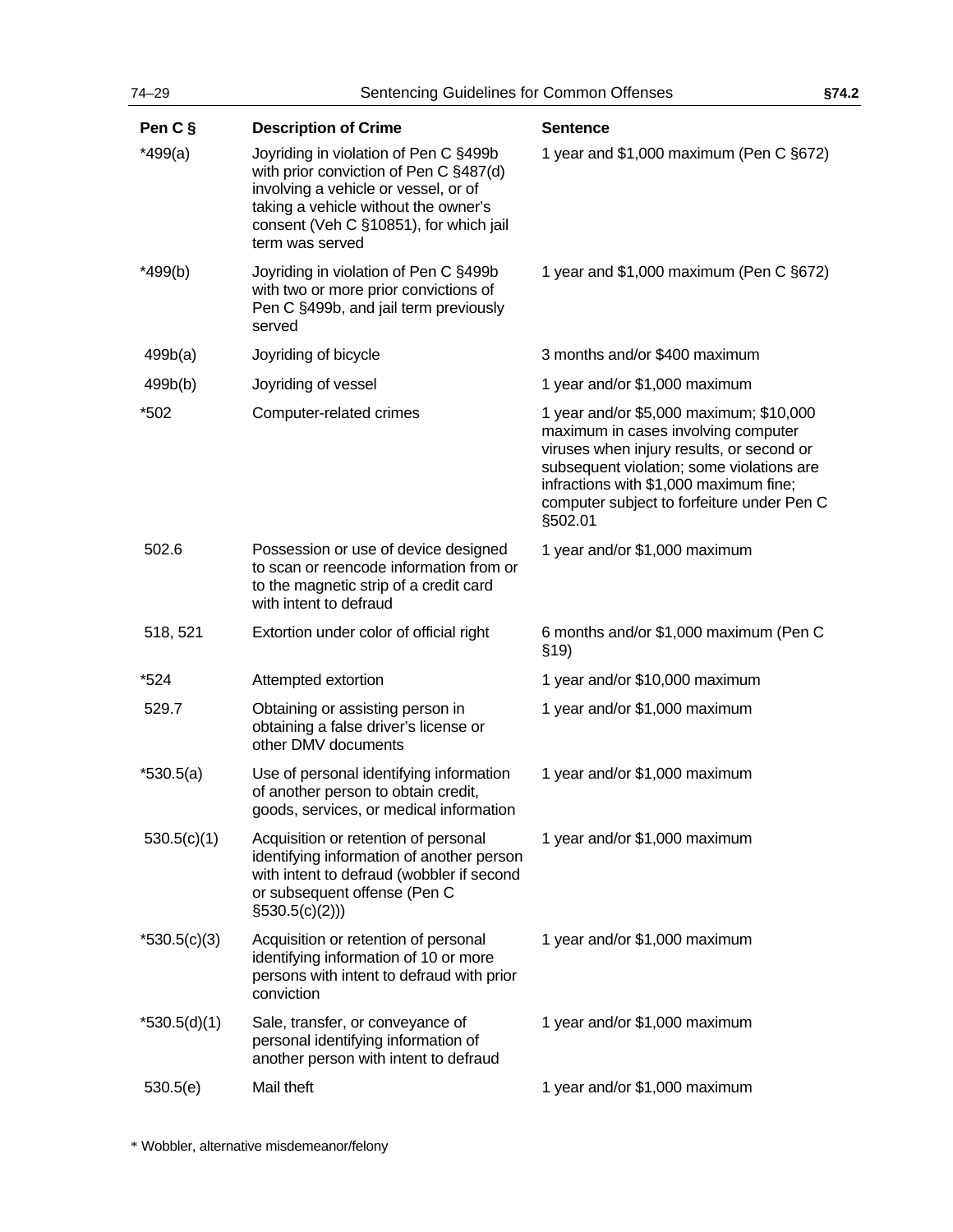| 74-29          | Sentencing Guidelines for Common Offenses                                                                                                                                                                                    |                                                                                                                                                                                                                                                                             | §74.2 |
|----------------|------------------------------------------------------------------------------------------------------------------------------------------------------------------------------------------------------------------------------|-----------------------------------------------------------------------------------------------------------------------------------------------------------------------------------------------------------------------------------------------------------------------------|-------|
| Pen C §        | <b>Description of Crime</b>                                                                                                                                                                                                  | <b>Sentence</b>                                                                                                                                                                                                                                                             |       |
| $*499(a)$      | Joyriding in violation of Pen C §499b<br>with prior conviction of Pen C §487(d)<br>involving a vehicle or vessel, or of<br>taking a vehicle without the owner's<br>consent (Veh C §10851), for which jail<br>term was served | 1 year and \$1,000 maximum (Pen C §672)                                                                                                                                                                                                                                     |       |
| $*499(b)$      | Joyriding in violation of Pen C §499b<br>with two or more prior convictions of<br>Pen C §499b, and jail term previously<br>served                                                                                            | 1 year and \$1,000 maximum (Pen C §672)                                                                                                                                                                                                                                     |       |
| 499b(a)        | Joyriding of bicycle                                                                                                                                                                                                         | 3 months and/or \$400 maximum                                                                                                                                                                                                                                               |       |
| 499b(b)        | Joyriding of vessel                                                                                                                                                                                                          | 1 year and/or \$1,000 maximum                                                                                                                                                                                                                                               |       |
| *502           | Computer-related crimes                                                                                                                                                                                                      | 1 year and/or \$5,000 maximum; \$10,000<br>maximum in cases involving computer<br>viruses when injury results, or second or<br>subsequent violation; some violations are<br>infractions with \$1,000 maximum fine;<br>computer subject to forfeiture under Pen C<br>§502.01 |       |
| 502.6          | Possession or use of device designed<br>to scan or reencode information from or<br>to the magnetic strip of a credit card<br>with intent to defraud                                                                          | 1 year and/or \$1,000 maximum                                                                                                                                                                                                                                               |       |
| 518, 521       | Extortion under color of official right                                                                                                                                                                                      | 6 months and/or \$1,000 maximum (Pen C<br>\$19)                                                                                                                                                                                                                             |       |
| *524           | Attempted extortion                                                                                                                                                                                                          | 1 year and/or \$10,000 maximum                                                                                                                                                                                                                                              |       |
| 529.7          | Obtaining or assisting person in<br>obtaining a false driver's license or<br>other DMV documents                                                                                                                             | 1 year and/or \$1,000 maximum                                                                                                                                                                                                                                               |       |
| $*530.5(a)$    | Use of personal identifying information<br>of another person to obtain credit,<br>goods, services, or medical information                                                                                                    | 1 year and/or \$1,000 maximum                                                                                                                                                                                                                                               |       |
| 530.5(c)(1)    | Acquisition or retention of personal<br>identifying information of another person<br>with intent to defraud (wobbler if second<br>or subsequent offense (Pen C<br>$\S530.5(c)(2))$                                           | 1 year and/or \$1,000 maximum                                                                                                                                                                                                                                               |       |
| $*530.5(c)(3)$ | Acquisition or retention of personal<br>identifying information of 10 or more<br>persons with intent to defraud with prior<br>conviction                                                                                     | 1 year and/or \$1,000 maximum                                                                                                                                                                                                                                               |       |
| *530.5(d)(1)   | Sale, transfer, or conveyance of<br>personal identifying information of<br>another person with intent to defraud                                                                                                             | 1 year and/or \$1,000 maximum                                                                                                                                                                                                                                               |       |
| 530.5(e)       | Mail theft                                                                                                                                                                                                                   | 1 year and/or \$1,000 maximum                                                                                                                                                                                                                                               |       |
|                |                                                                                                                                                                                                                              |                                                                                                                                                                                                                                                                             |       |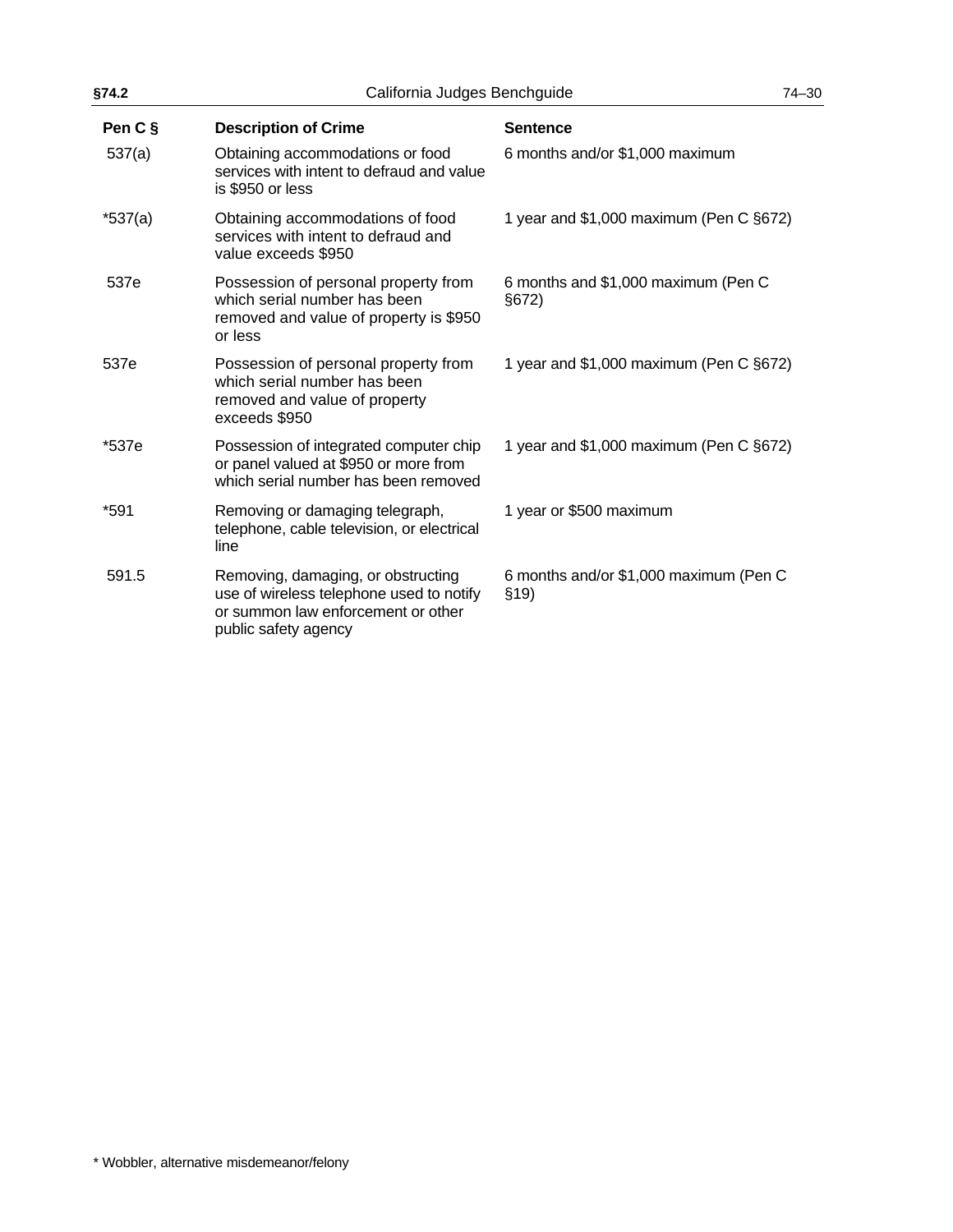| §74.2     | California Judges Benchguide                                                                                                                 |                                                 | $74 - 30$ |
|-----------|----------------------------------------------------------------------------------------------------------------------------------------------|-------------------------------------------------|-----------|
| Pen C §   | <b>Description of Crime</b>                                                                                                                  | <b>Sentence</b>                                 |           |
| 537(a)    | Obtaining accommodations or food<br>services with intent to defraud and value<br>is \$950 or less                                            | 6 months and/or \$1,000 maximum                 |           |
| $*537(a)$ | Obtaining accommodations of food<br>services with intent to defraud and<br>value exceeds \$950                                               | 1 year and \$1,000 maximum (Pen C §672)         |           |
| 537e      | Possession of personal property from<br>which serial number has been<br>removed and value of property is \$950<br>or less                    | 6 months and \$1,000 maximum (Pen C<br>§672)    |           |
| 537e      | Possession of personal property from<br>which serial number has been<br>removed and value of property<br>exceeds \$950                       | 1 year and \$1,000 maximum (Pen C §672)         |           |
| *537e     | Possession of integrated computer chip<br>or panel valued at \$950 or more from<br>which serial number has been removed                      | 1 year and \$1,000 maximum (Pen C §672)         |           |
| *591      | Removing or damaging telegraph,<br>telephone, cable television, or electrical<br>line                                                        | 1 year or \$500 maximum                         |           |
| 591.5     | Removing, damaging, or obstructing<br>use of wireless telephone used to notify<br>or summon law enforcement or other<br>public safety agency | 6 months and/or \$1,000 maximum (Pen C<br>\$19) |           |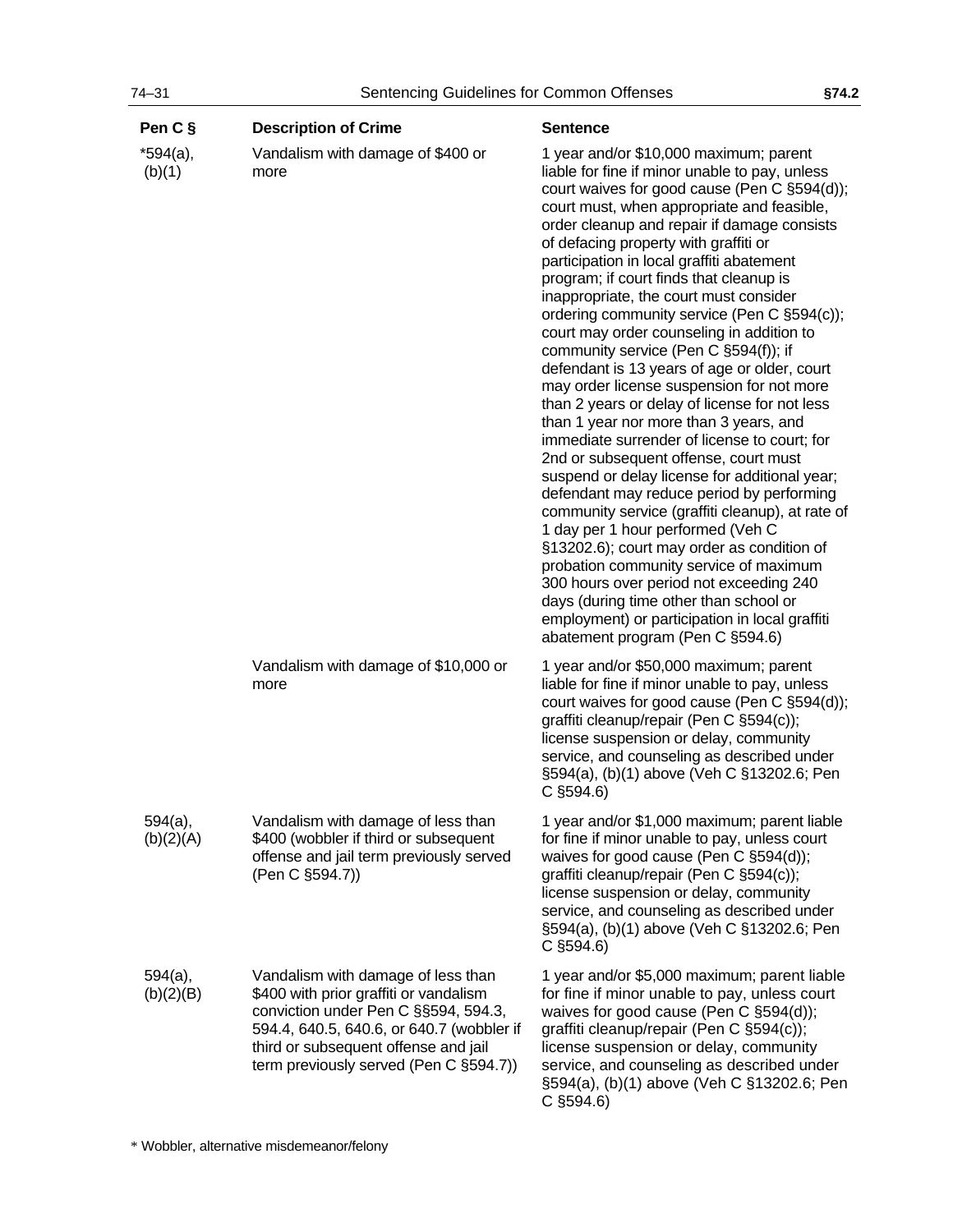| Pen C §              | <b>Description of Crime</b>                                                                                                                                                                                                                         | <b>Sentence</b>                                                                                                                                                                                                                                                                                                                                                                                                                                                                                                                                                                                                                                                                                                                                                                                                                                                                                                                                                                                                                                                                                                                                                                                                                                                                                  |
|----------------------|-----------------------------------------------------------------------------------------------------------------------------------------------------------------------------------------------------------------------------------------------------|--------------------------------------------------------------------------------------------------------------------------------------------------------------------------------------------------------------------------------------------------------------------------------------------------------------------------------------------------------------------------------------------------------------------------------------------------------------------------------------------------------------------------------------------------------------------------------------------------------------------------------------------------------------------------------------------------------------------------------------------------------------------------------------------------------------------------------------------------------------------------------------------------------------------------------------------------------------------------------------------------------------------------------------------------------------------------------------------------------------------------------------------------------------------------------------------------------------------------------------------------------------------------------------------------|
| *594(a),<br>(b)(1)   | Vandalism with damage of \$400 or<br>more                                                                                                                                                                                                           | 1 year and/or \$10,000 maximum; parent<br>liable for fine if minor unable to pay, unless<br>court waives for good cause (Pen C §594(d));<br>court must, when appropriate and feasible,<br>order cleanup and repair if damage consists<br>of defacing property with graffiti or<br>participation in local graffiti abatement<br>program; if court finds that cleanup is<br>inappropriate, the court must consider<br>ordering community service (Pen C §594(c));<br>court may order counseling in addition to<br>community service (Pen C §594(f)); if<br>defendant is 13 years of age or older, court<br>may order license suspension for not more<br>than 2 years or delay of license for not less<br>than 1 year nor more than 3 years, and<br>immediate surrender of license to court; for<br>2nd or subsequent offense, court must<br>suspend or delay license for additional year;<br>defendant may reduce period by performing<br>community service (graffiti cleanup), at rate of<br>1 day per 1 hour performed (Veh C<br>§13202.6); court may order as condition of<br>probation community service of maximum<br>300 hours over period not exceeding 240<br>days (during time other than school or<br>employment) or participation in local graffiti<br>abatement program (Pen C §594.6) |
|                      | Vandalism with damage of \$10,000 or<br>more                                                                                                                                                                                                        | 1 year and/or \$50,000 maximum; parent<br>liable for fine if minor unable to pay, unless<br>court waives for good cause (Pen C §594(d));<br>graffiti cleanup/repair (Pen C §594(c));<br>license suspension or delay, community<br>service, and counseling as described under<br>§594(a), (b)(1) above (Veh C §13202.6; Pen<br>$C$ §594.6)                                                                                                                                                                                                                                                                                                                                                                                                                                                                                                                                                                                                                                                                                                                                                                                                                                                                                                                                                        |
| 594(a),<br>(b)(2)(A) | Vandalism with damage of less than<br>\$400 (wobbler if third or subsequent<br>offense and jail term previously served<br>(Pen C §594.7))                                                                                                           | 1 year and/or \$1,000 maximum; parent liable<br>for fine if minor unable to pay, unless court<br>waives for good cause (Pen C §594(d));<br>graffiti cleanup/repair (Pen C §594(c));<br>license suspension or delay, community<br>service, and counseling as described under<br>§594(a), (b)(1) above (Veh C §13202.6; Pen<br>$C$ §594.6)                                                                                                                                                                                                                                                                                                                                                                                                                                                                                                                                                                                                                                                                                                                                                                                                                                                                                                                                                         |
| 594(a),<br>(b)(2)(B) | Vandalism with damage of less than<br>\$400 with prior graffiti or vandalism<br>conviction under Pen C §§594, 594.3,<br>594.4, 640.5, 640.6, or 640.7 (wobbler if<br>third or subsequent offense and jail<br>term previously served (Pen C §594.7)) | 1 year and/or \$5,000 maximum; parent liable<br>for fine if minor unable to pay, unless court<br>waives for good cause (Pen C §594(d));<br>graffiti cleanup/repair (Pen C §594(c));<br>license suspension or delay, community<br>service, and counseling as described under<br>§594(a), (b)(1) above (Veh C §13202.6; Pen<br>$C$ §594.6)                                                                                                                                                                                                                                                                                                                                                                                                                                                                                                                                                                                                                                                                                                                                                                                                                                                                                                                                                         |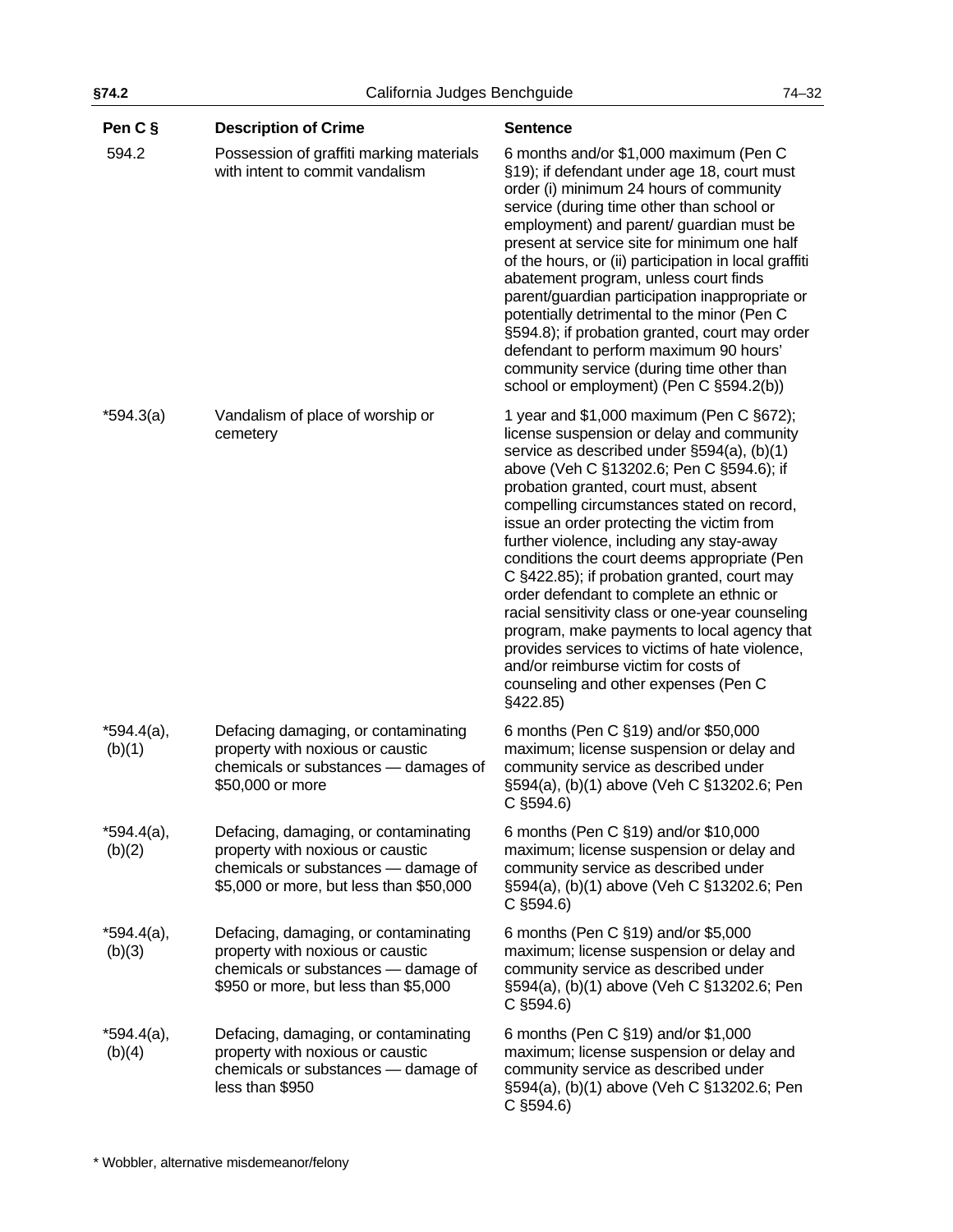| §74.2                   | California Judges Benchguide                                                                                                                               |                                                                                                                                                                                                                                                                                                                                                                                                                                                                                                                                                                                                                                                                                                                                                            | $74 - 32$ |
|-------------------------|------------------------------------------------------------------------------------------------------------------------------------------------------------|------------------------------------------------------------------------------------------------------------------------------------------------------------------------------------------------------------------------------------------------------------------------------------------------------------------------------------------------------------------------------------------------------------------------------------------------------------------------------------------------------------------------------------------------------------------------------------------------------------------------------------------------------------------------------------------------------------------------------------------------------------|-----------|
| Pen C §                 | <b>Description of Crime</b>                                                                                                                                | <b>Sentence</b>                                                                                                                                                                                                                                                                                                                                                                                                                                                                                                                                                                                                                                                                                                                                            |           |
| 594.2                   | Possession of graffiti marking materials<br>with intent to commit vandalism                                                                                | 6 months and/or \$1,000 maximum (Pen C<br>§19); if defendant under age 18, court must<br>order (i) minimum 24 hours of community<br>service (during time other than school or<br>employment) and parent/ guardian must be<br>present at service site for minimum one half<br>of the hours, or (ii) participation in local graffiti<br>abatement program, unless court finds<br>parent/guardian participation inappropriate or<br>potentially detrimental to the minor (Pen C<br>§594.8); if probation granted, court may order<br>defendant to perform maximum 90 hours'<br>community service (during time other than<br>school or employment) (Pen C §594.2(b))                                                                                           |           |
| $*594.3(a)$             | Vandalism of place of worship or<br>cemetery                                                                                                               | 1 year and \$1,000 maximum (Pen C §672);<br>license suspension or delay and community<br>service as described under §594(a), (b)(1)<br>above (Veh C §13202.6; Pen C §594.6); if<br>probation granted, court must, absent<br>compelling circumstances stated on record,<br>issue an order protecting the victim from<br>further violence, including any stay-away<br>conditions the court deems appropriate (Pen<br>C §422.85); if probation granted, court may<br>order defendant to complete an ethnic or<br>racial sensitivity class or one-year counseling<br>program, make payments to local agency that<br>provides services to victims of hate violence,<br>and/or reimburse victim for costs of<br>counseling and other expenses (Pen C<br>§422.85) |           |
| $*594.4(a),$<br>(b)(1)  | Defacing damaging, or contaminating<br>property with noxious or caustic<br>chemicals or substances - damages of<br>\$50,000 or more                        | 6 months (Pen C §19) and/or \$50,000<br>maximum; license suspension or delay and<br>community service as described under<br>§594(a), (b)(1) above (Veh C §13202.6; Pen<br>$C$ §594.6)                                                                                                                                                                                                                                                                                                                                                                                                                                                                                                                                                                      |           |
| $*594.4(a),$<br>(b)(2)  | Defacing, damaging, or contaminating<br>property with noxious or caustic<br>chemicals or substances - damage of<br>\$5,000 or more, but less than \$50,000 | 6 months (Pen C §19) and/or \$10,000<br>maximum; license suspension or delay and<br>community service as described under<br>§594(a), (b)(1) above (Veh C §13202.6; Pen<br>$C$ §594.6)                                                                                                                                                                                                                                                                                                                                                                                                                                                                                                                                                                      |           |
| $*594.4(a)$ ,<br>(b)(3) | Defacing, damaging, or contaminating<br>property with noxious or caustic<br>chemicals or substances - damage of<br>\$950 or more, but less than \$5,000    | 6 months (Pen C §19) and/or \$5,000<br>maximum; license suspension or delay and<br>community service as described under<br>§594(a), (b)(1) above (Veh C §13202.6; Pen<br>$C$ §594.6)                                                                                                                                                                                                                                                                                                                                                                                                                                                                                                                                                                       |           |
| $*594.4(a)$ ,<br>(b)(4) | Defacing, damaging, or contaminating<br>property with noxious or caustic<br>chemicals or substances - damage of<br>less than \$950                         | 6 months (Pen C §19) and/or \$1,000<br>maximum; license suspension or delay and<br>community service as described under<br>§594(a), (b)(1) above (Veh C §13202.6; Pen<br>$C$ §594.6)                                                                                                                                                                                                                                                                                                                                                                                                                                                                                                                                                                       |           |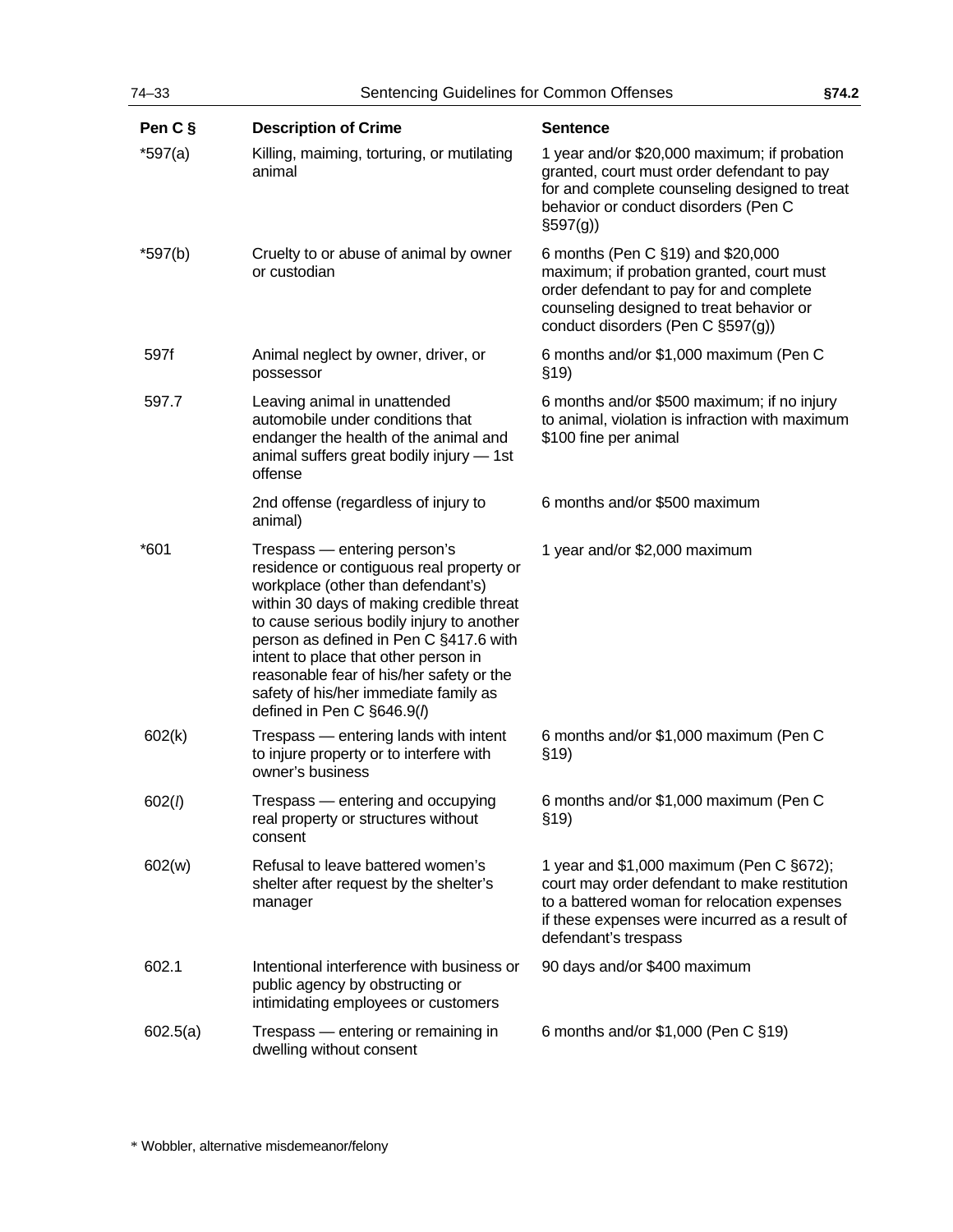| Pen C §   | <b>Description of Crime</b>                                                                                                                                                                                                                                                                                                                                                                                  | <b>Sentence</b>                                                                                                                                                                                                        |
|-----------|--------------------------------------------------------------------------------------------------------------------------------------------------------------------------------------------------------------------------------------------------------------------------------------------------------------------------------------------------------------------------------------------------------------|------------------------------------------------------------------------------------------------------------------------------------------------------------------------------------------------------------------------|
| $*597(a)$ | Killing, maiming, torturing, or mutilating<br>animal                                                                                                                                                                                                                                                                                                                                                         | 1 year and/or \$20,000 maximum; if probation<br>granted, court must order defendant to pay<br>for and complete counseling designed to treat<br>behavior or conduct disorders (Pen C<br>$\S597(g)$                      |
| $*597(b)$ | Cruelty to or abuse of animal by owner<br>or custodian                                                                                                                                                                                                                                                                                                                                                       | 6 months (Pen C §19) and \$20,000<br>maximum; if probation granted, court must<br>order defendant to pay for and complete<br>counseling designed to treat behavior or<br>conduct disorders (Pen C §597(g))             |
| 597f      | Animal neglect by owner, driver, or<br>possessor                                                                                                                                                                                                                                                                                                                                                             | 6 months and/or \$1,000 maximum (Pen C<br>\$19)                                                                                                                                                                        |
| 597.7     | Leaving animal in unattended<br>automobile under conditions that<br>endanger the health of the animal and<br>animal suffers great bodily injury - 1st<br>offense                                                                                                                                                                                                                                             | 6 months and/or \$500 maximum; if no injury<br>to animal, violation is infraction with maximum<br>\$100 fine per animal                                                                                                |
|           | 2nd offense (regardless of injury to<br>animal)                                                                                                                                                                                                                                                                                                                                                              | 6 months and/or \$500 maximum                                                                                                                                                                                          |
| $*601$    | Trespass - entering person's<br>residence or contiguous real property or<br>workplace (other than defendant's)<br>within 30 days of making credible threat<br>to cause serious bodily injury to another<br>person as defined in Pen C §417.6 with<br>intent to place that other person in<br>reasonable fear of his/her safety or the<br>safety of his/her immediate family as<br>defined in Pen C §646.9(1) | 1 year and/or \$2,000 maximum                                                                                                                                                                                          |
| 602(k)    | Trespass - entering lands with intent<br>to injure property or to interfere with<br>owner's business                                                                                                                                                                                                                                                                                                         | 6 months and/or \$1,000 maximum (Pen C<br>\$19                                                                                                                                                                         |
| 602(l)    | Trespass - entering and occupying<br>real property or structures without<br>consent                                                                                                                                                                                                                                                                                                                          | 6 months and/or \$1,000 maximum (Pen C<br>\$19)                                                                                                                                                                        |
| 602(w)    | Refusal to leave battered women's<br>shelter after request by the shelter's<br>manager                                                                                                                                                                                                                                                                                                                       | 1 year and $$1,000$ maximum (Pen C $§672$ );<br>court may order defendant to make restitution<br>to a battered woman for relocation expenses<br>if these expenses were incurred as a result of<br>defendant's trespass |
| 602.1     | Intentional interference with business or<br>public agency by obstructing or<br>intimidating employees or customers                                                                                                                                                                                                                                                                                          | 90 days and/or \$400 maximum                                                                                                                                                                                           |
| 602.5(a)  | Trespass - entering or remaining in<br>dwelling without consent                                                                                                                                                                                                                                                                                                                                              | 6 months and/or \$1,000 (Pen C §19)                                                                                                                                                                                    |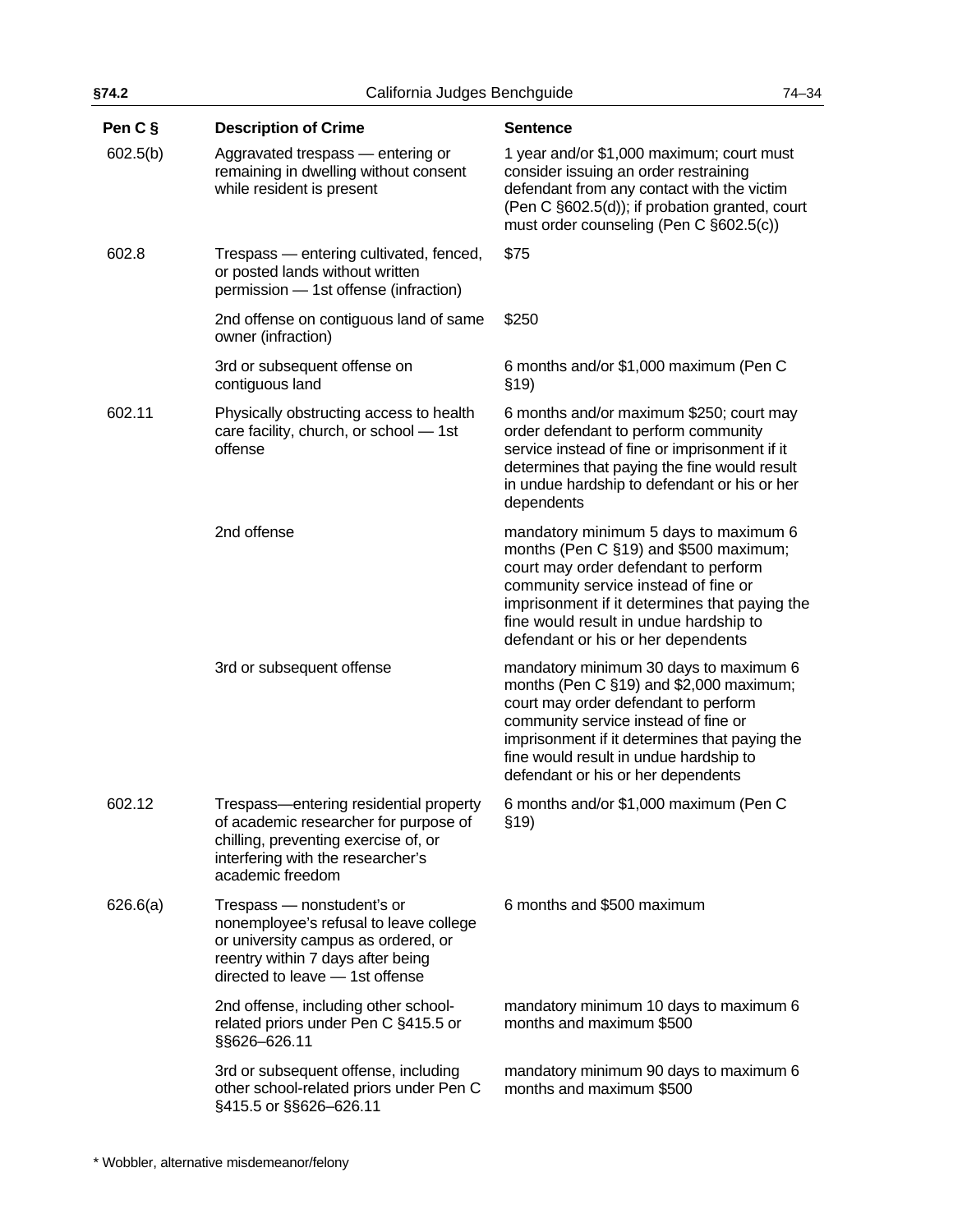| §74.2    | California Judges Benchguide                                                                                                                                                        |                                                                                                                                                                                                                                                                                                    | $74 - 34$ |
|----------|-------------------------------------------------------------------------------------------------------------------------------------------------------------------------------------|----------------------------------------------------------------------------------------------------------------------------------------------------------------------------------------------------------------------------------------------------------------------------------------------------|-----------|
| Pen C §  | <b>Description of Crime</b>                                                                                                                                                         | <b>Sentence</b>                                                                                                                                                                                                                                                                                    |           |
| 602.5(b) | Aggravated trespass - entering or<br>remaining in dwelling without consent<br>while resident is present                                                                             | 1 year and/or \$1,000 maximum; court must<br>consider issuing an order restraining<br>defendant from any contact with the victim<br>(Pen C §602.5(d)); if probation granted, court<br>must order counseling (Pen C §602.5(c))                                                                      |           |
| 602.8    | Trespass - entering cultivated, fenced,<br>or posted lands without written<br>permission - 1st offense (infraction)                                                                 | \$75                                                                                                                                                                                                                                                                                               |           |
|          | 2nd offense on contiguous land of same<br>owner (infraction)                                                                                                                        | \$250                                                                                                                                                                                                                                                                                              |           |
|          | 3rd or subsequent offense on<br>contiguous land                                                                                                                                     | 6 months and/or \$1,000 maximum (Pen C<br>\$19)                                                                                                                                                                                                                                                    |           |
| 602.11   | Physically obstructing access to health<br>care facility, church, or school - 1st<br>offense                                                                                        | 6 months and/or maximum \$250; court may<br>order defendant to perform community<br>service instead of fine or imprisonment if it<br>determines that paying the fine would result<br>in undue hardship to defendant or his or her<br>dependents                                                    |           |
|          | 2nd offense                                                                                                                                                                         | mandatory minimum 5 days to maximum 6<br>months (Pen C §19) and \$500 maximum;<br>court may order defendant to perform<br>community service instead of fine or<br>imprisonment if it determines that paying the<br>fine would result in undue hardship to<br>defendant or his or her dependents    |           |
|          | 3rd or subsequent offense                                                                                                                                                           | mandatory minimum 30 days to maximum 6<br>months (Pen C §19) and \$2,000 maximum;<br>court may order defendant to perform<br>community service instead of fine or<br>imprisonment if it determines that paying the<br>fine would result in undue hardship to<br>defendant or his or her dependents |           |
| 602.12   | Trespass-entering residential property<br>of academic researcher for purpose of<br>chilling, preventing exercise of, or<br>interfering with the researcher's<br>academic freedom    | 6 months and/or \$1,000 maximum (Pen C<br>\$19)                                                                                                                                                                                                                                                    |           |
| 626.6(a) | Trespass - nonstudent's or<br>nonemployee's refusal to leave college<br>or university campus as ordered, or<br>reentry within 7 days after being<br>directed to leave - 1st offense | 6 months and \$500 maximum                                                                                                                                                                                                                                                                         |           |
|          | 2nd offense, including other school-<br>related priors under Pen C §415.5 or<br>§§626-626.11                                                                                        | mandatory minimum 10 days to maximum 6<br>months and maximum \$500                                                                                                                                                                                                                                 |           |
|          | 3rd or subsequent offense, including<br>other school-related priors under Pen C<br>§415.5 or §§626-626.11                                                                           | mandatory minimum 90 days to maximum 6<br>months and maximum \$500                                                                                                                                                                                                                                 |           |
|          |                                                                                                                                                                                     |                                                                                                                                                                                                                                                                                                    |           |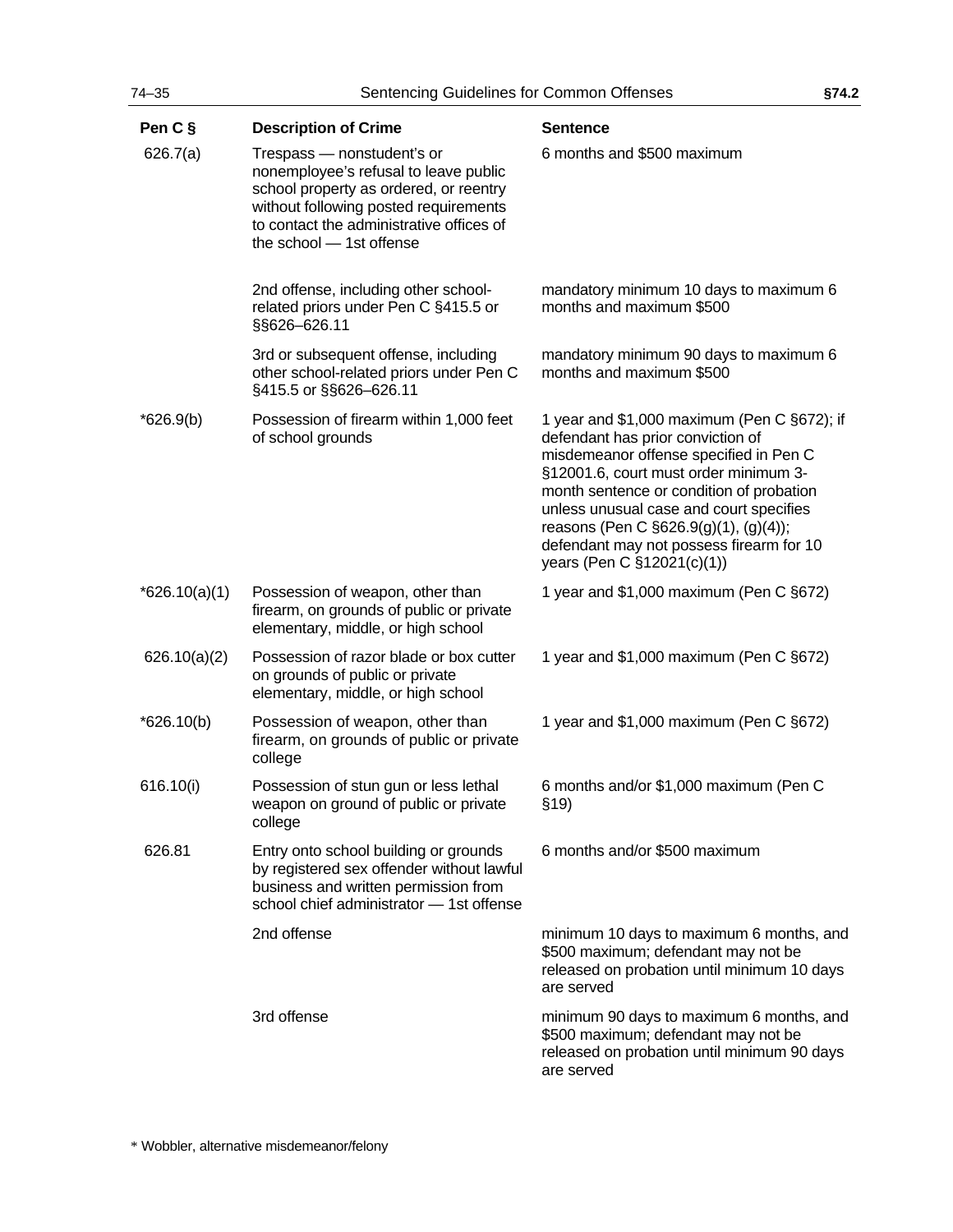| $74 - 35$       | Sentencing Guidelines for Common Offenses                                                                                                                                                                                      |                                                                                                                                                                                                                                                                                                                                                                               | §74.2 |
|-----------------|--------------------------------------------------------------------------------------------------------------------------------------------------------------------------------------------------------------------------------|-------------------------------------------------------------------------------------------------------------------------------------------------------------------------------------------------------------------------------------------------------------------------------------------------------------------------------------------------------------------------------|-------|
| Pen C §         | <b>Description of Crime</b>                                                                                                                                                                                                    | <b>Sentence</b>                                                                                                                                                                                                                                                                                                                                                               |       |
| 626.7(a)        | Trespass - nonstudent's or<br>nonemployee's refusal to leave public<br>school property as ordered, or reentry<br>without following posted requirements<br>to contact the administrative offices of<br>the school - 1st offense | 6 months and \$500 maximum                                                                                                                                                                                                                                                                                                                                                    |       |
|                 | 2nd offense, including other school-<br>related priors under Pen C §415.5 or<br>§§626-626.11                                                                                                                                   | mandatory minimum 10 days to maximum 6<br>months and maximum \$500                                                                                                                                                                                                                                                                                                            |       |
|                 | 3rd or subsequent offense, including<br>other school-related priors under Pen C<br>§415.5 or §§626-626.11                                                                                                                      | mandatory minimum 90 days to maximum 6<br>months and maximum \$500                                                                                                                                                                                                                                                                                                            |       |
| $*626.9(b)$     | Possession of firearm within 1,000 feet<br>of school grounds                                                                                                                                                                   | 1 year and \$1,000 maximum (Pen C §672); if<br>defendant has prior conviction of<br>misdemeanor offense specified in Pen C<br>§12001.6, court must order minimum 3-<br>month sentence or condition of probation<br>unless unusual case and court specifies<br>reasons (Pen C §626.9(g)(1), (g)(4));<br>defendant may not possess firearm for 10<br>years (Pen C §12021(c)(1)) |       |
| $*626.10(a)(1)$ | Possession of weapon, other than<br>firearm, on grounds of public or private<br>elementary, middle, or high school                                                                                                             | 1 year and \$1,000 maximum (Pen C §672)                                                                                                                                                                                                                                                                                                                                       |       |
| 626.10(a)(2)    | Possession of razor blade or box cutter<br>on grounds of public or private<br>elementary, middle, or high school                                                                                                               | 1 year and \$1,000 maximum (Pen C §672)                                                                                                                                                                                                                                                                                                                                       |       |
| $*626.10(b)$    | Possession of weapon, other than<br>firearm, on grounds of public or private<br>college                                                                                                                                        | 1 year and \$1,000 maximum (Pen C §672)                                                                                                                                                                                                                                                                                                                                       |       |
| 616.10(i)       | Possession of stun gun or less lethal<br>weapon on ground of public or private<br>college                                                                                                                                      | 6 months and/or \$1,000 maximum (Pen C<br>\$19)                                                                                                                                                                                                                                                                                                                               |       |
| 626.81          | Entry onto school building or grounds<br>by registered sex offender without lawful<br>business and written permission from<br>school chief administrator - 1st offense                                                         | 6 months and/or \$500 maximum                                                                                                                                                                                                                                                                                                                                                 |       |
|                 | 2nd offense                                                                                                                                                                                                                    | minimum 10 days to maximum 6 months, and<br>\$500 maximum; defendant may not be<br>released on probation until minimum 10 days<br>are served                                                                                                                                                                                                                                  |       |
|                 | 3rd offense                                                                                                                                                                                                                    | minimum 90 days to maximum 6 months, and<br>\$500 maximum; defendant may not be<br>released on probation until minimum 90 days<br>are served                                                                                                                                                                                                                                  |       |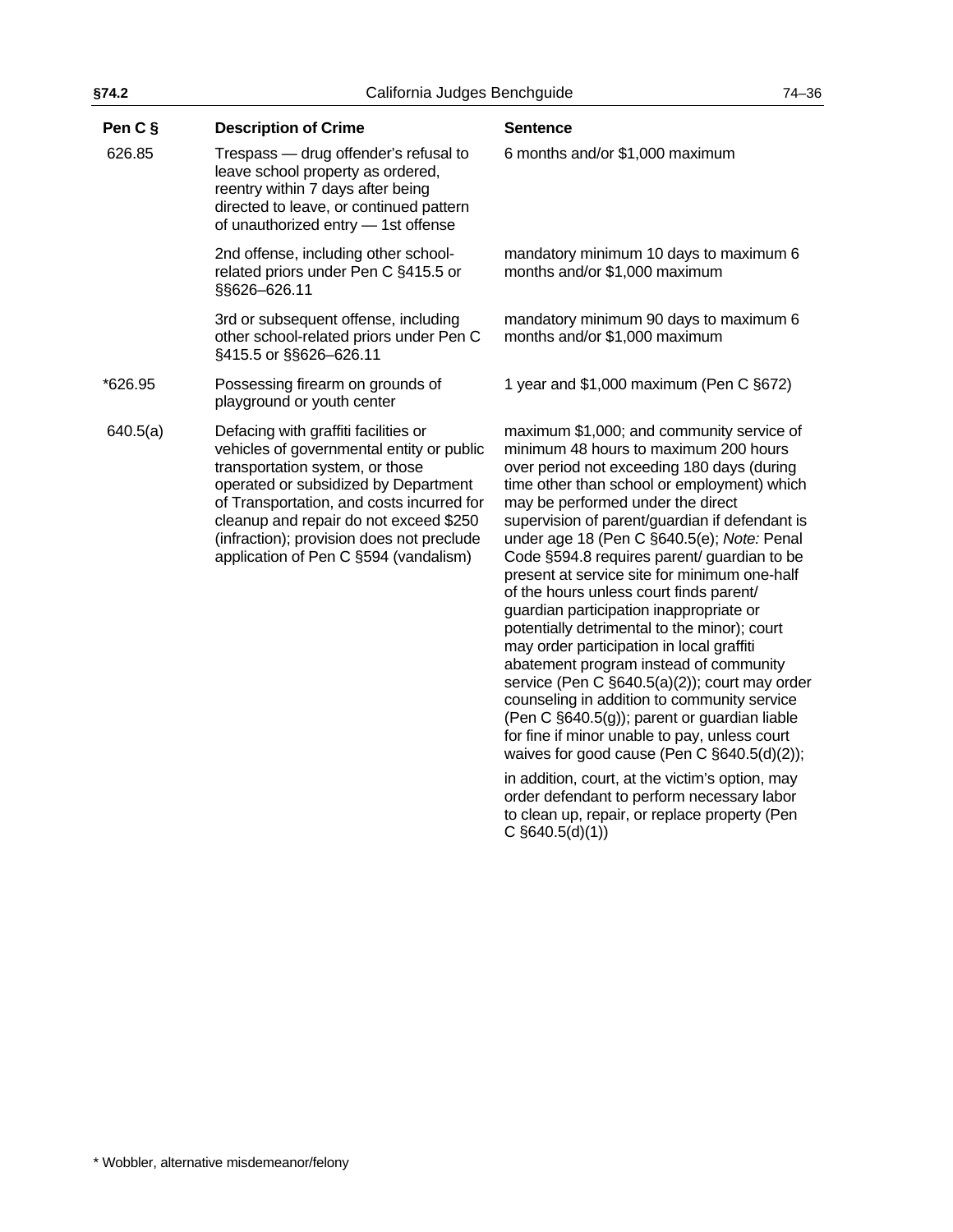| §74.2    | California Judges Benchguide                                                                                                                                                                                                                                                                                                              |                                                                                                                                                                                                                                                                                                                                                                                                                                                                                                                                                                                                        | $74 - 36$ |
|----------|-------------------------------------------------------------------------------------------------------------------------------------------------------------------------------------------------------------------------------------------------------------------------------------------------------------------------------------------|--------------------------------------------------------------------------------------------------------------------------------------------------------------------------------------------------------------------------------------------------------------------------------------------------------------------------------------------------------------------------------------------------------------------------------------------------------------------------------------------------------------------------------------------------------------------------------------------------------|-----------|
| Pen C §  | <b>Description of Crime</b>                                                                                                                                                                                                                                                                                                               | <b>Sentence</b>                                                                                                                                                                                                                                                                                                                                                                                                                                                                                                                                                                                        |           |
| 626.85   | Trespass - drug offender's refusal to<br>leave school property as ordered,<br>reentry within 7 days after being<br>directed to leave, or continued pattern<br>of unauthorized entry - 1st offense                                                                                                                                         | 6 months and/or \$1,000 maximum                                                                                                                                                                                                                                                                                                                                                                                                                                                                                                                                                                        |           |
|          | 2nd offense, including other school-<br>related priors under Pen C §415.5 or<br>§§626-626.11                                                                                                                                                                                                                                              | mandatory minimum 10 days to maximum 6<br>months and/or \$1,000 maximum                                                                                                                                                                                                                                                                                                                                                                                                                                                                                                                                |           |
|          | 3rd or subsequent offense, including<br>other school-related priors under Pen C<br>§415.5 or §§626-626.11                                                                                                                                                                                                                                 | mandatory minimum 90 days to maximum 6<br>months and/or \$1,000 maximum                                                                                                                                                                                                                                                                                                                                                                                                                                                                                                                                |           |
| *626.95  | Possessing firearm on grounds of<br>playground or youth center                                                                                                                                                                                                                                                                            | 1 year and \$1,000 maximum (Pen C §672)                                                                                                                                                                                                                                                                                                                                                                                                                                                                                                                                                                |           |
| 640.5(a) | Defacing with graffiti facilities or<br>vehicles of governmental entity or public<br>transportation system, or those<br>operated or subsidized by Department<br>of Transportation, and costs incurred for<br>cleanup and repair do not exceed \$250<br>(infraction); provision does not preclude<br>application of Pen C §594 (vandalism) | maximum \$1,000; and community service of<br>minimum 48 hours to maximum 200 hours<br>over period not exceeding 180 days (during<br>time other than school or employment) which<br>may be performed under the direct<br>supervision of parent/guardian if defendant is<br>under age 18 (Pen C §640.5(e); Note: Penal<br>Code §594.8 requires parent/ guardian to be<br>present at service site for minimum one-half<br>of the hours unless court finds parent/<br>guardian participation inappropriate or<br>potentially detrimental to the minor); court<br>may order participation in local graffiti |           |

abatement program instead of community service (Pen C §640.5(a)(2)); court may order counseling in addition to community service (Pen C §640.5(g)); parent or guardian liable for fine if minor unable to pay, unless court waives for good cause (Pen C §640.5(d)(2)); in addition, court, at the victim's option, may order defendant to perform necessary labor to clean up, repair, or replace property (Pen

C §640.5(d)(1))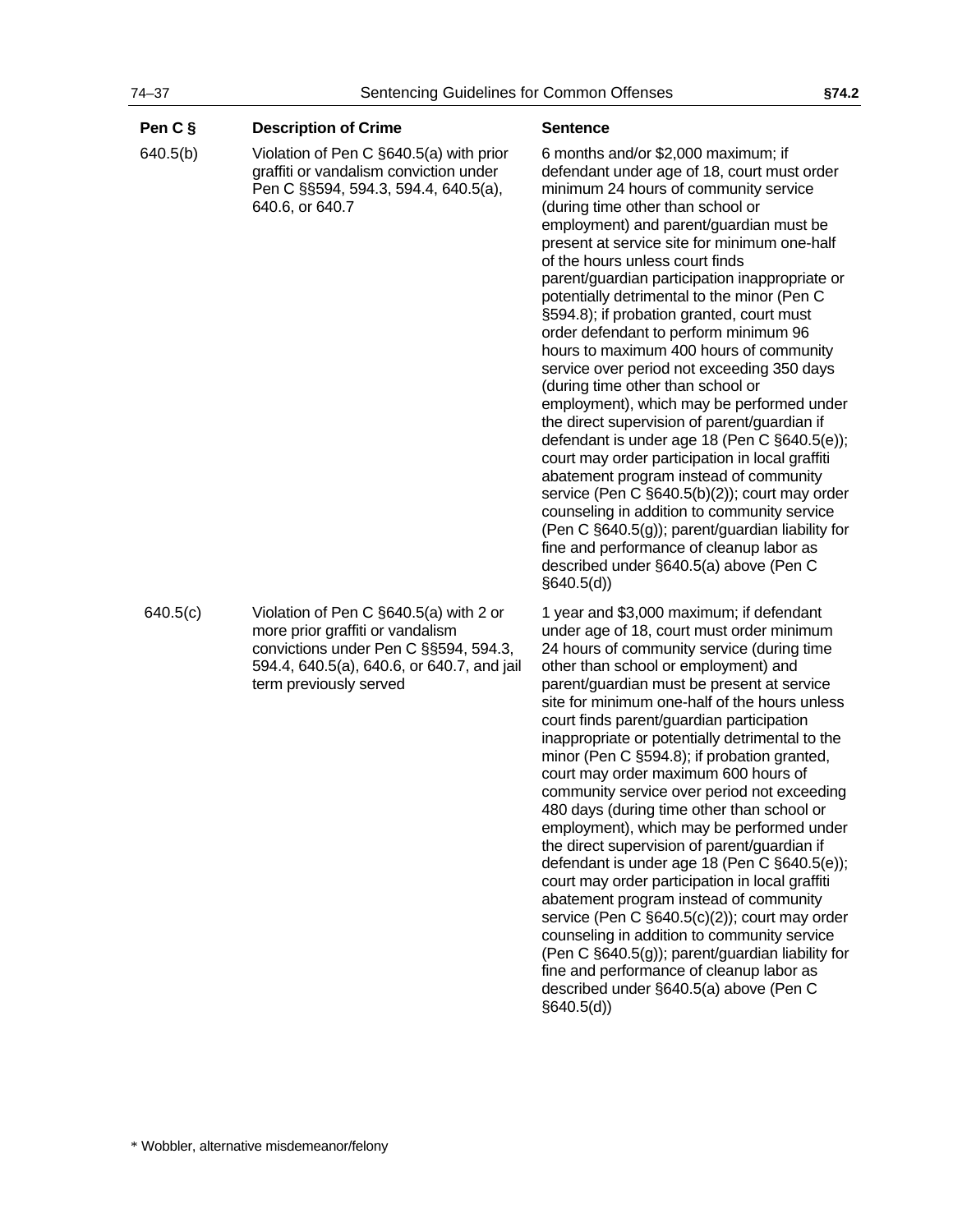| Pen C §  | <b>Description of Crime</b>                                                                                                                                                                 | <b>Sentence</b>                                                                                                                                                                                                                                                                                                                                                                                                                                                                                                                                                                                                                                                                                                                                                                                                                                                                                                                                                                                                                                                                                                      |
|----------|---------------------------------------------------------------------------------------------------------------------------------------------------------------------------------------------|----------------------------------------------------------------------------------------------------------------------------------------------------------------------------------------------------------------------------------------------------------------------------------------------------------------------------------------------------------------------------------------------------------------------------------------------------------------------------------------------------------------------------------------------------------------------------------------------------------------------------------------------------------------------------------------------------------------------------------------------------------------------------------------------------------------------------------------------------------------------------------------------------------------------------------------------------------------------------------------------------------------------------------------------------------------------------------------------------------------------|
| 640.5(b) | Violation of Pen C §640.5(a) with prior<br>graffiti or vandalism conviction under<br>Pen C §§594, 594.3, 594.4, 640.5(a),<br>640.6, or 640.7                                                | 6 months and/or \$2,000 maximum; if<br>defendant under age of 18, court must order<br>minimum 24 hours of community service<br>(during time other than school or<br>employment) and parent/guardian must be<br>present at service site for minimum one-half<br>of the hours unless court finds<br>parent/guardian participation inappropriate or<br>potentially detrimental to the minor (Pen C<br>§594.8); if probation granted, court must<br>order defendant to perform minimum 96<br>hours to maximum 400 hours of community<br>service over period not exceeding 350 days<br>(during time other than school or<br>employment), which may be performed under<br>the direct supervision of parent/guardian if<br>defendant is under age 18 (Pen C §640.5(e));<br>court may order participation in local graffiti<br>abatement program instead of community<br>service (Pen C §640.5(b)(2)); court may order<br>counseling in addition to community service<br>(Pen C §640.5(g)); parent/guardian liability for<br>fine and performance of cleanup labor as<br>described under §640.5(a) above (Pen C<br>§640.5(d) |
| 640.5(c) | Violation of Pen C §640.5(a) with 2 or<br>more prior graffiti or vandalism<br>convictions under Pen C §§594, 594.3,<br>594.4, 640.5(a), 640.6, or 640.7, and jail<br>term previously served | 1 year and \$3,000 maximum; if defendant<br>under age of 18, court must order minimum<br>24 hours of community service (during time<br>other than school or employment) and<br>parent/guardian must be present at service<br>site for minimum one-half of the hours unless<br>court finds parent/guardian participation<br>inappropriate or potentially detrimental to the<br>minor (Pen C §594.8); if probation granted,<br>court may order maximum 600 hours of<br>community service over period not exceeding<br>480 days (during time other than school or<br>employment), which may be performed under<br>the direct supervision of parent/guardian if<br>defendant is under age 18 (Pen C §640.5(e));<br>court may order participation in local graffiti<br>abatement program instead of community<br>service (Pen C §640.5(c)(2)); court may order<br>counseling in addition to community service<br>(Pen C §640.5(g)); parent/guardian liability for<br>fine and performance of cleanup labor as<br>described under §640.5(a) above (Pen C<br>§640.5(d))                                                     |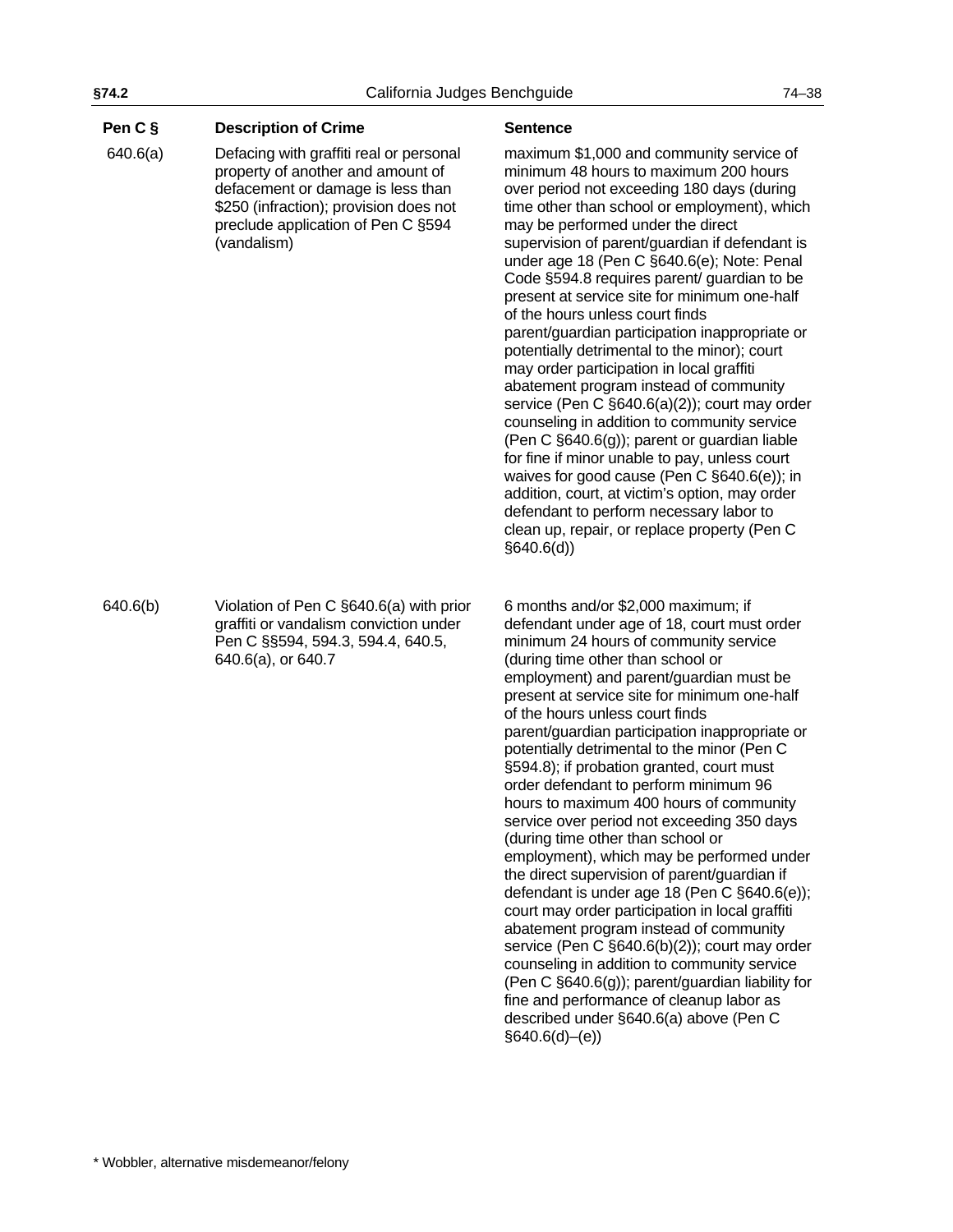# **Pen C § Description of Crime <b>Sentence Sentence**

 640.6(a) Defacing with graffiti real or personal property of another and amount of defacement or damage is less than \$250 (infraction); provision does not preclude application of Pen C §594 (vandalism)

maximum \$1,000 and community service of minimum 48 hours to maximum 200 hours over period not exceeding 180 days (during time other than school or employment), which may be performed under the direct supervision of parent/guardian if defendant is under age 18 (Pen C §640.6(e); Note: Penal Code §594.8 requires parent/ guardian to be present at service site for minimum one-half of the hours unless court finds parent/guardian participation inappropriate or potentially detrimental to the minor); court may order participation in local graffiti abatement program instead of community service (Pen C §640.6(a)(2)); court may order counseling in addition to community service (Pen C §640.6(g)); parent or guardian liable for fine if minor unable to pay, unless court waives for good cause (Pen C §640.6(e)); in addition, court, at victim's option, may order defendant to perform necessary labor to clean up, repair, or replace property (Pen C §640.6(d))

6 months and/or \$2,000 maximum; if defendant under age of 18, court must order minimum 24 hours of community service (during time other than school or employment) and parent/guardian must be present at service site for minimum one-half of the hours unless court finds parent/guardian participation inappropriate or potentially detrimental to the minor (Pen C §594.8); if probation granted, court must order defendant to perform minimum 96 hours to maximum 400 hours of community service over period not exceeding 350 days (during time other than school or employment), which may be performed under the direct supervision of parent/guardian if defendant is under age 18 (Pen C §640.6(e)); court may order participation in local graffiti abatement program instead of community service (Pen C §640.6(b)(2)); court may order counseling in addition to community service (Pen C §640.6(g)); parent/guardian liability for fine and performance of cleanup labor as described under §640.6(a) above (Pen C  $§640.6(d)–(e)$ 

640.6(b) Violation of Pen C §640.6(a) with prior graffiti or vandalism conviction under Pen C §§594, 594.3, 594.4, 640.5, 640.6(a), or 640.7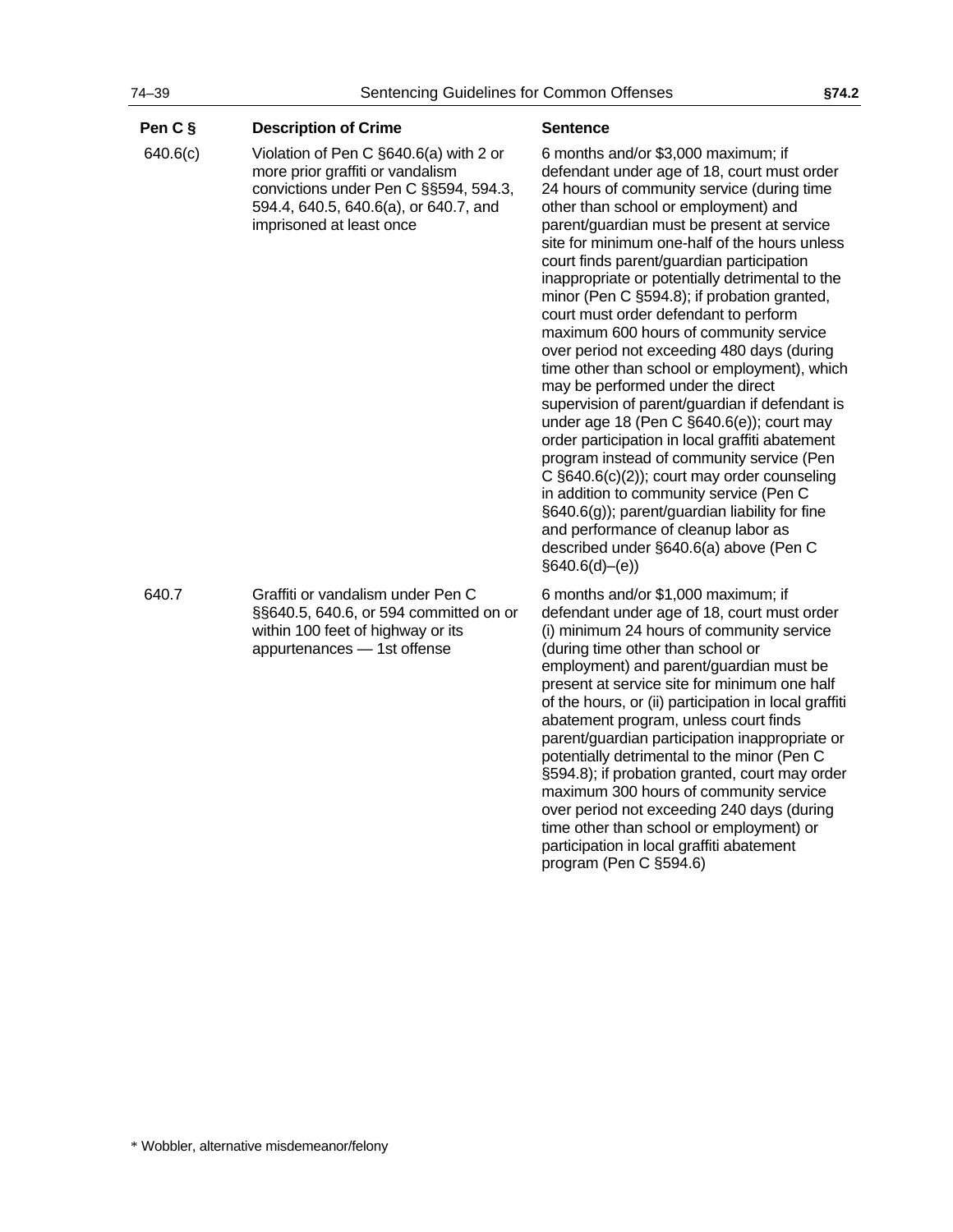| Pen C §  | <b>Description of Crime</b>                                                                                                                                                              | <b>Sentence</b>                                                                                                                                                                                                                                                                                                                                                                                                                                                                                                                                                                                                                                                                                                                                                                                                                                                                                                                                                                                                                                                                             |
|----------|------------------------------------------------------------------------------------------------------------------------------------------------------------------------------------------|---------------------------------------------------------------------------------------------------------------------------------------------------------------------------------------------------------------------------------------------------------------------------------------------------------------------------------------------------------------------------------------------------------------------------------------------------------------------------------------------------------------------------------------------------------------------------------------------------------------------------------------------------------------------------------------------------------------------------------------------------------------------------------------------------------------------------------------------------------------------------------------------------------------------------------------------------------------------------------------------------------------------------------------------------------------------------------------------|
| 640.6(c) | Violation of Pen C §640.6(a) with 2 or<br>more prior graffiti or vandalism<br>convictions under Pen C §§594, 594.3,<br>594.4, 640.5, 640.6(a), or 640.7, and<br>imprisoned at least once | 6 months and/or \$3,000 maximum; if<br>defendant under age of 18, court must order<br>24 hours of community service (during time<br>other than school or employment) and<br>parent/guardian must be present at service<br>site for minimum one-half of the hours unless<br>court finds parent/guardian participation<br>inappropriate or potentially detrimental to the<br>minor (Pen C §594.8); if probation granted,<br>court must order defendant to perform<br>maximum 600 hours of community service<br>over period not exceeding 480 days (during<br>time other than school or employment), which<br>may be performed under the direct<br>supervision of parent/guardian if defendant is<br>under age 18 (Pen C §640.6(e)); court may<br>order participation in local graffiti abatement<br>program instead of community service (Pen<br>C $§640.6(c)(2)$ ; court may order counseling<br>in addition to community service (Pen C<br>§640.6(g)); parent/guardian liability for fine<br>and performance of cleanup labor as<br>described under §640.6(a) above (Pen C<br>§640.6(d)–(e) |
| 640.7    | Graffiti or vandalism under Pen C<br>§§640.5, 640.6, or 594 committed on or<br>within 100 feet of highway or its<br>appurtenances - 1st offense                                          | 6 months and/or \$1,000 maximum; if<br>defendant under age of 18, court must order<br>(i) minimum 24 hours of community service<br>(during time other than school or<br>employment) and parent/guardian must be<br>present at service site for minimum one half<br>of the hours, or (ii) participation in local graffiti<br>abatement program, unless court finds<br>parent/guardian participation inappropriate or<br>potentially detrimental to the minor (Pen C<br>§594.8); if probation granted, court may order<br>maximum 300 hours of community service<br>over period not exceeding 240 days (during<br>time other than school or employment) or<br>participation in local graffiti abatement<br>program (Pen C §594.6)                                                                                                                                                                                                                                                                                                                                                             |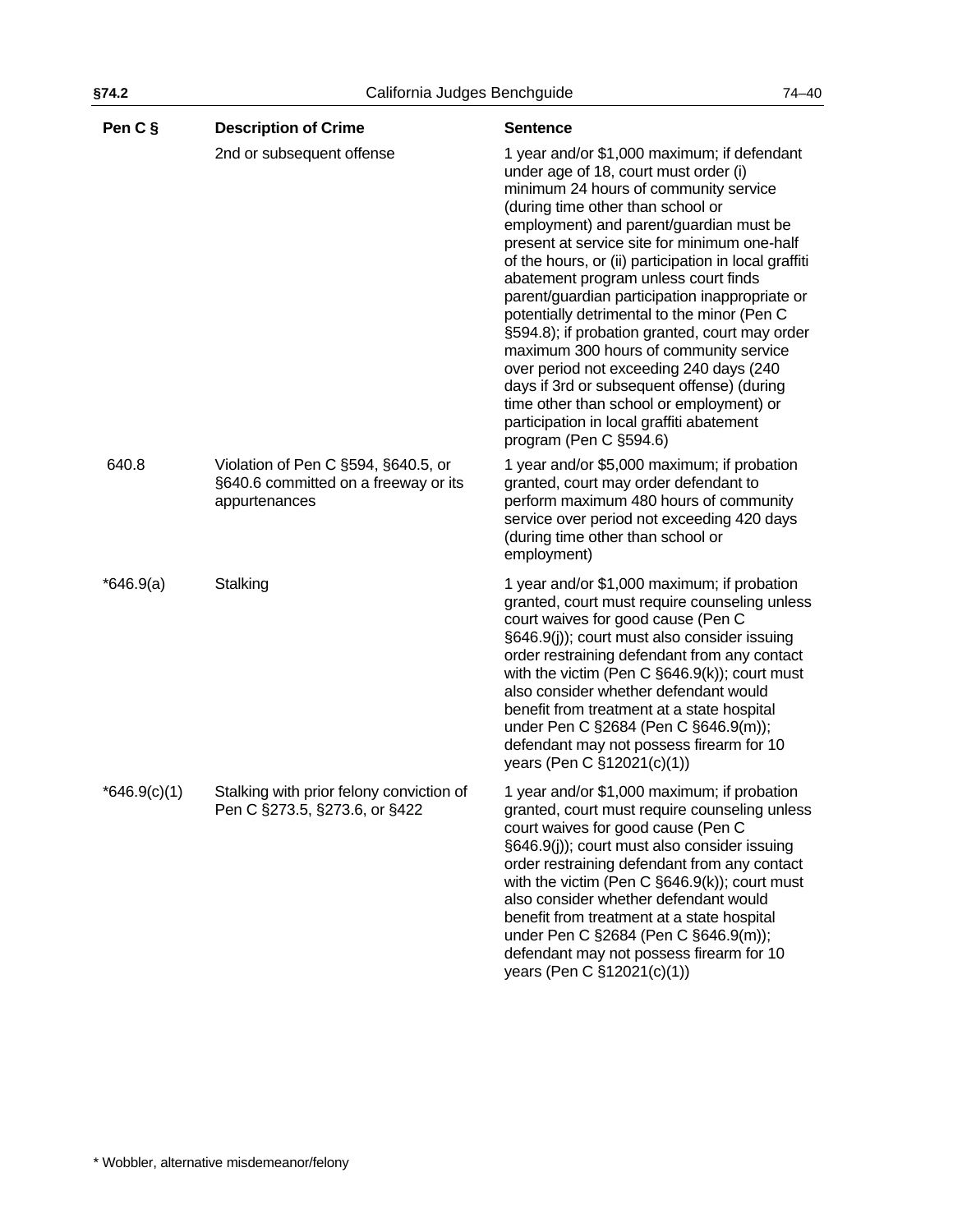| Pen C §        | <b>Description of Crime</b>                                                                  | <b>Sentence</b>                                                                                                                                                                                                                                                                                                                                                                                                                                                                                                                                                                                                                                                                                                                                                         |
|----------------|----------------------------------------------------------------------------------------------|-------------------------------------------------------------------------------------------------------------------------------------------------------------------------------------------------------------------------------------------------------------------------------------------------------------------------------------------------------------------------------------------------------------------------------------------------------------------------------------------------------------------------------------------------------------------------------------------------------------------------------------------------------------------------------------------------------------------------------------------------------------------------|
|                | 2nd or subsequent offense                                                                    | 1 year and/or \$1,000 maximum; if defendant<br>under age of 18, court must order (i)<br>minimum 24 hours of community service<br>(during time other than school or<br>employment) and parent/guardian must be<br>present at service site for minimum one-half<br>of the hours, or (ii) participation in local graffiti<br>abatement program unless court finds<br>parent/guardian participation inappropriate or<br>potentially detrimental to the minor (Pen C<br>§594.8); if probation granted, court may order<br>maximum 300 hours of community service<br>over period not exceeding 240 days (240<br>days if 3rd or subsequent offense) (during<br>time other than school or employment) or<br>participation in local graffiti abatement<br>program (Pen C §594.6) |
| 640.8          | Violation of Pen C §594, §640.5, or<br>§640.6 committed on a freeway or its<br>appurtenances | 1 year and/or \$5,000 maximum; if probation<br>granted, court may order defendant to<br>perform maximum 480 hours of community<br>service over period not exceeding 420 days<br>(during time other than school or<br>employment)                                                                                                                                                                                                                                                                                                                                                                                                                                                                                                                                        |
| $*646.9(a)$    | Stalking                                                                                     | 1 year and/or \$1,000 maximum; if probation<br>granted, court must require counseling unless<br>court waives for good cause (Pen C<br>§646.9(j)); court must also consider issuing<br>order restraining defendant from any contact<br>with the victim (Pen C $\S$ 646.9(k)); court must<br>also consider whether defendant would<br>benefit from treatment at a state hospital<br>under Pen C §2684 (Pen C §646.9(m));<br>defendant may not possess firearm for 10<br>years (Pen C §12021(c)(1))                                                                                                                                                                                                                                                                        |
| $*646.9(c)(1)$ | Stalking with prior felony conviction of<br>Pen C §273.5, §273.6, or §422                    | 1 year and/or \$1,000 maximum; if probation<br>granted, court must require counseling unless<br>court waives for good cause (Pen C<br>§646.9(j)); court must also consider issuing<br>order restraining defendant from any contact<br>with the victim (Pen C $\S646.9(k)$ ); court must<br>also consider whether defendant would<br>benefit from treatment at a state hospital<br>under Pen C §2684 (Pen C §646.9(m));<br>defendant may not possess firearm for 10<br>years (Pen C §12021(c)(1))                                                                                                                                                                                                                                                                        |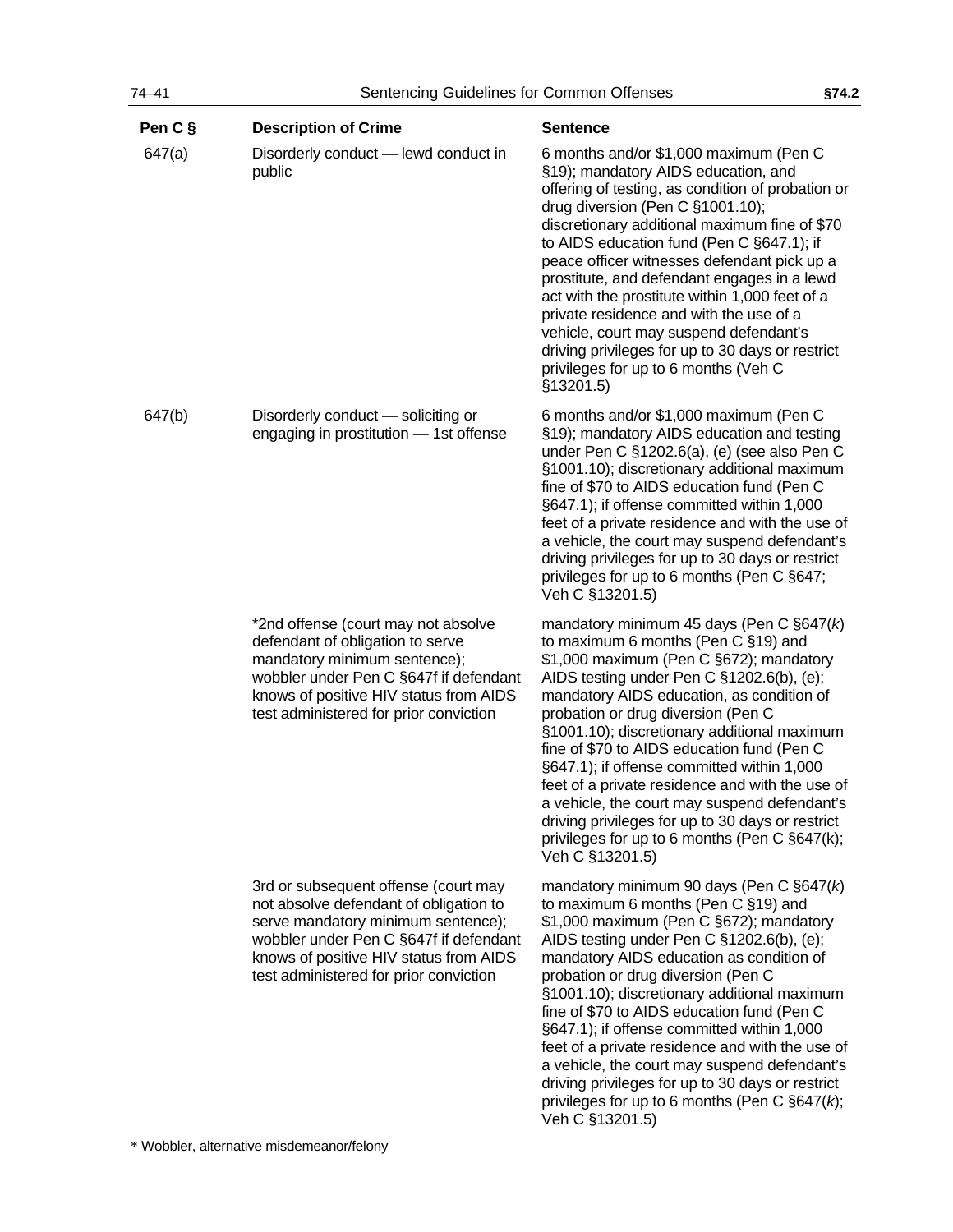| Pen C § | <b>Description of Crime</b>                                                                                                                                                                                                                        | <b>Sentence</b>                                                                                                                                                                                                                                                                                                                                                                                                                                                                                                                                                                                                                        |
|---------|----------------------------------------------------------------------------------------------------------------------------------------------------------------------------------------------------------------------------------------------------|----------------------------------------------------------------------------------------------------------------------------------------------------------------------------------------------------------------------------------------------------------------------------------------------------------------------------------------------------------------------------------------------------------------------------------------------------------------------------------------------------------------------------------------------------------------------------------------------------------------------------------------|
| 647(a)  | Disorderly conduct - lewd conduct in<br>public                                                                                                                                                                                                     | 6 months and/or \$1,000 maximum (Pen C<br>§19); mandatory AIDS education, and<br>offering of testing, as condition of probation or<br>drug diversion (Pen C §1001.10);<br>discretionary additional maximum fine of \$70<br>to AIDS education fund (Pen C §647.1); if<br>peace officer witnesses defendant pick up a<br>prostitute, and defendant engages in a lewd<br>act with the prostitute within 1,000 feet of a<br>private residence and with the use of a<br>vehicle, court may suspend defendant's<br>driving privileges for up to 30 days or restrict<br>privileges for up to 6 months (Veh C<br>§13201.5)                     |
| 647(b)  | Disorderly conduct - soliciting or<br>engaging in prostitution - 1st offense                                                                                                                                                                       | 6 months and/or \$1,000 maximum (Pen C<br>§19); mandatory AIDS education and testing<br>under Pen C §1202.6(a), (e) (see also Pen C<br>§1001.10); discretionary additional maximum<br>fine of \$70 to AIDS education fund (Pen C<br>§647.1); if offense committed within 1,000<br>feet of a private residence and with the use of<br>a vehicle, the court may suspend defendant's<br>driving privileges for up to 30 days or restrict<br>privileges for up to 6 months (Pen C §647;<br>Veh C §13201.5)                                                                                                                                 |
|         | *2nd offense (court may not absolve<br>defendant of obligation to serve<br>mandatory minimum sentence);<br>wobbler under Pen C §647f if defendant<br>knows of positive HIV status from AIDS<br>test administered for prior conviction              | mandatory minimum 45 days (Pen C $\S647(k)$<br>to maximum 6 months (Pen C §19) and<br>\$1,000 maximum (Pen C §672); mandatory<br>AIDS testing under Pen C §1202.6(b), (e);<br>mandatory AIDS education, as condition of<br>probation or drug diversion (Pen C<br>§1001.10); discretionary additional maximum<br>fine of \$70 to AIDS education fund (Pen C<br>§647.1); if offense committed within 1,000<br>feet of a private residence and with the use of<br>a vehicle, the court may suspend defendant's<br>driving privileges for up to 30 days or restrict<br>privileges for up to 6 months (Pen C §647(k);<br>Veh C §13201.5)    |
|         | 3rd or subsequent offense (court may<br>not absolve defendant of obligation to<br>serve mandatory minimum sentence);<br>wobbler under Pen C §647f if defendant<br>knows of positive HIV status from AIDS<br>test administered for prior conviction | mandatory minimum 90 days (Pen C $\S647(k)$<br>to maximum 6 months (Pen C §19) and<br>\$1,000 maximum (Pen C §672); mandatory<br>AIDS testing under Pen C §1202.6(b), (e);<br>mandatory AIDS education as condition of<br>probation or drug diversion (Pen C<br>§1001.10); discretionary additional maximum<br>fine of \$70 to AIDS education fund (Pen C<br>§647.1); if offense committed within 1,000<br>feet of a private residence and with the use of<br>a vehicle, the court may suspend defendant's<br>driving privileges for up to 30 days or restrict<br>privileges for up to 6 months (Pen C $\S647(k)$ ;<br>Veh C §13201.5) |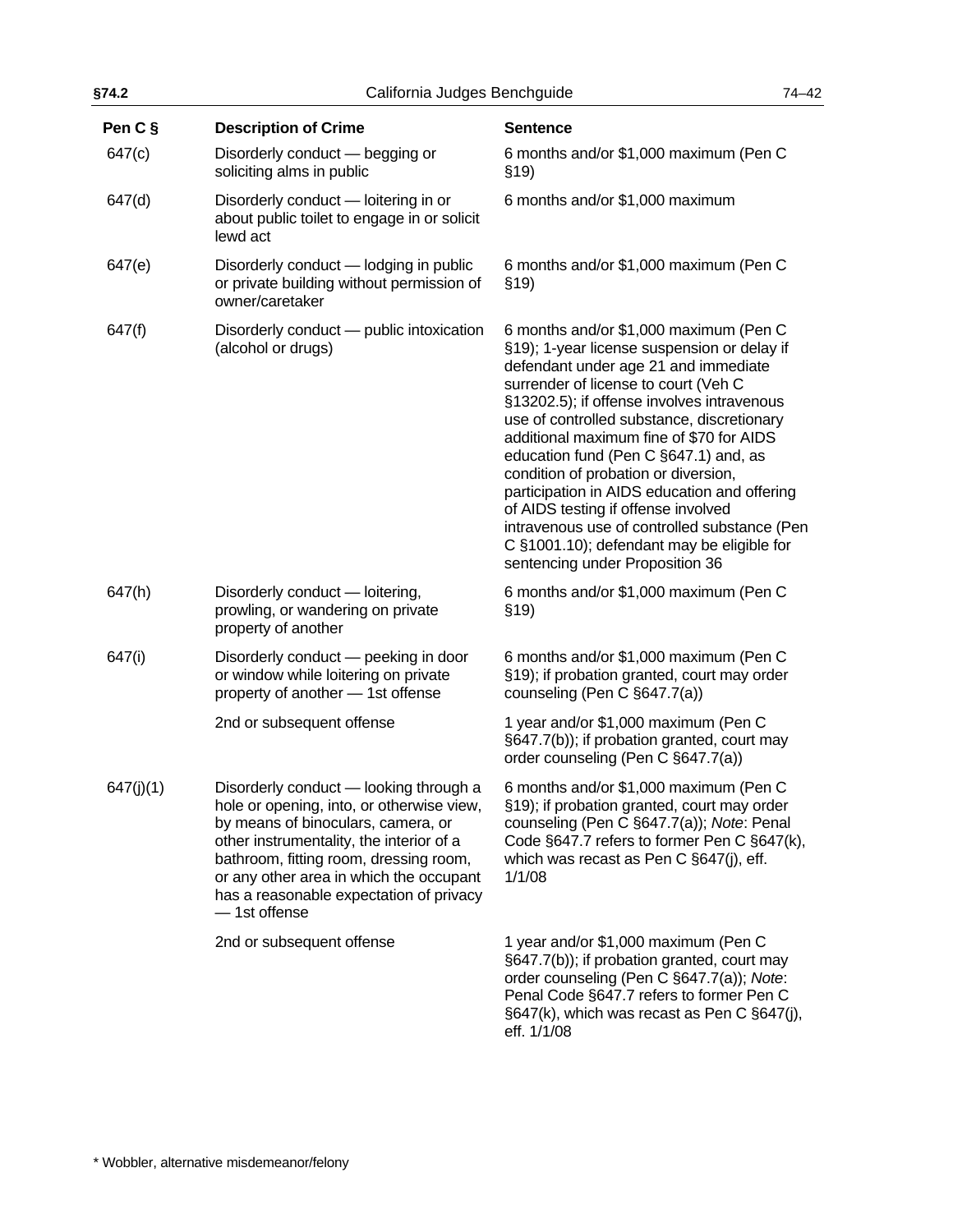| §74.2<br>California Judges Benchguide |                                                                                                                                                                                                                                                                                                                        |                                                                                                                                                                                                                                                                                                                                                                                                                                                                                                                                                                                                                        | $74 - 42$ |
|---------------------------------------|------------------------------------------------------------------------------------------------------------------------------------------------------------------------------------------------------------------------------------------------------------------------------------------------------------------------|------------------------------------------------------------------------------------------------------------------------------------------------------------------------------------------------------------------------------------------------------------------------------------------------------------------------------------------------------------------------------------------------------------------------------------------------------------------------------------------------------------------------------------------------------------------------------------------------------------------------|-----------|
| Pen C §                               | <b>Description of Crime</b>                                                                                                                                                                                                                                                                                            | <b>Sentence</b>                                                                                                                                                                                                                                                                                                                                                                                                                                                                                                                                                                                                        |           |
| 647(c)                                | Disorderly conduct - begging or<br>soliciting alms in public                                                                                                                                                                                                                                                           | 6 months and/or \$1,000 maximum (Pen C<br>\$19)                                                                                                                                                                                                                                                                                                                                                                                                                                                                                                                                                                        |           |
| 647(d)                                | Disorderly conduct - loitering in or<br>about public toilet to engage in or solicit<br>lewd act                                                                                                                                                                                                                        | 6 months and/or \$1,000 maximum                                                                                                                                                                                                                                                                                                                                                                                                                                                                                                                                                                                        |           |
| 647(e)                                | Disorderly conduct - lodging in public<br>or private building without permission of<br>owner/caretaker                                                                                                                                                                                                                 | 6 months and/or \$1,000 maximum (Pen C<br>\$19)                                                                                                                                                                                                                                                                                                                                                                                                                                                                                                                                                                        |           |
| 647(f)                                | Disorderly conduct - public intoxication<br>(alcohol or drugs)                                                                                                                                                                                                                                                         | 6 months and/or \$1,000 maximum (Pen C<br>§19); 1-year license suspension or delay if<br>defendant under age 21 and immediate<br>surrender of license to court (Veh C<br>§13202.5); if offense involves intravenous<br>use of controlled substance, discretionary<br>additional maximum fine of \$70 for AIDS<br>education fund (Pen C §647.1) and, as<br>condition of probation or diversion,<br>participation in AIDS education and offering<br>of AIDS testing if offense involved<br>intravenous use of controlled substance (Pen<br>C §1001.10); defendant may be eligible for<br>sentencing under Proposition 36 |           |
| 647(h)                                | Disorderly conduct - loitering,<br>prowling, or wandering on private<br>property of another                                                                                                                                                                                                                            | 6 months and/or \$1,000 maximum (Pen C<br>\$19)                                                                                                                                                                                                                                                                                                                                                                                                                                                                                                                                                                        |           |
| 647(i)                                | Disorderly conduct - peeking in door<br>or window while loitering on private<br>property of another - 1st offense                                                                                                                                                                                                      | 6 months and/or \$1,000 maximum (Pen C<br>§19); if probation granted, court may order<br>counseling (Pen C §647.7(a))                                                                                                                                                                                                                                                                                                                                                                                                                                                                                                  |           |
|                                       | 2nd or subsequent offense                                                                                                                                                                                                                                                                                              | 1 year and/or \$1,000 maximum (Pen C<br>§647.7(b)); if probation granted, court may<br>order counseling (Pen C §647.7(a))                                                                                                                                                                                                                                                                                                                                                                                                                                                                                              |           |
| 647(j)(1)                             | Disorderly conduct - looking through a<br>hole or opening, into, or otherwise view,<br>by means of binoculars, camera, or<br>other instrumentality, the interior of a<br>bathroom, fitting room, dressing room,<br>or any other area in which the occupant<br>has a reasonable expectation of privacy<br>- 1st offense | 6 months and/or \$1,000 maximum (Pen C<br>§19); if probation granted, court may order<br>counseling (Pen C §647.7(a)); Note: Penal<br>Code §647.7 refers to former Pen C §647(k),<br>which was recast as Pen C §647(j), eff.<br>1/1/08                                                                                                                                                                                                                                                                                                                                                                                 |           |
|                                       | 2nd or subsequent offense                                                                                                                                                                                                                                                                                              | 1 year and/or \$1,000 maximum (Pen C<br>§647.7(b)); if probation granted, court may<br>order counseling (Pen C §647.7(a)); Note:<br>Penal Code §647.7 refers to former Pen C<br>§647(k), which was recast as Pen C §647(j),<br>eff. 1/1/08                                                                                                                                                                                                                                                                                                                                                                             |           |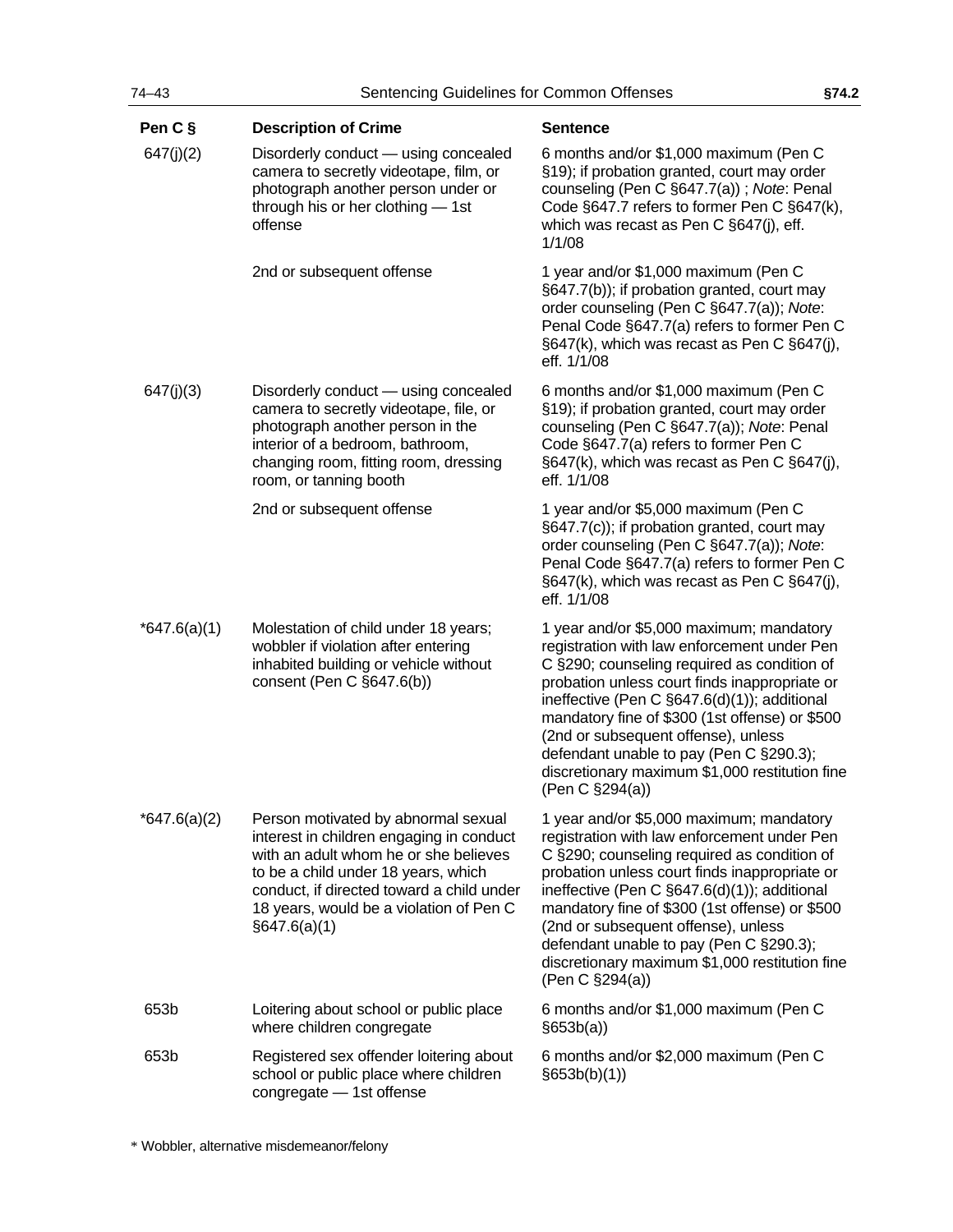| Pen C §        | <b>Description of Crime</b>                                                                                                                                                                                                                                             | <b>Sentence</b>                                                                                                                                                                                                                                                                                                                                                                                                                                  |
|----------------|-------------------------------------------------------------------------------------------------------------------------------------------------------------------------------------------------------------------------------------------------------------------------|--------------------------------------------------------------------------------------------------------------------------------------------------------------------------------------------------------------------------------------------------------------------------------------------------------------------------------------------------------------------------------------------------------------------------------------------------|
| 647(j)(2)      | Disorderly conduct - using concealed<br>camera to secretly videotape, film, or<br>photograph another person under or<br>through his or her clothing - 1st<br>offense                                                                                                    | 6 months and/or \$1,000 maximum (Pen C<br>§19); if probation granted, court may order<br>counseling (Pen C §647.7(a)); Note: Penal<br>Code §647.7 refers to former Pen C §647(k),<br>which was recast as Pen C §647(j), eff.<br>1/1/08                                                                                                                                                                                                           |
|                | 2nd or subsequent offense                                                                                                                                                                                                                                               | 1 year and/or \$1,000 maximum (Pen C<br>§647.7(b)); if probation granted, court may<br>order counseling (Pen C §647.7(a)); Note:<br>Penal Code §647.7(a) refers to former Pen C<br>§647(k), which was recast as Pen C §647(j),<br>eff. 1/1/08                                                                                                                                                                                                    |
| 647(j)(3)      | Disorderly conduct — using concealed<br>camera to secretly videotape, file, or<br>photograph another person in the<br>interior of a bedroom, bathroom,<br>changing room, fitting room, dressing<br>room, or tanning booth                                               | 6 months and/or \$1,000 maximum (Pen C<br>§19); if probation granted, court may order<br>counseling (Pen C §647.7(a)); Note: Penal<br>Code §647.7(a) refers to former Pen C<br>§647(k), which was recast as Pen C §647(j),<br>eff. 1/1/08                                                                                                                                                                                                        |
|                | 2nd or subsequent offense                                                                                                                                                                                                                                               | 1 year and/or \$5,000 maximum (Pen C<br>§647.7(c)); if probation granted, court may<br>order counseling (Pen C §647.7(a)); Note:<br>Penal Code §647.7(a) refers to former Pen C<br>§647(k), which was recast as Pen C §647(j),<br>eff. 1/1/08                                                                                                                                                                                                    |
| *647.6(a)(1)   | Molestation of child under 18 years;<br>wobbler if violation after entering<br>inhabited building or vehicle without<br>consent (Pen C §647.6(b))                                                                                                                       | 1 year and/or \$5,000 maximum; mandatory<br>registration with law enforcement under Pen<br>C §290; counseling required as condition of<br>probation unless court finds inappropriate or<br>ineffective (Pen C §647.6(d)(1)); additional<br>mandatory fine of \$300 (1st offense) or \$500<br>(2nd or subsequent offense), unless<br>defendant unable to pay (Pen C §290.3);<br>discretionary maximum \$1,000 restitution fine<br>(Pen C §294(a)) |
| $*647.6(a)(2)$ | Person motivated by abnormal sexual<br>interest in children engaging in conduct<br>with an adult whom he or she believes<br>to be a child under 18 years, which<br>conduct, if directed toward a child under<br>18 years, would be a violation of Pen C<br>§647.6(a)(1) | 1 year and/or \$5,000 maximum; mandatory<br>registration with law enforcement under Pen<br>C §290; counseling required as condition of<br>probation unless court finds inappropriate or<br>ineffective (Pen C §647.6(d)(1)); additional<br>mandatory fine of \$300 (1st offense) or \$500<br>(2nd or subsequent offense), unless<br>defendant unable to pay (Pen C §290.3);<br>discretionary maximum \$1,000 restitution fine<br>(Pen C §294(a)) |
| 653b           | Loitering about school or public place<br>where children congregate                                                                                                                                                                                                     | 6 months and/or \$1,000 maximum (Pen C<br>§653b(a)                                                                                                                                                                                                                                                                                                                                                                                               |
| 653b           | Registered sex offender loitering about<br>school or public place where children<br>congregate - 1st offense                                                                                                                                                            | 6 months and/or \$2,000 maximum (Pen C<br>§653b(b)(1))                                                                                                                                                                                                                                                                                                                                                                                           |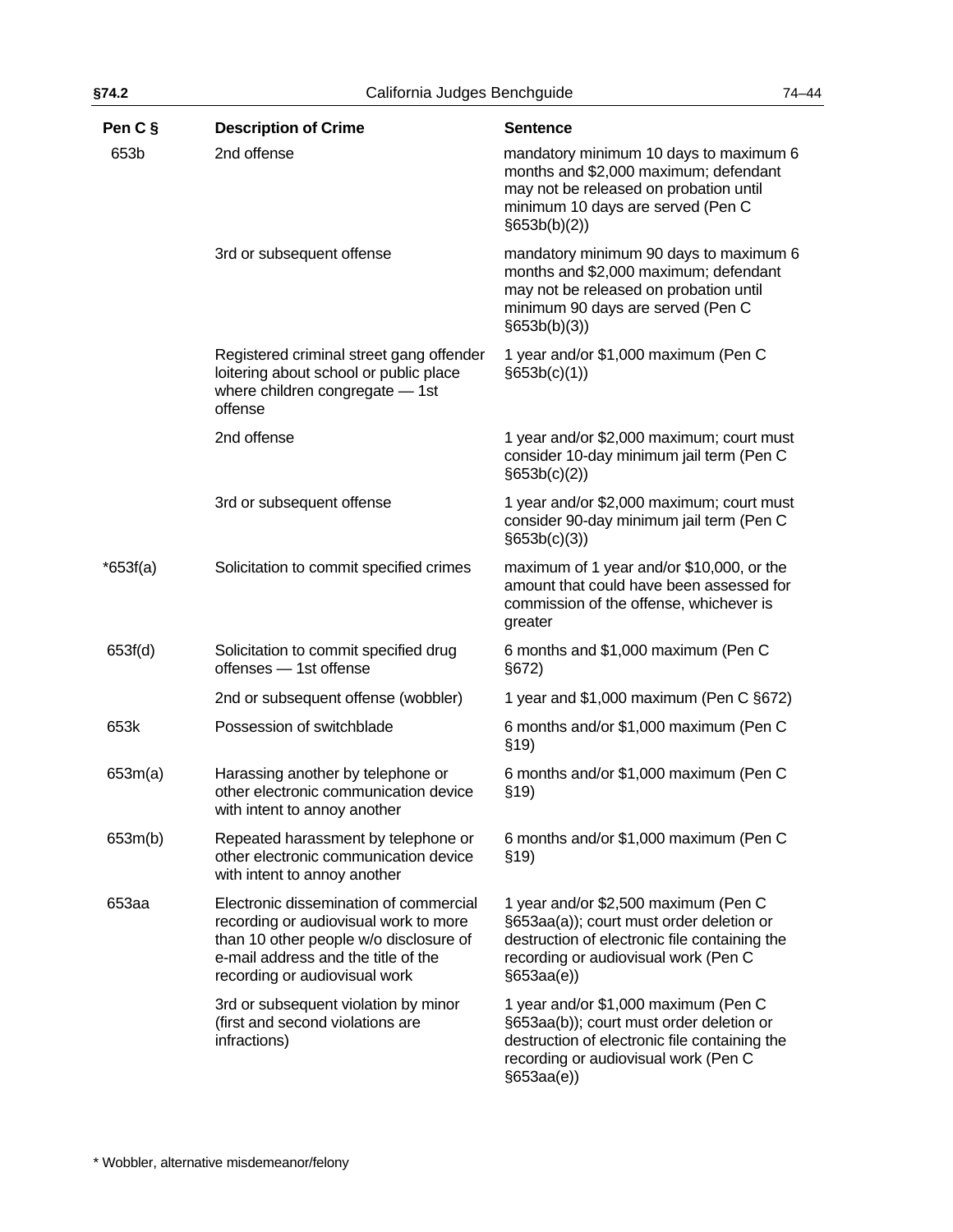| §74.2      | California Judges Benchguide                                                                                                                                                                      |                                                                                                                                                                                        | $74 - 44$ |
|------------|---------------------------------------------------------------------------------------------------------------------------------------------------------------------------------------------------|----------------------------------------------------------------------------------------------------------------------------------------------------------------------------------------|-----------|
| Pen C §    | <b>Description of Crime</b>                                                                                                                                                                       | <b>Sentence</b>                                                                                                                                                                        |           |
| 653b       | 2nd offense                                                                                                                                                                                       | mandatory minimum 10 days to maximum 6<br>months and \$2,000 maximum; defendant<br>may not be released on probation until<br>minimum 10 days are served (Pen C<br>§653b(b)(2))         |           |
|            | 3rd or subsequent offense                                                                                                                                                                         | mandatory minimum 90 days to maximum 6<br>months and \$2,000 maximum; defendant<br>may not be released on probation until<br>minimum 90 days are served (Pen C<br>§653b(b)(3))         |           |
|            | Registered criminal street gang offender<br>loitering about school or public place<br>where children congregate - 1st<br>offense                                                                  | 1 year and/or \$1,000 maximum (Pen C<br>§653b(c)(1))                                                                                                                                   |           |
|            | 2nd offense                                                                                                                                                                                       | 1 year and/or \$2,000 maximum; court must<br>consider 10-day minimum jail term (Pen C<br>§653b(c)(2))                                                                                  |           |
|            | 3rd or subsequent offense                                                                                                                                                                         | 1 year and/or \$2,000 maximum; court must<br>consider 90-day minimum jail term (Pen C<br>§653b(c)(3))                                                                                  |           |
| $*653f(a)$ | Solicitation to commit specified crimes                                                                                                                                                           | maximum of 1 year and/or \$10,000, or the<br>amount that could have been assessed for<br>commission of the offense, whichever is<br>greater                                            |           |
| 653f(d)    | Solicitation to commit specified drug<br>offenses - 1st offense                                                                                                                                   | 6 months and \$1,000 maximum (Pen C<br>§672)                                                                                                                                           |           |
|            | 2nd or subsequent offense (wobbler)                                                                                                                                                               | 1 year and \$1,000 maximum (Pen C §672)                                                                                                                                                |           |
| 653k       | Possession of switchblade                                                                                                                                                                         | 6 months and/or \$1,000 maximum (Pen C<br>\$19)                                                                                                                                        |           |
| 653m(a)    | Harassing another by telephone or<br>other electronic communication device<br>with intent to annoy another                                                                                        | 6 months and/or \$1,000 maximum (Pen C<br>\$19                                                                                                                                         |           |
| 653m(b)    | Repeated harassment by telephone or<br>other electronic communication device<br>with intent to annoy another                                                                                      | 6 months and/or \$1,000 maximum (Pen C<br>\$19)                                                                                                                                        |           |
| 653aa      | Electronic dissemination of commercial<br>recording or audiovisual work to more<br>than 10 other people w/o disclosure of<br>e-mail address and the title of the<br>recording or audiovisual work | 1 year and/or \$2,500 maximum (Pen C<br>§653aa(a)); court must order deletion or<br>destruction of electronic file containing the<br>recording or audiovisual work (Pen C<br>§653aa(e) |           |
|            | 3rd or subsequent violation by minor<br>(first and second violations are<br>infractions)                                                                                                          | 1 year and/or \$1,000 maximum (Pen C<br>§653aa(b)); court must order deletion or<br>destruction of electronic file containing the<br>recording or audiovisual work (Pen C<br>§653aa(e) |           |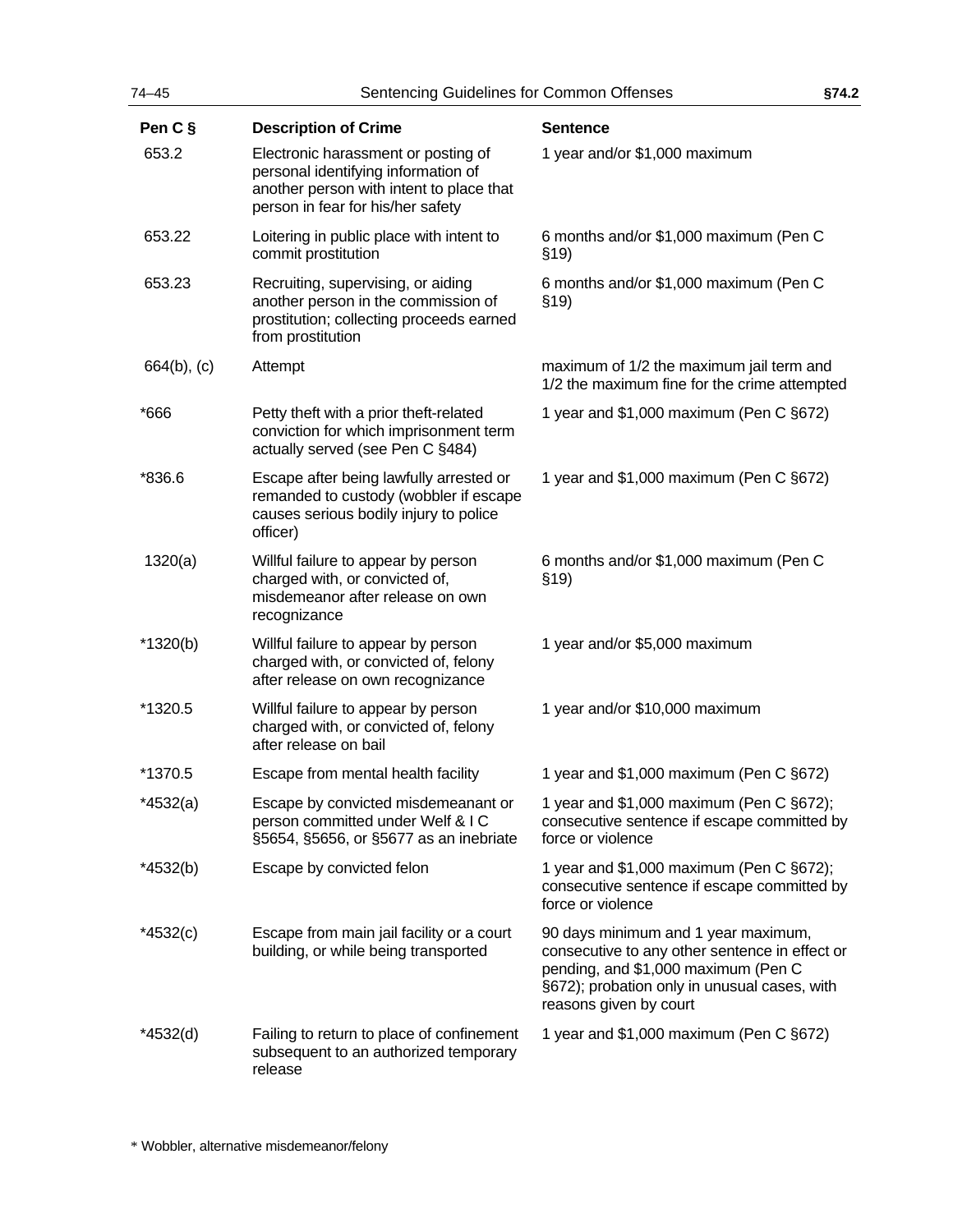| $74 - 45$      | Sentencing Guidelines for Common Offenses                                                                                                                   | §74.2                                                                                                                                                                                                  |  |
|----------------|-------------------------------------------------------------------------------------------------------------------------------------------------------------|--------------------------------------------------------------------------------------------------------------------------------------------------------------------------------------------------------|--|
| Pen C §        | <b>Description of Crime</b>                                                                                                                                 | <b>Sentence</b>                                                                                                                                                                                        |  |
| 653.2          | Electronic harassment or posting of<br>personal identifying information of<br>another person with intent to place that<br>person in fear for his/her safety | 1 year and/or \$1,000 maximum                                                                                                                                                                          |  |
| 653.22         | Loitering in public place with intent to<br>commit prostitution                                                                                             | 6 months and/or \$1,000 maximum (Pen C<br>\$19)                                                                                                                                                        |  |
| 653.23         | Recruiting, supervising, or aiding<br>another person in the commission of<br>prostitution; collecting proceeds earned<br>from prostitution                  | 6 months and/or \$1,000 maximum (Pen C<br>\$19)                                                                                                                                                        |  |
| $664(b)$ , (c) | Attempt                                                                                                                                                     | maximum of 1/2 the maximum jail term and<br>1/2 the maximum fine for the crime attempted                                                                                                               |  |
| *666           | Petty theft with a prior theft-related<br>conviction for which imprisonment term<br>actually served (see Pen C §484)                                        | 1 year and \$1,000 maximum (Pen C §672)                                                                                                                                                                |  |
| *836.6         | Escape after being lawfully arrested or<br>remanded to custody (wobbler if escape<br>causes serious bodily injury to police<br>officer)                     | 1 year and \$1,000 maximum (Pen C §672)                                                                                                                                                                |  |
| 1320(a)        | Willful failure to appear by person<br>charged with, or convicted of,<br>misdemeanor after release on own<br>recognizance                                   | 6 months and/or \$1,000 maximum (Pen C<br>\$19)                                                                                                                                                        |  |
| $*1320(b)$     | Willful failure to appear by person<br>charged with, or convicted of, felony<br>after release on own recognizance                                           | 1 year and/or \$5,000 maximum                                                                                                                                                                          |  |
| *1320.5        | Willful failure to appear by person<br>charged with, or convicted of, felony<br>after release on bail                                                       | 1 year and/or \$10,000 maximum                                                                                                                                                                         |  |
| *1370.5        | Escape from mental health facility                                                                                                                          | 1 year and \$1,000 maximum (Pen C §672)                                                                                                                                                                |  |
| *4532(a)       | Escape by convicted misdemeanant or<br>person committed under Welf & IC<br>§5654, §5656, or §5677 as an inebriate                                           | 1 year and $$1,000$ maximum (Pen C $§672$ );<br>consecutive sentence if escape committed by<br>force or violence                                                                                       |  |
| $*4532(b)$     | Escape by convicted felon                                                                                                                                   | 1 year and $$1,000$ maximum (Pen C $§672$ );<br>consecutive sentence if escape committed by<br>force or violence                                                                                       |  |
| $*4532(c)$     | Escape from main jail facility or a court<br>building, or while being transported                                                                           | 90 days minimum and 1 year maximum,<br>consecutive to any other sentence in effect or<br>pending, and \$1,000 maximum (Pen C<br>§672); probation only in unusual cases, with<br>reasons given by court |  |
| *4532(d)       | Failing to return to place of confinement<br>subsequent to an authorized temporary<br>release                                                               | 1 year and \$1,000 maximum (Pen C §672)                                                                                                                                                                |  |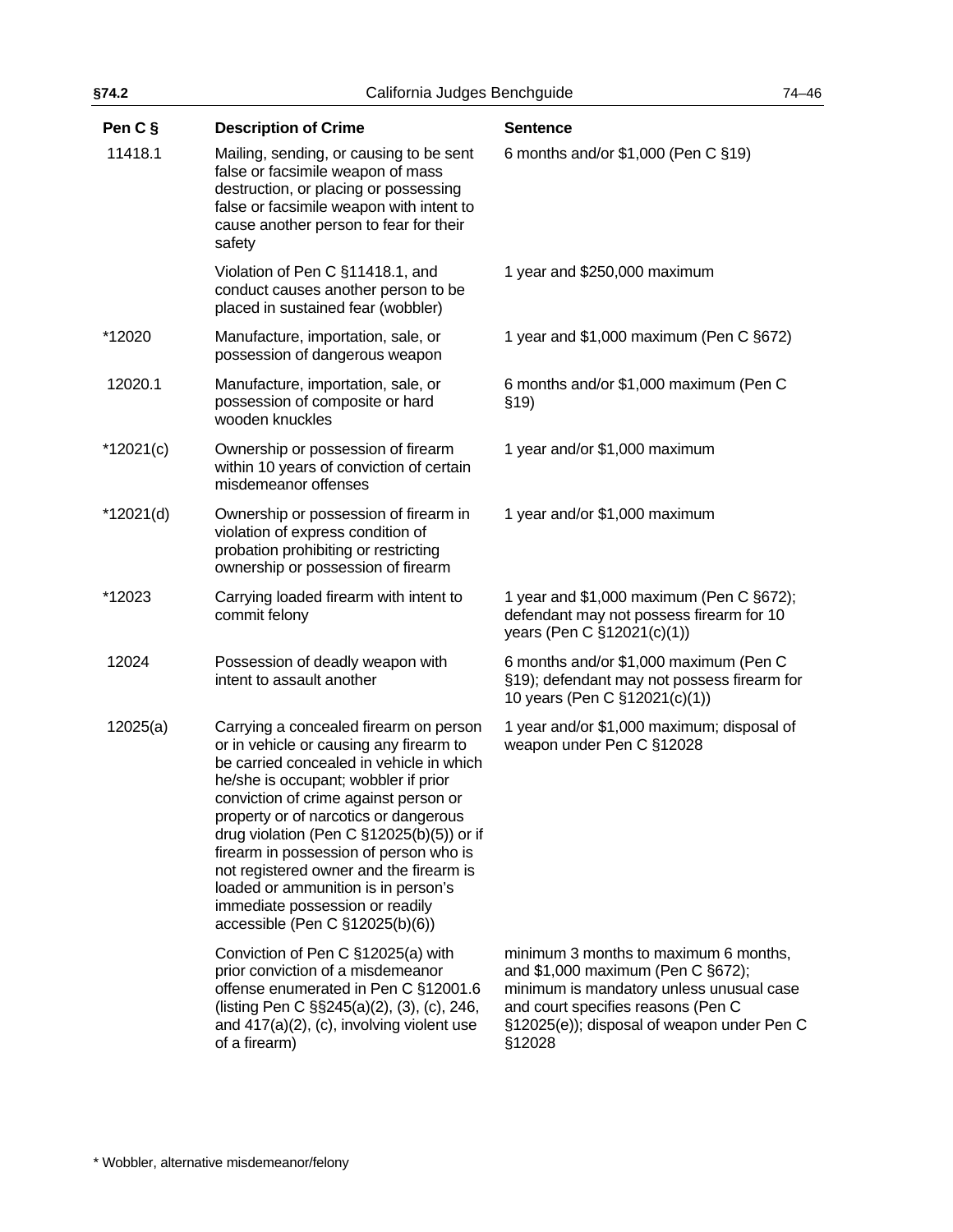| §74.2       | California Judges Benchguide                                                                                                                                                                                                                                                                                                                                                                                                                                                                           |                                                                                                                                                                                                                      | $74 - 46$ |
|-------------|--------------------------------------------------------------------------------------------------------------------------------------------------------------------------------------------------------------------------------------------------------------------------------------------------------------------------------------------------------------------------------------------------------------------------------------------------------------------------------------------------------|----------------------------------------------------------------------------------------------------------------------------------------------------------------------------------------------------------------------|-----------|
| Pen C §     | <b>Description of Crime</b>                                                                                                                                                                                                                                                                                                                                                                                                                                                                            | <b>Sentence</b>                                                                                                                                                                                                      |           |
| 11418.1     | Mailing, sending, or causing to be sent<br>false or facsimile weapon of mass<br>destruction, or placing or possessing<br>false or facsimile weapon with intent to<br>cause another person to fear for their<br>safety                                                                                                                                                                                                                                                                                  | 6 months and/or \$1,000 (Pen C §19)                                                                                                                                                                                  |           |
|             | Violation of Pen C §11418.1, and<br>conduct causes another person to be<br>placed in sustained fear (wobbler)                                                                                                                                                                                                                                                                                                                                                                                          | 1 year and \$250,000 maximum                                                                                                                                                                                         |           |
| *12020      | Manufacture, importation, sale, or<br>possession of dangerous weapon                                                                                                                                                                                                                                                                                                                                                                                                                                   | 1 year and \$1,000 maximum (Pen C §672)                                                                                                                                                                              |           |
| 12020.1     | Manufacture, importation, sale, or<br>possession of composite or hard<br>wooden knuckles                                                                                                                                                                                                                                                                                                                                                                                                               | 6 months and/or \$1,000 maximum (Pen C<br>\$19)                                                                                                                                                                      |           |
| $*12021(c)$ | Ownership or possession of firearm<br>within 10 years of conviction of certain<br>misdemeanor offenses                                                                                                                                                                                                                                                                                                                                                                                                 | 1 year and/or \$1,000 maximum                                                                                                                                                                                        |           |
| *12021(d)   | Ownership or possession of firearm in<br>violation of express condition of<br>probation prohibiting or restricting<br>ownership or possession of firearm                                                                                                                                                                                                                                                                                                                                               | 1 year and/or \$1,000 maximum                                                                                                                                                                                        |           |
| *12023      | Carrying loaded firearm with intent to<br>commit felony                                                                                                                                                                                                                                                                                                                                                                                                                                                | 1 year and \$1,000 maximum (Pen C §672);<br>defendant may not possess firearm for 10<br>years (Pen C §12021(c)(1))                                                                                                   |           |
| 12024       | Possession of deadly weapon with<br>intent to assault another                                                                                                                                                                                                                                                                                                                                                                                                                                          | 6 months and/or \$1,000 maximum (Pen C<br>§19); defendant may not possess firearm for<br>10 years (Pen C §12021(c)(1))                                                                                               |           |
| 12025(a)    | Carrying a concealed firearm on person<br>or in vehicle or causing any firearm to<br>be carried concealed in vehicle in which<br>he/she is occupant; wobbler if prior<br>conviction of crime against person or<br>property or of narcotics or dangerous<br>drug violation (Pen C §12025(b)(5)) or if<br>firearm in possession of person who is<br>not registered owner and the firearm is<br>loaded or ammunition is in person's<br>immediate possession or readily<br>accessible (Pen C §12025(b)(6)) | 1 year and/or \$1,000 maximum; disposal of<br>weapon under Pen C §12028                                                                                                                                              |           |
|             | Conviction of Pen C §12025(a) with<br>prior conviction of a misdemeanor<br>offense enumerated in Pen C §12001.6<br>(listing Pen C §§245(a)(2), (3), (c), 246,<br>and $417(a)(2)$ , (c), involving violent use<br>of a firearm)                                                                                                                                                                                                                                                                         | minimum 3 months to maximum 6 months,<br>and \$1,000 maximum (Pen C §672);<br>minimum is mandatory unless unusual case<br>and court specifies reasons (Pen C<br>§12025(e)); disposal of weapon under Pen C<br>§12028 |           |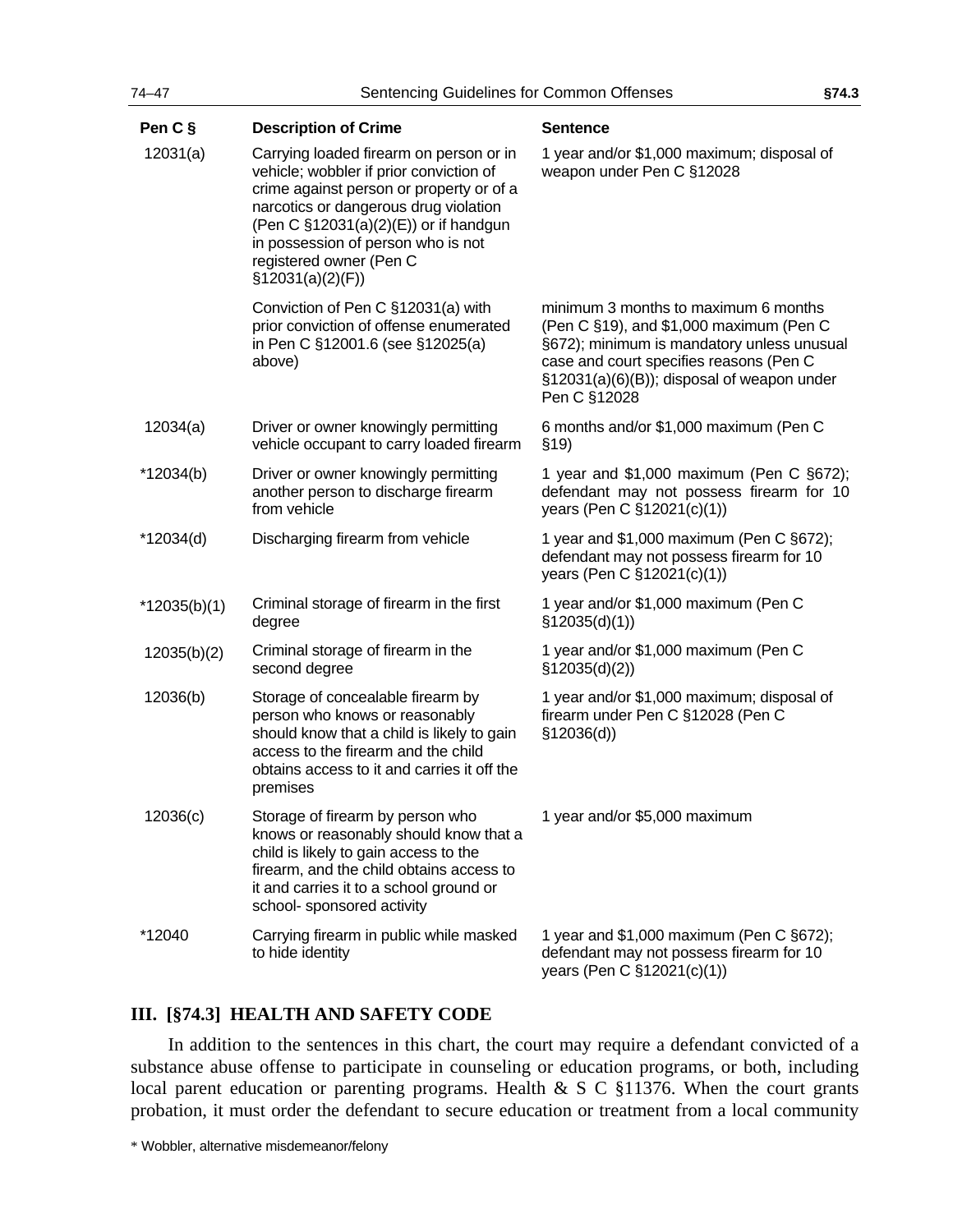| 74-47        | Sentencing Guidelines for Common Offenses                                                                                                                                                                                                                                                              |                                                                                                                                                                                                                                        | §74.3 |
|--------------|--------------------------------------------------------------------------------------------------------------------------------------------------------------------------------------------------------------------------------------------------------------------------------------------------------|----------------------------------------------------------------------------------------------------------------------------------------------------------------------------------------------------------------------------------------|-------|
| Pen C §      | <b>Description of Crime</b>                                                                                                                                                                                                                                                                            | <b>Sentence</b>                                                                                                                                                                                                                        |       |
| 12031(a)     | Carrying loaded firearm on person or in<br>vehicle; wobbler if prior conviction of<br>crime against person or property or of a<br>narcotics or dangerous drug violation<br>(Pen C §12031(a)(2)(E)) or if handgun<br>in possession of person who is not<br>registered owner (Pen C<br>\$12031(a)(2)(F)) | 1 year and/or \$1,000 maximum; disposal of<br>weapon under Pen C §12028                                                                                                                                                                |       |
|              | Conviction of Pen C §12031(a) with<br>prior conviction of offense enumerated<br>in Pen C §12001.6 (see §12025(a)<br>above)                                                                                                                                                                             | minimum 3 months to maximum 6 months<br>(Pen C §19), and \$1,000 maximum (Pen C<br>§672); minimum is mandatory unless unusual<br>case and court specifies reasons (Pen C<br>§12031(a)(6)(B)); disposal of weapon under<br>Pen C §12028 |       |
| 12034(a)     | Driver or owner knowingly permitting<br>vehicle occupant to carry loaded firearm                                                                                                                                                                                                                       | 6 months and/or \$1,000 maximum (Pen C<br>\$19)                                                                                                                                                                                        |       |
| $*12034(b)$  | Driver or owner knowingly permitting<br>another person to discharge firearm<br>from vehicle                                                                                                                                                                                                            | 1 year and \$1,000 maximum (Pen C §672);<br>defendant may not possess firearm for 10<br>years (Pen C §12021(c)(1))                                                                                                                     |       |
| *12034(d)    | Discharging firearm from vehicle                                                                                                                                                                                                                                                                       | 1 year and $$1,000$ maximum (Pen C $§672$ );<br>defendant may not possess firearm for 10<br>years (Pen C §12021(c)(1))                                                                                                                 |       |
| *12035(b)(1) | Criminal storage of firearm in the first<br>degree                                                                                                                                                                                                                                                     | 1 year and/or \$1,000 maximum (Pen C<br>\$12035(d)(1))                                                                                                                                                                                 |       |
| 12035(b)(2)  | Criminal storage of firearm in the<br>second degree                                                                                                                                                                                                                                                    | 1 year and/or \$1,000 maximum (Pen C<br>\$12035(d)(2))                                                                                                                                                                                 |       |
| 12036(b)     | Storage of concealable firearm by<br>person who knows or reasonably<br>should know that a child is likely to gain<br>access to the firearm and the child<br>obtains access to it and carries it off the<br>premises                                                                                    | 1 year and/or \$1,000 maximum; disposal of<br>firearm under Pen C §12028 (Pen C<br>\$12036(d))                                                                                                                                         |       |
| 12036(c)     | Storage of firearm by person who<br>knows or reasonably should know that a<br>child is likely to gain access to the<br>firearm, and the child obtains access to<br>it and carries it to a school ground or<br>school- sponsored activity                                                               | 1 year and/or \$5,000 maximum                                                                                                                                                                                                          |       |
| *12040       | Carrying firearm in public while masked<br>to hide identity                                                                                                                                                                                                                                            | 1 year and $$1,000$ maximum (Pen C $§672$ );<br>defendant may not possess firearm for 10<br>years (Pen C §12021(c)(1))                                                                                                                 |       |

### **III. [§74.3] HEALTH AND SAFETY CODE**

In addition to the sentences in this chart, the court may require a defendant convicted of a substance abuse offense to participate in counseling or education programs, or both, including local parent education or parenting programs. Health & S C §11376. When the court grants probation, it must order the defendant to secure education or treatment from a local community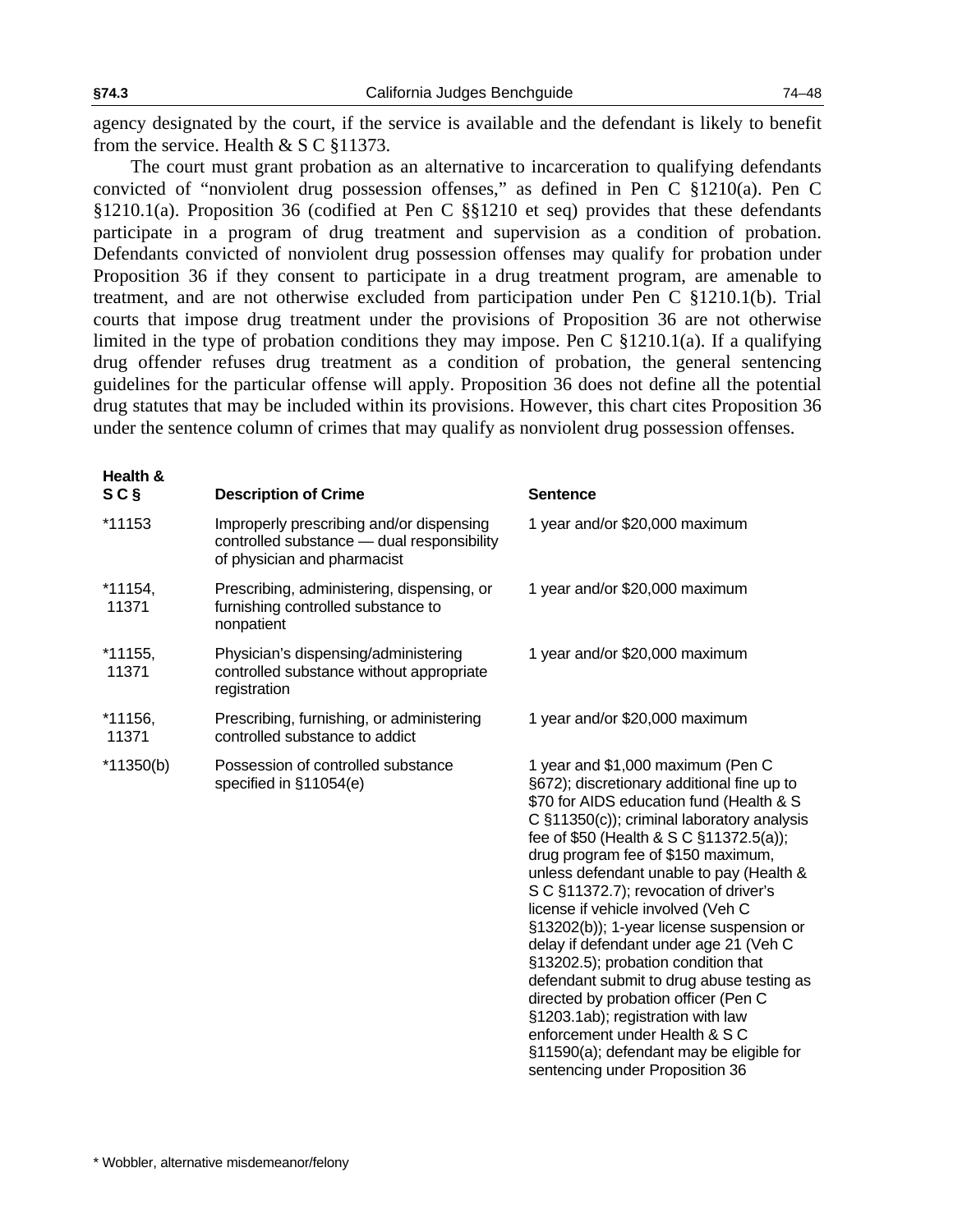**Health &** 

agency designated by the court, if the service is available and the defendant is likely to benefit from the service. Health & S C §11373.

The court must grant probation as an alternative to incarceration to qualifying defendants convicted of "nonviolent drug possession offenses," as defined in Pen C §1210(a). Pen C §1210.1(a). Proposition 36 (codified at Pen C §§1210 et seq) provides that these defendants participate in a program of drug treatment and supervision as a condition of probation. Defendants convicted of nonviolent drug possession offenses may qualify for probation under Proposition 36 if they consent to participate in a drug treatment program, are amenable to treatment, and are not otherwise excluded from participation under Pen C §1210.1(b). Trial courts that impose drug treatment under the provisions of Proposition 36 are not otherwise limited in the type of probation conditions they may impose. Pen C §1210.1(a). If a qualifying drug offender refuses drug treatment as a condition of probation, the general sentencing guidelines for the particular offense will apply. Proposition 36 does not define all the potential drug statutes that may be included within its provisions. However, this chart cites Proposition 36 under the sentence column of crimes that may qualify as nonviolent drug possession offenses.

| SCS              | <b>Description of Crime</b>                                                                                           | <b>Sentence</b>                                                                                                                                                                                                                                                                                                                                                                                                                                                                                                                                                                                                                                                                                                                                               |
|------------------|-----------------------------------------------------------------------------------------------------------------------|---------------------------------------------------------------------------------------------------------------------------------------------------------------------------------------------------------------------------------------------------------------------------------------------------------------------------------------------------------------------------------------------------------------------------------------------------------------------------------------------------------------------------------------------------------------------------------------------------------------------------------------------------------------------------------------------------------------------------------------------------------------|
| *11153           | Improperly prescribing and/or dispensing<br>controlled substance - dual responsibility<br>of physician and pharmacist | 1 year and/or \$20,000 maximum                                                                                                                                                                                                                                                                                                                                                                                                                                                                                                                                                                                                                                                                                                                                |
| *11154,<br>11371 | Prescribing, administering, dispensing, or<br>furnishing controlled substance to<br>nonpatient                        | 1 year and/or \$20,000 maximum                                                                                                                                                                                                                                                                                                                                                                                                                                                                                                                                                                                                                                                                                                                                |
| *11155,<br>11371 | Physician's dispensing/administering<br>controlled substance without appropriate<br>registration                      | 1 year and/or \$20,000 maximum                                                                                                                                                                                                                                                                                                                                                                                                                                                                                                                                                                                                                                                                                                                                |
| *11156,<br>11371 | Prescribing, furnishing, or administering<br>controlled substance to addict                                           | 1 year and/or \$20,000 maximum                                                                                                                                                                                                                                                                                                                                                                                                                                                                                                                                                                                                                                                                                                                                |
| $*11350(b)$      | Possession of controlled substance<br>specified in §11054(e)                                                          | 1 year and \$1,000 maximum (Pen C<br>§672); discretionary additional fine up to<br>\$70 for AIDS education fund (Health & S<br>C §11350(c)); criminal laboratory analysis<br>fee of \$50 (Health & S C §11372.5(a));<br>drug program fee of \$150 maximum,<br>unless defendant unable to pay (Health &<br>S C §11372.7); revocation of driver's<br>license if vehicle involved (Veh C<br>§13202(b)); 1-year license suspension or<br>delay if defendant under age 21 (Veh C<br>§13202.5); probation condition that<br>defendant submit to drug abuse testing as<br>directed by probation officer (Pen C<br>§1203.1ab); registration with law<br>enforcement under Health & S C<br>§11590(a); defendant may be eligible for<br>sentencing under Proposition 36 |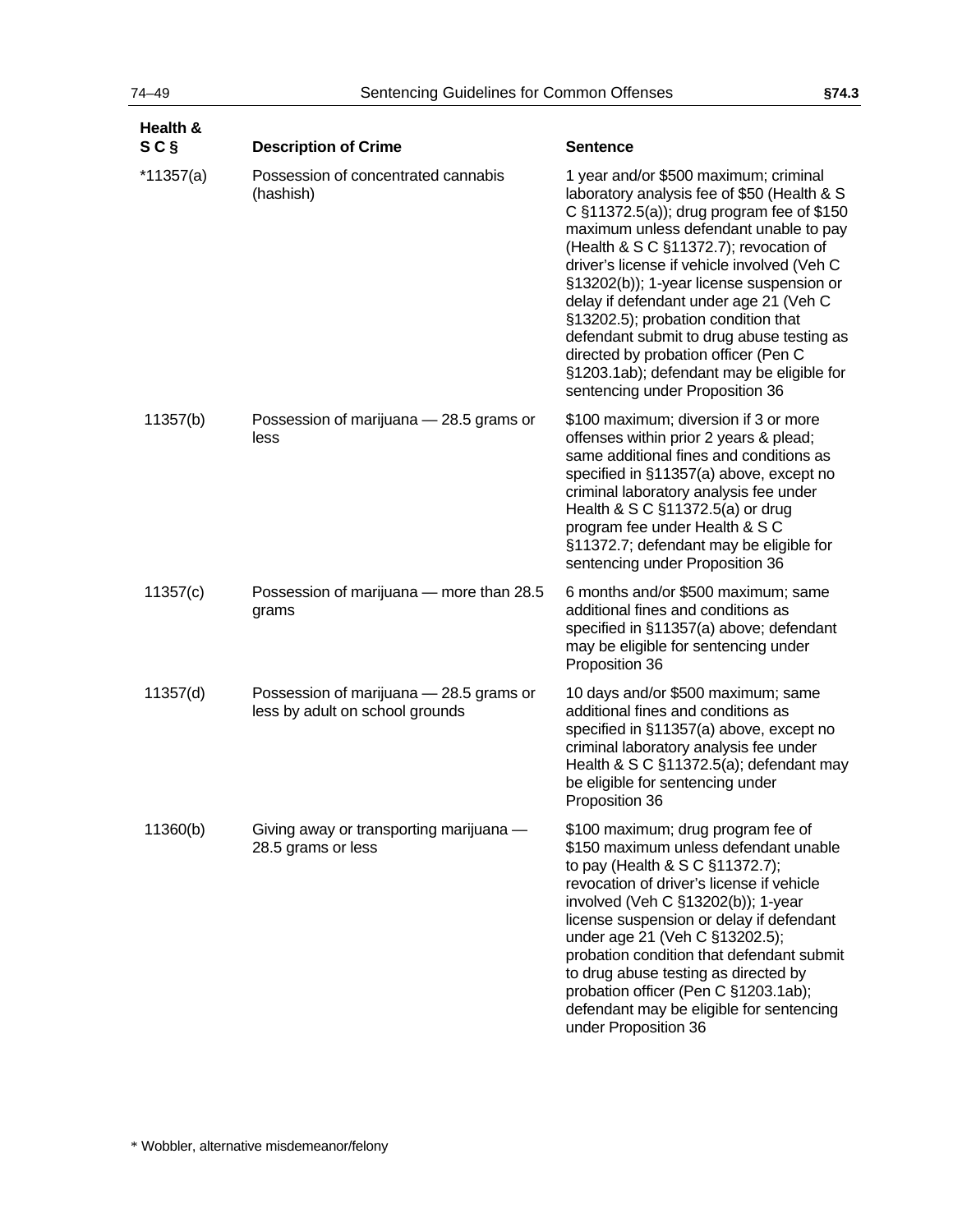| Health &<br>SCŞ | <b>Description of Crime</b>                                                | <b>Sentence</b>                                                                                                                                                                                                                                                                                                                                                                                                                                                                                                                                                        |
|-----------------|----------------------------------------------------------------------------|------------------------------------------------------------------------------------------------------------------------------------------------------------------------------------------------------------------------------------------------------------------------------------------------------------------------------------------------------------------------------------------------------------------------------------------------------------------------------------------------------------------------------------------------------------------------|
| *11357(a)       | Possession of concentrated cannabis<br>(hashish)                           | 1 year and/or \$500 maximum; criminal<br>laboratory analysis fee of \$50 (Health & S<br>C §11372.5(a)); drug program fee of \$150<br>maximum unless defendant unable to pay<br>(Health & S C §11372.7); revocation of<br>driver's license if vehicle involved (Veh C<br>§13202(b)); 1-year license suspension or<br>delay if defendant under age 21 (Veh C<br>§13202.5); probation condition that<br>defendant submit to drug abuse testing as<br>directed by probation officer (Pen C<br>§1203.1ab); defendant may be eligible for<br>sentencing under Proposition 36 |
| 11357(b)        | Possession of marijuana - 28.5 grams or<br>less                            | \$100 maximum; diversion if 3 or more<br>offenses within prior 2 years & plead;<br>same additional fines and conditions as<br>specified in §11357(a) above, except no<br>criminal laboratory analysis fee under<br>Health & S C §11372.5(a) or drug<br>program fee under Health & S C<br>§11372.7; defendant may be eligible for<br>sentencing under Proposition 36                                                                                                                                                                                                    |
| 11357(c)        | Possession of marijuana - more than 28.5<br>grams                          | 6 months and/or \$500 maximum; same<br>additional fines and conditions as<br>specified in §11357(a) above; defendant<br>may be eligible for sentencing under<br>Proposition 36                                                                                                                                                                                                                                                                                                                                                                                         |
| 11357(d)        | Possession of marijuana - 28.5 grams or<br>less by adult on school grounds | 10 days and/or \$500 maximum; same<br>additional fines and conditions as<br>specified in §11357(a) above, except no<br>criminal laboratory analysis fee under<br>Health & S C §11372.5(a); defendant may<br>be eligible for sentencing under<br>Proposition 36                                                                                                                                                                                                                                                                                                         |
| 11360(b)        | Giving away or transporting marijuana -<br>28.5 grams or less              | \$100 maximum; drug program fee of<br>\$150 maximum unless defendant unable<br>to pay (Health & S C §11372.7);<br>revocation of driver's license if vehicle<br>involved (Veh C §13202(b)); 1-year<br>license suspension or delay if defendant<br>under age 21 (Veh C §13202.5);<br>probation condition that defendant submit<br>to drug abuse testing as directed by<br>probation officer (Pen C §1203.1ab);<br>defendant may be eligible for sentencing<br>under Proposition 36                                                                                       |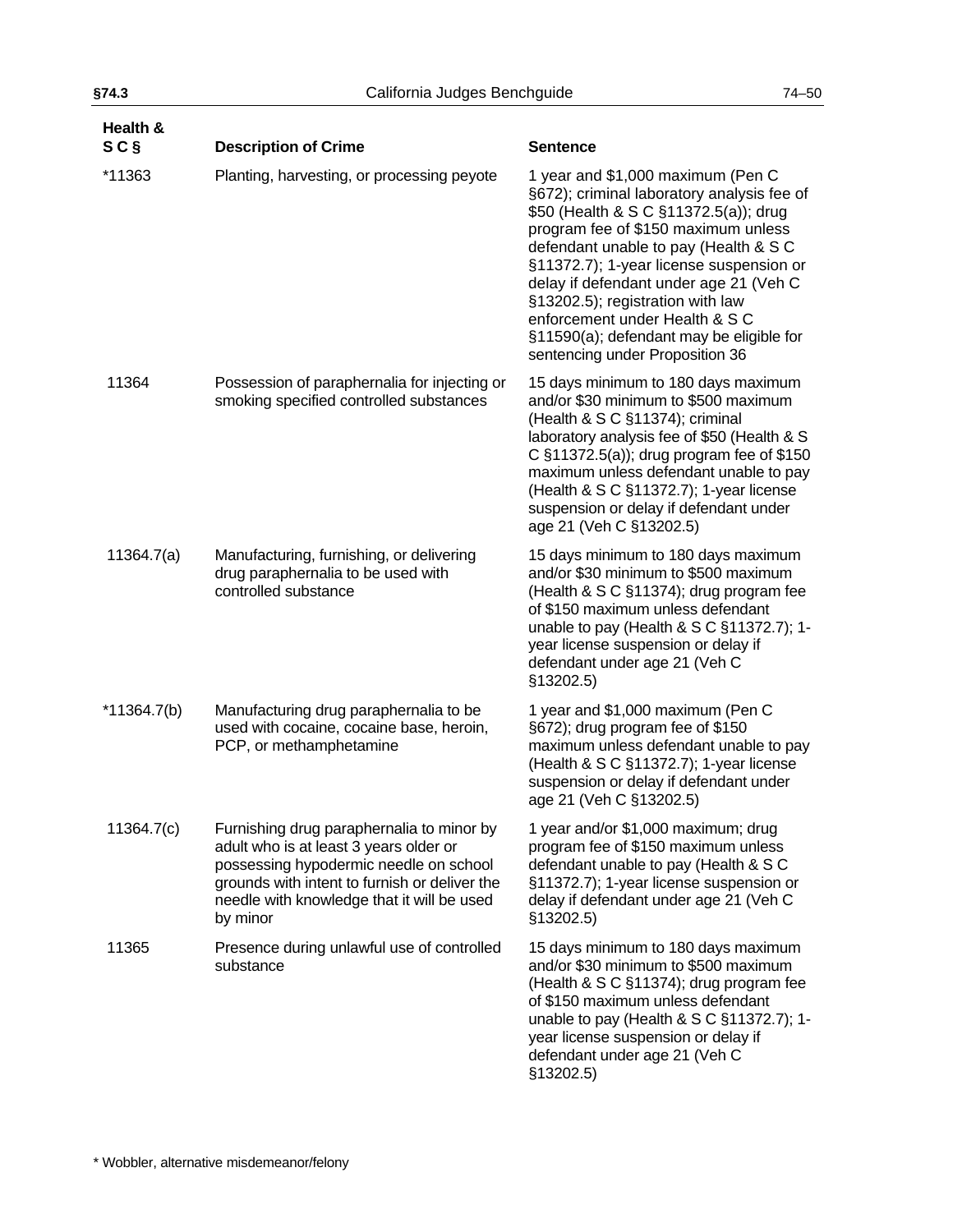| Health &<br>S C S | <b>Description of Crime</b>                                                                                                                                                                                                              | <b>Sentence</b>                                                                                                                                                                                                                                                                                                                                                                                                                                    |
|-------------------|------------------------------------------------------------------------------------------------------------------------------------------------------------------------------------------------------------------------------------------|----------------------------------------------------------------------------------------------------------------------------------------------------------------------------------------------------------------------------------------------------------------------------------------------------------------------------------------------------------------------------------------------------------------------------------------------------|
| *11363            | Planting, harvesting, or processing peyote                                                                                                                                                                                               | 1 year and \$1,000 maximum (Pen C<br>§672); criminal laboratory analysis fee of<br>\$50 (Health & S C §11372.5(a)); drug<br>program fee of \$150 maximum unless<br>defendant unable to pay (Health & S C<br>§11372.7); 1-year license suspension or<br>delay if defendant under age 21 (Veh C<br>§13202.5); registration with law<br>enforcement under Health & S C<br>§11590(a); defendant may be eligible for<br>sentencing under Proposition 36 |
| 11364             | Possession of paraphernalia for injecting or<br>smoking specified controlled substances                                                                                                                                                  | 15 days minimum to 180 days maximum<br>and/or \$30 minimum to \$500 maximum<br>(Health & S C §11374); criminal<br>laboratory analysis fee of \$50 (Health & S<br>C §11372.5(a)); drug program fee of \$150<br>maximum unless defendant unable to pay<br>(Health & S C §11372.7); 1-year license<br>suspension or delay if defendant under<br>age 21 (Veh C §13202.5)                                                                               |
| 11364.7(a)        | Manufacturing, furnishing, or delivering<br>drug paraphernalia to be used with<br>controlled substance                                                                                                                                   | 15 days minimum to 180 days maximum<br>and/or \$30 minimum to \$500 maximum<br>(Health & S C §11374); drug program fee<br>of \$150 maximum unless defendant<br>unable to pay (Health & S C §11372.7); 1-<br>year license suspension or delay if<br>defendant under age 21 (Veh C<br>§13202.5)                                                                                                                                                      |
| $*11364.7(b)$     | Manufacturing drug paraphernalia to be<br>used with cocaine, cocaine base, heroin,<br>PCP, or methamphetamine                                                                                                                            | 1 year and \$1,000 maximum (Pen C<br>§672); drug program fee of \$150<br>maximum unless defendant unable to pay<br>(Health & S C §11372.7); 1-year license<br>suspension or delay if defendant under<br>age 21 (Veh C §13202.5)                                                                                                                                                                                                                    |
| 11364.7(c)        | Furnishing drug paraphernalia to minor by<br>adult who is at least 3 years older or<br>possessing hypodermic needle on school<br>grounds with intent to furnish or deliver the<br>needle with knowledge that it will be used<br>by minor | 1 year and/or \$1,000 maximum; drug<br>program fee of \$150 maximum unless<br>defendant unable to pay (Health & S C<br>§11372.7); 1-year license suspension or<br>delay if defendant under age 21 (Veh C<br>§13202.5)                                                                                                                                                                                                                              |
| 11365             | Presence during unlawful use of controlled<br>substance                                                                                                                                                                                  | 15 days minimum to 180 days maximum<br>and/or \$30 minimum to \$500 maximum<br>(Health & S C §11374); drug program fee<br>of \$150 maximum unless defendant<br>unable to pay (Health & S C §11372.7); 1-<br>year license suspension or delay if<br>defendant under age 21 (Veh C<br>§13202.5)                                                                                                                                                      |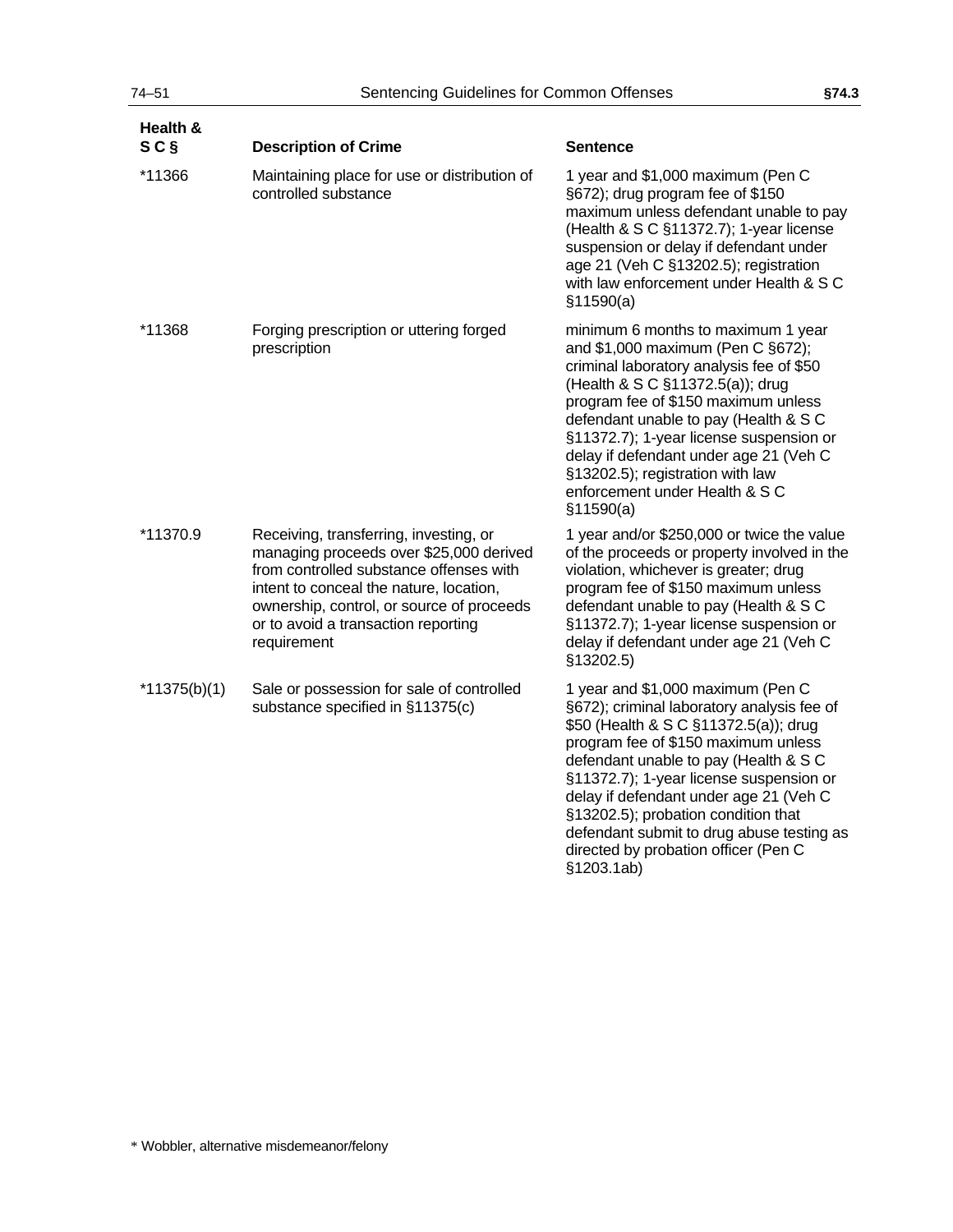| Health &<br>SC <sub>§</sub> | <b>Description of Crime</b>                                                                                                                                                                                                                                                | <b>Sentence</b>                                                                                                                                                                                                                                                                                                                                                                                                                         |
|-----------------------------|----------------------------------------------------------------------------------------------------------------------------------------------------------------------------------------------------------------------------------------------------------------------------|-----------------------------------------------------------------------------------------------------------------------------------------------------------------------------------------------------------------------------------------------------------------------------------------------------------------------------------------------------------------------------------------------------------------------------------------|
| *11366                      | Maintaining place for use or distribution of<br>controlled substance                                                                                                                                                                                                       | 1 year and \$1,000 maximum (Pen C<br>§672); drug program fee of \$150<br>maximum unless defendant unable to pay<br>(Health & S C §11372.7); 1-year license<br>suspension or delay if defendant under<br>age 21 (Veh C §13202.5); registration<br>with law enforcement under Health & S C<br>\$11590(a)                                                                                                                                  |
| *11368                      | Forging prescription or uttering forged<br>prescription                                                                                                                                                                                                                    | minimum 6 months to maximum 1 year<br>and \$1,000 maximum (Pen C §672);<br>criminal laboratory analysis fee of \$50<br>(Health & S C §11372.5(a)); drug<br>program fee of \$150 maximum unless<br>defendant unable to pay (Health & S C<br>§11372.7); 1-year license suspension or<br>delay if defendant under age 21 (Veh C<br>§13202.5); registration with law<br>enforcement under Health & S C<br>\$11590(a)                        |
| *11370.9                    | Receiving, transferring, investing, or<br>managing proceeds over \$25,000 derived<br>from controlled substance offenses with<br>intent to conceal the nature, location,<br>ownership, control, or source of proceeds<br>or to avoid a transaction reporting<br>requirement | 1 year and/or \$250,000 or twice the value<br>of the proceeds or property involved in the<br>violation, whichever is greater; drug<br>program fee of \$150 maximum unless<br>defendant unable to pay (Health & S C<br>§11372.7); 1-year license suspension or<br>delay if defendant under age 21 (Veh C<br>§13202.5)                                                                                                                    |
| $*11375(b)(1)$              | Sale or possession for sale of controlled<br>substance specified in §11375(c)                                                                                                                                                                                              | 1 year and \$1,000 maximum (Pen C<br>§672); criminal laboratory analysis fee of<br>\$50 (Health & S C §11372.5(a)); drug<br>program fee of \$150 maximum unless<br>defendant unable to pay (Health & S C<br>§11372.7); 1-year license suspension or<br>delay if defendant under age 21 (Veh C<br>§13202.5); probation condition that<br>defendant submit to drug abuse testing as<br>directed by probation officer (Pen C<br>§1203.1ab) |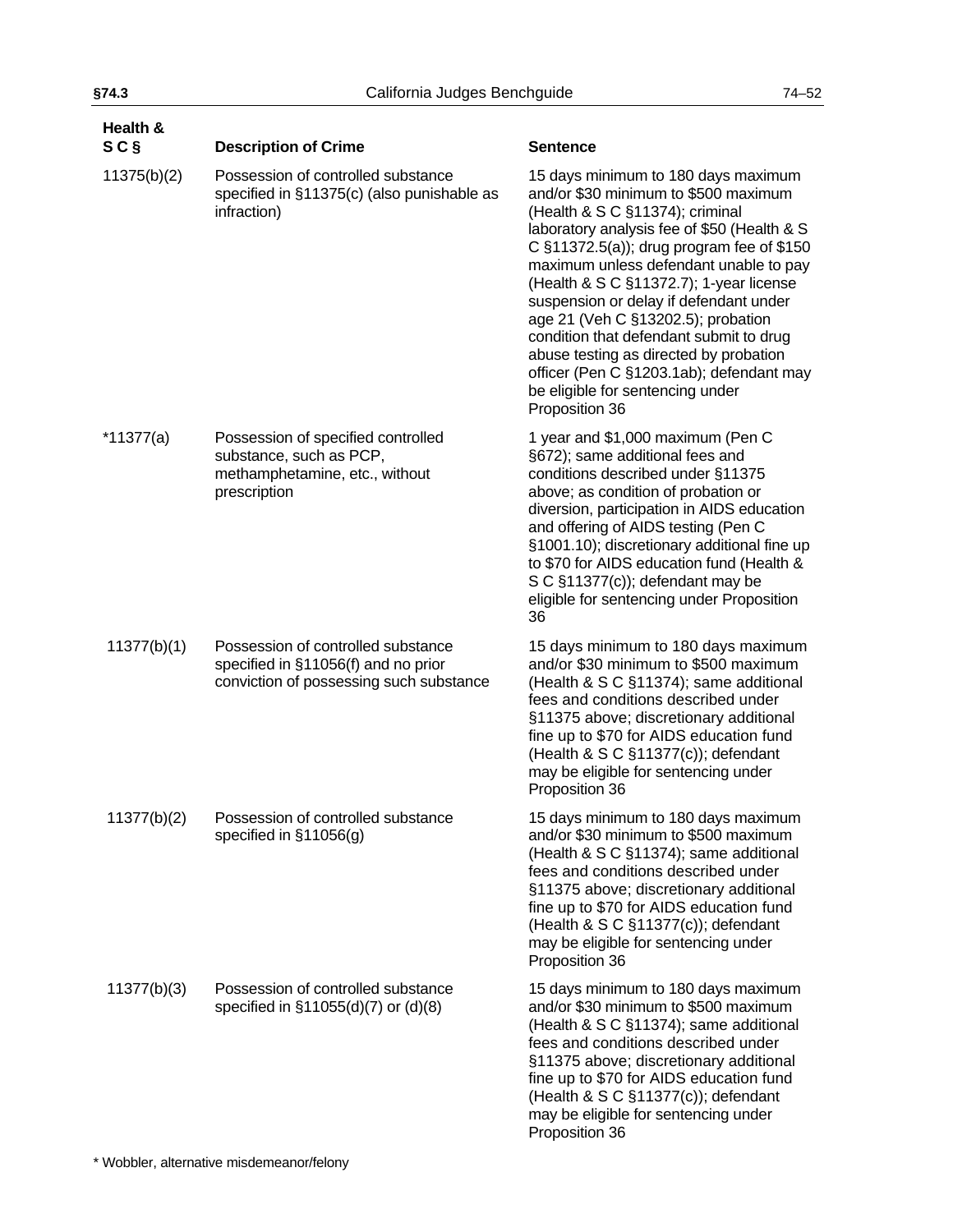| Health &<br>SC <sub>§</sub> | <b>Description of Crime</b>                                                                                          | <b>Sentence</b>                                                                                                                                                                                                                                                                                                                                                                                                                                                                                                                                                        |
|-----------------------------|----------------------------------------------------------------------------------------------------------------------|------------------------------------------------------------------------------------------------------------------------------------------------------------------------------------------------------------------------------------------------------------------------------------------------------------------------------------------------------------------------------------------------------------------------------------------------------------------------------------------------------------------------------------------------------------------------|
| 11375(b)(2)                 | Possession of controlled substance<br>specified in §11375(c) (also punishable as<br>infraction)                      | 15 days minimum to 180 days maximum<br>and/or \$30 minimum to \$500 maximum<br>(Health & S C §11374); criminal<br>laboratory analysis fee of \$50 (Health & S<br>C §11372.5(a)); drug program fee of \$150<br>maximum unless defendant unable to pay<br>(Health & S C §11372.7); 1-year license<br>suspension or delay if defendant under<br>age 21 (Veh C §13202.5); probation<br>condition that defendant submit to drug<br>abuse testing as directed by probation<br>officer (Pen C §1203.1ab); defendant may<br>be eligible for sentencing under<br>Proposition 36 |
| $*11377(a)$                 | Possession of specified controlled<br>substance, such as PCP,<br>methamphetamine, etc., without<br>prescription      | 1 year and \$1,000 maximum (Pen C<br>§672); same additional fees and<br>conditions described under §11375<br>above; as condition of probation or<br>diversion, participation in AIDS education<br>and offering of AIDS testing (Pen C<br>§1001.10); discretionary additional fine up<br>to \$70 for AIDS education fund (Health &<br>S C §11377(c)); defendant may be<br>eligible for sentencing under Proposition<br>36                                                                                                                                               |
| 11377(b)(1)                 | Possession of controlled substance<br>specified in §11056(f) and no prior<br>conviction of possessing such substance | 15 days minimum to 180 days maximum<br>and/or \$30 minimum to \$500 maximum<br>(Health & S C §11374); same additional<br>fees and conditions described under<br>§11375 above; discretionary additional<br>fine up to \$70 for AIDS education fund<br>(Health & S C §11377(c)); defendant<br>may be eligible for sentencing under<br>Proposition 36                                                                                                                                                                                                                     |
| 11377(b)(2)                 | Possession of controlled substance<br>specified in $\S11056(q)$                                                      | 15 days minimum to 180 days maximum<br>and/or \$30 minimum to \$500 maximum<br>(Health & S C §11374); same additional<br>fees and conditions described under<br>§11375 above; discretionary additional<br>fine up to \$70 for AIDS education fund<br>(Health & S C §11377(c)); defendant<br>may be eligible for sentencing under<br>Proposition 36                                                                                                                                                                                                                     |
| 11377(b)(3)                 | Possession of controlled substance<br>specified in §11055(d)(7) or (d)(8)                                            | 15 days minimum to 180 days maximum<br>and/or \$30 minimum to \$500 maximum<br>(Health & S C §11374); same additional<br>fees and conditions described under<br>§11375 above; discretionary additional<br>fine up to \$70 for AIDS education fund<br>(Health & S C §11377(c)); defendant<br>may be eligible for sentencing under<br>Proposition 36                                                                                                                                                                                                                     |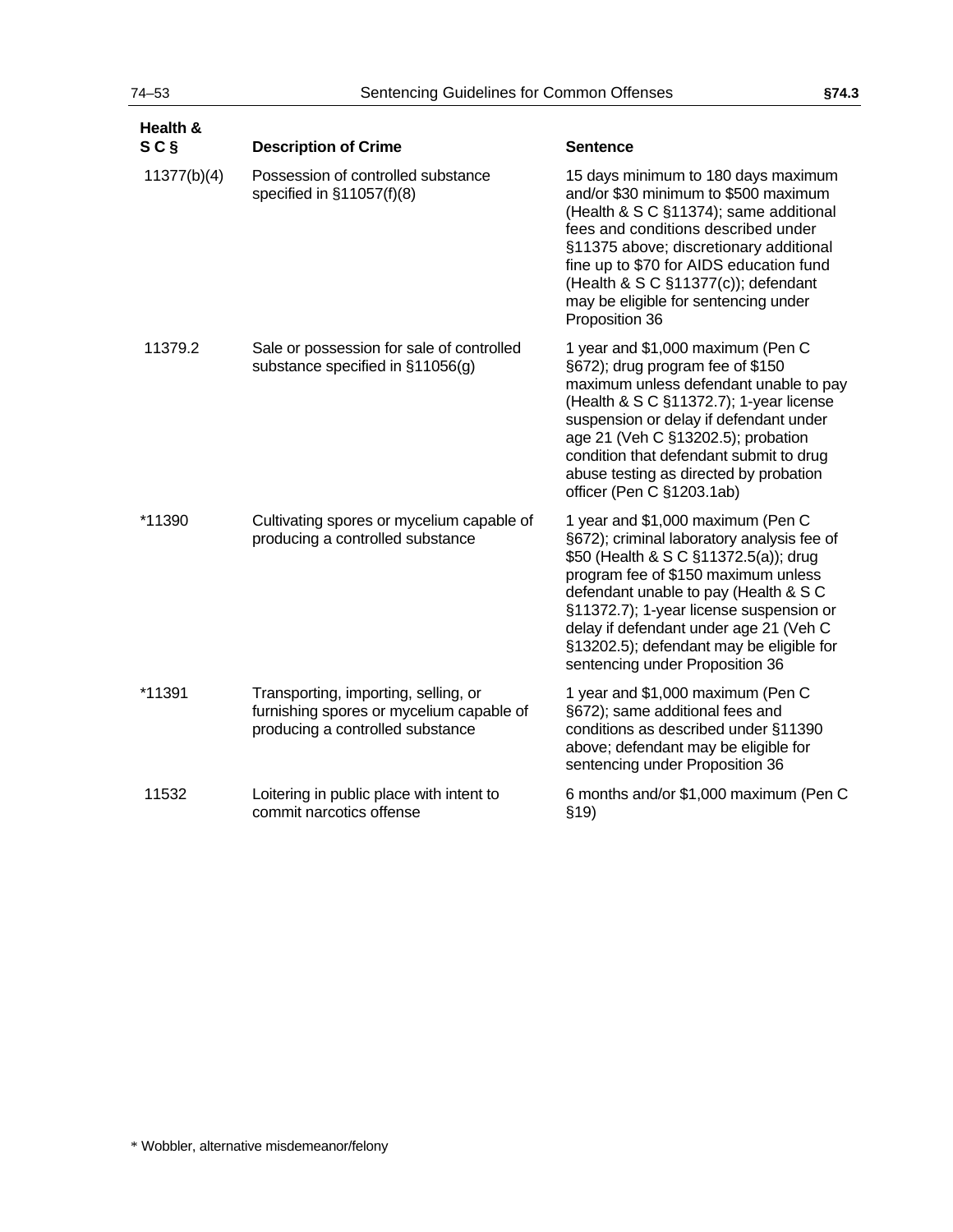| Health &<br>SC <sub>§</sub> | <b>Description of Crime</b>                                                                                          | <b>Sentence</b>                                                                                                                                                                                                                                                                                                                                                              |
|-----------------------------|----------------------------------------------------------------------------------------------------------------------|------------------------------------------------------------------------------------------------------------------------------------------------------------------------------------------------------------------------------------------------------------------------------------------------------------------------------------------------------------------------------|
| 11377(b)(4)                 | Possession of controlled substance<br>specified in §11057(f)(8)                                                      | 15 days minimum to 180 days maximum<br>and/or \$30 minimum to \$500 maximum<br>(Health & S C §11374); same additional<br>fees and conditions described under<br>§11375 above; discretionary additional<br>fine up to \$70 for AIDS education fund<br>(Health & S C §11377(c)); defendant<br>may be eligible for sentencing under<br>Proposition 36                           |
| 11379.2                     | Sale or possession for sale of controlled<br>substance specified in §11056(g)                                        | 1 year and \$1,000 maximum (Pen C<br>§672); drug program fee of \$150<br>maximum unless defendant unable to pay<br>(Health & S C §11372.7); 1-year license<br>suspension or delay if defendant under<br>age 21 (Veh C §13202.5); probation<br>condition that defendant submit to drug<br>abuse testing as directed by probation<br>officer (Pen C §1203.1ab)                 |
| *11390                      | Cultivating spores or mycelium capable of<br>producing a controlled substance                                        | 1 year and \$1,000 maximum (Pen C<br>§672); criminal laboratory analysis fee of<br>\$50 (Health & S C §11372.5(a)); drug<br>program fee of \$150 maximum unless<br>defendant unable to pay (Health & S C<br>§11372.7); 1-year license suspension or<br>delay if defendant under age 21 (Veh C<br>§13202.5); defendant may be eligible for<br>sentencing under Proposition 36 |
| *11391                      | Transporting, importing, selling, or<br>furnishing spores or mycelium capable of<br>producing a controlled substance | 1 year and \$1,000 maximum (Pen C<br>§672); same additional fees and<br>conditions as described under §11390<br>above; defendant may be eligible for<br>sentencing under Proposition 36                                                                                                                                                                                      |
| 11532                       | Loitering in public place with intent to<br>commit narcotics offense                                                 | 6 months and/or \$1,000 maximum (Pen C<br>\$19)                                                                                                                                                                                                                                                                                                                              |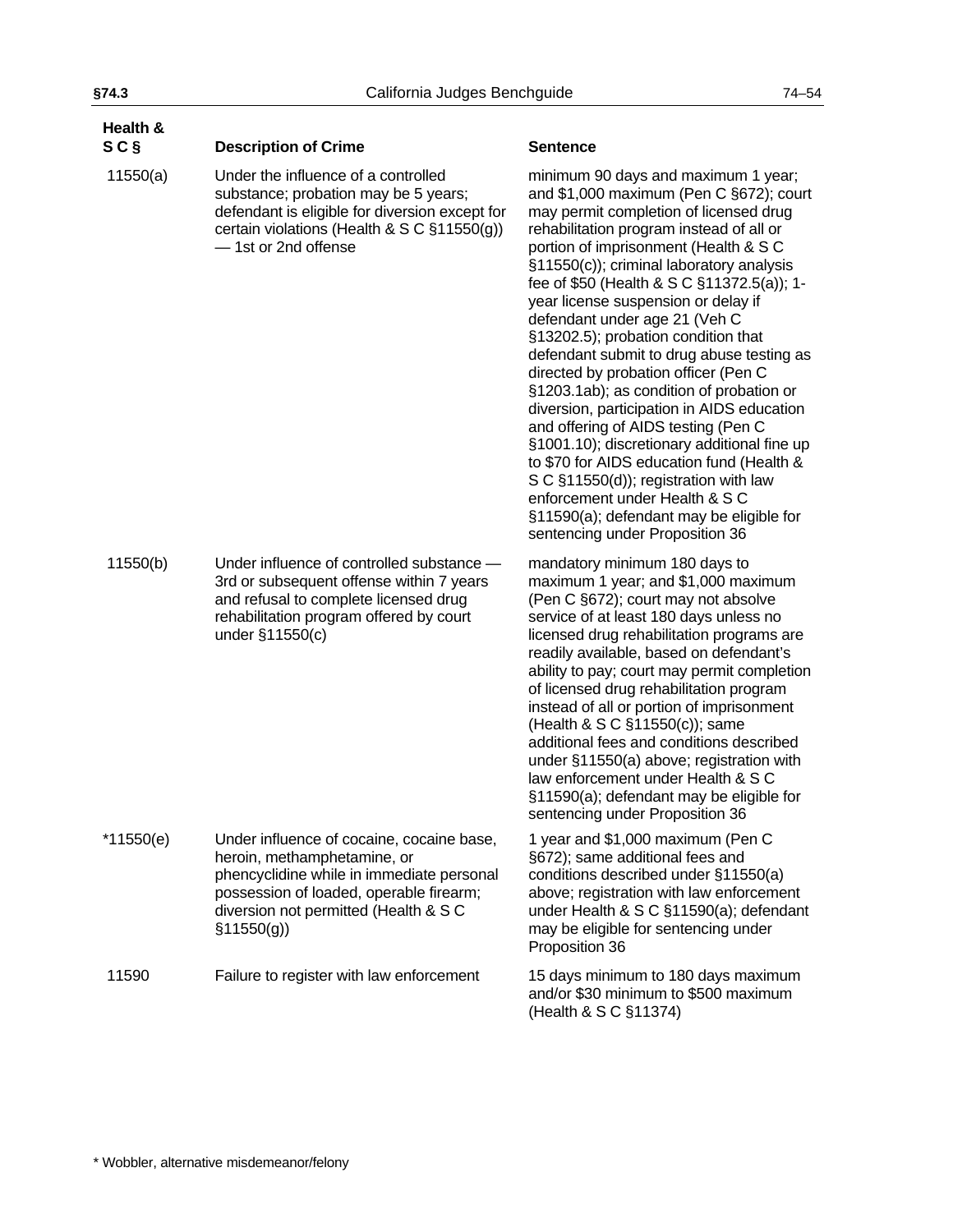| Health &<br>SC <sub>§</sub> | <b>Description of Crime</b>                                                                                                                                                                                             | <b>Sentence</b>                                                                                                                                                                                                                                                                                                                                                                                                                                                                                                                                                                                                                                                                                                                                                                                                                                                                                    |
|-----------------------------|-------------------------------------------------------------------------------------------------------------------------------------------------------------------------------------------------------------------------|----------------------------------------------------------------------------------------------------------------------------------------------------------------------------------------------------------------------------------------------------------------------------------------------------------------------------------------------------------------------------------------------------------------------------------------------------------------------------------------------------------------------------------------------------------------------------------------------------------------------------------------------------------------------------------------------------------------------------------------------------------------------------------------------------------------------------------------------------------------------------------------------------|
| 11550(a)                    | Under the influence of a controlled<br>substance; probation may be 5 years;<br>defendant is eligible for diversion except for<br>certain violations (Health & S C §11550(g))<br>- 1st or 2nd offense                    | minimum 90 days and maximum 1 year;<br>and \$1,000 maximum (Pen C §672); court<br>may permit completion of licensed drug<br>rehabilitation program instead of all or<br>portion of imprisonment (Health & S C<br>§11550(c)); criminal laboratory analysis<br>fee of \$50 (Health & S C §11372.5(a)); 1-<br>year license suspension or delay if<br>defendant under age 21 (Veh C<br>§13202.5); probation condition that<br>defendant submit to drug abuse testing as<br>directed by probation officer (Pen C<br>§1203.1ab); as condition of probation or<br>diversion, participation in AIDS education<br>and offering of AIDS testing (Pen C<br>§1001.10); discretionary additional fine up<br>to \$70 for AIDS education fund (Health &<br>S C §11550(d)); registration with law<br>enforcement under Health & S C<br>§11590(a); defendant may be eligible for<br>sentencing under Proposition 36 |
| 11550(b)                    | Under influence of controlled substance -<br>3rd or subsequent offense within 7 years<br>and refusal to complete licensed drug<br>rehabilitation program offered by court<br>under §11550(c)                            | mandatory minimum 180 days to<br>maximum 1 year; and \$1,000 maximum<br>(Pen C §672); court may not absolve<br>service of at least 180 days unless no<br>licensed drug rehabilitation programs are<br>readily available, based on defendant's<br>ability to pay; court may permit completion<br>of licensed drug rehabilitation program<br>instead of all or portion of imprisonment<br>(Health & S C §11550(c)); same<br>additional fees and conditions described<br>under §11550(a) above; registration with<br>law enforcement under Health & S C<br>§11590(a); defendant may be eligible for<br>sentencing under Proposition 36                                                                                                                                                                                                                                                                |
| $*11550(e)$                 | Under influence of cocaine, cocaine base,<br>heroin, methamphetamine, or<br>phencyclidine while in immediate personal<br>possession of loaded, operable firearm;<br>diversion not permitted (Health & S C<br>\$11550(g) | 1 year and \$1,000 maximum (Pen C<br>§672); same additional fees and<br>conditions described under §11550(a)<br>above; registration with law enforcement<br>under Health & S C §11590(a); defendant<br>may be eligible for sentencing under<br>Proposition 36                                                                                                                                                                                                                                                                                                                                                                                                                                                                                                                                                                                                                                      |
| 11590                       | Failure to register with law enforcement                                                                                                                                                                                | 15 days minimum to 180 days maximum<br>and/or \$30 minimum to \$500 maximum<br>(Health & S C §11374)                                                                                                                                                                                                                                                                                                                                                                                                                                                                                                                                                                                                                                                                                                                                                                                               |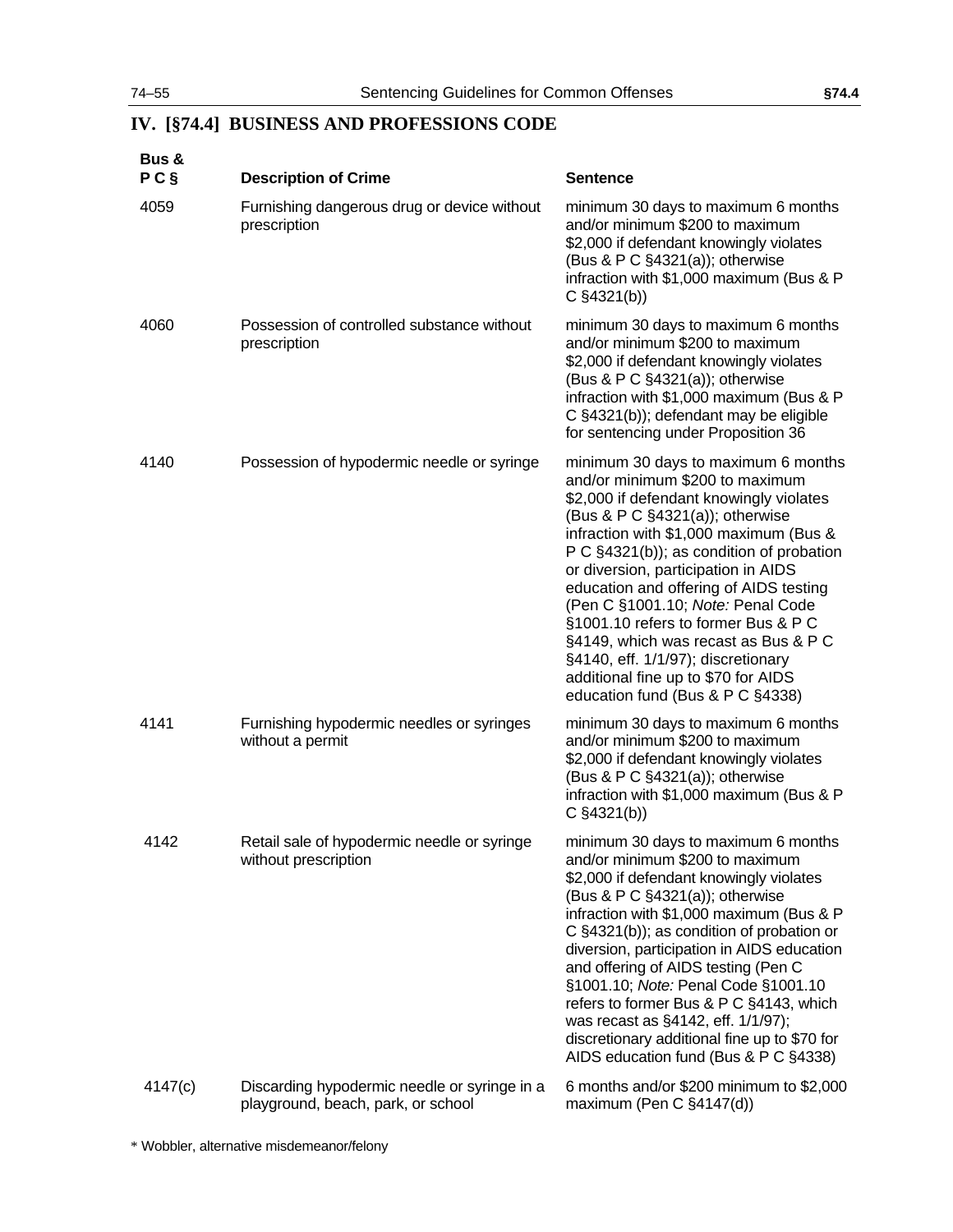# **IV. [§74.4] BUSINESS AND PROFESSIONS CODE**

| <b>Bus &amp;</b><br>P C | <b>Description of Crime</b>                                                        | <b>Sentence</b>                                                                                                                                                                                                                                                                                                                                                                                                                                                                                                                                                  |
|-------------------------|------------------------------------------------------------------------------------|------------------------------------------------------------------------------------------------------------------------------------------------------------------------------------------------------------------------------------------------------------------------------------------------------------------------------------------------------------------------------------------------------------------------------------------------------------------------------------------------------------------------------------------------------------------|
| 4059                    | Furnishing dangerous drug or device without<br>prescription                        | minimum 30 days to maximum 6 months<br>and/or minimum \$200 to maximum<br>\$2,000 if defendant knowingly violates<br>(Bus & P C §4321(a)); otherwise<br>infraction with \$1,000 maximum (Bus & P<br>$C \S 4321(b)$                                                                                                                                                                                                                                                                                                                                               |
| 4060                    | Possession of controlled substance without<br>prescription                         | minimum 30 days to maximum 6 months<br>and/or minimum \$200 to maximum<br>\$2,000 if defendant knowingly violates<br>(Bus & P C §4321(a)); otherwise<br>infraction with \$1,000 maximum (Bus & P<br>C §4321(b)); defendant may be eligible<br>for sentencing under Proposition 36                                                                                                                                                                                                                                                                                |
| 4140                    | Possession of hypodermic needle or syringe                                         | minimum 30 days to maximum 6 months<br>and/or minimum \$200 to maximum<br>\$2,000 if defendant knowingly violates<br>(Bus & P C §4321(a)); otherwise<br>infraction with \$1,000 maximum (Bus &<br>P C §4321(b)); as condition of probation<br>or diversion, participation in AIDS<br>education and offering of AIDS testing<br>(Pen C §1001.10; Note: Penal Code<br>§1001.10 refers to former Bus & P C<br>§4149, which was recast as Bus & P C<br>§4140, eff. 1/1/97); discretionary<br>additional fine up to \$70 for AIDS<br>education fund (Bus & P C §4338) |
| 4141                    | Furnishing hypodermic needles or syringes<br>without a permit                      | minimum 30 days to maximum 6 months<br>and/or minimum \$200 to maximum<br>\$2,000 if defendant knowingly violates<br>(Bus & P C §4321(a)); otherwise<br>infraction with \$1,000 maximum (Bus & P<br>$C \S 4321(b)$                                                                                                                                                                                                                                                                                                                                               |
| 4142                    | Retail sale of hypodermic needle or syringe<br>without prescription                | minimum 30 days to maximum 6 months<br>and/or minimum \$200 to maximum<br>\$2,000 if defendant knowingly violates<br>(Bus & P C §4321(a)); otherwise<br>infraction with \$1,000 maximum (Bus & P<br>C §4321(b)); as condition of probation or<br>diversion, participation in AIDS education<br>and offering of AIDS testing (Pen C<br>§1001.10; Note: Penal Code §1001.10<br>refers to former Bus & P C §4143, which<br>was recast as §4142, eff. 1/1/97);<br>discretionary additional fine up to \$70 for<br>AIDS education fund (Bus & P C §4338)              |
| 4147(c)                 | Discarding hypodermic needle or syringe in a<br>playground, beach, park, or school | 6 months and/or \$200 minimum to \$2,000<br>maximum (Pen C §4147(d))                                                                                                                                                                                                                                                                                                                                                                                                                                                                                             |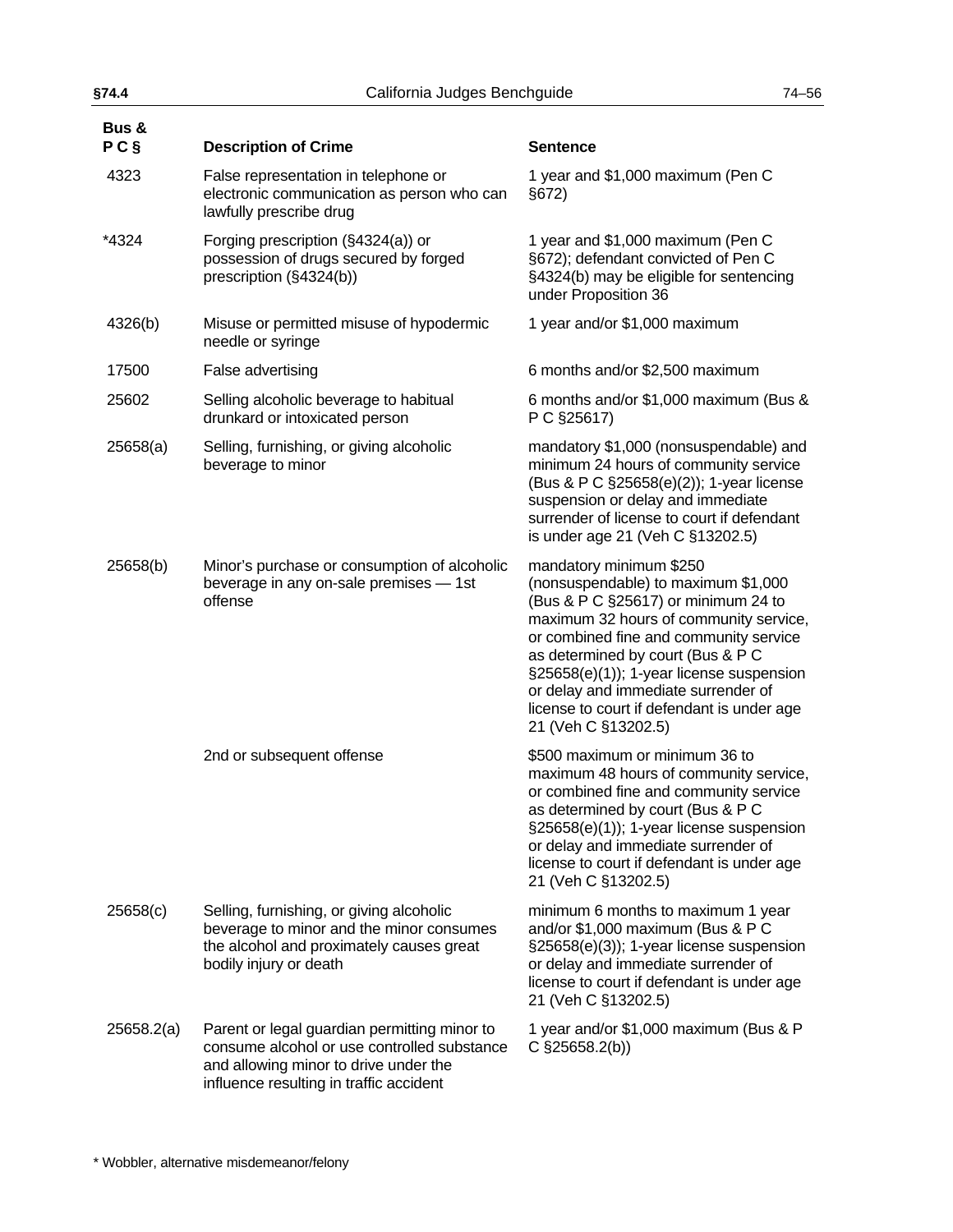| §74.4                   | California Judges Benchguide                                                                                                                                                    |                                                                                                                                                                                                                                                                                                                                                                                        |
|-------------------------|---------------------------------------------------------------------------------------------------------------------------------------------------------------------------------|----------------------------------------------------------------------------------------------------------------------------------------------------------------------------------------------------------------------------------------------------------------------------------------------------------------------------------------------------------------------------------------|
| <b>Bus &amp;</b><br>P C | <b>Description of Crime</b>                                                                                                                                                     | <b>Sentence</b>                                                                                                                                                                                                                                                                                                                                                                        |
| 4323                    | False representation in telephone or<br>electronic communication as person who can<br>lawfully prescribe drug                                                                   | 1 year and \$1,000 maximum (Pen C<br>§672                                                                                                                                                                                                                                                                                                                                              |
| *4324                   | Forging prescription (§4324(a)) or<br>possession of drugs secured by forged<br>prescription (§4324(b))                                                                          | 1 year and \$1,000 maximum (Pen C<br>§672); defendant convicted of Pen C<br>§4324(b) may be eligible for sentencing<br>under Proposition 36                                                                                                                                                                                                                                            |
| 4326(b)                 | Misuse or permitted misuse of hypodermic<br>needle or syringe                                                                                                                   | 1 year and/or \$1,000 maximum                                                                                                                                                                                                                                                                                                                                                          |
| 17500                   | False advertising                                                                                                                                                               | 6 months and/or \$2,500 maximum                                                                                                                                                                                                                                                                                                                                                        |
| 25602                   | Selling alcoholic beverage to habitual<br>drunkard or intoxicated person                                                                                                        | 6 months and/or \$1,000 maximum (Bus &<br>P C §25617)                                                                                                                                                                                                                                                                                                                                  |
| 25658(a)                | Selling, furnishing, or giving alcoholic<br>beverage to minor                                                                                                                   | mandatory \$1,000 (nonsuspendable) and<br>minimum 24 hours of community service<br>(Bus & P C §25658(e)(2)); 1-year license<br>suspension or delay and immediate<br>surrender of license to court if defendant<br>is under age 21 (Veh C §13202.5)                                                                                                                                     |
| 25658(b)                | Minor's purchase or consumption of alcoholic<br>beverage in any on-sale premises - 1st<br>offense                                                                               | mandatory minimum \$250<br>(nonsuspendable) to maximum \$1,000<br>(Bus & P C §25617) or minimum 24 to<br>maximum 32 hours of community service,<br>or combined fine and community service<br>as determined by court (Bus & P C<br>§25658(e)(1)); 1-year license suspension<br>or delay and immediate surrender of<br>license to court if defendant is under age<br>21 (Veh C §13202.5) |
|                         | 2nd or subsequent offense                                                                                                                                                       | \$500 maximum or minimum 36 to<br>maximum 48 hours of community service,<br>or combined fine and community service<br>as determined by court (Bus & P C<br>§25658(e)(1)); 1-year license suspension<br>or delay and immediate surrender of<br>license to court if defendant is under age<br>21 (Veh C §13202.5)                                                                        |
| 25658(c)                | Selling, furnishing, or giving alcoholic<br>beverage to minor and the minor consumes<br>the alcohol and proximately causes great<br>bodily injury or death                      | minimum 6 months to maximum 1 year<br>and/or \$1,000 maximum (Bus & P C<br>§25658(e)(3)); 1-year license suspension<br>or delay and immediate surrender of<br>license to court if defendant is under age<br>21 (Veh C §13202.5)                                                                                                                                                        |
| 25658.2(a)              | Parent or legal guardian permitting minor to<br>consume alcohol or use controlled substance<br>and allowing minor to drive under the<br>influence resulting in traffic accident | 1 year and/or \$1,000 maximum (Bus & P<br>$C$ §25658.2(b))                                                                                                                                                                                                                                                                                                                             |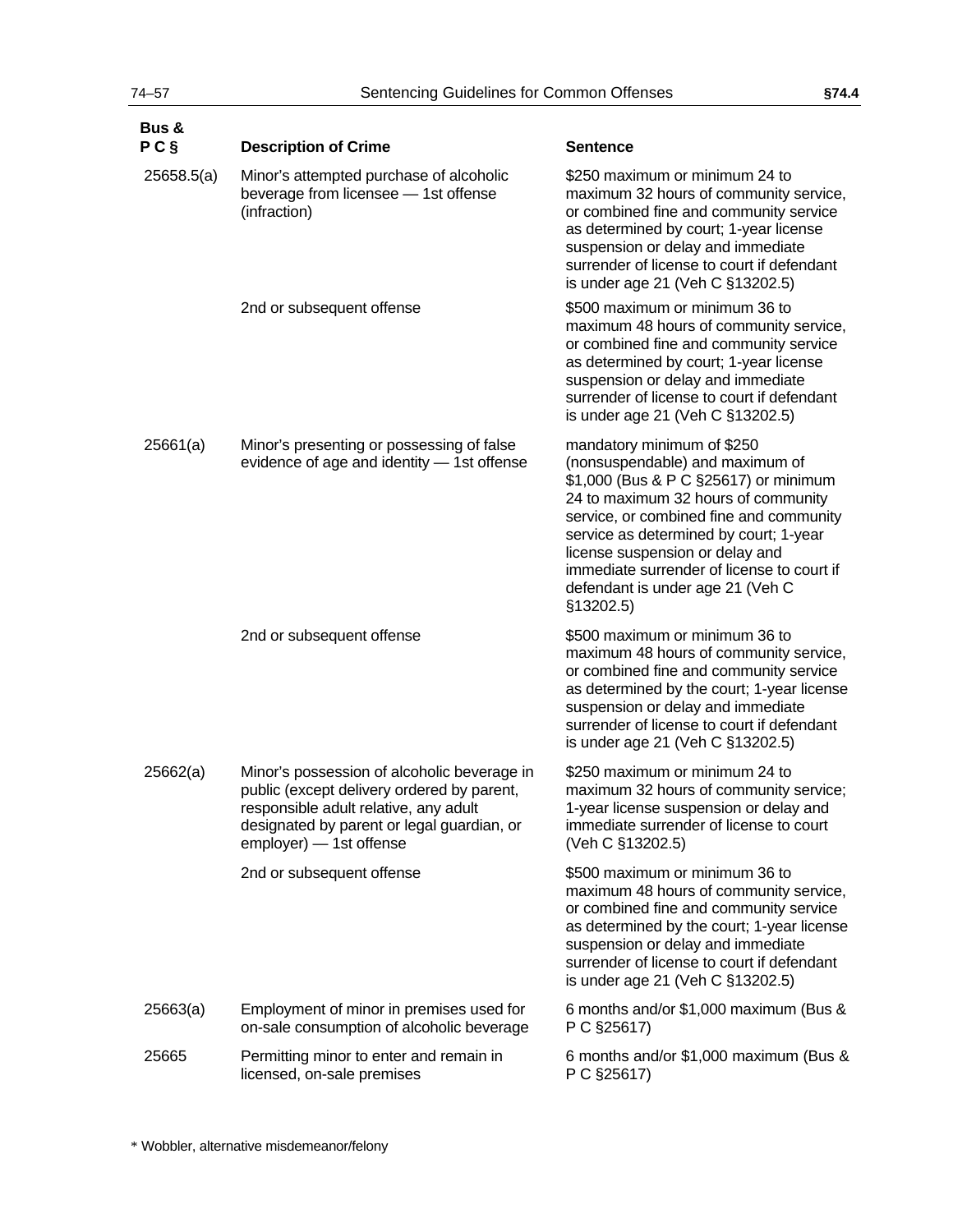| Bus &<br>$P C$ § | <b>Description of Crime</b>                                                                                                                                                                                 | <b>Sentence</b>                                                                                                                                                                                                                                                                                                                                                     |
|------------------|-------------------------------------------------------------------------------------------------------------------------------------------------------------------------------------------------------------|---------------------------------------------------------------------------------------------------------------------------------------------------------------------------------------------------------------------------------------------------------------------------------------------------------------------------------------------------------------------|
| 25658.5(a)       | Minor's attempted purchase of alcoholic<br>beverage from licensee - 1st offense<br>(infraction)                                                                                                             | \$250 maximum or minimum 24 to<br>maximum 32 hours of community service,<br>or combined fine and community service<br>as determined by court; 1-year license<br>suspension or delay and immediate<br>surrender of license to court if defendant<br>is under age 21 (Veh C §13202.5)                                                                                 |
|                  | 2nd or subsequent offense                                                                                                                                                                                   | \$500 maximum or minimum 36 to<br>maximum 48 hours of community service,<br>or combined fine and community service<br>as determined by court; 1-year license<br>suspension or delay and immediate<br>surrender of license to court if defendant<br>is under age 21 (Veh C §13202.5)                                                                                 |
| 25661(a)         | Minor's presenting or possessing of false<br>evidence of age and identity - 1st offense                                                                                                                     | mandatory minimum of \$250<br>(nonsuspendable) and maximum of<br>\$1,000 (Bus & P C §25617) or minimum<br>24 to maximum 32 hours of community<br>service, or combined fine and community<br>service as determined by court; 1-year<br>license suspension or delay and<br>immediate surrender of license to court if<br>defendant is under age 21 (Veh C<br>§13202.5 |
|                  | 2nd or subsequent offense                                                                                                                                                                                   | \$500 maximum or minimum 36 to<br>maximum 48 hours of community service,<br>or combined fine and community service<br>as determined by the court; 1-year license<br>suspension or delay and immediate<br>surrender of license to court if defendant<br>is under age 21 (Veh C §13202.5)                                                                             |
| 25662(a)         | Minor's possession of alcoholic beverage in<br>public (except delivery ordered by parent,<br>responsible adult relative, any adult<br>designated by parent or legal guardian, or<br>employer) - 1st offense | \$250 maximum or minimum 24 to<br>maximum 32 hours of community service;<br>1-year license suspension or delay and<br>immediate surrender of license to court<br>(Veh C §13202.5)                                                                                                                                                                                   |
|                  | 2nd or subsequent offense                                                                                                                                                                                   | \$500 maximum or minimum 36 to<br>maximum 48 hours of community service,<br>or combined fine and community service<br>as determined by the court; 1-year license<br>suspension or delay and immediate<br>surrender of license to court if defendant<br>is under age 21 (Veh C §13202.5)                                                                             |
| 25663(a)         | Employment of minor in premises used for<br>on-sale consumption of alcoholic beverage                                                                                                                       | 6 months and/or \$1,000 maximum (Bus &<br>P C §25617)                                                                                                                                                                                                                                                                                                               |
| 25665            | Permitting minor to enter and remain in<br>licensed, on-sale premises                                                                                                                                       | 6 months and/or \$1,000 maximum (Bus &<br>P C §25617)                                                                                                                                                                                                                                                                                                               |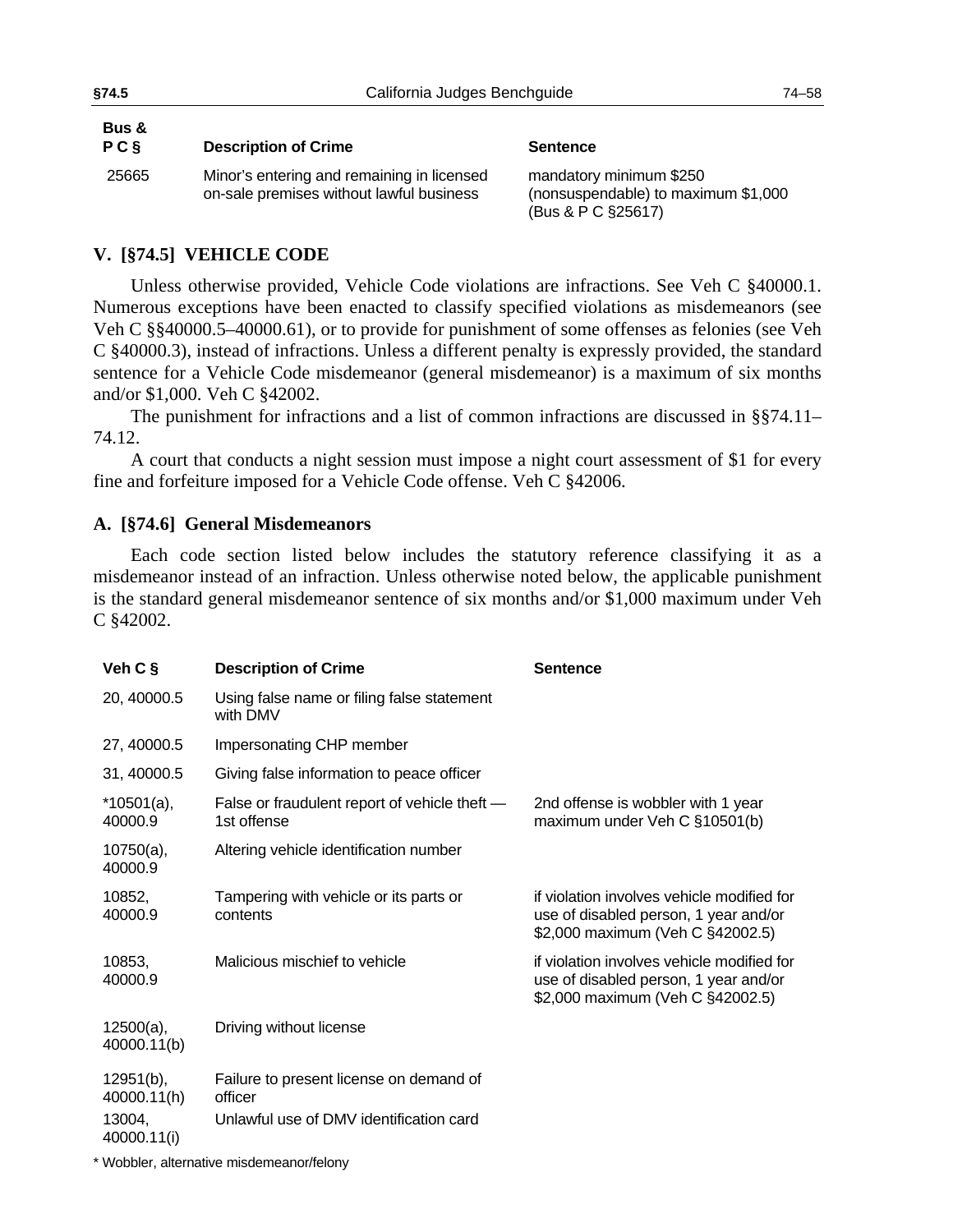| Bus &<br>PC§ | <b>Description of Crime</b>                                                            | <b>Sentence</b>                                                                      |
|--------------|----------------------------------------------------------------------------------------|--------------------------------------------------------------------------------------|
| 25665        | Minor's entering and remaining in licensed<br>on-sale premises without lawful business | mandatory minimum \$250<br>(nonsuspendable) to maximum \$1,000<br>(Bus & P C §25617) |

# **V. [§74.5] VEHICLE CODE**

Unless otherwise provided, Vehicle Code violations are infractions. See Veh C §40000.1. Numerous exceptions have been enacted to classify specified violations as misdemeanors (see Veh C §§40000.5–40000.61), or to provide for punishment of some offenses as felonies (see Veh C §40000.3), instead of infractions. Unless a different penalty is expressly provided, the standard sentence for a Vehicle Code misdemeanor (general misdemeanor) is a maximum of six months and/or \$1,000. Veh C §42002.

The punishment for infractions and a list of common infractions are discussed in §§[74.11–](#page-84-0) [74.12](#page-85-0).

A court that conducts a night session must impose a night court assessment of \$1 for every fine and forfeiture imposed for a Vehicle Code offense. Veh C §42006.

### **A. [§74.6] General Misdemeanors**

Each code section listed below includes the statutory reference classifying it as a misdemeanor instead of an infraction. Unless otherwise noted below, the applicable punishment is the standard general misdemeanor sentence of six months and/or \$1,000 maximum under Veh C §42002.

| Veh $C$ §                   | <b>Description of Crime</b>                                  | <b>Sentence</b>                                                                                                         |
|-----------------------------|--------------------------------------------------------------|-------------------------------------------------------------------------------------------------------------------------|
| 20, 40000.5                 | Using false name or filing false statement<br>with DMV       |                                                                                                                         |
| 27, 40000.5                 | Impersonating CHP member                                     |                                                                                                                         |
| 31, 40000.5                 | Giving false information to peace officer                    |                                                                                                                         |
| $*10501(a),$<br>40000.9     | False or fraudulent report of vehicle theft -<br>1st offense | 2nd offense is wobbler with 1 year<br>maximum under Veh C §10501(b)                                                     |
| $10750(a)$ ,<br>40000.9     | Altering vehicle identification number                       |                                                                                                                         |
| 10852,<br>40000.9           | Tampering with vehicle or its parts or<br>contents           | if violation involves vehicle modified for<br>use of disabled person, 1 year and/or<br>\$2,000 maximum (Veh C §42002.5) |
| 10853,<br>40000.9           | Malicious mischief to vehicle                                | if violation involves vehicle modified for<br>use of disabled person, 1 year and/or<br>\$2,000 maximum (Veh C §42002.5) |
| $12500(a)$ ,<br>40000.11(b) | Driving without license                                      |                                                                                                                         |
| $12951(b)$ ,<br>40000.11(h) | Failure to present license on demand of<br>officer           |                                                                                                                         |
| 13004,<br>40000.11(i)       | Unlawful use of DMV identification card                      |                                                                                                                         |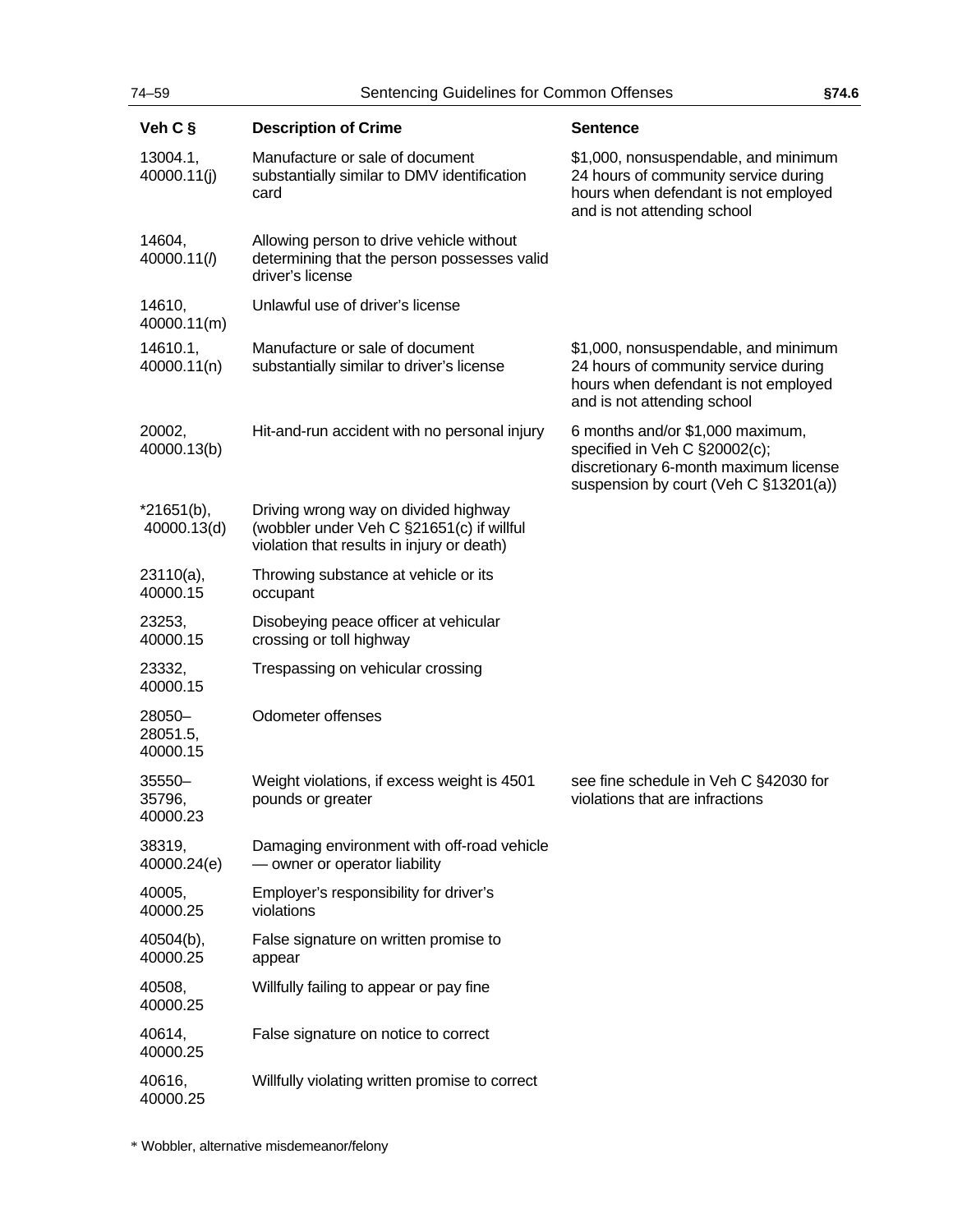| Veh C §                        | <b>Description of Crime</b>                                                                                                     | <b>Sentence</b>                                                                                                                                     |
|--------------------------------|---------------------------------------------------------------------------------------------------------------------------------|-----------------------------------------------------------------------------------------------------------------------------------------------------|
| 13004.1,<br>40000.11(j)        | Manufacture or sale of document<br>substantially similar to DMV identification<br>card                                          | \$1,000, nonsuspendable, and minimum<br>24 hours of community service during<br>hours when defendant is not employed<br>and is not attending school |
| 14604,<br>40000.11(1)          | Allowing person to drive vehicle without<br>determining that the person possesses valid<br>driver's license                     |                                                                                                                                                     |
| 14610,<br>40000.11(m)          | Unlawful use of driver's license                                                                                                |                                                                                                                                                     |
| 14610.1,<br>40000.11(n)        | Manufacture or sale of document<br>substantially similar to driver's license                                                    | \$1,000, nonsuspendable, and minimum<br>24 hours of community service during<br>hours when defendant is not employed<br>and is not attending school |
| 20002,<br>40000.13(b)          | Hit-and-run accident with no personal injury                                                                                    | 6 months and/or \$1,000 maximum,<br>specified in Veh C §20002(c);<br>discretionary 6-month maximum license<br>suspension by court (Veh C §13201(a)) |
| $*21651(b),$<br>40000.13(d)    | Driving wrong way on divided highway<br>(wobbler under Veh C §21651(c) if willful<br>violation that results in injury or death) |                                                                                                                                                     |
| 23110(a),<br>40000.15          | Throwing substance at vehicle or its<br>occupant                                                                                |                                                                                                                                                     |
| 23253,<br>40000.15             | Disobeying peace officer at vehicular<br>crossing or toll highway                                                               |                                                                                                                                                     |
| 23332,<br>40000.15             | Trespassing on vehicular crossing                                                                                               |                                                                                                                                                     |
| 28050-<br>28051.5,<br>40000.15 | Odometer offenses                                                                                                               |                                                                                                                                                     |
| 35550-<br>35796,<br>40000.23   | Weight violations, if excess weight is 4501<br>pounds or greater                                                                | see fine schedule in Veh C §42030 for<br>violations that are infractions                                                                            |
| 38319,<br>40000.24(e)          | Damaging environment with off-road vehicle<br>- owner or operator liability                                                     |                                                                                                                                                     |
| 40005,<br>40000.25             | Employer's responsibility for driver's<br>violations                                                                            |                                                                                                                                                     |
| 40504(b),<br>40000.25          | False signature on written promise to<br>appear                                                                                 |                                                                                                                                                     |
| 40508,<br>40000.25             | Willfully failing to appear or pay fine                                                                                         |                                                                                                                                                     |
| 40614,<br>40000.25             | False signature on notice to correct                                                                                            |                                                                                                                                                     |
| 40616,<br>40000.25             | Willfully violating written promise to correct                                                                                  |                                                                                                                                                     |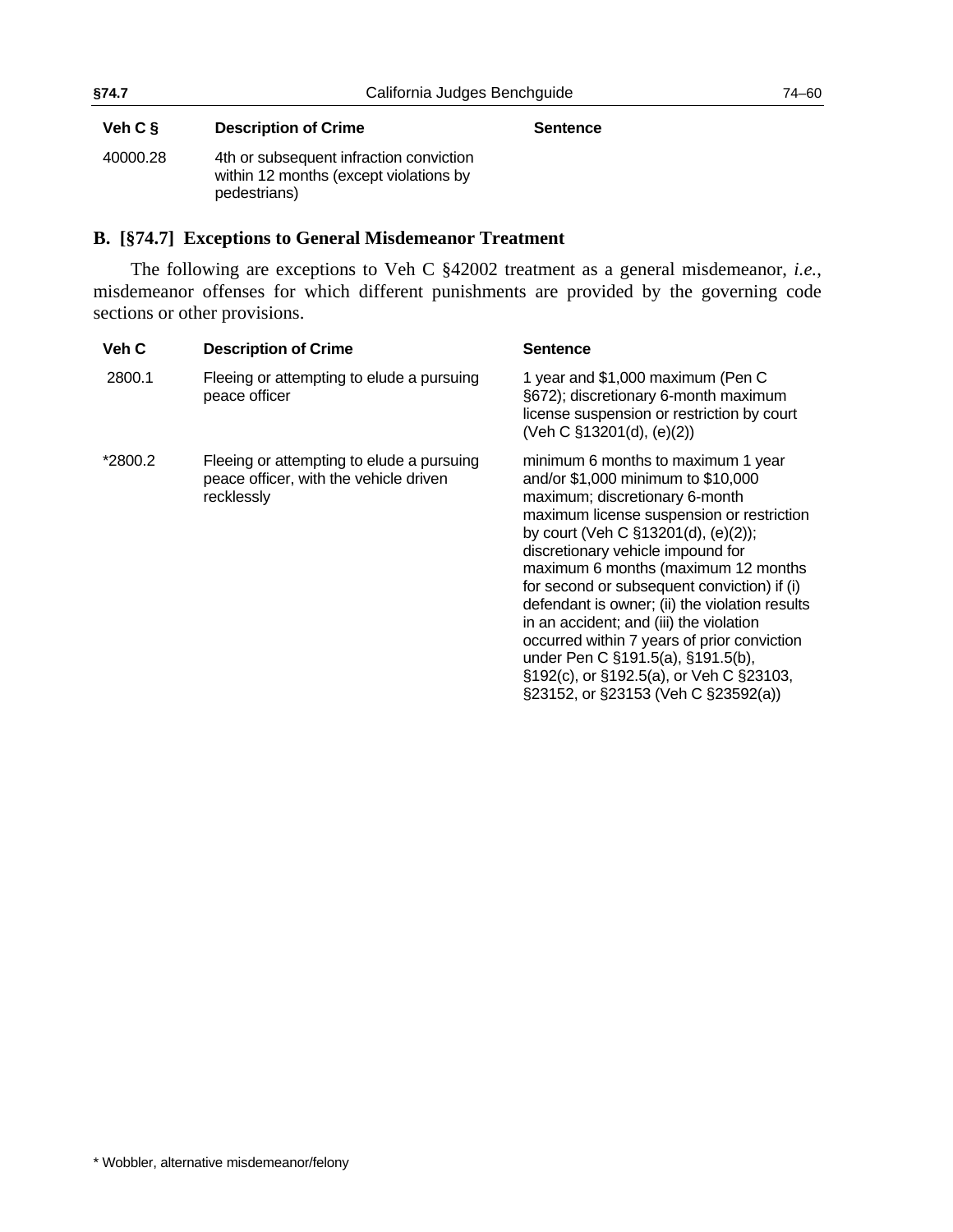### Veh C § **Description of Crime Sentence**

40000.28 4th or subsequent infraction conviction within 12 months (except violations by pedestrians)

### **B. [§74.7] Exceptions to General Misdemeanor Treatment**

The following are exceptions to Veh C §42002 treatment as a general misdemeanor, *i.e.*, misdemeanor offenses for which different punishments are provided by the governing code sections or other provisions.

| Veh C   | <b>Description of Crime</b>                                                                       | Sentence                                                                                                                                                                                                                                                                                                                                                                                                                                                                                                                                                                                     |
|---------|---------------------------------------------------------------------------------------------------|----------------------------------------------------------------------------------------------------------------------------------------------------------------------------------------------------------------------------------------------------------------------------------------------------------------------------------------------------------------------------------------------------------------------------------------------------------------------------------------------------------------------------------------------------------------------------------------------|
| 2800.1  | Fleeing or attempting to elude a pursuing<br>peace officer                                        | 1 year and \$1,000 maximum (Pen C<br>§672); discretionary 6-month maximum<br>license suspension or restriction by court<br>(Veh C §13201(d), (e)(2))                                                                                                                                                                                                                                                                                                                                                                                                                                         |
| *2800.2 | Fleeing or attempting to elude a pursuing<br>peace officer, with the vehicle driven<br>recklessly | minimum 6 months to maximum 1 year<br>and/or \$1,000 minimum to \$10,000<br>maximum; discretionary 6-month<br>maximum license suspension or restriction<br>by court (Veh C §13201(d), (e)(2));<br>discretionary vehicle impound for<br>maximum 6 months (maximum 12 months<br>for second or subsequent conviction) if (i)<br>defendant is owner; (ii) the violation results<br>in an accident; and (iii) the violation<br>occurred within 7 years of prior conviction<br>under Pen C §191.5(a), §191.5(b),<br>§192(c), or §192.5(a), or Veh C §23103,<br>§23152, or §23153 (Veh C §23592(a)) |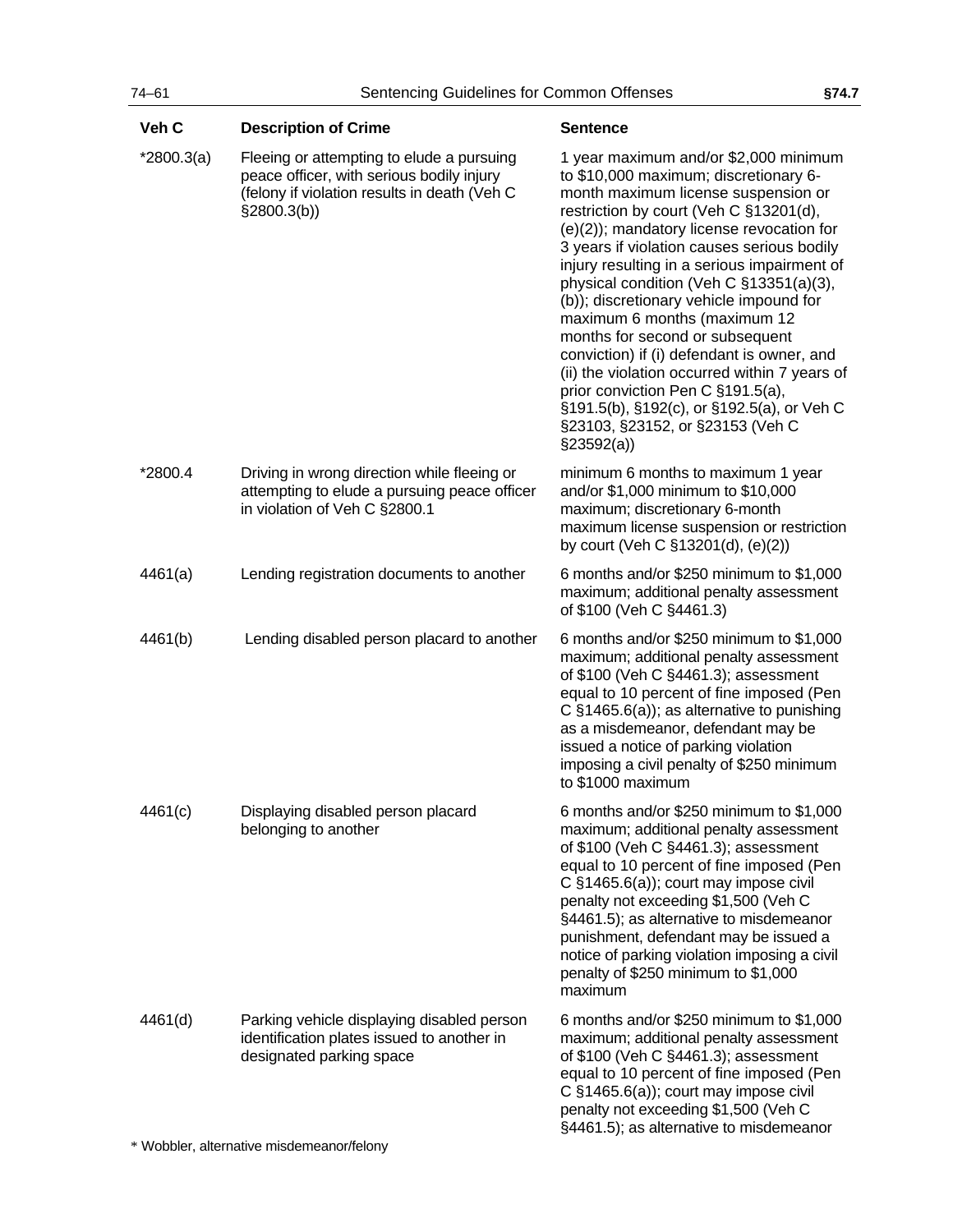| Veh C        | <b>Description of Crime</b>                                                                                                                           | <b>Sentence</b>                                                                                                                                                                                                                                                                                                                                                                                                                                                                                                                                                                                                                                                                                        |
|--------------|-------------------------------------------------------------------------------------------------------------------------------------------------------|--------------------------------------------------------------------------------------------------------------------------------------------------------------------------------------------------------------------------------------------------------------------------------------------------------------------------------------------------------------------------------------------------------------------------------------------------------------------------------------------------------------------------------------------------------------------------------------------------------------------------------------------------------------------------------------------------------|
| $*2800.3(a)$ | Fleeing or attempting to elude a pursuing<br>peace officer, with serious bodily injury<br>(felony if violation results in death (Veh C<br>\$2800.3(b) | 1 year maximum and/or \$2,000 minimum<br>to \$10,000 maximum; discretionary 6-<br>month maximum license suspension or<br>restriction by court (Veh C §13201(d),<br>(e)(2)); mandatory license revocation for<br>3 years if violation causes serious bodily<br>injury resulting in a serious impairment of<br>physical condition (Veh C §13351(a)(3),<br>(b)); discretionary vehicle impound for<br>maximum 6 months (maximum 12<br>months for second or subsequent<br>conviction) if (i) defendant is owner, and<br>(ii) the violation occurred within 7 years of<br>prior conviction Pen C §191.5(a),<br>§191.5(b), §192(c), or §192.5(a), or Veh C<br>§23103, §23152, or §23153 (Veh C<br>\$23592(a) |
| *2800.4      | Driving in wrong direction while fleeing or<br>attempting to elude a pursuing peace officer<br>in violation of Veh C §2800.1                          | minimum 6 months to maximum 1 year<br>and/or \$1,000 minimum to \$10,000<br>maximum; discretionary 6-month<br>maximum license suspension or restriction<br>by court (Veh C §13201(d), (e)(2))                                                                                                                                                                                                                                                                                                                                                                                                                                                                                                          |
| 4461(a)      | Lending registration documents to another                                                                                                             | 6 months and/or \$250 minimum to \$1,000<br>maximum; additional penalty assessment<br>of \$100 (Veh C §4461.3)                                                                                                                                                                                                                                                                                                                                                                                                                                                                                                                                                                                         |
| 4461(b)      | Lending disabled person placard to another                                                                                                            | 6 months and/or \$250 minimum to \$1,000<br>maximum; additional penalty assessment<br>of \$100 (Veh C §4461.3); assessment<br>equal to 10 percent of fine imposed (Pen<br>C $§1465.6(a)$ ; as alternative to punishing<br>as a misdemeanor, defendant may be<br>issued a notice of parking violation<br>imposing a civil penalty of \$250 minimum<br>to \$1000 maximum                                                                                                                                                                                                                                                                                                                                 |
| 4461(c)      | Displaying disabled person placard<br>belonging to another                                                                                            | 6 months and/or \$250 minimum to \$1,000<br>maximum; additional penalty assessment<br>of \$100 (Veh C §4461.3); assessment<br>equal to 10 percent of fine imposed (Pen<br>C §1465.6(a)); court may impose civil<br>penalty not exceeding \$1,500 (Veh C<br>§4461.5); as alternative to misdemeanor<br>punishment, defendant may be issued a<br>notice of parking violation imposing a civil<br>penalty of \$250 minimum to \$1,000<br>maximum                                                                                                                                                                                                                                                          |
| 4461(d)      | Parking vehicle displaying disabled person<br>identification plates issued to another in<br>designated parking space                                  | 6 months and/or \$250 minimum to \$1,000<br>maximum; additional penalty assessment<br>of \$100 (Veh C §4461.3); assessment<br>equal to 10 percent of fine imposed (Pen<br>C §1465.6(a)); court may impose civil<br>penalty not exceeding \$1,500 (Veh C<br>§4461.5); as alternative to misdemeanor                                                                                                                                                                                                                                                                                                                                                                                                     |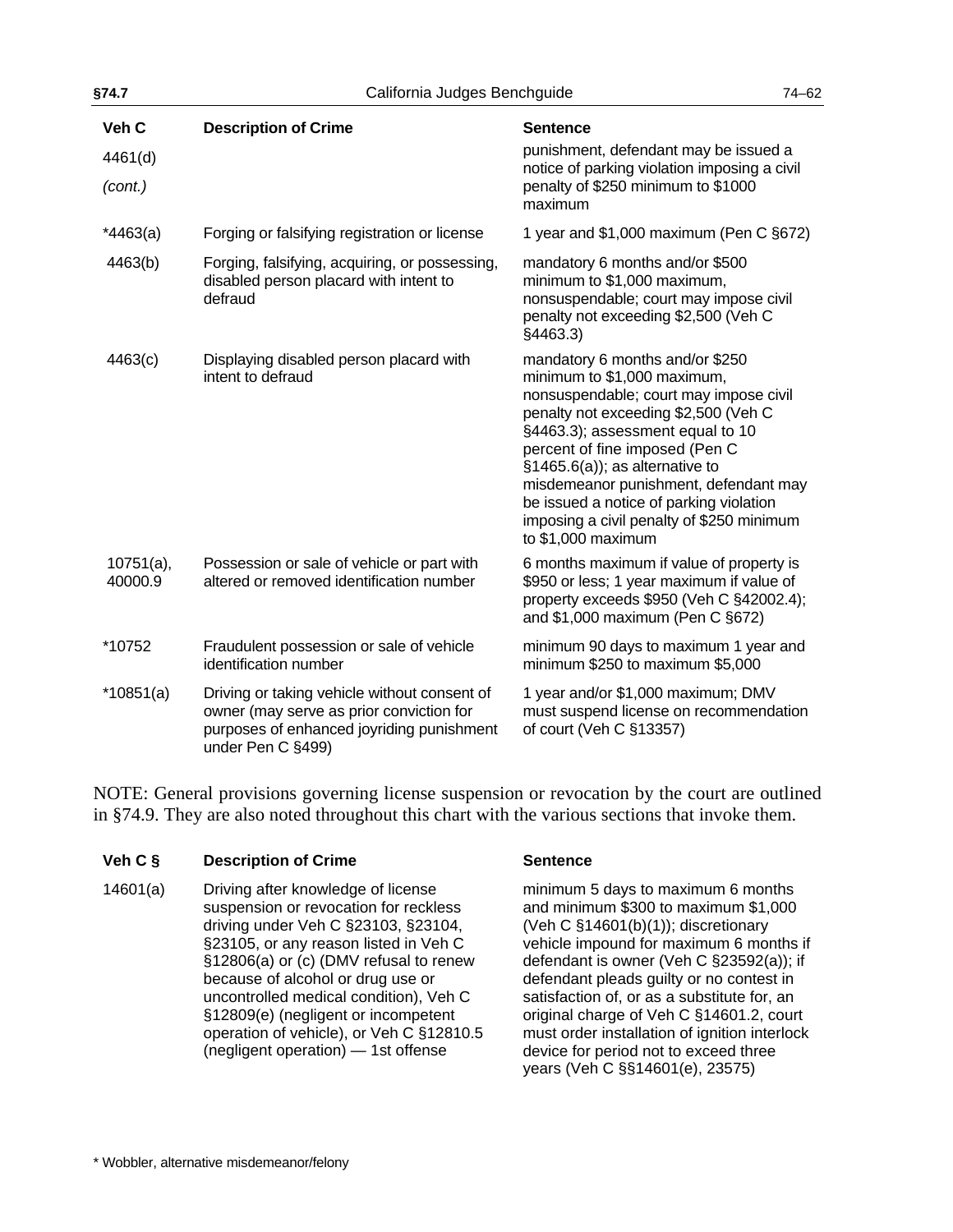| §74.7<br>California Judges Benchguide |                                                                                                                                                            | $74 - 62$                                                                                                                                                                                                                                                                                                                                                                                                          |
|---------------------------------------|------------------------------------------------------------------------------------------------------------------------------------------------------------|--------------------------------------------------------------------------------------------------------------------------------------------------------------------------------------------------------------------------------------------------------------------------------------------------------------------------------------------------------------------------------------------------------------------|
| Veh C<br>4461(d)<br>(cont.)           | <b>Description of Crime</b>                                                                                                                                | <b>Sentence</b><br>punishment, defendant may be issued a<br>notice of parking violation imposing a civil<br>penalty of \$250 minimum to \$1000<br>maximum                                                                                                                                                                                                                                                          |
| $*4463(a)$                            | Forging or falsifying registration or license                                                                                                              | 1 year and \$1,000 maximum (Pen C §672)                                                                                                                                                                                                                                                                                                                                                                            |
| 4463(b)                               | Forging, falsifying, acquiring, or possessing,<br>disabled person placard with intent to<br>defraud                                                        | mandatory 6 months and/or \$500<br>minimum to \$1,000 maximum,<br>nonsuspendable; court may impose civil<br>penalty not exceeding \$2,500 (Veh C<br>§4463.3)                                                                                                                                                                                                                                                       |
| 4463(c)                               | Displaying disabled person placard with<br>intent to defraud                                                                                               | mandatory 6 months and/or \$250<br>minimum to \$1,000 maximum,<br>nonsuspendable; court may impose civil<br>penalty not exceeding \$2,500 (Veh C<br>§4463.3); assessment equal to 10<br>percent of fine imposed (Pen C<br>$§1465.6(a)$ ; as alternative to<br>misdemeanor punishment, defendant may<br>be issued a notice of parking violation<br>imposing a civil penalty of \$250 minimum<br>to $$1,000$ maximum |
| $10751(a)$ ,<br>40000.9               | Possession or sale of vehicle or part with<br>altered or removed identification number                                                                     | 6 months maximum if value of property is<br>\$950 or less; 1 year maximum if value of<br>property exceeds \$950 (Veh C §42002.4);<br>and \$1,000 maximum (Pen C §672)                                                                                                                                                                                                                                              |
| *10752                                | Fraudulent possession or sale of vehicle<br>identification number                                                                                          | minimum 90 days to maximum 1 year and<br>minimum \$250 to maximum \$5,000                                                                                                                                                                                                                                                                                                                                          |
| $*10851(a)$                           | Driving or taking vehicle without consent of<br>owner (may serve as prior conviction for<br>purposes of enhanced joyriding punishment<br>under Pen C §499) | 1 year and/or \$1,000 maximum; DMV<br>must suspend license on recommendation<br>of court (Veh C §13357)                                                                                                                                                                                                                                                                                                            |

NOTE: General provisions governing license suspension or revocation by the court are outlined in [§74.9](#page-69-0). They are also noted throughout this chart with the various sections that invoke them.

### **Veh C § Description of Crime Sentence**

14601(a) Driving after knowledge of license suspension or revocation for reckless driving under Veh C §23103, §23104, §23105, or any reason listed in Veh C §12806(a) or (c) (DMV refusal to renew because of alcohol or drug use or uncontrolled medical condition), Veh C §12809(e) (negligent or incompetent operation of vehicle), or Veh C §12810.5 (negligent operation) — 1st offense

minimum 5 days to maximum 6 months and minimum \$300 to maximum \$1,000 (Veh C §14601(b)(1)); discretionary vehicle impound for maximum 6 months if defendant is owner (Veh C §23592(a)); if defendant pleads guilty or no contest in satisfaction of, or as a substitute for, an original charge of Veh C §14601.2, court must order installation of ignition interlock device for period not to exceed three years (Veh C §§14601(e), 23575)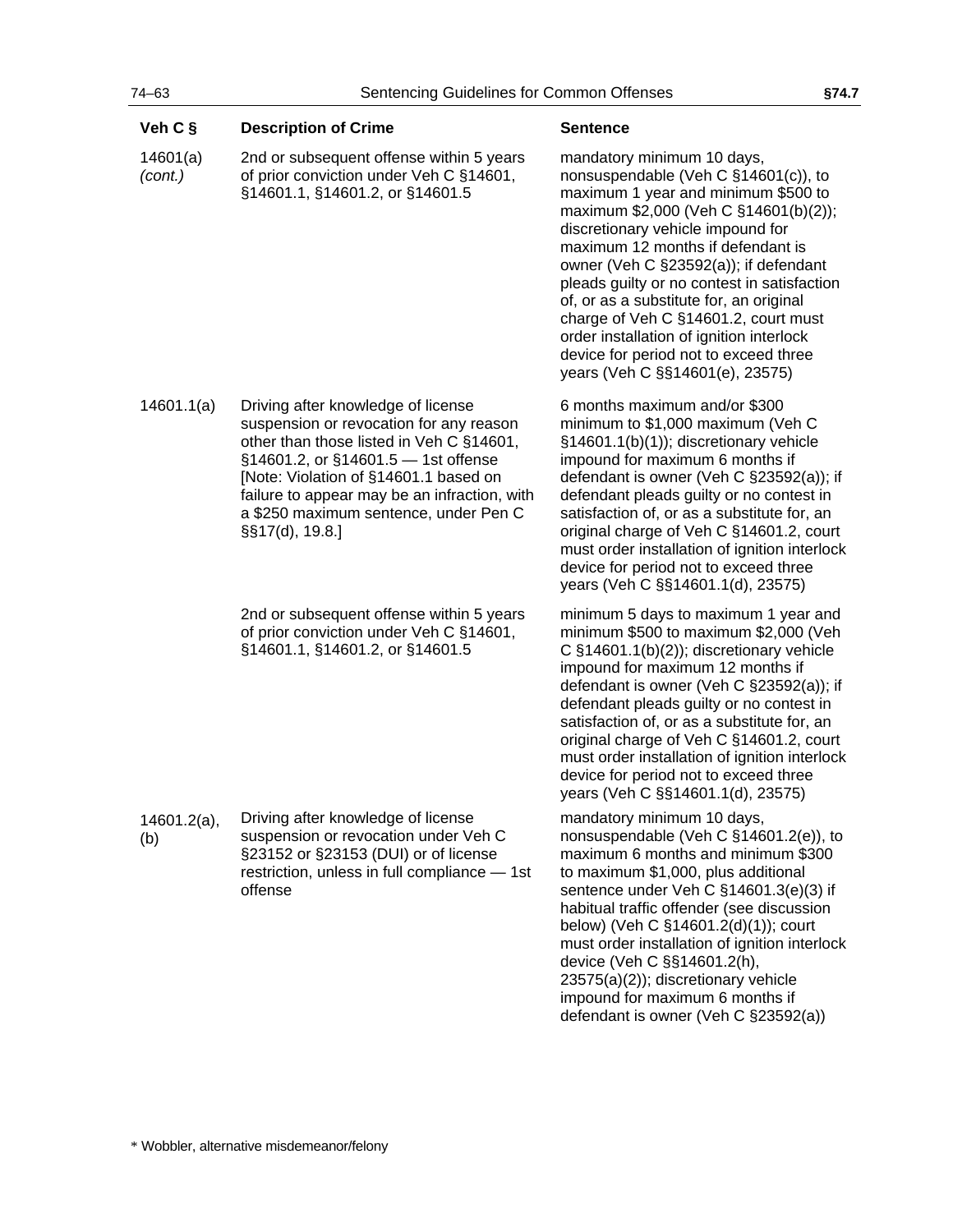| Veh C §               | <b>Description of Crime</b>                                                                                                                                                                                                                                                                                           | <b>Sentence</b>                                                                                                                                                                                                                                                                                                                                                                                                                                                                                                                 |
|-----------------------|-----------------------------------------------------------------------------------------------------------------------------------------------------------------------------------------------------------------------------------------------------------------------------------------------------------------------|---------------------------------------------------------------------------------------------------------------------------------------------------------------------------------------------------------------------------------------------------------------------------------------------------------------------------------------------------------------------------------------------------------------------------------------------------------------------------------------------------------------------------------|
| 14601(a)<br>(cont.)   | 2nd or subsequent offense within 5 years<br>of prior conviction under Veh C §14601,<br>§14601.1, §14601.2, or §14601.5                                                                                                                                                                                                | mandatory minimum 10 days,<br>nonsuspendable (Veh C §14601(c)), to<br>maximum 1 year and minimum \$500 to<br>maximum \$2,000 (Veh C §14601(b)(2));<br>discretionary vehicle impound for<br>maximum 12 months if defendant is<br>owner (Veh C §23592(a)); if defendant<br>pleads guilty or no contest in satisfaction<br>of, or as a substitute for, an original<br>charge of Veh C §14601.2, court must<br>order installation of ignition interlock<br>device for period not to exceed three<br>years (Veh C §§14601(e), 23575) |
| 14601.1(a)            | Driving after knowledge of license<br>suspension or revocation for any reason<br>other than those listed in Veh C §14601,<br>§14601.2, or §14601.5 - 1st offense<br>[Note: Violation of §14601.1 based on<br>failure to appear may be an infraction, with<br>a \$250 maximum sentence, under Pen C<br>§§17(d), 19.8.] | 6 months maximum and/or \$300<br>minimum to \$1,000 maximum (Veh C<br>§14601.1(b)(1)); discretionary vehicle<br>impound for maximum 6 months if<br>defendant is owner (Veh C §23592(a)); if<br>defendant pleads guilty or no contest in<br>satisfaction of, or as a substitute for, an<br>original charge of Veh C §14601.2, court<br>must order installation of ignition interlock<br>device for period not to exceed three<br>years (Veh C §§14601.1(d), 23575)                                                               |
|                       | 2nd or subsequent offense within 5 years<br>of prior conviction under Veh C §14601,<br>§14601.1, §14601.2, or §14601.5                                                                                                                                                                                                | minimum 5 days to maximum 1 year and<br>minimum \$500 to maximum \$2,000 (Veh<br>C $§14601.1(b)(2)$ ; discretionary vehicle<br>impound for maximum 12 months if<br>defendant is owner (Veh C §23592(a)); if<br>defendant pleads guilty or no contest in<br>satisfaction of, or as a substitute for, an<br>original charge of Veh C §14601.2, court<br>must order installation of ignition interlock<br>device for period not to exceed three<br>years (Veh C §§14601.1(d), 23575)                                               |
| $14601.2(a)$ ,<br>(b) | Driving after knowledge of license<br>suspension or revocation under Veh C<br>§23152 or §23153 (DUI) or of license<br>restriction, unless in full compliance - 1st<br>offense                                                                                                                                         | mandatory minimum 10 days,<br>nonsuspendable (Veh C §14601.2(e)), to<br>maximum 6 months and minimum \$300<br>to maximum \$1,000, plus additional<br>sentence under Veh C §14601.3(e)(3) if<br>habitual traffic offender (see discussion<br>below) (Veh C §14601.2(d)(1)); court<br>must order installation of ignition interlock<br>device (Veh C §§14601.2(h),<br>23575(a)(2)); discretionary vehicle<br>impound for maximum 6 months if<br>defendant is owner (Veh C §23592(a))                                              |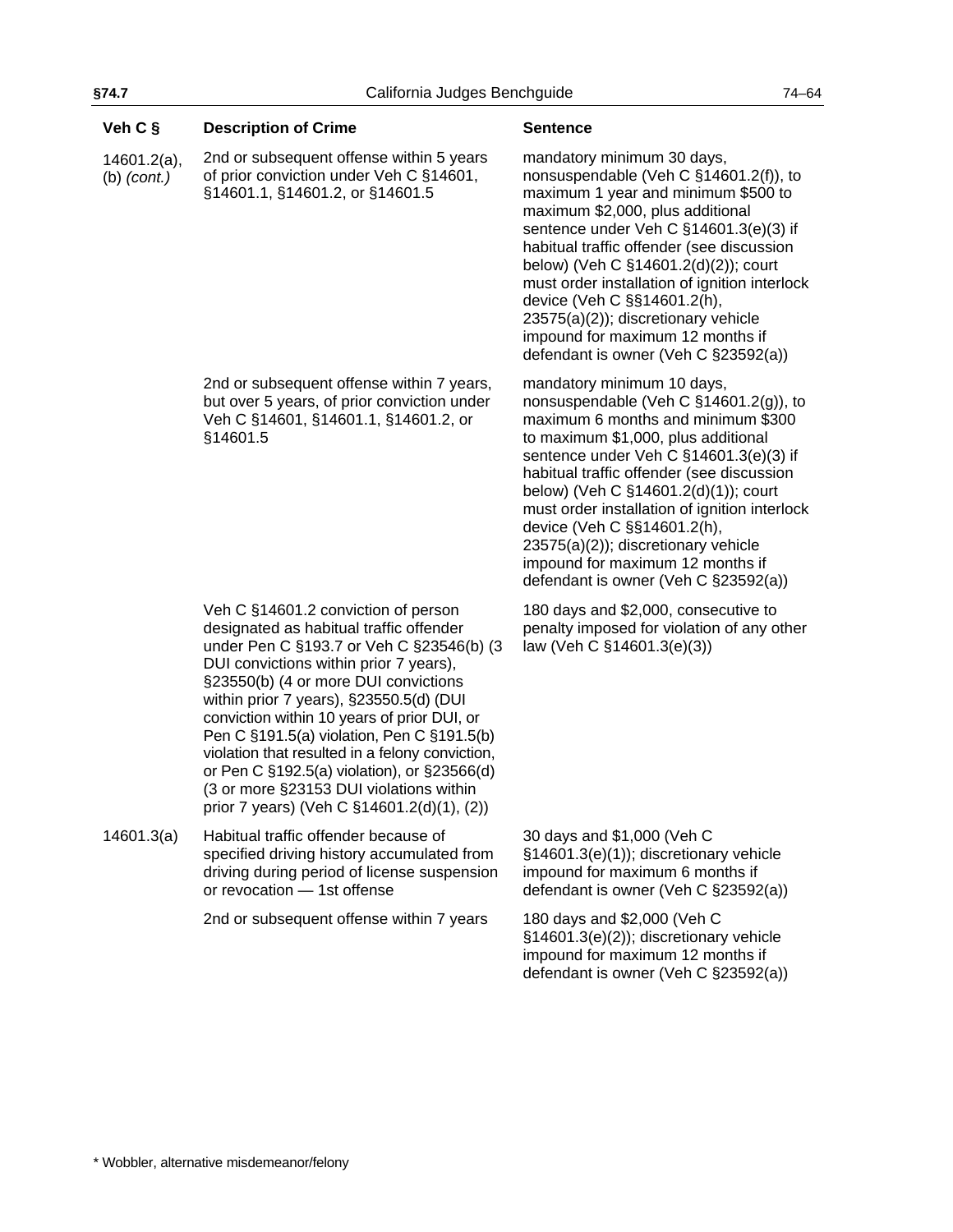| Veh C §                         | <b>Description of Crime</b>                                                                                                                                                                                                                                                                                                                                                                                                                                                                                                                     | <b>Sentence</b>                                                                                                                                                                                                                                                                                                                                                                                                                                                                       |
|---------------------------------|-------------------------------------------------------------------------------------------------------------------------------------------------------------------------------------------------------------------------------------------------------------------------------------------------------------------------------------------------------------------------------------------------------------------------------------------------------------------------------------------------------------------------------------------------|---------------------------------------------------------------------------------------------------------------------------------------------------------------------------------------------------------------------------------------------------------------------------------------------------------------------------------------------------------------------------------------------------------------------------------------------------------------------------------------|
| $14601.2(a)$ ,<br>$(b)$ (cont.) | 2nd or subsequent offense within 5 years<br>of prior conviction under Veh C §14601,<br>§14601.1, §14601.2, or §14601.5                                                                                                                                                                                                                                                                                                                                                                                                                          | mandatory minimum 30 days,<br>nonsuspendable (Veh C §14601.2(f)), to<br>maximum 1 year and minimum \$500 to<br>maximum \$2,000, plus additional<br>sentence under Veh C §14601.3(e)(3) if<br>habitual traffic offender (see discussion<br>below) (Veh C §14601.2(d)(2)); court<br>must order installation of ignition interlock<br>device (Veh C §§14601.2(h),<br>23575(a)(2)); discretionary vehicle<br>impound for maximum 12 months if<br>defendant is owner (Veh C §23592(a))     |
|                                 | 2nd or subsequent offense within 7 years,<br>but over 5 years, of prior conviction under<br>Veh C §14601, §14601.1, §14601.2, or<br>§14601.5                                                                                                                                                                                                                                                                                                                                                                                                    | mandatory minimum 10 days,<br>nonsuspendable (Veh C §14601.2(g)), to<br>maximum 6 months and minimum \$300<br>to maximum \$1,000, plus additional<br>sentence under Veh C §14601.3(e)(3) if<br>habitual traffic offender (see discussion<br>below) (Veh C §14601.2(d)(1)); court<br>must order installation of ignition interlock<br>device (Veh C §§14601.2(h),<br>$23575(a)(2)$ ; discretionary vehicle<br>impound for maximum 12 months if<br>defendant is owner (Veh C §23592(a)) |
|                                 | Veh C §14601.2 conviction of person<br>designated as habitual traffic offender<br>under Pen C §193.7 or Veh C §23546(b) (3<br>DUI convictions within prior 7 years),<br>§23550(b) (4 or more DUI convictions<br>within prior 7 years), §23550.5(d) (DUI<br>conviction within 10 years of prior DUI, or<br>Pen C §191.5(a) violation, Pen C §191.5(b)<br>violation that resulted in a felony conviction,<br>or Pen C §192.5(a) violation), or §23566(d)<br>(3 or more §23153 DUI violations within<br>prior 7 years) (Veh C §14601.2(d)(1), (2)) | 180 days and \$2,000, consecutive to<br>penalty imposed for violation of any other<br>law (Veh C §14601.3(e)(3))                                                                                                                                                                                                                                                                                                                                                                      |
| 14601.3(a)                      | Habitual traffic offender because of<br>specified driving history accumulated from<br>driving during period of license suspension<br>or revocation - 1st offense                                                                                                                                                                                                                                                                                                                                                                                | 30 days and \$1,000 (Veh C<br>§14601.3(e)(1)); discretionary vehicle<br>impound for maximum 6 months if<br>defendant is owner (Veh C §23592(a))                                                                                                                                                                                                                                                                                                                                       |
|                                 | 2nd or subsequent offense within 7 years                                                                                                                                                                                                                                                                                                                                                                                                                                                                                                        | 180 days and \$2,000 (Veh C<br>§14601.3(e)(2)); discretionary vehicle<br>impound for maximum 12 months if<br>defendant is owner (Veh C §23592(a))                                                                                                                                                                                                                                                                                                                                     |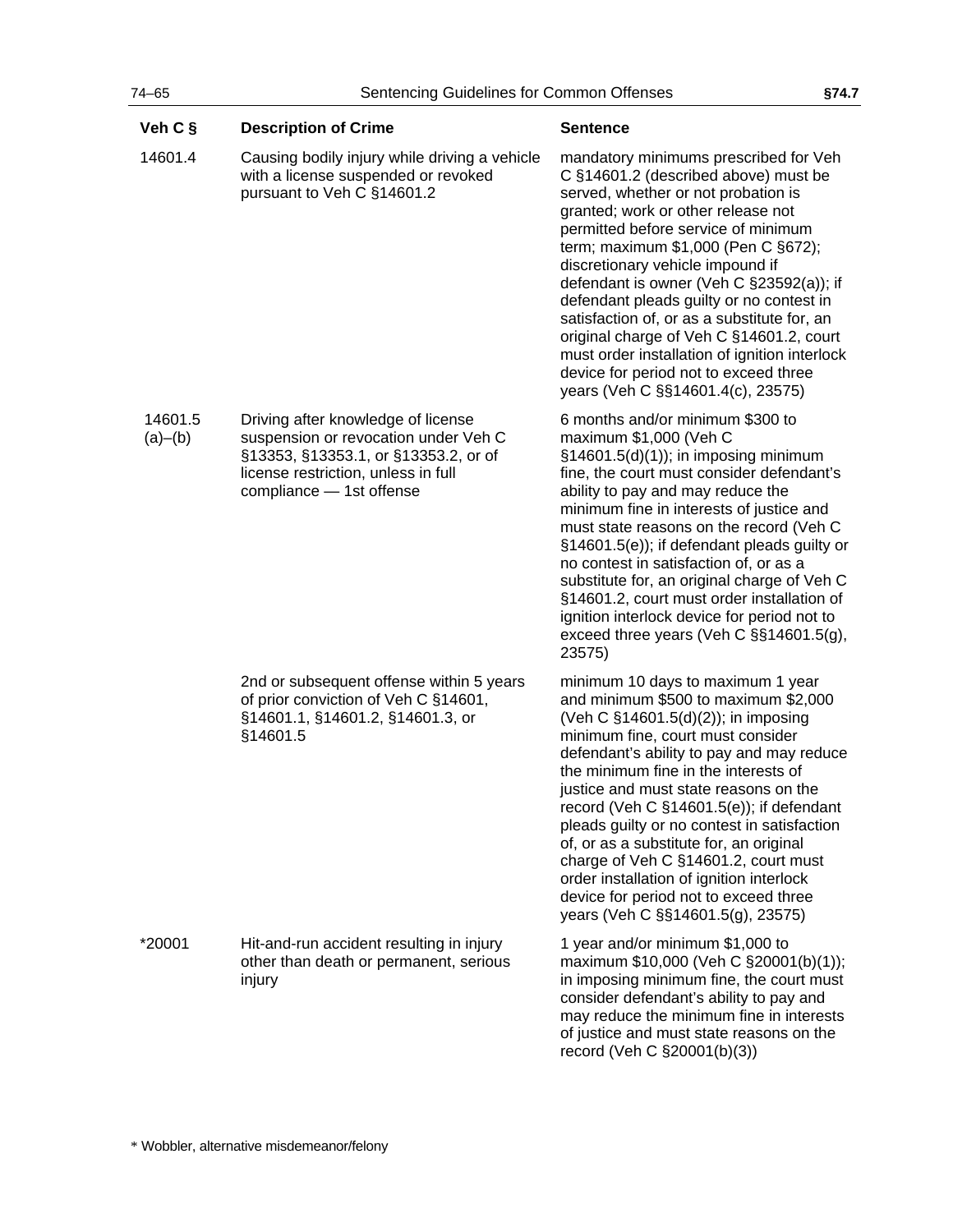| Veh C §            | <b>Description of Crime</b>                                                                                                                                                           | <b>Sentence</b>                                                                                                                                                                                                                                                                                                                                                                                                                                                                                                                                                                                    |
|--------------------|---------------------------------------------------------------------------------------------------------------------------------------------------------------------------------------|----------------------------------------------------------------------------------------------------------------------------------------------------------------------------------------------------------------------------------------------------------------------------------------------------------------------------------------------------------------------------------------------------------------------------------------------------------------------------------------------------------------------------------------------------------------------------------------------------|
| 14601.4            | Causing bodily injury while driving a vehicle<br>with a license suspended or revoked<br>pursuant to Veh C §14601.2                                                                    | mandatory minimums prescribed for Veh<br>C §14601.2 (described above) must be<br>served, whether or not probation is<br>granted; work or other release not<br>permitted before service of minimum<br>term; maximum \$1,000 (Pen C §672);<br>discretionary vehicle impound if<br>defendant is owner (Veh C $\S$ 23592(a)); if<br>defendant pleads guilty or no contest in<br>satisfaction of, or as a substitute for, an<br>original charge of Veh C §14601.2, court<br>must order installation of ignition interlock<br>device for period not to exceed three<br>years (Veh C §§14601.4(c), 23575) |
| 14601.5<br>(a)–(b) | Driving after knowledge of license<br>suspension or revocation under Veh C<br>§13353, §13353.1, or §13353.2, or of<br>license restriction, unless in full<br>compliance - 1st offense | 6 months and/or minimum \$300 to<br>maximum \$1,000 (Veh C<br>$§14601.5(d)(1))$ ; in imposing minimum<br>fine, the court must consider defendant's<br>ability to pay and may reduce the<br>minimum fine in interests of justice and<br>must state reasons on the record (Veh C<br>§14601.5(e)); if defendant pleads guilty or<br>no contest in satisfaction of, or as a<br>substitute for, an original charge of Veh C<br>§14601.2, court must order installation of<br>ignition interlock device for period not to<br>exceed three years (Veh C §§14601.5(g),<br>23575)                           |
|                    | 2nd or subsequent offense within 5 years<br>of prior conviction of Veh C §14601,<br>§14601.1, §14601.2, §14601.3, or<br>§14601.5                                                      | minimum 10 days to maximum 1 year<br>and minimum \$500 to maximum \$2,000<br>(Veh C §14601.5(d)(2)); in imposing<br>minimum fine, court must consider<br>defendant's ability to pay and may reduce<br>the minimum fine in the interests of<br>justice and must state reasons on the<br>record (Veh C §14601.5(e)); if defendant<br>pleads guilty or no contest in satisfaction<br>of, or as a substitute for, an original<br>charge of Veh C §14601.2, court must<br>order installation of ignition interlock<br>device for period not to exceed three<br>years (Veh C §§14601.5(g), 23575)        |
| *20001             | Hit-and-run accident resulting in injury<br>other than death or permanent, serious<br>injury                                                                                          | 1 year and/or minimum \$1,000 to<br>maximum \$10,000 (Veh C §20001(b)(1));<br>in imposing minimum fine, the court must<br>consider defendant's ability to pay and<br>may reduce the minimum fine in interests<br>of justice and must state reasons on the<br>record (Veh C §20001(b)(3))                                                                                                                                                                                                                                                                                                           |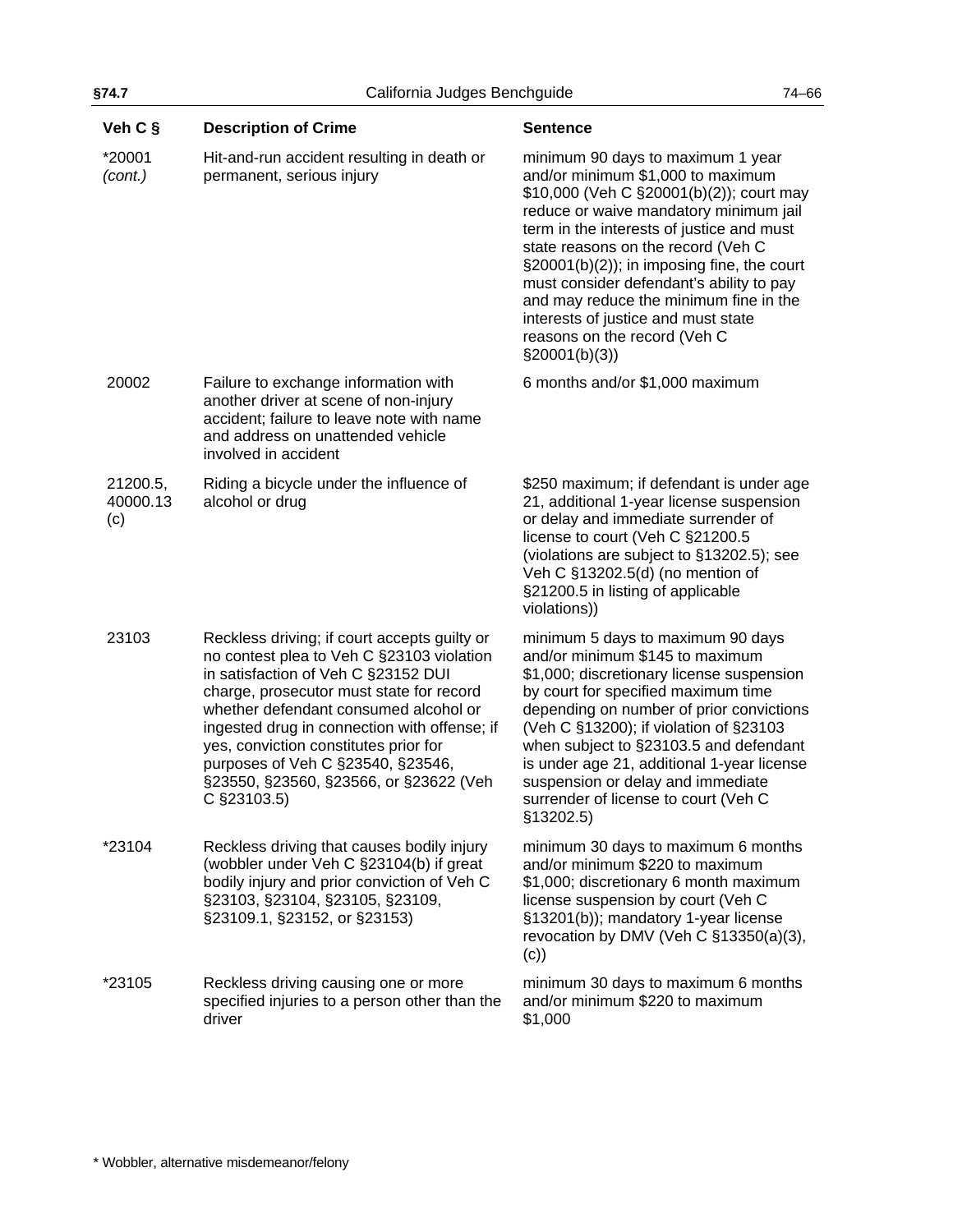| Veh C §                     | <b>Description of Crime</b>                                                                                                                                                                                                                                                                                                                                                                                  | <b>Sentence</b>                                                                                                                                                                                                                                                                                                                                                                                                                                                                  |
|-----------------------------|--------------------------------------------------------------------------------------------------------------------------------------------------------------------------------------------------------------------------------------------------------------------------------------------------------------------------------------------------------------------------------------------------------------|----------------------------------------------------------------------------------------------------------------------------------------------------------------------------------------------------------------------------------------------------------------------------------------------------------------------------------------------------------------------------------------------------------------------------------------------------------------------------------|
| *20001<br>(cont.)           | Hit-and-run accident resulting in death or<br>permanent, serious injury                                                                                                                                                                                                                                                                                                                                      | minimum 90 days to maximum 1 year<br>and/or minimum \$1,000 to maximum<br>\$10,000 (Veh C §20001(b)(2)); court may<br>reduce or waive mandatory minimum jail<br>term in the interests of justice and must<br>state reasons on the record (Veh C<br>$\S20001(b)(2)$ ; in imposing fine, the court<br>must consider defendant's ability to pay<br>and may reduce the minimum fine in the<br>interests of justice and must state<br>reasons on the record (Veh C<br>$\S20001(b)(3)$ |
| 20002                       | Failure to exchange information with<br>another driver at scene of non-injury<br>accident; failure to leave note with name<br>and address on unattended vehicle<br>involved in accident                                                                                                                                                                                                                      | 6 months and/or \$1,000 maximum                                                                                                                                                                                                                                                                                                                                                                                                                                                  |
| 21200.5,<br>40000.13<br>(c) | Riding a bicycle under the influence of<br>alcohol or drug                                                                                                                                                                                                                                                                                                                                                   | \$250 maximum; if defendant is under age<br>21, additional 1-year license suspension<br>or delay and immediate surrender of<br>license to court (Veh C §21200.5<br>(violations are subject to §13202.5); see<br>Veh C §13202.5(d) (no mention of<br>§21200.5 in listing of applicable<br>violations))                                                                                                                                                                            |
| 23103                       | Reckless driving; if court accepts guilty or<br>no contest plea to Veh C §23103 violation<br>in satisfaction of Veh C §23152 DUI<br>charge, prosecutor must state for record<br>whether defendant consumed alcohol or<br>ingested drug in connection with offense; if<br>yes, conviction constitutes prior for<br>purposes of Veh C §23540, §23546,<br>§23550, §23560, §23566, or §23622 (Veh<br>C §23103.5) | minimum 5 days to maximum 90 days<br>and/or minimum \$145 to maximum<br>\$1,000; discretionary license suspension<br>by court for specified maximum time<br>depending on number of prior convictions<br>(Veh C §13200); if violation of §23103<br>when subject to §23103.5 and defendant<br>is under age 21, additional 1-year license<br>suspension or delay and immediate<br>surrender of license to court (Veh C<br>§13202.5)                                                 |
| *23104                      | Reckless driving that causes bodily injury<br>(wobbler under Veh C §23104(b) if great<br>bodily injury and prior conviction of Veh C<br>§23103, §23104, §23105, §23109,<br>§23109.1, §23152, or §23153)                                                                                                                                                                                                      | minimum 30 days to maximum 6 months<br>and/or minimum \$220 to maximum<br>\$1,000; discretionary 6 month maximum<br>license suspension by court (Veh C<br>§13201(b)); mandatory 1-year license<br>revocation by DMV (Veh C §13350(a)(3),<br>(c))                                                                                                                                                                                                                                 |
| *23105                      | Reckless driving causing one or more<br>specified injuries to a person other than the<br>driver                                                                                                                                                                                                                                                                                                              | minimum 30 days to maximum 6 months<br>and/or minimum \$220 to maximum<br>\$1,000                                                                                                                                                                                                                                                                                                                                                                                                |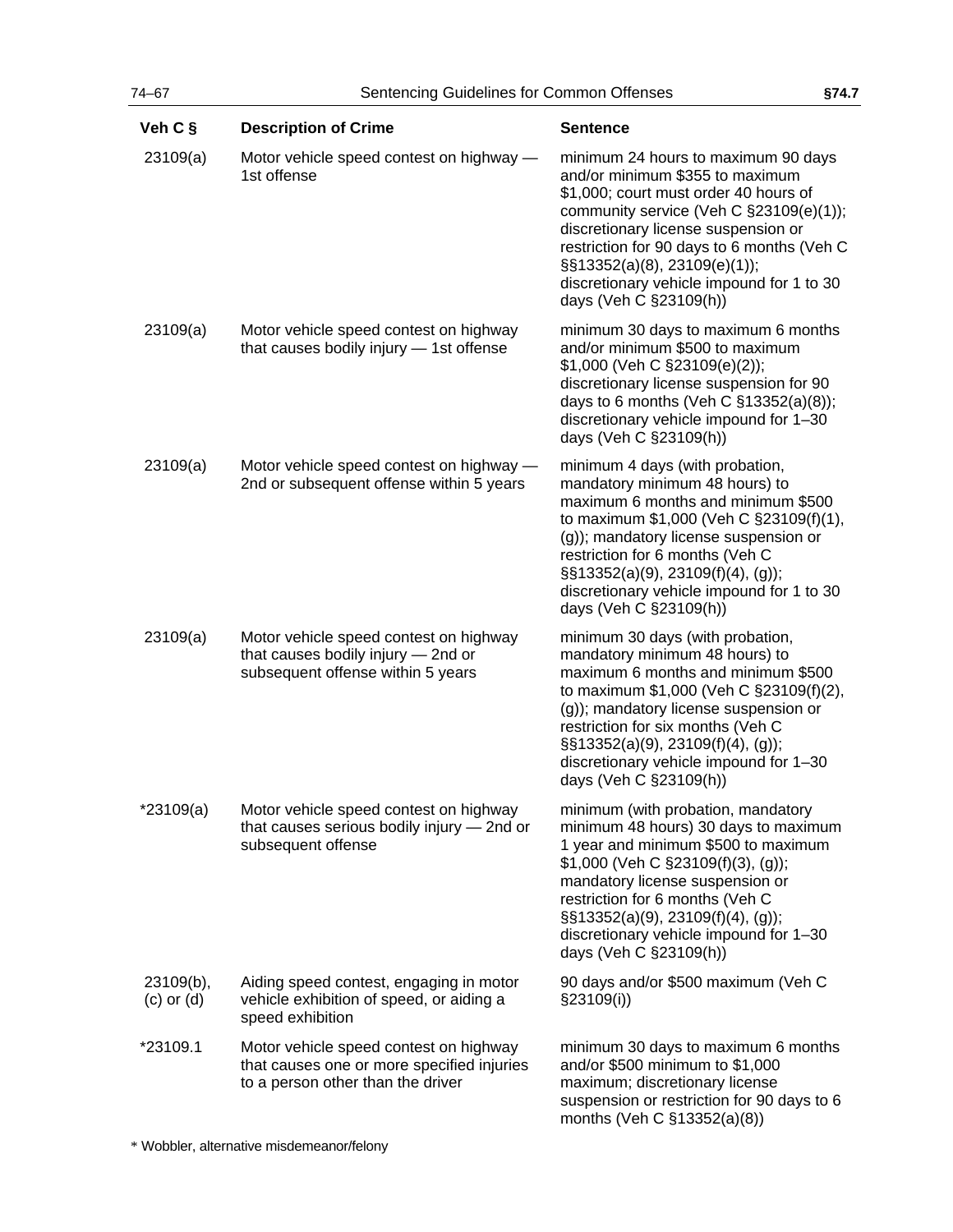| Veh C §                     | <b>Description of Crime</b>                                                                                               | <b>Sentence</b>                                                                                                                                                                                                                                                                                                                                             |
|-----------------------------|---------------------------------------------------------------------------------------------------------------------------|-------------------------------------------------------------------------------------------------------------------------------------------------------------------------------------------------------------------------------------------------------------------------------------------------------------------------------------------------------------|
| 23109(a)                    | Motor vehicle speed contest on highway -<br>1st offense                                                                   | minimum 24 hours to maximum 90 days<br>and/or minimum \$355 to maximum<br>\$1,000; court must order 40 hours of<br>community service (Veh C §23109(e)(1));<br>discretionary license suspension or<br>restriction for 90 days to 6 months (Veh C<br>$\S$ \$13352(a)(8), 23109(e)(1));<br>discretionary vehicle impound for 1 to 30<br>days (Veh C §23109(h)) |
| 23109(a)                    | Motor vehicle speed contest on highway<br>that causes bodily injury - 1st offense                                         | minimum 30 days to maximum 6 months<br>and/or minimum \$500 to maximum<br>\$1,000 (Veh C §23109(e)(2));<br>discretionary license suspension for 90<br>days to 6 months (Veh C §13352(a)(8));<br>discretionary vehicle impound for 1-30<br>days (Veh C §23109(h))                                                                                            |
| 23109(a)                    | Motor vehicle speed contest on highway -<br>2nd or subsequent offense within 5 years                                      | minimum 4 days (with probation,<br>mandatory minimum 48 hours) to<br>maximum 6 months and minimum \$500<br>to maximum \$1,000 (Veh C §23109(f)(1),<br>(g)); mandatory license suspension or<br>restriction for 6 months (Veh C<br>$\S$ \$13352(a)(9), 23109(f)(4), (g));<br>discretionary vehicle impound for 1 to 30<br>days (Veh C §23109(h))             |
| 23109(a)                    | Motor vehicle speed contest on highway<br>that causes bodily injury - 2nd or<br>subsequent offense within 5 years         | minimum 30 days (with probation,<br>mandatory minimum 48 hours) to<br>maximum 6 months and minimum \$500<br>to maximum \$1,000 (Veh C §23109(f)(2),<br>(g)); mandatory license suspension or<br>restriction for six months (Veh C<br>§§13352(a)(9), 23109(f)(4), (g));<br>discretionary vehicle impound for 1-30<br>days (Veh C §23109(h))                  |
| $*23109(a)$                 | Motor vehicle speed contest on highway<br>that causes serious bodily injury - 2nd or<br>subsequent offense                | minimum (with probation, mandatory<br>minimum 48 hours) 30 days to maximum<br>1 year and minimum \$500 to maximum<br>\$1,000 (Veh C §23109(f)(3), (g));<br>mandatory license suspension or<br>restriction for 6 months (Veh C<br>$\S$ \$13352(a)(9), 23109(f)(4), (g));<br>discretionary vehicle impound for 1-30<br>days (Veh C §23109(h))                 |
| 23109(b),<br>$(c)$ or $(d)$ | Aiding speed contest, engaging in motor<br>vehicle exhibition of speed, or aiding a<br>speed exhibition                   | 90 days and/or \$500 maximum (Veh C<br>§23109(i))                                                                                                                                                                                                                                                                                                           |
| *23109.1                    | Motor vehicle speed contest on highway<br>that causes one or more specified injuries<br>to a person other than the driver | minimum 30 days to maximum 6 months<br>and/or \$500 minimum to \$1,000<br>maximum; discretionary license<br>suspension or restriction for 90 days to 6<br>months (Veh C §13352(a)(8))                                                                                                                                                                       |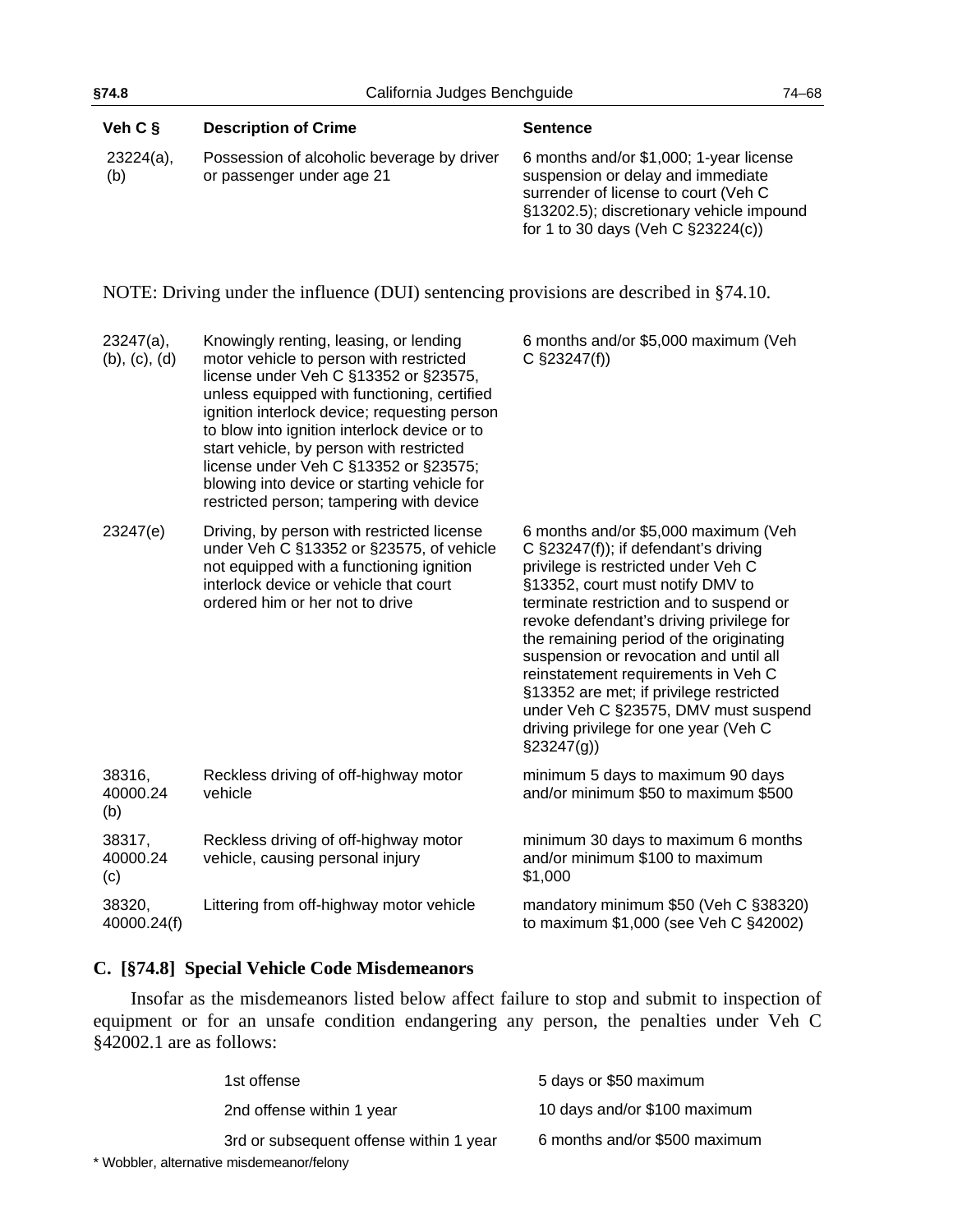| Veh C §                       | <b>Description of Crime</b>                                                                                                                                                                                                                                                                                                                                                                                                                               | <b>Sentence</b>                                                                                                                                                                                                                                                                                                                                                                                                                                                                                                        |
|-------------------------------|-----------------------------------------------------------------------------------------------------------------------------------------------------------------------------------------------------------------------------------------------------------------------------------------------------------------------------------------------------------------------------------------------------------------------------------------------------------|------------------------------------------------------------------------------------------------------------------------------------------------------------------------------------------------------------------------------------------------------------------------------------------------------------------------------------------------------------------------------------------------------------------------------------------------------------------------------------------------------------------------|
| $23224(a)$ ,<br>(b)           | Possession of alcoholic beverage by driver<br>or passenger under age 21                                                                                                                                                                                                                                                                                                                                                                                   | 6 months and/or \$1,000; 1-year license<br>suspension or delay and immediate<br>surrender of license to court (Veh C<br>§13202.5); discretionary vehicle impound<br>for 1 to 30 days (Veh C §23224(c))                                                                                                                                                                                                                                                                                                                 |
|                               | NOTE: Driving under the influence (DUI) sentencing provisions are described in §74.10.                                                                                                                                                                                                                                                                                                                                                                    |                                                                                                                                                                                                                                                                                                                                                                                                                                                                                                                        |
| $23247(a)$ ,<br>(b), (c), (d) | Knowingly renting, leasing, or lending<br>motor vehicle to person with restricted<br>license under Veh C §13352 or §23575,<br>unless equipped with functioning, certified<br>ignition interlock device; requesting person<br>to blow into ignition interlock device or to<br>start vehicle, by person with restricted<br>license under Veh C §13352 or §23575;<br>blowing into device or starting vehicle for<br>restricted person; tampering with device | 6 months and/or \$5,000 maximum (Veh<br>$C$ §23247(f))                                                                                                                                                                                                                                                                                                                                                                                                                                                                 |
| 23247(e)                      | Driving, by person with restricted license<br>under Veh C §13352 or §23575, of vehicle<br>not equipped with a functioning ignition<br>interlock device or vehicle that court<br>ordered him or her not to drive                                                                                                                                                                                                                                           | 6 months and/or \$5,000 maximum (Veh<br>C §23247(f)); if defendant's driving<br>privilege is restricted under Veh C<br>§13352, court must notify DMV to<br>terminate restriction and to suspend or<br>revoke defendant's driving privilege for<br>the remaining period of the originating<br>suspension or revocation and until all<br>reinstatement requirements in Veh C<br>§13352 are met; if privilege restricted<br>under Veh C §23575, DMV must suspend<br>driving privilege for one year (Veh C<br>$\S23247(g)$ |

| 38316,<br>40000.24<br>(b) | Reckless driving of off-highway motor<br>vehicle                          | minimum 5 days to maximum 90 days<br>and/or minimum \$50 to maximum \$500         |
|---------------------------|---------------------------------------------------------------------------|-----------------------------------------------------------------------------------|
| 38317,<br>40000.24<br>(c) | Reckless driving of off-highway motor<br>vehicle, causing personal injury | minimum 30 days to maximum 6 months<br>and/or minimum \$100 to maximum<br>\$1,000 |
| 38320,<br>40000.24(f)     | Littering from off-highway motor vehicle                                  | mandatory minimum \$50 (Veh C §38320)<br>to maximum \$1,000 (see Veh C §42002)    |

# **C. [§74.8] Special Vehicle Code Misdemeanors**

Insofar as the misdemeanors listed below affect failure to stop and submit to inspection of equipment or for an unsafe condition endangering any person, the penalties under Veh C §42002.1 are as follows:

| 1st offense                               | 5 days or \$50 maximum        |
|-------------------------------------------|-------------------------------|
| 2nd offense within 1 year                 | 10 days and/or \$100 maximum  |
| 3rd or subsequent offense within 1 year   | 6 months and/or \$500 maximum |
| * Wobbler, alternative misdemeanor/felony |                               |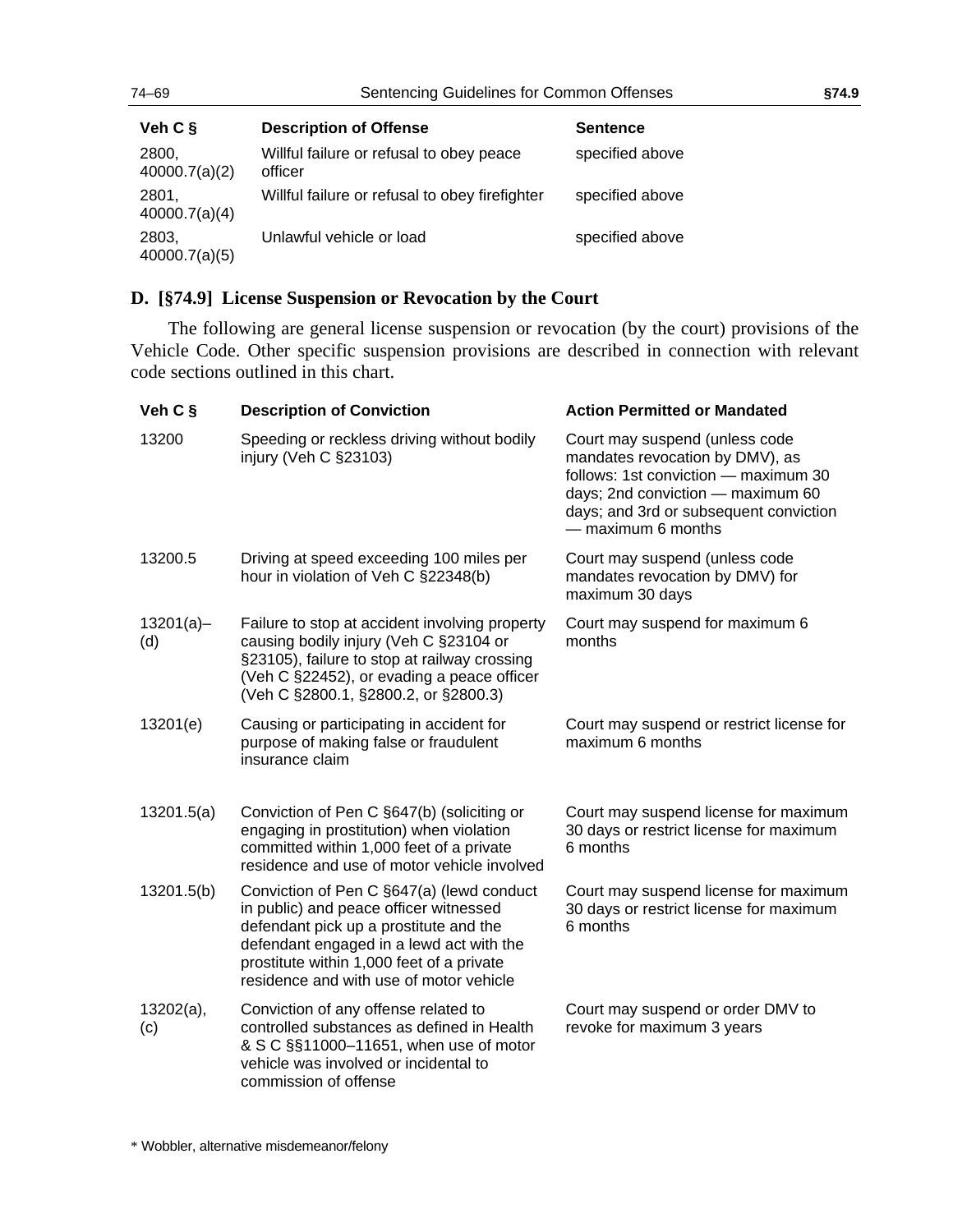# <span id="page-69-0"></span>**D. [§74.9] License Suspension or Revocation by the Court**

The following are general license suspension or revocation (by the court) provisions of the Vehicle Code. Other specific suspension provisions are described in connection with relevant code sections outlined in this chart.

Unlawful vehicle or load specified above

| Veh C §             | <b>Description of Conviction</b>                                                                                                                                                                                                                                  | <b>Action Permitted or Mandated</b>                                                                                                                                                                            |
|---------------------|-------------------------------------------------------------------------------------------------------------------------------------------------------------------------------------------------------------------------------------------------------------------|----------------------------------------------------------------------------------------------------------------------------------------------------------------------------------------------------------------|
| 13200               | Speeding or reckless driving without bodily<br>injury (Veh C §23103)                                                                                                                                                                                              | Court may suspend (unless code<br>mandates revocation by DMV), as<br>follows: 1st conviction - maximum 30<br>days; 2nd conviction - maximum 60<br>days; and 3rd or subsequent conviction<br>— maximum 6 months |
| 13200.5             | Driving at speed exceeding 100 miles per<br>hour in violation of Veh C §22348(b)                                                                                                                                                                                  | Court may suspend (unless code<br>mandates revocation by DMV) for<br>maximum 30 days                                                                                                                           |
| $13201(a) -$<br>(d) | Failure to stop at accident involving property<br>causing bodily injury (Veh C §23104 or<br>§23105), failure to stop at railway crossing<br>(Veh C §22452), or evading a peace officer<br>(Veh C §2800.1, §2800.2, or §2800.3)                                    | Court may suspend for maximum 6<br>months                                                                                                                                                                      |
| 13201(e)            | Causing or participating in accident for<br>purpose of making false or fraudulent<br>insurance claim                                                                                                                                                              | Court may suspend or restrict license for<br>maximum 6 months                                                                                                                                                  |
| 13201.5(a)          | Conviction of Pen C §647(b) (soliciting or<br>engaging in prostitution) when violation<br>committed within 1,000 feet of a private<br>residence and use of motor vehicle involved                                                                                 | Court may suspend license for maximum<br>30 days or restrict license for maximum<br>6 months                                                                                                                   |
| 13201.5(b)          | Conviction of Pen C §647(a) (lewd conduct<br>in public) and peace officer witnessed<br>defendant pick up a prostitute and the<br>defendant engaged in a lewd act with the<br>prostitute within 1,000 feet of a private<br>residence and with use of motor vehicle | Court may suspend license for maximum<br>30 days or restrict license for maximum<br>6 months                                                                                                                   |
| $13202(a)$ ,<br>(c) | Conviction of any offense related to<br>controlled substances as defined in Health<br>& S C §§11000-11651, when use of motor<br>vehicle was involved or incidental to<br>commission of offense                                                                    | Court may suspend or order DMV to<br>revoke for maximum 3 years                                                                                                                                                |

2803,

40000.7(a)(5)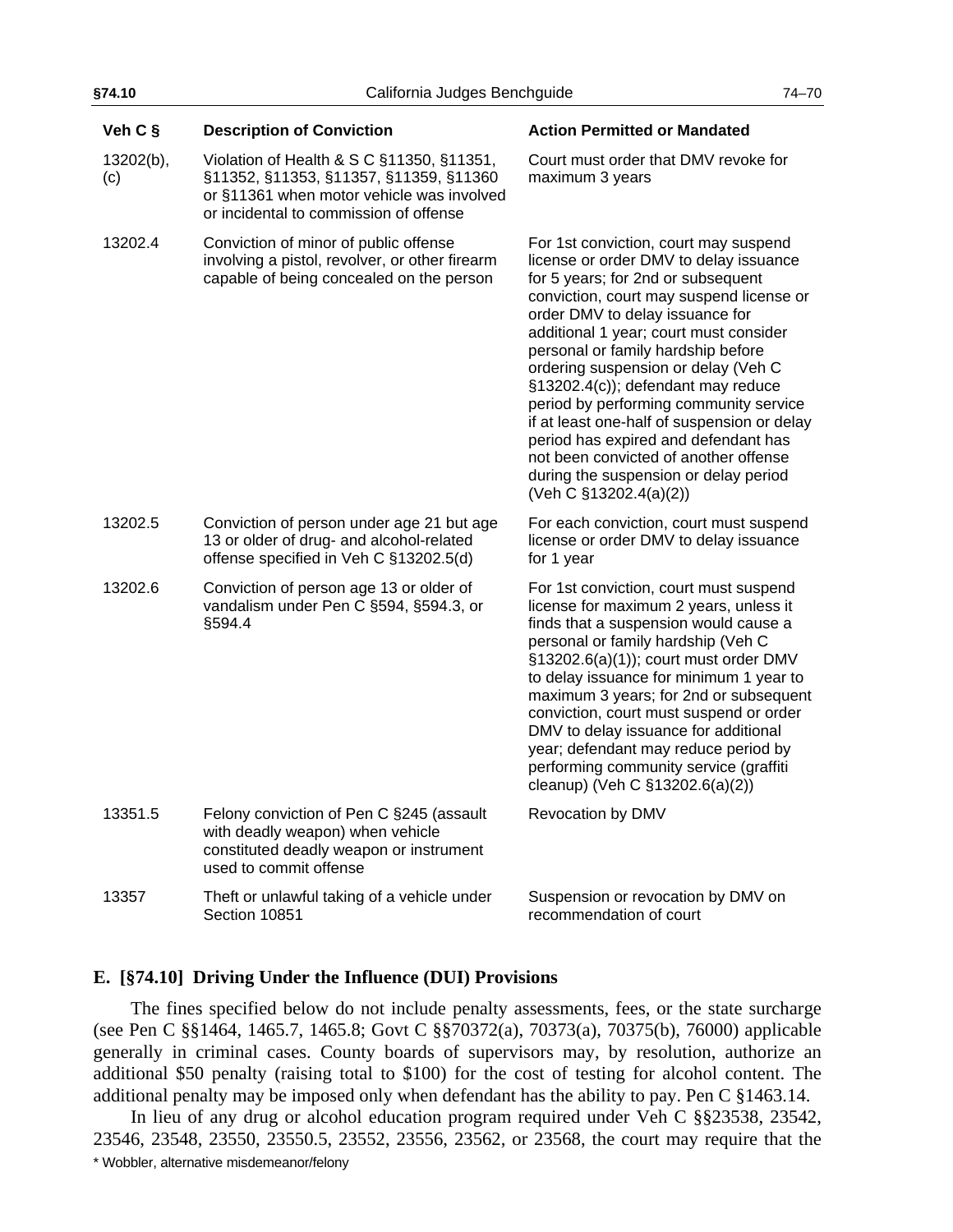| Veh C §          | <b>Description of Conviction</b>                                                                                                                                           | <b>Action Permitted or Mandated</b>                                                                                                                                                                                                                                                                                                                                                                                                                                                                                                                                                                            |
|------------------|----------------------------------------------------------------------------------------------------------------------------------------------------------------------------|----------------------------------------------------------------------------------------------------------------------------------------------------------------------------------------------------------------------------------------------------------------------------------------------------------------------------------------------------------------------------------------------------------------------------------------------------------------------------------------------------------------------------------------------------------------------------------------------------------------|
| 13202(b),<br>(c) | Violation of Health & S C §11350, §11351,<br>§11352, §11353, §11357, §11359, §11360<br>or §11361 when motor vehicle was involved<br>or incidental to commission of offense | Court must order that DMV revoke for<br>maximum 3 years                                                                                                                                                                                                                                                                                                                                                                                                                                                                                                                                                        |
| 13202.4          | Conviction of minor of public offense<br>involving a pistol, revolver, or other firearm<br>capable of being concealed on the person                                        | For 1st conviction, court may suspend<br>license or order DMV to delay issuance<br>for 5 years; for 2nd or subsequent<br>conviction, court may suspend license or<br>order DMV to delay issuance for<br>additional 1 year; court must consider<br>personal or family hardship before<br>ordering suspension or delay (Veh C<br>§13202.4(c)); defendant may reduce<br>period by performing community service<br>if at least one-half of suspension or delay<br>period has expired and defendant has<br>not been convicted of another offense<br>during the suspension or delay period<br>(Veh C §13202.4(a)(2)) |
| 13202.5          | Conviction of person under age 21 but age<br>13 or older of drug- and alcohol-related<br>offense specified in Veh C §13202.5(d)                                            | For each conviction, court must suspend<br>license or order DMV to delay issuance<br>for 1 year                                                                                                                                                                                                                                                                                                                                                                                                                                                                                                                |
| 13202.6          | Conviction of person age 13 or older of<br>vandalism under Pen C §594, §594.3, or<br>§594.4                                                                                | For 1st conviction, court must suspend<br>license for maximum 2 years, unless it<br>finds that a suspension would cause a<br>personal or family hardship (Veh C<br>§13202.6(a)(1)); court must order DMV<br>to delay issuance for minimum 1 year to<br>maximum 3 years; for 2nd or subsequent<br>conviction, court must suspend or order<br>DMV to delay issuance for additional<br>year; defendant may reduce period by<br>performing community service (graffiti<br>cleanup) (Veh C §13202.6(a)(2))                                                                                                          |
| 13351.5          | Felony conviction of Pen C §245 (assault<br>with deadly weapon) when vehicle<br>constituted deadly weapon or instrument<br>used to commit offense                          | Revocation by DMV                                                                                                                                                                                                                                                                                                                                                                                                                                                                                                                                                                                              |
| 13357            | Theft or unlawful taking of a vehicle under<br>Section 10851                                                                                                               | Suspension or revocation by DMV on<br>recommendation of court                                                                                                                                                                                                                                                                                                                                                                                                                                                                                                                                                  |

### <span id="page-70-0"></span>**E. [§74.10] Driving Under the Influence (DUI) Provisions**

The fines specified below do not include penalty assessments, fees, or the state surcharge (see Pen C §§1464, 1465.7, 1465.8; Govt C §§70372(a), 70373(a), 70375(b), 76000) applicable generally in criminal cases. County boards of supervisors may, by resolution, authorize an additional \$50 penalty (raising total to \$100) for the cost of testing for alcohol content. The additional penalty may be imposed only when defendant has the ability to pay. Pen C §1463.14.

\* Wobbler, alternative misdemeanor/felony In lieu of any drug or alcohol education program required under Veh C §§23538, 23542, 23546, 23548, 23550, 23550.5, 23552, 23556, 23562, or 23568, the court may require that the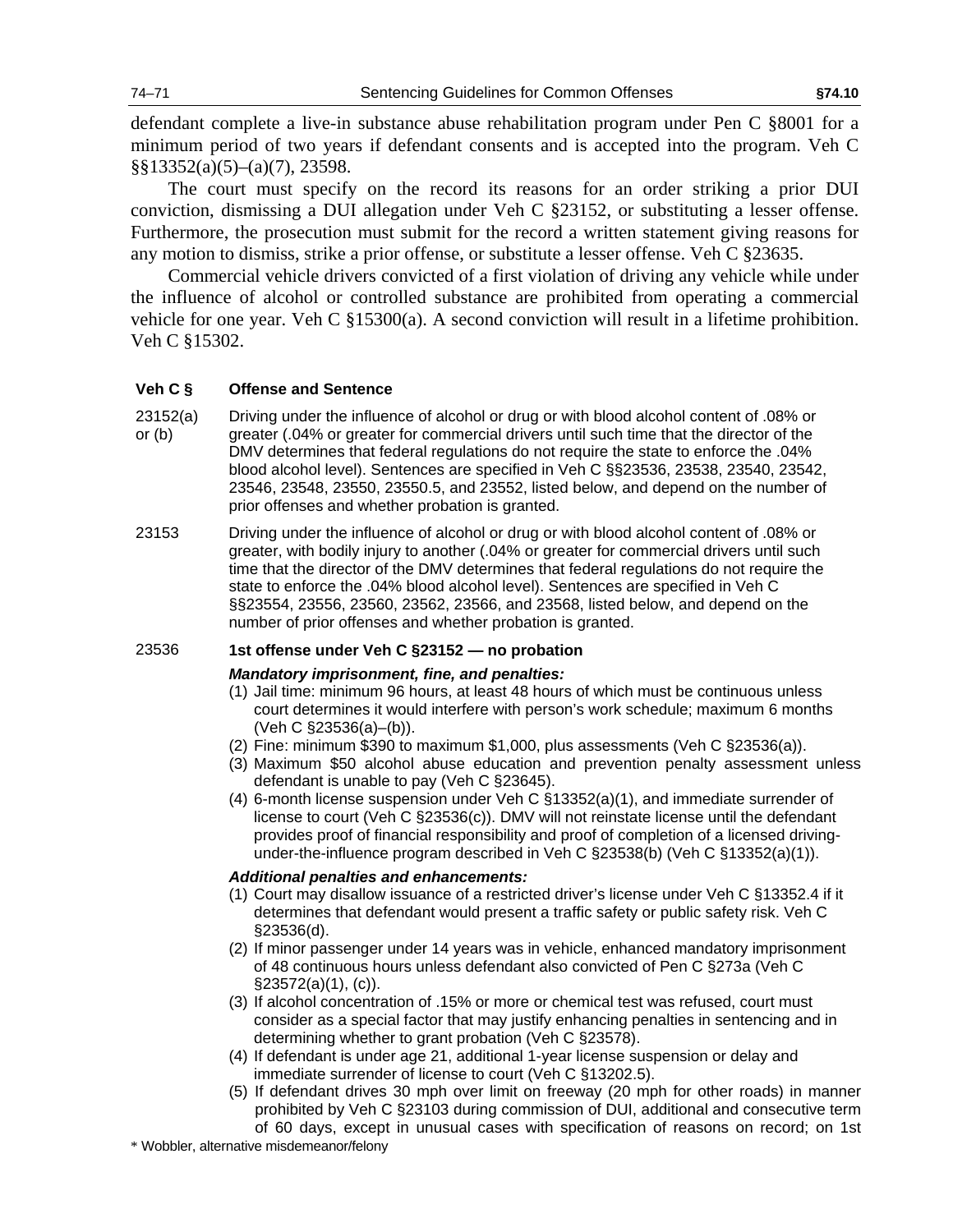defendant complete a live-in substance abuse rehabilitation program under Pen C §8001 for a minimum period of two years if defendant consents and is accepted into the program. Veh C §§13352(a)(5)–(a)(7), 23598.

The court must specify on the record its reasons for an order striking a prior DUI conviction, dismissing a DUI allegation under Veh C §23152, or substituting a lesser offense. Furthermore, the prosecution must submit for the record a written statement giving reasons for any motion to dismiss, strike a prior offense, or substitute a lesser offense. Veh C §23635.

Commercial vehicle drivers convicted of a first violation of driving any vehicle while under the influence of alcohol or controlled substance are prohibited from operating a commercial vehicle for one year. Veh C §15300(a). A second conviction will result in a lifetime prohibition. Veh C §15302.

### **Veh C § Offense and Sentence**

- 23152(a) or (b) Driving under the influence of alcohol or drug or with blood alcohol content of .08% or greater (.04% or greater for commercial drivers until such time that the director of the DMV determines that federal regulations do not require the state to enforce the .04% blood alcohol level). Sentences are specified in Veh C §§23536, 23538, 23540, 23542, 23546, 23548, 23550, 23550.5, and 23552, listed below, and depend on the number of prior offenses and whether probation is granted.
- 23153 Driving under the influence of alcohol or drug or with blood alcohol content of .08% or greater, with bodily injury to another (.04% or greater for commercial drivers until such time that the director of the DMV determines that federal regulations do not require the state to enforce the .04% blood alcohol level). Sentences are specified in Veh C §§23554, 23556, 23560, 23562, 23566, and 23568, listed below, and depend on the number of prior offenses and whether probation is granted.

### 23536 **1st offense under Veh C §23152 — no probation**

### *Mandatory imprisonment, fine, and penalties:*

- (1) Jail time: minimum 96 hours, at least 48 hours of which must be continuous unless court determines it would interfere with person's work schedule; maximum 6 months (Veh C §23536(a)–(b)).
- (2) Fine: minimum \$390 to maximum \$1,000, plus assessments (Veh C §23536(a)).
- (3) Maximum \$50 alcohol abuse education and prevention penalty assessment unless defendant is unable to pay (Veh C §23645).
- (4) 6-month license suspension under Veh C §13352(a)(1), and immediate surrender of license to court (Veh C §23536(c)). DMV will not reinstate license until the defendant provides proof of financial responsibility and proof of completion of a licensed drivingunder-the-influence program described in Veh C §23538(b) (Veh C §13352(a)(1)).

### *Additional penalties and enhancements:*

- (1) Court may disallow issuance of a restricted driver's license under Veh C §13352.4 if it determines that defendant would present a traffic safety or public safety risk. Veh C §23536(d).
- (2) If minor passenger under 14 years was in vehicle, enhanced mandatory imprisonment of 48 continuous hours unless defendant also convicted of Pen C §273a (Veh C  $\S 23572(a)(1)$ , (c)).
- (3) If alcohol concentration of .15% or more or chemical test was refused, court must consider as a special factor that may justify enhancing penalties in sentencing and in determining whether to grant probation (Veh C §23578).
- (4) If defendant is under age 21, additional 1-year license suspension or delay and immediate surrender of license to court (Veh C §13202.5).
- (5) If defendant drives 30 mph over limit on freeway (20 mph for other roads) in manner prohibited by Veh C §23103 during commission of DUI, additional and consecutive term of 60 days, except in unusual cases with specification of reasons on record; on 1st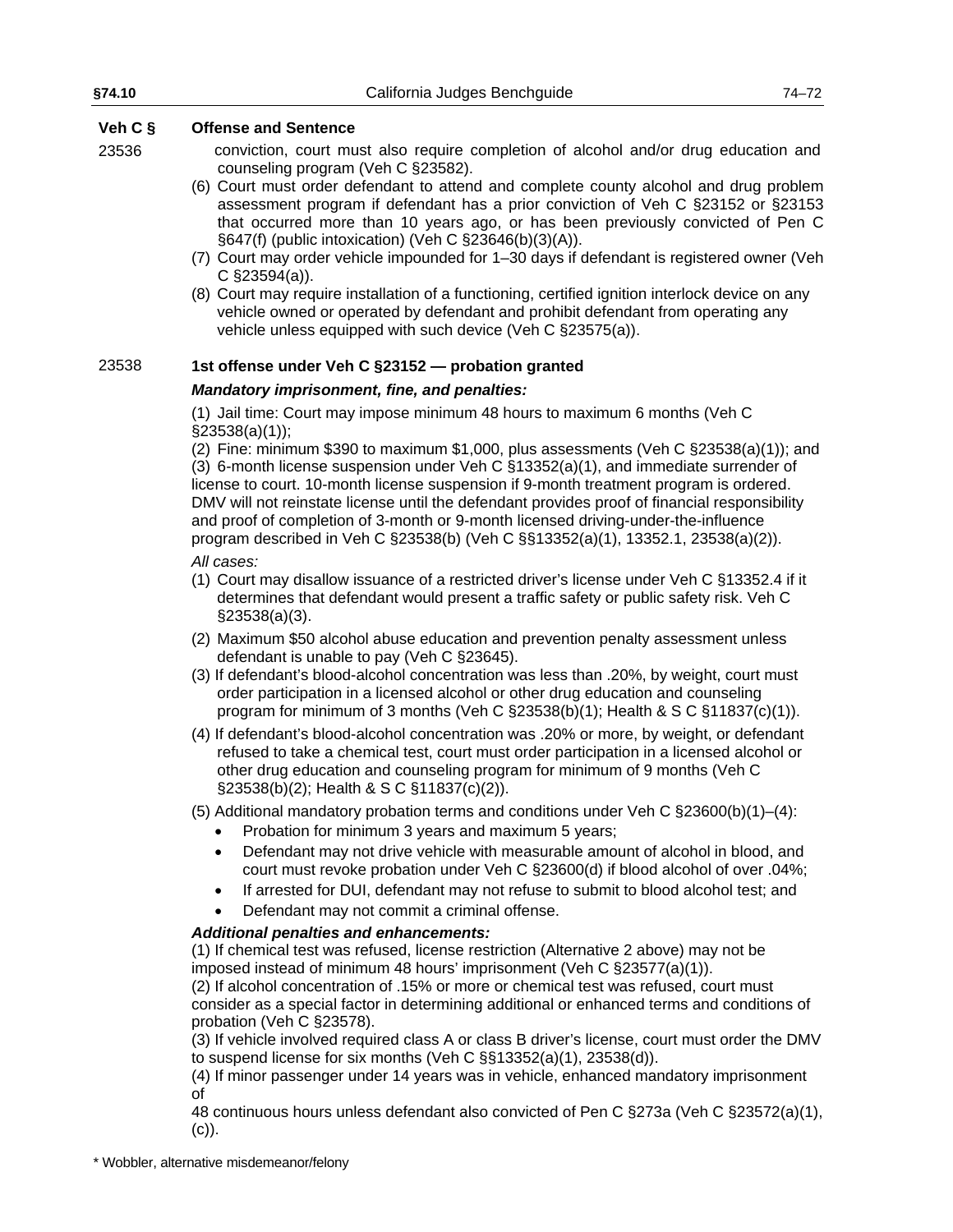| §74.10  | California Judges Benchguide                                                                                                                                                                                                                                                                                                                                                                                                                                                                                                                                                                                                                                                                                                                                                                                                | $74 - 72$ |
|---------|-----------------------------------------------------------------------------------------------------------------------------------------------------------------------------------------------------------------------------------------------------------------------------------------------------------------------------------------------------------------------------------------------------------------------------------------------------------------------------------------------------------------------------------------------------------------------------------------------------------------------------------------------------------------------------------------------------------------------------------------------------------------------------------------------------------------------------|-----------|
| Veh C § | <b>Offense and Sentence</b>                                                                                                                                                                                                                                                                                                                                                                                                                                                                                                                                                                                                                                                                                                                                                                                                 |           |
| 23536   | conviction, court must also require completion of alcohol and/or drug education and<br>counseling program (Veh C §23582).<br>(6) Court must order defendant to attend and complete county alcohol and drug problem<br>assessment program if defendant has a prior conviction of Veh C §23152 or §23153<br>that occurred more than 10 years ago, or has been previously convicted of Pen C<br>§647(f) (public intoxication) (Veh C §23646(b)(3)(A)).<br>(7) Court may order vehicle impounded for 1-30 days if defendant is registered owner (Veh<br>C $\S$ 23594(a)).<br>(8) Court may require installation of a functioning, certified ignition interlock device on any<br>vehicle owned or operated by defendant and prohibit defendant from operating any<br>vehicle unless equipped with such device (Veh C §23575(a)). |           |
| 23538   | 1st offense under Veh C §23152 - probation granted                                                                                                                                                                                                                                                                                                                                                                                                                                                                                                                                                                                                                                                                                                                                                                          |           |
|         | Mandatory imprisonment, fine, and penalties:                                                                                                                                                                                                                                                                                                                                                                                                                                                                                                                                                                                                                                                                                                                                                                                |           |
|         | (1) Jail time: Court may impose minimum 48 hours to maximum 6 months (Veh C                                                                                                                                                                                                                                                                                                                                                                                                                                                                                                                                                                                                                                                                                                                                                 |           |
|         | $\S$ 23538(a)(1));<br>(2) Fine: minimum \$390 to maximum \$1,000, plus assessments (Veh C $\S$ 23538(a)(1)); and<br>(3) 6-month license suspension under Veh C $\S$ 13352(a)(1), and immediate surrender of<br>license to court. 10-month license suspension if 9-month treatment program is ordered.<br>DMV will not reinstate license until the defendant provides proof of financial responsibility<br>and proof of completion of 3-month or 9-month licensed driving-under-the-influence<br>program described in Veh C §23538(b) (Veh C §§13352(a)(1), 13352.1, 23538(a)(2)).                                                                                                                                                                                                                                           |           |
|         | All cases:<br>(1) Court may disallow issuance of a restricted driver's license under Veh C §13352.4 if it<br>determines that defendant would present a traffic safety or public safety risk. Veh C<br>$\S$ 23538(a)(3).                                                                                                                                                                                                                                                                                                                                                                                                                                                                                                                                                                                                     |           |
|         | (2) Maximum \$50 alcohol abuse education and prevention penalty assessment unless<br>defendant is unable to pay (Veh C §23645).<br>(3) If defendant's blood-alcohol concentration was less than .20%, by weight, court must<br>order participation in a licensed alcohol or other drug education and counseling<br>program for minimum of 3 months (Veh C $\S$ 23538(b)(1); Health & S C $\S$ 11837(c)(1)).                                                                                                                                                                                                                                                                                                                                                                                                                 |           |
|         | (4) If defendant's blood-alcohol concentration was .20% or more, by weight, or defendant<br>refused to take a chemical test, court must order participation in a licensed alcohol or<br>other drug education and counseling program for minimum of 9 months (Veh C<br>§23538(b)(2); Health & S C §11837(c)(2)).                                                                                                                                                                                                                                                                                                                                                                                                                                                                                                             |           |
|         | (5) Additional mandatory probation terms and conditions under Veh C $\S$ 23600(b)(1)–(4):<br>Probation for minimum 3 years and maximum 5 years;                                                                                                                                                                                                                                                                                                                                                                                                                                                                                                                                                                                                                                                                             |           |
|         | Defendant may not drive vehicle with measurable amount of alcohol in blood, and<br>$\bullet$<br>court must revoke probation under Veh C §23600(d) if blood alcohol of over .04%;<br>If arrested for DUI, defendant may not refuse to submit to blood alcohol test; and<br>$\bullet$<br>Defendant may not commit a criminal offense.<br>$\bullet$                                                                                                                                                                                                                                                                                                                                                                                                                                                                            |           |
|         | <b>Additional penalties and enhancements:</b>                                                                                                                                                                                                                                                                                                                                                                                                                                                                                                                                                                                                                                                                                                                                                                               |           |
|         | (1) If chemical test was refused, license restriction (Alternative 2 above) may not be<br>imposed instead of minimum 48 hours' imprisonment (Veh C §23577(a)(1)).<br>(2) If alcohol concentration of .15% or more or chemical test was refused, court must<br>consider as a special factor in determining additional or enhanced terms and conditions of<br>probation (Veh C §23578).                                                                                                                                                                                                                                                                                                                                                                                                                                       |           |

(3) If vehicle involved required class A or class B driver's license, court must order the DMV to suspend license for six months (Veh C §§13352(a)(1), 23538(d)).

(4) If minor passenger under 14 years was in vehicle, enhanced mandatory imprisonment of

48 continuous hours unless defendant also convicted of Pen C §273a (Veh C §23572(a)(1), (c)).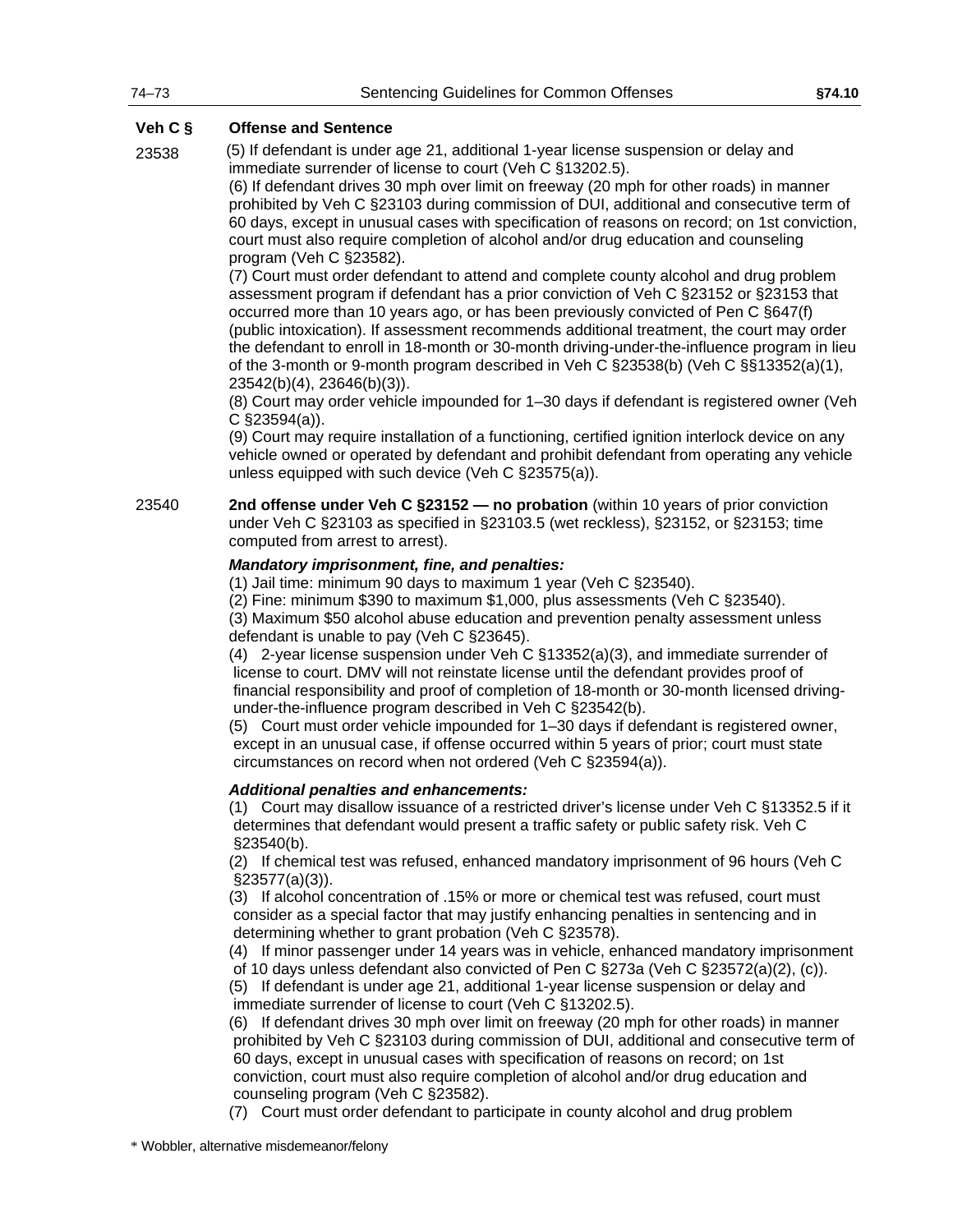23538 (5) If defendant is under age 21, additional 1-year license suspension or delay and immediate surrender of license to court (Veh C §13202.5).

> (6) If defendant drives 30 mph over limit on freeway (20 mph for other roads) in manner prohibited by Veh C §23103 during commission of DUI, additional and consecutive term of 60 days, except in unusual cases with specification of reasons on record; on 1st conviction, court must also require completion of alcohol and/or drug education and counseling program (Veh C §23582).

> (7) Court must order defendant to attend and complete county alcohol and drug problem assessment program if defendant has a prior conviction of Veh C §23152 or §23153 that occurred more than 10 years ago, or has been previously convicted of Pen C §647(f) (public intoxication). If assessment recommends additional treatment, the court may order the defendant to enroll in 18-month or 30-month driving-under-the-influence program in lieu of the 3-month or 9-month program described in Veh C §23538(b) (Veh C §§13352(a)(1), 23542(b)(4), 23646(b)(3)).

> (8) Court may order vehicle impounded for 1–30 days if defendant is registered owner (Veh C §23594(a)).

> (9) Court may require installation of a functioning, certified ignition interlock device on any vehicle owned or operated by defendant and prohibit defendant from operating any vehicle unless equipped with such device (Veh C §23575(a)).

23540 **2nd offense under Veh C §23152 — no probation** (within 10 years of prior conviction under Veh C §23103 as specified in §23103.5 (wet reckless), §23152, or §23153; time computed from arrest to arrest).

#### *Mandatory imprisonment, fine, and penalties:*

(1) Jail time: minimum 90 days to maximum 1 year (Veh C §23540).

(2) Fine: minimum \$390 to maximum \$1,000, plus assessments (Veh C §23540).

(3) Maximum \$50 alcohol abuse education and prevention penalty assessment unless defendant is unable to pay (Veh C §23645).

(4) 2-year license suspension under Veh C §13352(a)(3), and immediate surrender of license to court. DMV will not reinstate license until the defendant provides proof of financial responsibility and proof of completion of 18-month or 30-month licensed drivingunder-the-influence program described in Veh C §23542(b).

(5) Court must order vehicle impounded for 1–30 days if defendant is registered owner, except in an unusual case, if offense occurred within 5 years of prior; court must state circumstances on record when not ordered (Veh C §23594(a)).

#### *Additional penalties and enhancements:*

(1) Court may disallow issuance of a restricted driver's license under Veh C §13352.5 if it determines that defendant would present a traffic safety or public safety risk. Veh C §23540(b).

(2) If chemical test was refused, enhanced mandatory imprisonment of 96 hours (Veh C §23577(a)(3)).

(3) If alcohol concentration of .15% or more or chemical test was refused, court must consider as a special factor that may justify enhancing penalties in sentencing and in determining whether to grant probation (Veh C §23578).

(4) If minor passenger under 14 years was in vehicle, enhanced mandatory imprisonment of 10 days unless defendant also convicted of Pen C §273a (Veh C §23572(a)(2), (c)).

(5) If defendant is under age 21, additional 1-year license suspension or delay and immediate surrender of license to court (Veh C §13202.5).

(6) If defendant drives 30 mph over limit on freeway (20 mph for other roads) in manner prohibited by Veh C §23103 during commission of DUI, additional and consecutive term of 60 days, except in unusual cases with specification of reasons on record; on 1st conviction, court must also require completion of alcohol and/or drug education and counseling program (Veh C §23582).

(7) Court must order defendant to participate in county alcohol and drug problem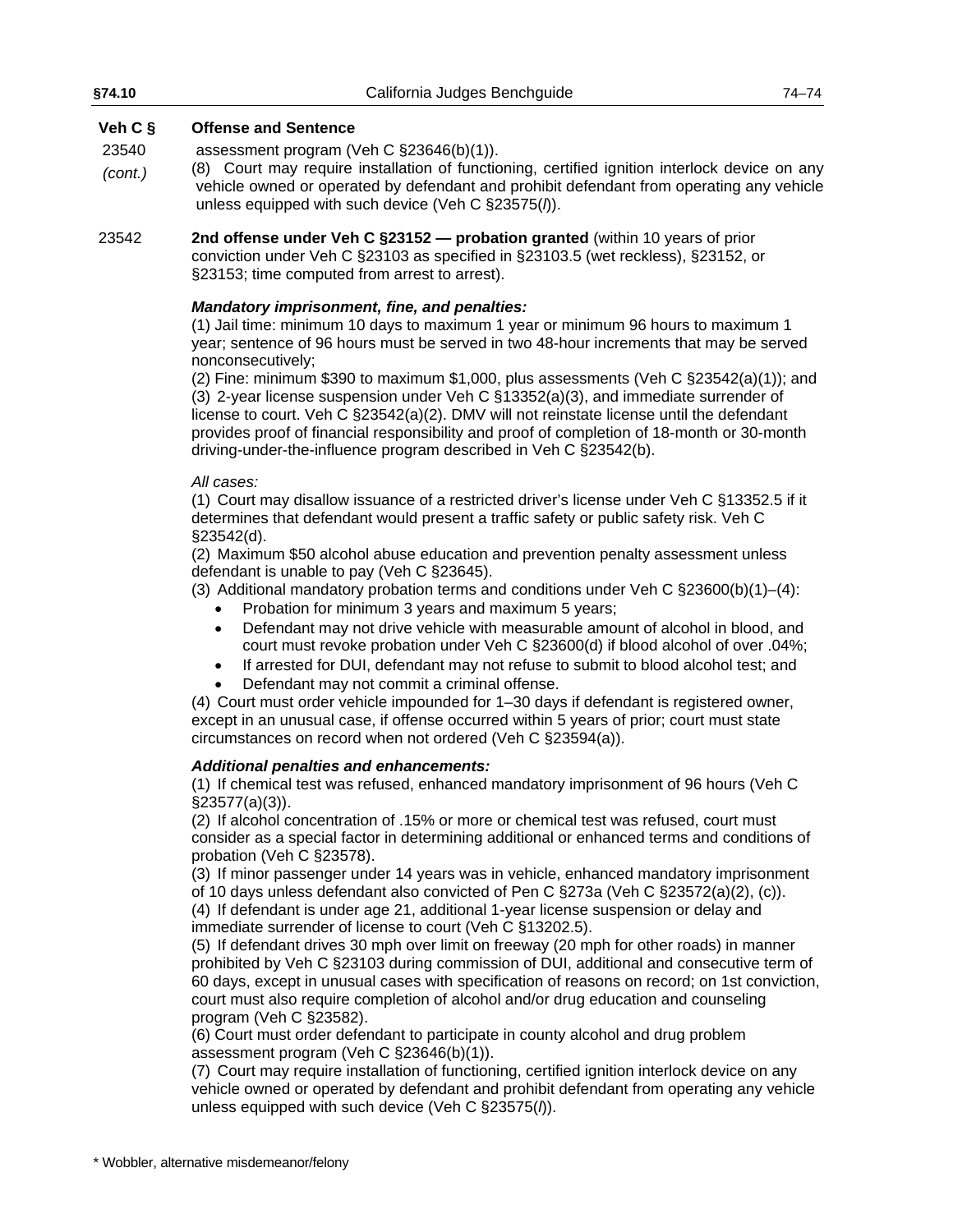| §74.10                        | California Judges Benchguide                                                                                                                                                                                                                                                                                                                                                                                                                                                                                                                                                                                                                                                                             | 74–74 |
|-------------------------------|----------------------------------------------------------------------------------------------------------------------------------------------------------------------------------------------------------------------------------------------------------------------------------------------------------------------------------------------------------------------------------------------------------------------------------------------------------------------------------------------------------------------------------------------------------------------------------------------------------------------------------------------------------------------------------------------------------|-------|
| Veh $C$ §<br>23540<br>(cont.) | <b>Offense and Sentence</b><br>assessment program (Veh C $\S23646(b)(1)$ ).<br>(8) Court may require installation of functioning, certified ignition interlock device on any<br>vehicle owned or operated by defendant and prohibit defendant from operating any vehicle<br>unless equipped with such device (Veh C $\S23575(h)$ ).                                                                                                                                                                                                                                                                                                                                                                      |       |
| 23542                         | 2nd offense under Veh C §23152 — probation granted (within 10 years of prior<br>conviction under Veh C §23103 as specified in §23103.5 (wet reckless), §23152, or<br>§23153; time computed from arrest to arrest).                                                                                                                                                                                                                                                                                                                                                                                                                                                                                       |       |
|                               | Mandatory imprisonment, fine, and penalties:<br>(1) Jail time: minimum 10 days to maximum 1 year or minimum 96 hours to maximum 1<br>year; sentence of 96 hours must be served in two 48-hour increments that may be served<br>nonconsecutively;<br>(2) Fine: minimum \$390 to maximum \$1,000, plus assessments (Veh C $\S 23542(a)(1)$ ); and<br>(3) 2-year license suspension under Veh C $\S$ 13352(a)(3), and immediate surrender of<br>license to court. Veh C §23542(a)(2). DMV will not reinstate license until the defendant<br>provides proof of financial responsibility and proof of completion of 18-month or 30-month<br>driving-under-the-influence program described in Veh C §23542(b). |       |
|                               | All cases:                                                                                                                                                                                                                                                                                                                                                                                                                                                                                                                                                                                                                                                                                               |       |

(1) Court may disallow issuance of a restricted driver's license under Veh C §13352.5 if it determines that defendant would present a traffic safety or public safety risk. Veh C §23542(d).

(2) Maximum \$50 alcohol abuse education and prevention penalty assessment unless defendant is unable to pay (Veh C §23645).

(3) Additional mandatory probation terms and conditions under Veh C §23600(b)(1)–(4):

- Probation for minimum 3 years and maximum 5 years;
- Defendant may not drive vehicle with measurable amount of alcohol in blood, and court must revoke probation under Veh C §23600(d) if blood alcohol of over .04%;
- If arrested for DUI, defendant may not refuse to submit to blood alcohol test; and
- Defendant may not commit a criminal offense.

(4) Court must order vehicle impounded for 1–30 days if defendant is registered owner, except in an unusual case, if offense occurred within 5 years of prior; court must state circumstances on record when not ordered (Veh C §23594(a)).

#### *Additional penalties and enhancements:*

(1) If chemical test was refused, enhanced mandatory imprisonment of 96 hours (Veh C §23577(a)(3)).

(2) If alcohol concentration of .15% or more or chemical test was refused, court must consider as a special factor in determining additional or enhanced terms and conditions of probation (Veh C §23578).

(3) If minor passenger under 14 years was in vehicle, enhanced mandatory imprisonment of 10 days unless defendant also convicted of Pen C §273a (Veh C §23572(a)(2), (c)).

(4) If defendant is under age 21, additional 1-year license suspension or delay and immediate surrender of license to court (Veh C §13202.5).

(5) If defendant drives 30 mph over limit on freeway (20 mph for other roads) in manner prohibited by Veh C §23103 during commission of DUI, additional and consecutive term of 60 days, except in unusual cases with specification of reasons on record; on 1st conviction, court must also require completion of alcohol and/or drug education and counseling program (Veh C §23582).

(6) Court must order defendant to participate in county alcohol and drug problem assessment program (Veh C §23646(b)(1)).

(7) Court may require installation of functioning, certified ignition interlock device on any vehicle owned or operated by defendant and prohibit defendant from operating any vehicle unless equipped with such device (Veh C §23575(*l*)).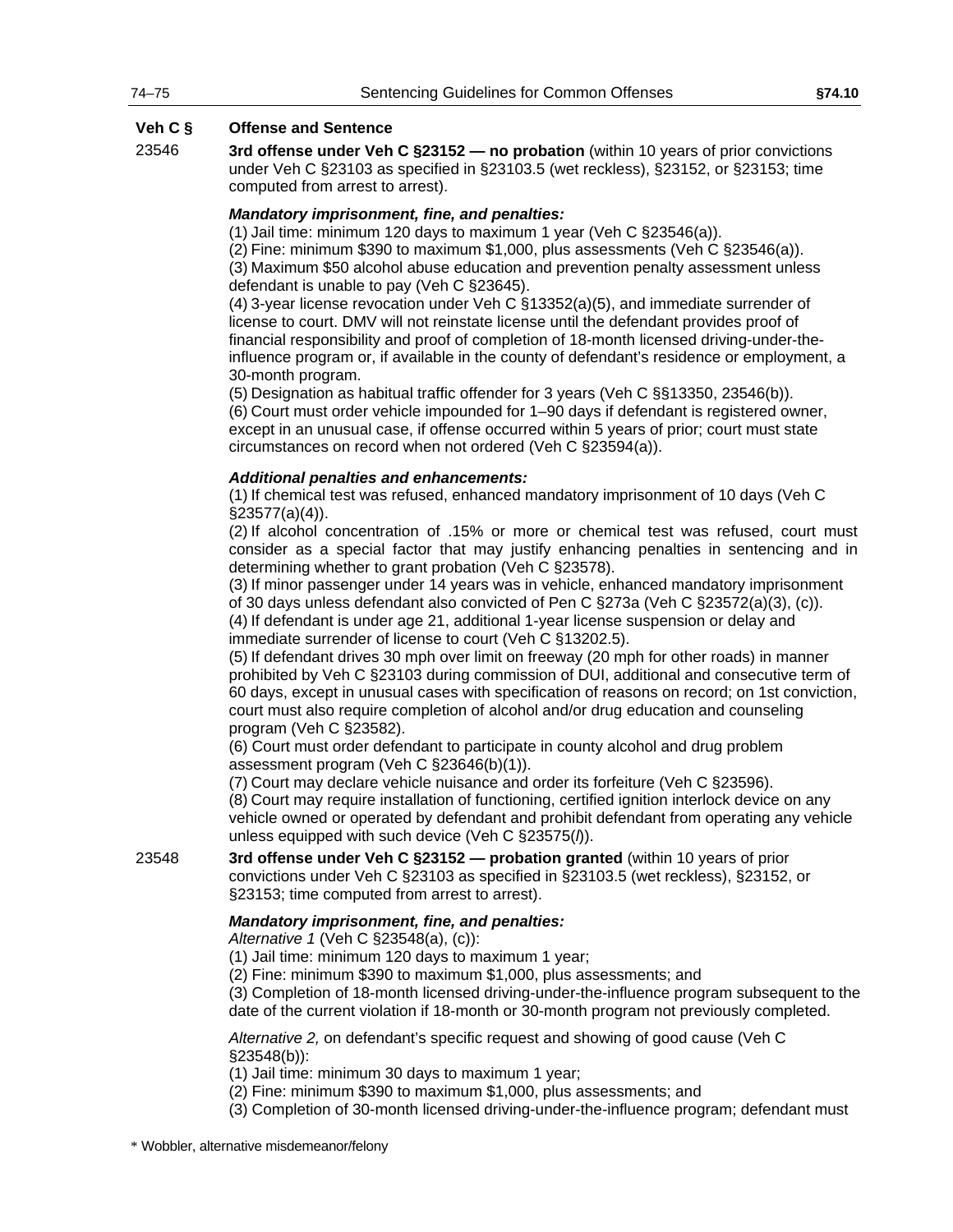23546 **3rd offense under Veh C §23152 — no probation** (within 10 years of prior convictions under Veh C §23103 as specified in §23103.5 (wet reckless), §23152, or §23153; time computed from arrest to arrest).

#### *Mandatory imprisonment, fine, and penalties:*

(1) Jail time: minimum 120 days to maximum 1 year (Veh C §23546(a)).

(2) Fine: minimum \$390 to maximum \$1,000, plus assessments (Veh C §23546(a)). (3) Maximum \$50 alcohol abuse education and prevention penalty assessment unless defendant is unable to pay (Veh C §23645).

(4) 3-year license revocation under Veh C §13352(a)(5), and immediate surrender of license to court. DMV will not reinstate license until the defendant provides proof of financial responsibility and proof of completion of 18-month licensed driving-under-theinfluence program or, if available in the county of defendant's residence or employment, a 30-month program.

(5) Designation as habitual traffic offender for 3 years (Veh C §§13350, 23546(b)). (6) Court must order vehicle impounded for 1–90 days if defendant is registered owner, except in an unusual case, if offense occurred within 5 years of prior; court must state circumstances on record when not ordered (Veh C §23594(a)).

#### *Additional penalties and enhancements:*

(1) If chemical test was refused, enhanced mandatory imprisonment of 10 days (Veh C §23577(a)(4)).

(2) If alcohol concentration of .15% or more or chemical test was refused, court must consider as a special factor that may justify enhancing penalties in sentencing and in determining whether to grant probation (Veh C §23578).

(3) If minor passenger under 14 years was in vehicle, enhanced mandatory imprisonment of 30 days unless defendant also convicted of Pen C §273a (Veh C §23572(a)(3), (c)).

(4) If defendant is under age 21, additional 1-year license suspension or delay and immediate surrender of license to court (Veh C §13202.5).

(5) If defendant drives 30 mph over limit on freeway (20 mph for other roads) in manner prohibited by Veh C §23103 during commission of DUI, additional and consecutive term of 60 days, except in unusual cases with specification of reasons on record; on 1st conviction, court must also require completion of alcohol and/or drug education and counseling program (Veh C §23582).

(6) Court must order defendant to participate in county alcohol and drug problem assessment program (Veh C §23646(b)(1)).

(7) Court may declare vehicle nuisance and order its forfeiture (Veh C §23596).

(8) Court may require installation of functioning, certified ignition interlock device on any vehicle owned or operated by defendant and prohibit defendant from operating any vehicle unless equipped with such device (Veh C §23575(*l*)).

23548 **3rd offense under Veh C §23152 — probation granted** (within 10 years of prior convictions under Veh C §23103 as specified in §23103.5 (wet reckless), §23152, or §23153; time computed from arrest to arrest).

#### *Mandatory imprisonment, fine, and penalties:*

*Alternative 1* (Veh C §23548(a), (c)):

(1) Jail time: minimum 120 days to maximum 1 year;

(2) Fine: minimum \$390 to maximum \$1,000, plus assessments; and

(3) Completion of 18-month licensed driving-under-the-influence program subsequent to the date of the current violation if 18-month or 30-month program not previously completed.

*Alternative 2,* on defendant's specific request and showing of good cause (Veh C §23548(b)):

(1) Jail time: minimum 30 days to maximum 1 year;

(2) Fine: minimum \$390 to maximum \$1,000, plus assessments; and

(3) Completion of 30-month licensed driving-under-the-influence program; defendant must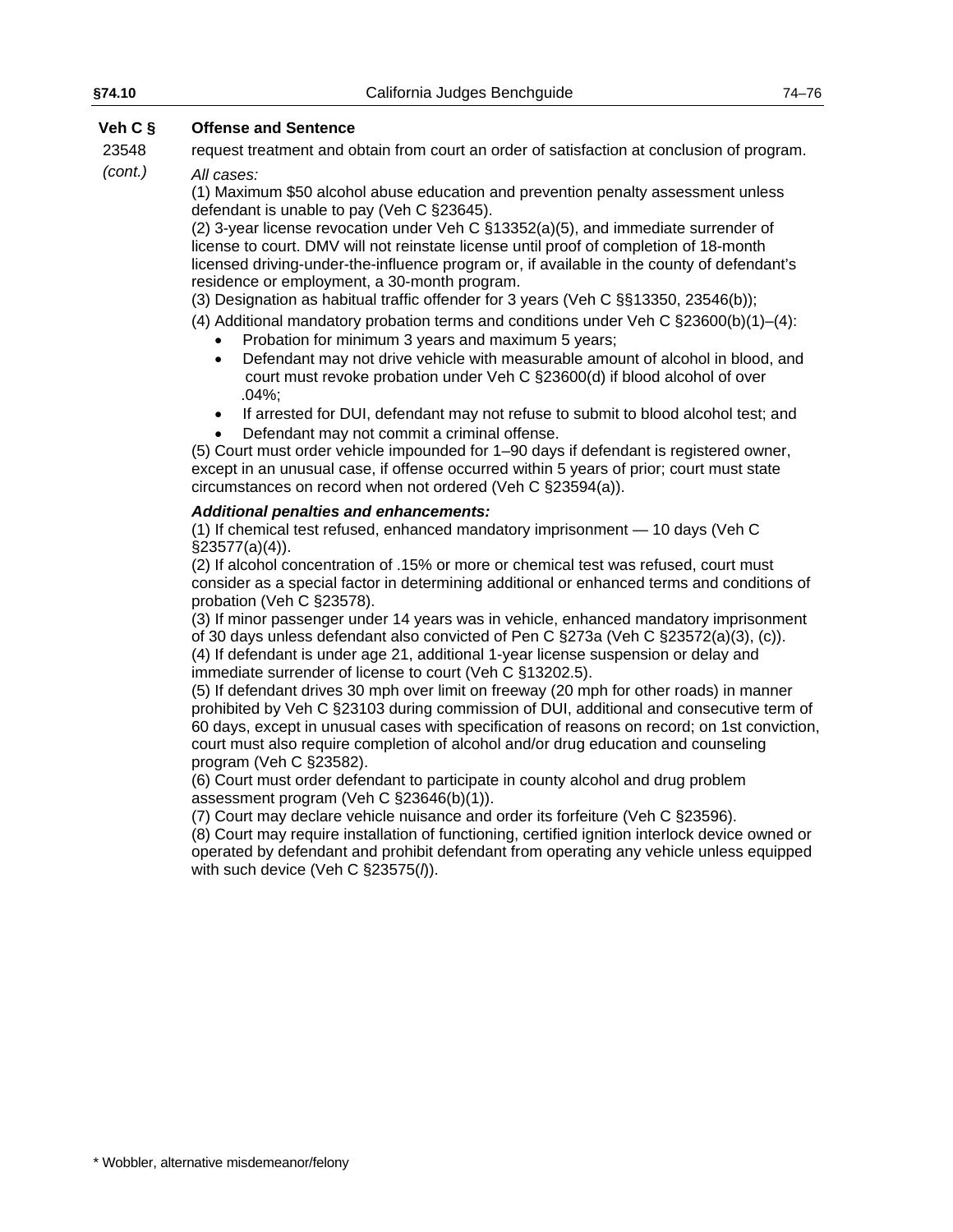23548 *(cont.)* request treatment and obtain from court an order of satisfaction at conclusion of program. *All cases:*

(1) Maximum \$50 alcohol abuse education and prevention penalty assessment unless

defendant is unable to pay (Veh C §23645). (2) 3-year license revocation under Veh C §13352(a)(5), and immediate surrender of license to court. DMV will not reinstate license until proof of completion of 18-month licensed driving-under-the-influence program or, if available in the county of defendant's residence or employment, a 30-month program.

(3) Designation as habitual traffic offender for 3 years (Veh C §§13350, 23546(b));

(4) Additional mandatory probation terms and conditions under Veh C  $\S 23600(b)(1)–(4)$ :

- Probation for minimum 3 years and maximum 5 years;
- Defendant may not drive vehicle with measurable amount of alcohol in blood, and court must revoke probation under Veh C §23600(d) if blood alcohol of over .04%;
- If arrested for DUI, defendant may not refuse to submit to blood alcohol test; and
- Defendant may not commit a criminal offense.

(5) Court must order vehicle impounded for 1–90 days if defendant is registered owner, except in an unusual case, if offense occurred within 5 years of prior; court must state circumstances on record when not ordered (Veh C §23594(a)).

#### *Additional penalties and enhancements:*

(1) If chemical test refused, enhanced mandatory imprisonment — 10 days (Veh C §23577(a)(4)).

(2) If alcohol concentration of .15% or more or chemical test was refused, court must consider as a special factor in determining additional or enhanced terms and conditions of probation (Veh C §23578).

(3) If minor passenger under 14 years was in vehicle, enhanced mandatory imprisonment of 30 days unless defendant also convicted of Pen C §273a (Veh C §23572(a)(3), (c)). (4) If defendant is under age 21, additional 1-year license suspension or delay and immediate surrender of license to court (Veh C §13202.5).

(5) If defendant drives 30 mph over limit on freeway (20 mph for other roads) in manner prohibited by Veh C §23103 during commission of DUI, additional and consecutive term of 60 days, except in unusual cases with specification of reasons on record; on 1st conviction, court must also require completion of alcohol and/or drug education and counseling program (Veh C §23582).

(6) Court must order defendant to participate in county alcohol and drug problem assessment program (Veh C §23646(b)(1)).

(7) Court may declare vehicle nuisance and order its forfeiture (Veh C §23596).

(8) Court may require installation of functioning, certified ignition interlock device owned or operated by defendant and prohibit defendant from operating any vehicle unless equipped with such device (Veh C §23575(*l*)).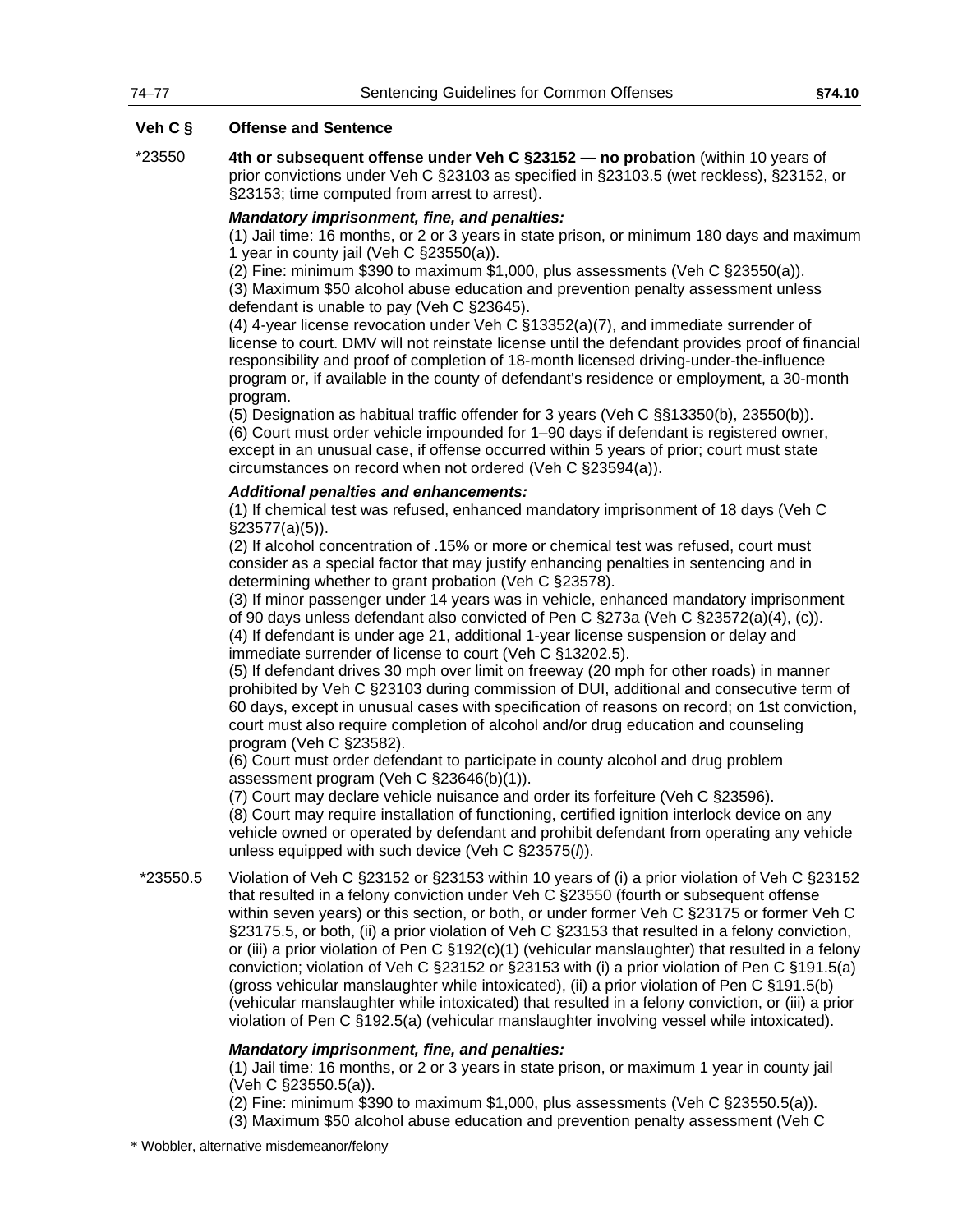\*23550 **4th or subsequent offense under Veh C §23152 — no probation** (within 10 years of prior convictions under Veh C §23103 as specified in §23103.5 (wet reckless), §23152, or §23153; time computed from arrest to arrest).

### *Mandatory imprisonment, fine, and penalties:*

(1) Jail time: 16 months, or 2 or 3 years in state prison, or minimum 180 days and maximum 1 year in county jail (Veh C §23550(a)).

(2) Fine: minimum \$390 to maximum \$1,000, plus assessments (Veh C §23550(a)).

(3) Maximum \$50 alcohol abuse education and prevention penalty assessment unless defendant is unable to pay (Veh C §23645).

(4) 4-year license revocation under Veh C §13352(a)(7), and immediate surrender of license to court. DMV will not reinstate license until the defendant provides proof of financial responsibility and proof of completion of 18-month licensed driving-under-the-influence program or, if available in the county of defendant's residence or employment, a 30-month program.

(5) Designation as habitual traffic offender for 3 years (Veh C §§13350(b), 23550(b)). (6) Court must order vehicle impounded for 1–90 days if defendant is registered owner, except in an unusual case, if offense occurred within 5 years of prior; court must state circumstances on record when not ordered (Veh C §23594(a)).

#### *Additional penalties and enhancements:*

(1) If chemical test was refused, enhanced mandatory imprisonment of 18 days (Veh C §23577(a)(5)).

(2) If alcohol concentration of .15% or more or chemical test was refused, court must consider as a special factor that may justify enhancing penalties in sentencing and in determining whether to grant probation (Veh C §23578).

(3) If minor passenger under 14 years was in vehicle, enhanced mandatory imprisonment of 90 days unless defendant also convicted of Pen C §273a (Veh C §23572(a)(4), (c)). (4) If defendant is under age 21, additional 1-year license suspension or delay and immediate surrender of license to court (Veh C §13202.5).

(5) If defendant drives 30 mph over limit on freeway (20 mph for other roads) in manner prohibited by Veh C §23103 during commission of DUI, additional and consecutive term of 60 days, except in unusual cases with specification of reasons on record; on 1st conviction, court must also require completion of alcohol and/or drug education and counseling program (Veh C §23582).

(6) Court must order defendant to participate in county alcohol and drug problem assessment program (Veh C §23646(b)(1)).

(7) Court may declare vehicle nuisance and order its forfeiture (Veh C §23596).

(8) Court may require installation of functioning, certified ignition interlock device on any vehicle owned or operated by defendant and prohibit defendant from operating any vehicle unless equipped with such device (Veh C §23575(*l*)).

\*23550.5 Violation of Veh C §23152 or §23153 within 10 years of (i) a prior violation of Veh C §23152 that resulted in a felony conviction under Veh C §23550 (fourth or subsequent offense within seven years) or this section, or both, or under former Veh C §23175 or former Veh C §23175.5, or both, (ii) a prior violation of Veh C §23153 that resulted in a felony conviction, or (iii) a prior violation of Pen C §192(c)(1) (vehicular manslaughter) that resulted in a felony conviction; violation of Veh C §23152 or §23153 with (i) a prior violation of Pen C §191.5(a) (gross vehicular manslaughter while intoxicated), (ii) a prior violation of Pen C §191.5(b) (vehicular manslaughter while intoxicated) that resulted in a felony conviction, or (iii) a prior violation of Pen C §192.5(a) (vehicular manslaughter involving vessel while intoxicated).

#### *Mandatory imprisonment, fine, and penalties:*

(1) Jail time: 16 months, or 2 or 3 years in state prison, or maximum 1 year in county jail (Veh C §23550.5(a)).

(2) Fine: minimum \$390 to maximum \$1,000, plus assessments (Veh C §23550.5(a)).

(3) Maximum \$50 alcohol abuse education and prevention penalty assessment (Veh C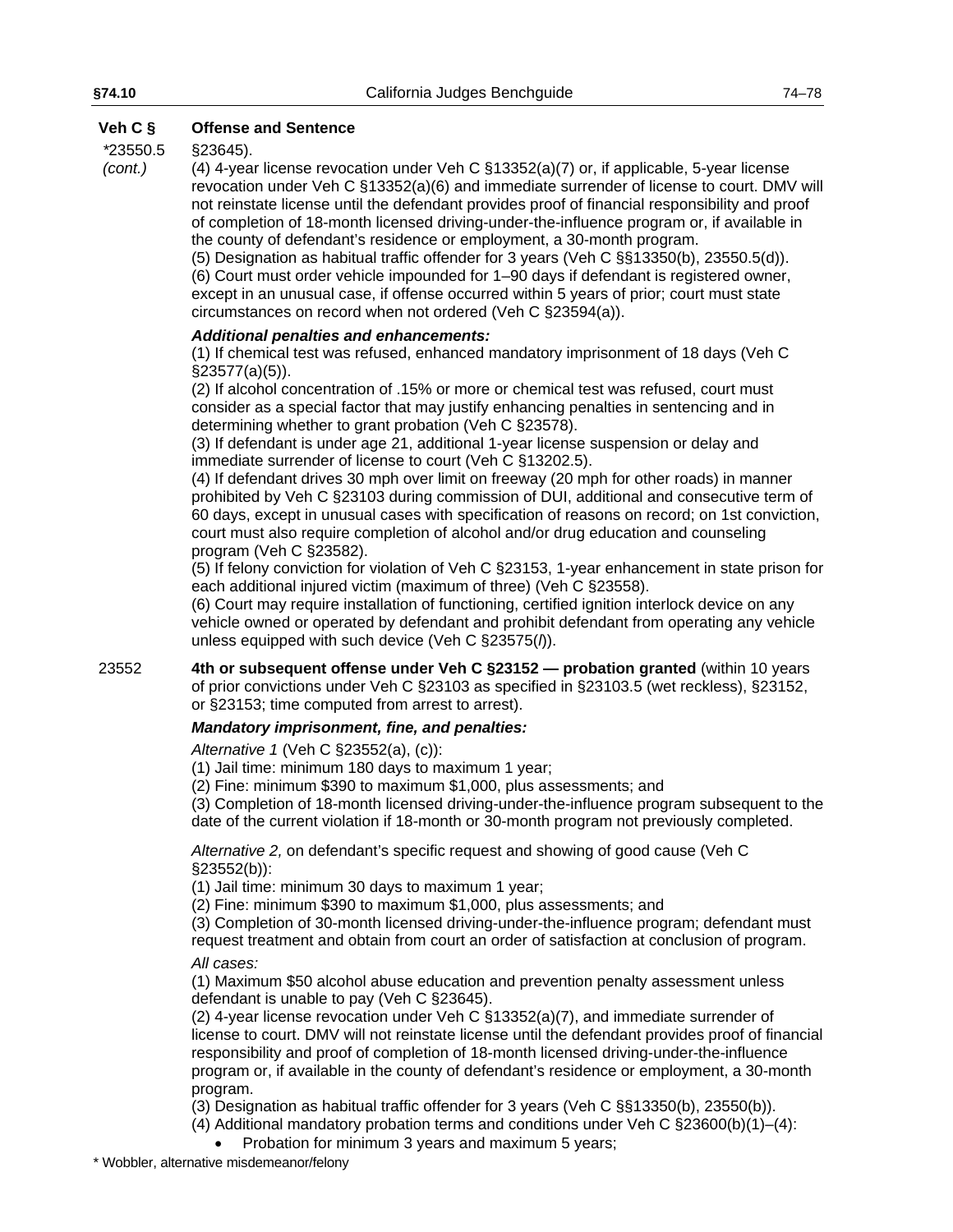#### *\**23550.5 §23645).

*(cont.)*

(4) 4-year license revocation under Veh C §13352(a)(7) or, if applicable, 5-year license revocation under Veh C §13352(a)(6) and immediate surrender of license to court. DMV will not reinstate license until the defendant provides proof of financial responsibility and proof of completion of 18-month licensed driving-under-the-influence program or, if available in the county of defendant's residence or employment, a 30-month program.

(5) Designation as habitual traffic offender for 3 years (Veh C §§13350(b), 23550.5(d)). (6) Court must order vehicle impounded for 1–90 days if defendant is registered owner, except in an unusual case, if offense occurred within 5 years of prior; court must state circumstances on record when not ordered (Veh C §23594(a)).

#### *Additional penalties and enhancements:*

(1) If chemical test was refused, enhanced mandatory imprisonment of 18 days (Veh C §23577(a)(5)).

(2) If alcohol concentration of .15% or more or chemical test was refused, court must consider as a special factor that may justify enhancing penalties in sentencing and in determining whether to grant probation (Veh C §23578).

(3) If defendant is under age 21, additional 1-year license suspension or delay and immediate surrender of license to court (Veh C §13202.5).

(4) If defendant drives 30 mph over limit on freeway (20 mph for other roads) in manner prohibited by Veh C §23103 during commission of DUI, additional and consecutive term of 60 days, except in unusual cases with specification of reasons on record; on 1st conviction, court must also require completion of alcohol and/or drug education and counseling program (Veh C §23582).

(5) If felony conviction for violation of Veh C §23153, 1-year enhancement in state prison for each additional injured victim (maximum of three) (Veh C §23558).

(6) Court may require installation of functioning, certified ignition interlock device on any vehicle owned or operated by defendant and prohibit defendant from operating any vehicle unless equipped with such device (Veh C §23575(*l*)).

23552 **4th or subsequent offense under Veh C §23152 — probation granted** (within 10 years of prior convictions under Veh C §23103 as specified in §23103.5 (wet reckless), §23152, or §23153; time computed from arrest to arrest).

### *Mandatory imprisonment, fine, and penalties:*

*Alternative 1* (Veh C §23552(a), (c)):

(1) Jail time: minimum 180 days to maximum 1 year;

(2) Fine: minimum \$390 to maximum \$1,000, plus assessments; and

(3) Completion of 18-month licensed driving-under-the-influence program subsequent to the date of the current violation if 18-month or 30-month program not previously completed.

*Alternative 2,* on defendant's specific request and showing of good cause (Veh C §23552(b)):

(1) Jail time: minimum 30 days to maximum 1 year;

(2) Fine: minimum \$390 to maximum \$1,000, plus assessments; and

(3) Completion of 30-month licensed driving-under-the-influence program; defendant must request treatment and obtain from court an order of satisfaction at conclusion of program.

*All cases:*

(1) Maximum \$50 alcohol abuse education and prevention penalty assessment unless defendant is unable to pay (Veh C §23645).

(2) 4-year license revocation under Veh C §13352(a)(7), and immediate surrender of license to court. DMV will not reinstate license until the defendant provides proof of financial responsibility and proof of completion of 18-month licensed driving-under-the-influence program or, if available in the county of defendant's residence or employment, a 30-month program.

(3) Designation as habitual traffic offender for 3 years (Veh C §§13350(b), 23550(b)).

(4) Additional mandatory probation terms and conditions under Veh C  $\S 23600(b)(1)–(4)$ :

• Probation for minimum 3 years and maximum 5 years;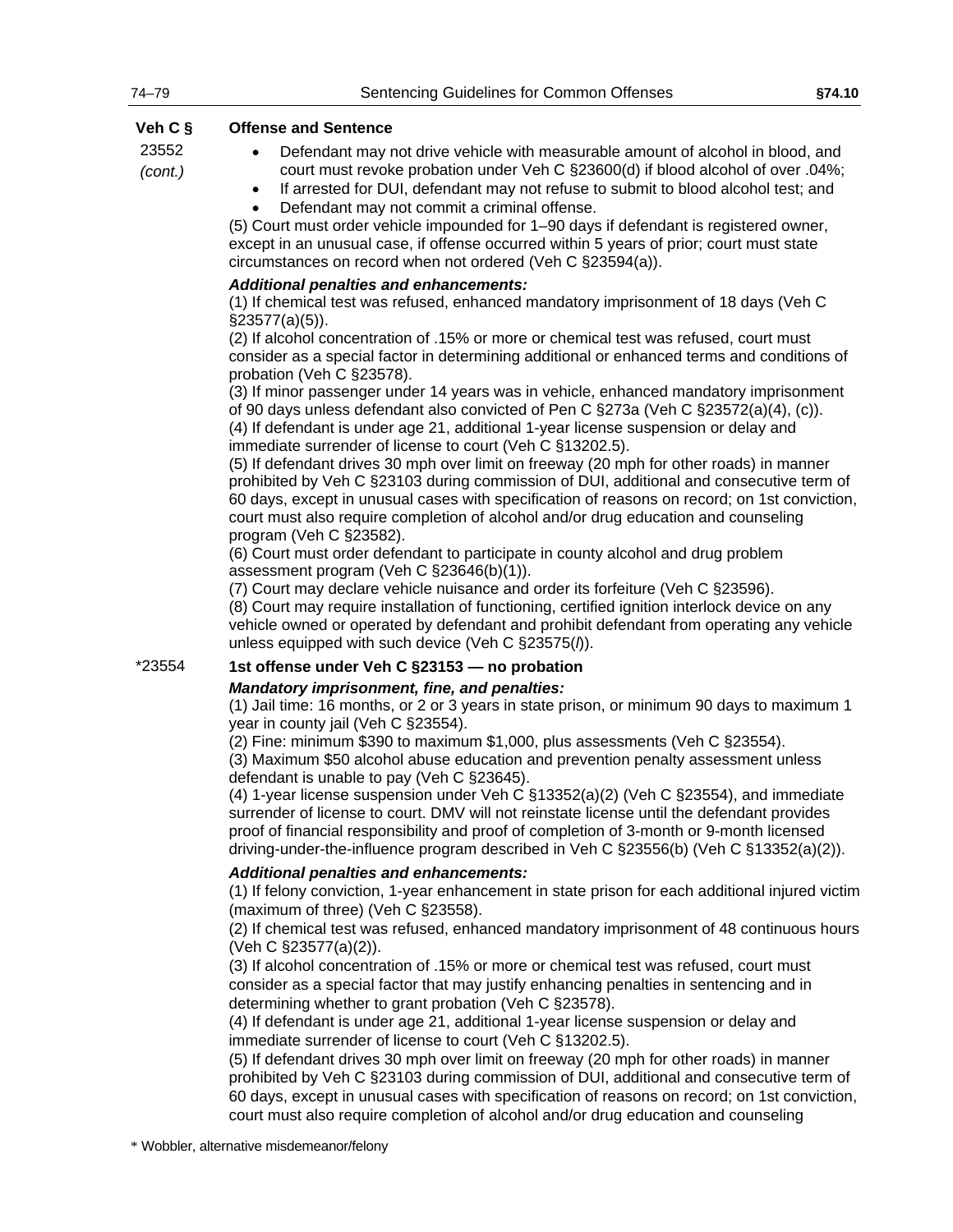23552 *(cont.)*

- Defendant may not drive vehicle with measurable amount of alcohol in blood, and court must revoke probation under Veh C §23600(d) if blood alcohol of over .04%;
- If arrested for DUI, defendant may not refuse to submit to blood alcohol test; and • Defendant may not commit a criminal offense.

(5) Court must order vehicle impounded for 1–90 days if defendant is registered owner, except in an unusual case, if offense occurred within 5 years of prior; court must state circumstances on record when not ordered (Veh C §23594(a)).

#### *Additional penalties and enhancements:*

(1) If chemical test was refused, enhanced mandatory imprisonment of 18 days (Veh C §23577(a)(5)).

(2) If alcohol concentration of .15% or more or chemical test was refused, court must consider as a special factor in determining additional or enhanced terms and conditions of probation (Veh C §23578).

(3) If minor passenger under 14 years was in vehicle, enhanced mandatory imprisonment of 90 days unless defendant also convicted of Pen C §273a (Veh C §23572(a)(4), (c)). (4) If defendant is under age 21, additional 1-year license suspension or delay and

immediate surrender of license to court (Veh C §13202.5).

(5) If defendant drives 30 mph over limit on freeway (20 mph for other roads) in manner prohibited by Veh C §23103 during commission of DUI, additional and consecutive term of 60 days, except in unusual cases with specification of reasons on record; on 1st conviction, court must also require completion of alcohol and/or drug education and counseling program (Veh C §23582).

(6) Court must order defendant to participate in county alcohol and drug problem assessment program (Veh C §23646(b)(1)).

(7) Court may declare vehicle nuisance and order its forfeiture (Veh C §23596).

(8) Court may require installation of functioning, certified ignition interlock device on any vehicle owned or operated by defendant and prohibit defendant from operating any vehicle unless equipped with such device (Veh C §23575(*l*)).

# \*23554 **1st offense under Veh C §23153 — no probation**

#### *Mandatory imprisonment, fine, and penalties:*

(1) Jail time: 16 months, or 2 or 3 years in state prison, or minimum 90 days to maximum 1 year in county jail (Veh C §23554).

(2) Fine: minimum \$390 to maximum \$1,000, plus assessments (Veh C §23554).

(3) Maximum \$50 alcohol abuse education and prevention penalty assessment unless defendant is unable to pay (Veh C §23645).

(4) 1-year license suspension under Veh C §13352(a)(2) (Veh C §23554), and immediate surrender of license to court. DMV will not reinstate license until the defendant provides proof of financial responsibility and proof of completion of 3-month or 9-month licensed driving-under-the-influence program described in Veh C §23556(b) (Veh C §13352(a)(2)).

#### *Additional penalties and enhancements:*

(1) If felony conviction, 1-year enhancement in state prison for each additional injured victim (maximum of three) (Veh C §23558).

(2) If chemical test was refused, enhanced mandatory imprisonment of 48 continuous hours (Veh C §23577(a)(2)).

(3) If alcohol concentration of .15% or more or chemical test was refused, court must consider as a special factor that may justify enhancing penalties in sentencing and in determining whether to grant probation (Veh C §23578).

(4) If defendant is under age 21, additional 1-year license suspension or delay and immediate surrender of license to court (Veh C §13202.5).

(5) If defendant drives 30 mph over limit on freeway (20 mph for other roads) in manner prohibited by Veh C §23103 during commission of DUI, additional and consecutive term of 60 days, except in unusual cases with specification of reasons on record; on 1st conviction, court must also require completion of alcohol and/or drug education and counseling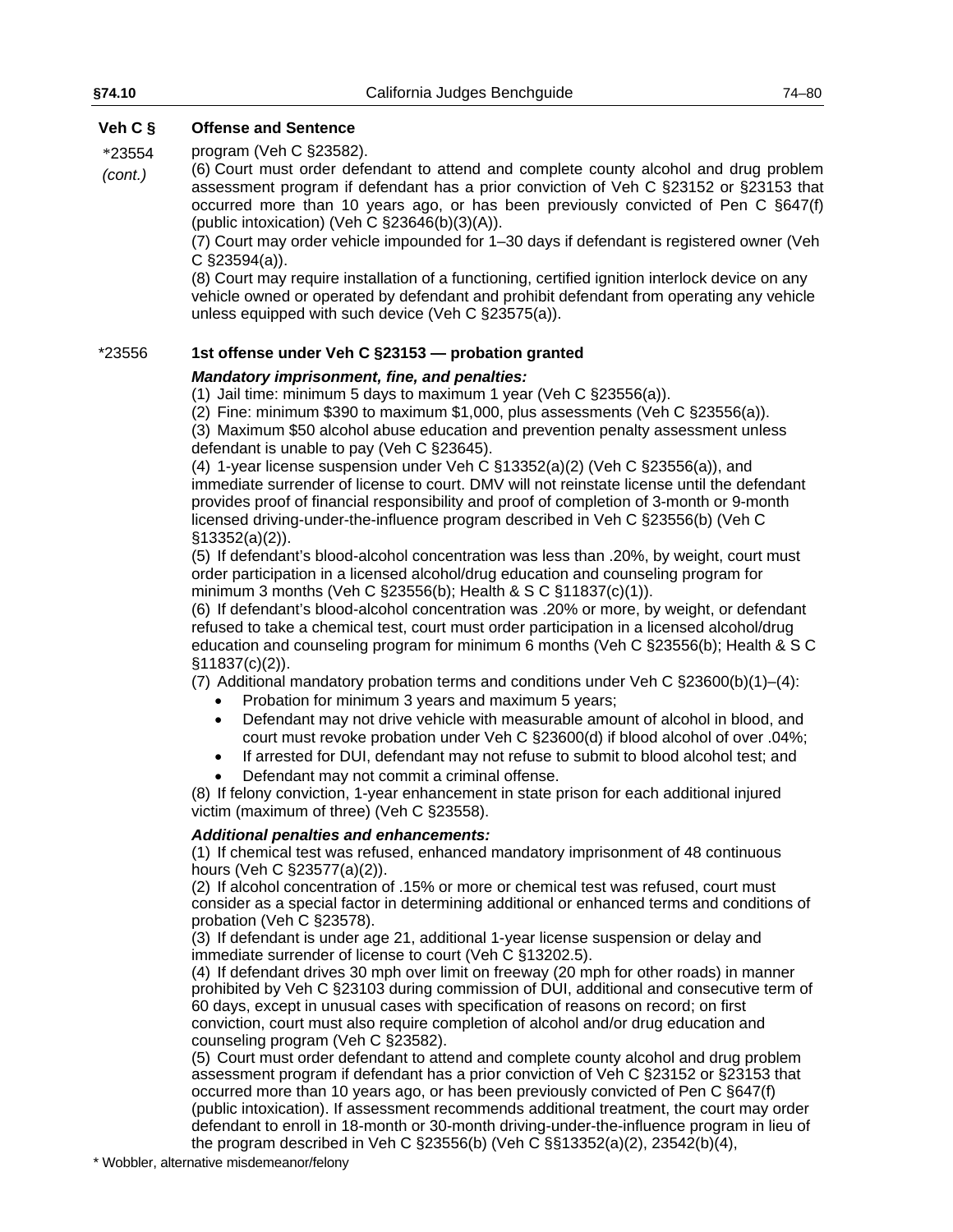\*23554 program (Veh C §23582).

*(cont.)* (6) Court must order defendant to attend and complete county alcohol and drug problem assessment program if defendant has a prior conviction of Veh C §23152 or §23153 that occurred more than 10 years ago, or has been previously convicted of Pen C §647(f) (public intoxication) (Veh C §23646(b)(3)(A)).

> (7) Court may order vehicle impounded for 1–30 days if defendant is registered owner (Veh C §23594(a)).

> (8) Court may require installation of a functioning, certified ignition interlock device on any vehicle owned or operated by defendant and prohibit defendant from operating any vehicle unless equipped with such device (Veh C §23575(a)).

### \*23556 **1st offense under Veh C §23153 — probation granted**

#### *Mandatory imprisonment, fine, and penalties:*

(1) Jail time: minimum 5 days to maximum 1 year (Veh C §23556(a)).

(2) Fine: minimum \$390 to maximum \$1,000, plus assessments (Veh C §23556(a)).

(3) Maximum \$50 alcohol abuse education and prevention penalty assessment unless defendant is unable to pay (Veh C §23645).

(4) 1-year license suspension under Veh C §13352(a)(2) (Veh C §23556(a)), and immediate surrender of license to court. DMV will not reinstate license until the defendant provides proof of financial responsibility and proof of completion of 3-month or 9-month licensed driving-under-the-influence program described in Veh C §23556(b) (Veh C §13352(a)(2)).

(5) If defendant's blood-alcohol concentration was less than .20%, by weight, court must order participation in a licensed alcohol/drug education and counseling program for minimum 3 months (Veh C §23556(b); Health & S C §11837(c)(1)).

(6) If defendant's blood-alcohol concentration was .20% or more, by weight, or defendant refused to take a chemical test, court must order participation in a licensed alcohol/drug education and counseling program for minimum 6 months (Veh C §23556(b); Health & S C §11837(c)(2)).

(7) Additional mandatory probation terms and conditions under Veh C  $\S 23600(b)(1)–(4)$ :

- Probation for minimum 3 years and maximum 5 years;
- Defendant may not drive vehicle with measurable amount of alcohol in blood, and court must revoke probation under Veh C §23600(d) if blood alcohol of over .04%;
- If arrested for DUI, defendant may not refuse to submit to blood alcohol test; and
- Defendant may not commit a criminal offense.

(8) If felony conviction, 1-year enhancement in state prison for each additional injured victim (maximum of three) (Veh C §23558).

#### *Additional penalties and enhancements:*

(1) If chemical test was refused, enhanced mandatory imprisonment of 48 continuous hours (Veh C §23577(a)(2)).

(2) If alcohol concentration of .15% or more or chemical test was refused, court must consider as a special factor in determining additional or enhanced terms and conditions of probation (Veh C §23578).

(3) If defendant is under age 21, additional 1-year license suspension or delay and immediate surrender of license to court (Veh C §13202.5).

(4) If defendant drives 30 mph over limit on freeway (20 mph for other roads) in manner prohibited by Veh C §23103 during commission of DUI, additional and consecutive term of 60 days, except in unusual cases with specification of reasons on record; on first conviction, court must also require completion of alcohol and/or drug education and counseling program (Veh C §23582).

(5) Court must order defendant to attend and complete county alcohol and drug problem assessment program if defendant has a prior conviction of Veh C §23152 or §23153 that occurred more than 10 years ago, or has been previously convicted of Pen C §647(f) (public intoxication). If assessment recommends additional treatment, the court may order defendant to enroll in 18-month or 30-month driving-under-the-influence program in lieu of the program described in Veh C §23556(b) (Veh C §§13352(a)(2), 23542(b)(4),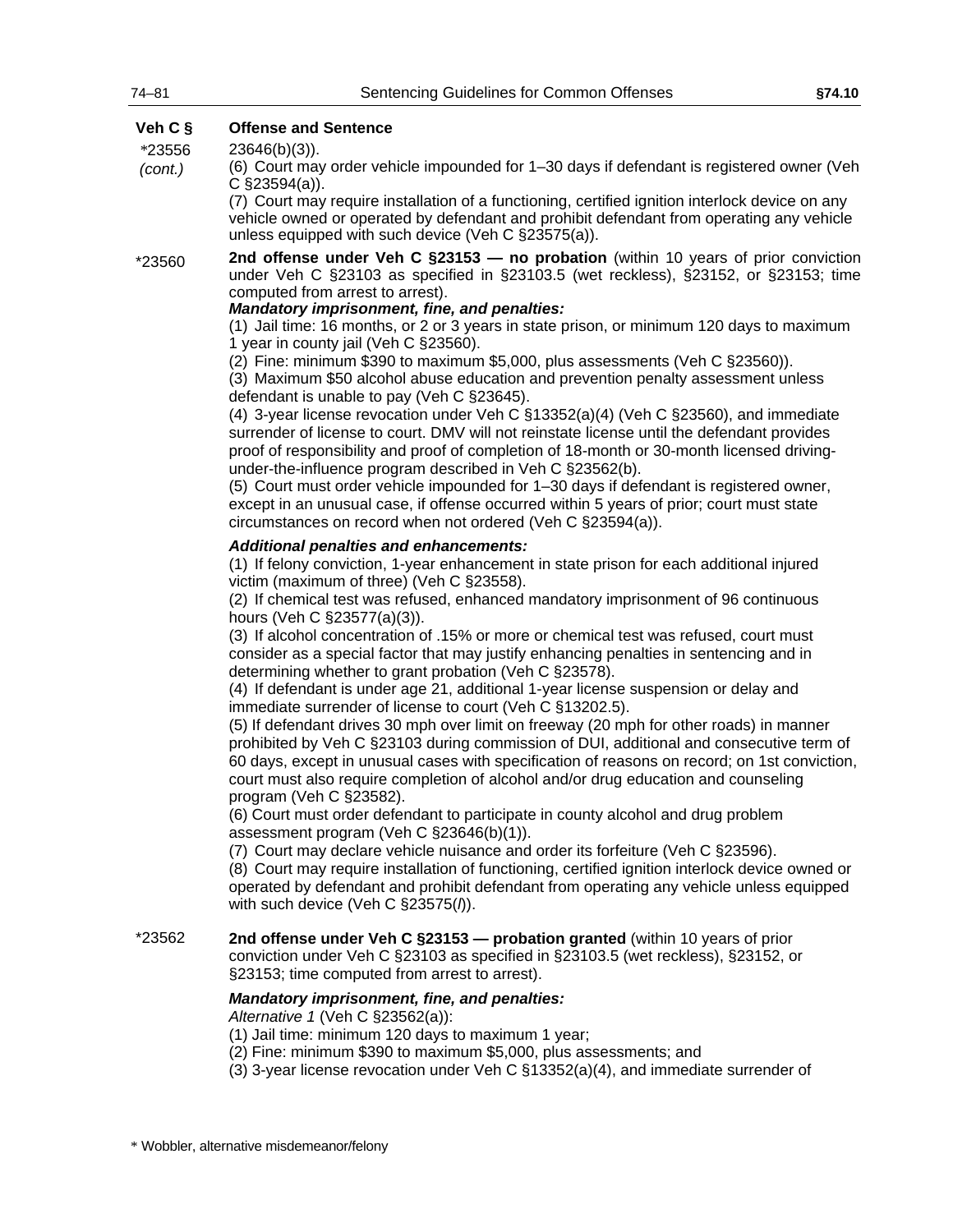*(cont.)*

### **Veh C § Offense and Sentence**

*\**23556 23646(b)(3)).

> (6) Court may order vehicle impounded for 1–30 days if defendant is registered owner (Veh C §23594(a)).

(7) Court may require installation of a functioning, certified ignition interlock device on any vehicle owned or operated by defendant and prohibit defendant from operating any vehicle unless equipped with such device (Veh C §23575(a)).

\*23560 **2nd offense under Veh C §23153 — no probation** (within 10 years of prior conviction under Veh C §23103 as specified in §23103.5 (wet reckless), §23152, or §23153; time computed from arrest to arrest).

#### *Mandatory imprisonment, fine, and penalties:*

(1) Jail time: 16 months, or 2 or 3 years in state prison, or minimum 120 days to maximum 1 year in county jail (Veh C §23560).

(2) Fine: minimum \$390 to maximum \$5,000, plus assessments (Veh C §23560)).

(3) Maximum \$50 alcohol abuse education and prevention penalty assessment unless defendant is unable to pay (Veh C §23645).

(4) 3-year license revocation under Veh C §13352(a)(4) (Veh C §23560), and immediate surrender of license to court. DMV will not reinstate license until the defendant provides proof of responsibility and proof of completion of 18-month or 30-month licensed drivingunder-the-influence program described in Veh C §23562(b).

(5) Court must order vehicle impounded for 1–30 days if defendant is registered owner, except in an unusual case, if offense occurred within 5 years of prior; court must state circumstances on record when not ordered (Veh C §23594(a)).

#### *Additional penalties and enhancements:*

(1) If felony conviction, 1-year enhancement in state prison for each additional injured victim (maximum of three) (Veh C §23558).

(2) If chemical test was refused, enhanced mandatory imprisonment of 96 continuous hours (Veh C §23577(a)(3)).

(3) If alcohol concentration of .15% or more or chemical test was refused, court must consider as a special factor that may justify enhancing penalties in sentencing and in determining whether to grant probation (Veh C §23578).

(4) If defendant is under age 21, additional 1-year license suspension or delay and immediate surrender of license to court (Veh C §13202.5).

(5) If defendant drives 30 mph over limit on freeway (20 mph for other roads) in manner prohibited by Veh C §23103 during commission of DUI, additional and consecutive term of 60 days, except in unusual cases with specification of reasons on record; on 1st conviction, court must also require completion of alcohol and/or drug education and counseling program (Veh C §23582).

(6) Court must order defendant to participate in county alcohol and drug problem assessment program (Veh C §23646(b)(1)).

(7) Court may declare vehicle nuisance and order its forfeiture (Veh C §23596).

(8) Court may require installation of functioning, certified ignition interlock device owned or operated by defendant and prohibit defendant from operating any vehicle unless equipped with such device (Veh C §23575(*l*)).

\*23562 **2nd offense under Veh C §23153 — probation granted** (within 10 years of prior conviction under Veh C §23103 as specified in §23103.5 (wet reckless), §23152, or §23153; time computed from arrest to arrest).

#### *Mandatory imprisonment, fine, and penalties:*

*Alternative 1* (Veh C §23562(a)):

(1) Jail time: minimum 120 days to maximum 1 year;

- (2) Fine: minimum \$390 to maximum \$5,000, plus assessments; and
- (3) 3-year license revocation under Veh C §13352(a)(4), and immediate surrender of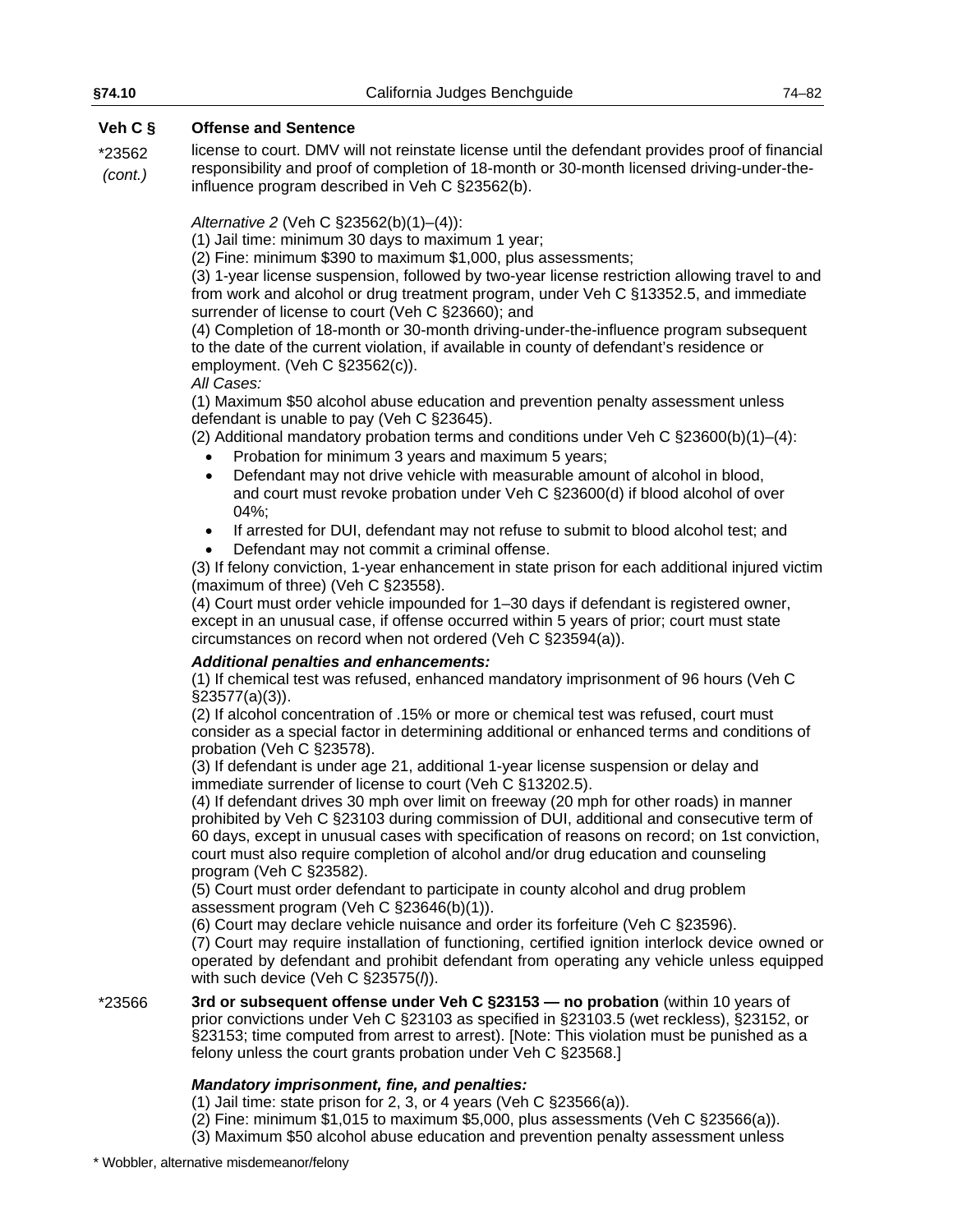\*23562 *(cont.)* license to court. DMV will not reinstate license until the defendant provides proof of financial responsibility and proof of completion of 18-month or 30-month licensed driving-under-theinfluence program described in Veh C §23562(b).

*Alternative 2* (Veh C §23562(b)(1)–(4)):

(1) Jail time: minimum 30 days to maximum 1 year;

(2) Fine: minimum \$390 to maximum \$1,000, plus assessments;

(3) 1-year license suspension, followed by two-year license restriction allowing travel to and from work and alcohol or drug treatment program, under Veh C §13352.5, and immediate surrender of license to court (Veh C §23660); and

(4) Completion of 18-month or 30-month driving-under-the-influence program subsequent to the date of the current violation, if available in county of defendant's residence or employment. (Veh C §23562(c)).

#### *All Cases:*

(1) Maximum \$50 alcohol abuse education and prevention penalty assessment unless defendant is unable to pay (Veh C §23645).

(2) Additional mandatory probation terms and conditions under Veh C  $\S 23600(b)(1)–(4)$ :

- Probation for minimum 3 years and maximum 5 years;
- Defendant may not drive vehicle with measurable amount of alcohol in blood, and court must revoke probation under Veh C §23600(d) if blood alcohol of over 04%;
- If arrested for DUI, defendant may not refuse to submit to blood alcohol test; and
- Defendant may not commit a criminal offense.

(3) If felony conviction, 1-year enhancement in state prison for each additional injured victim (maximum of three) (Veh C §23558).

(4) Court must order vehicle impounded for 1–30 days if defendant is registered owner, except in an unusual case, if offense occurred within 5 years of prior; court must state circumstances on record when not ordered (Veh C §23594(a)).

#### *Additional penalties and enhancements:*

(1) If chemical test was refused, enhanced mandatory imprisonment of 96 hours (Veh C §23577(a)(3)).

(2) If alcohol concentration of .15% or more or chemical test was refused, court must consider as a special factor in determining additional or enhanced terms and conditions of probation (Veh C §23578).

(3) If defendant is under age 21, additional 1-year license suspension or delay and immediate surrender of license to court (Veh C §13202.5).

(4) If defendant drives 30 mph over limit on freeway (20 mph for other roads) in manner prohibited by Veh C §23103 during commission of DUI, additional and consecutive term of 60 days, except in unusual cases with specification of reasons on record; on 1st conviction, court must also require completion of alcohol and/or drug education and counseling program (Veh C §23582).

(5) Court must order defendant to participate in county alcohol and drug problem assessment program (Veh C §23646(b)(1)).

(6) Court may declare vehicle nuisance and order its forfeiture (Veh C §23596).

(7) Court may require installation of functioning, certified ignition interlock device owned or operated by defendant and prohibit defendant from operating any vehicle unless equipped with such device (Veh C §23575(*l*)).

\*23566 **3rd or subsequent offense under Veh C §23153 — no probation** (within 10 years of prior convictions under Veh C §23103 as specified in §23103.5 (wet reckless), §23152, or §23153; time computed from arrest to arrest). [Note: This violation must be punished as a felony unless the court grants probation under Veh C §23568.]

# *Mandatory imprisonment, fine, and penalties:*

(1) Jail time: state prison for 2, 3, or 4 years (Veh C §23566(a)).

(2) Fine: minimum \$1,015 to maximum \$5,000, plus assessments (Veh C §23566(a)).

(3) Maximum \$50 alcohol abuse education and prevention penalty assessment unless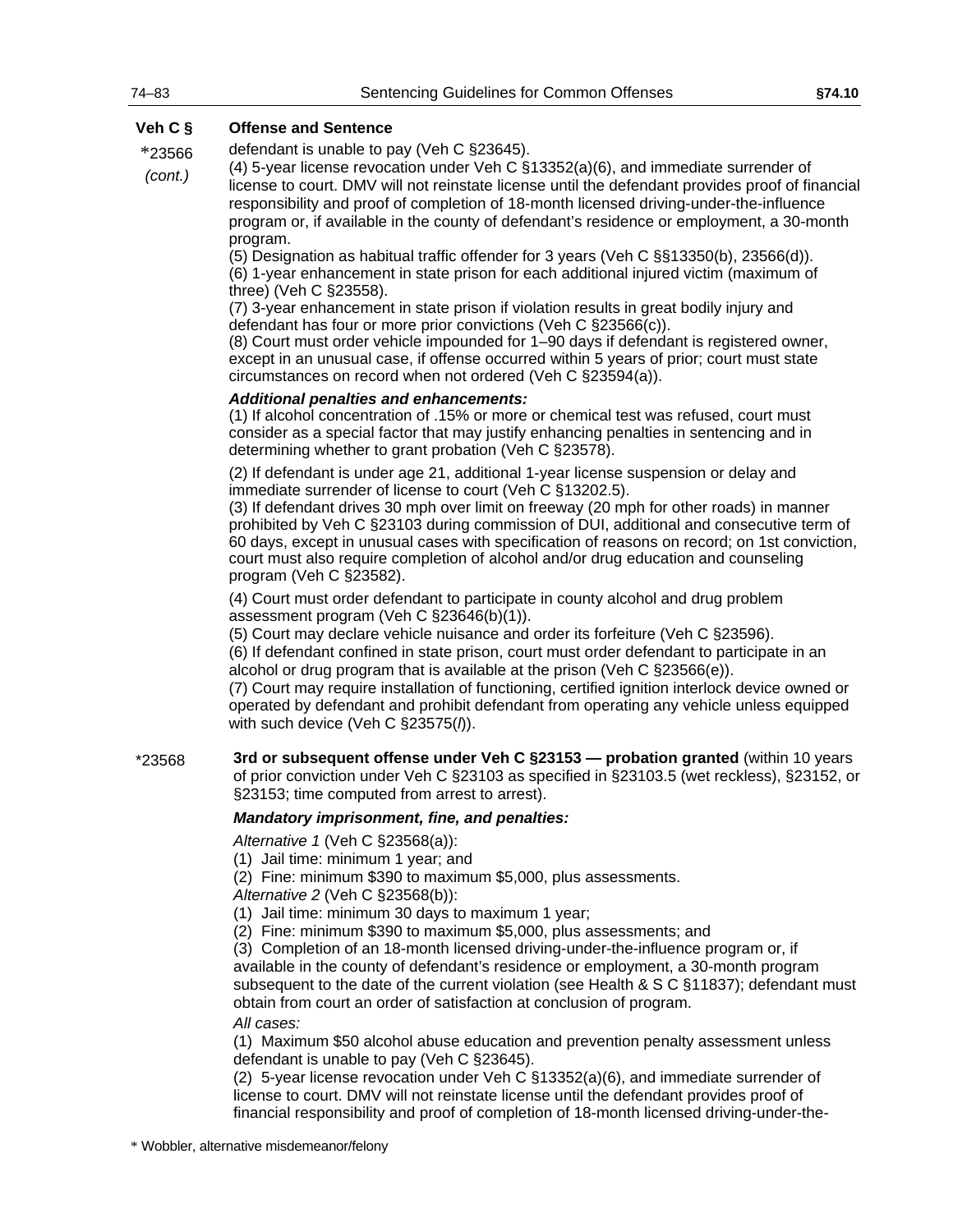\*23566 defendant is unable to pay (Veh C §23645).

*(cont.)* (4) 5-year license revocation under Veh C §13352(a)(6), and immediate surrender of license to court. DMV will not reinstate license until the defendant provides proof of financial responsibility and proof of completion of 18-month licensed driving-under-the-influence program or, if available in the county of defendant's residence or employment, a 30-month program.

(5) Designation as habitual traffic offender for 3 years (Veh C §§13350(b), 23566(d)).

(6) 1-year enhancement in state prison for each additional injured victim (maximum of three) (Veh C §23558).

(7) 3-year enhancement in state prison if violation results in great bodily injury and defendant has four or more prior convictions (Veh C §23566(c)).

(8) Court must order vehicle impounded for 1–90 days if defendant is registered owner, except in an unusual case, if offense occurred within 5 years of prior; court must state circumstances on record when not ordered (Veh C §23594(a)).

#### *Additional penalties and enhancements:*

(1) If alcohol concentration of .15% or more or chemical test was refused, court must consider as a special factor that may justify enhancing penalties in sentencing and in determining whether to grant probation (Veh C §23578).

(2) If defendant is under age 21, additional 1-year license suspension or delay and immediate surrender of license to court (Veh C §13202.5).

(3) If defendant drives 30 mph over limit on freeway (20 mph for other roads) in manner prohibited by Veh C §23103 during commission of DUI, additional and consecutive term of 60 days, except in unusual cases with specification of reasons on record; on 1st conviction, court must also require completion of alcohol and/or drug education and counseling program (Veh C §23582).

(4) Court must order defendant to participate in county alcohol and drug problem assessment program (Veh C §23646(b)(1)).

(5) Court may declare vehicle nuisance and order its forfeiture (Veh C §23596).

(6) If defendant confined in state prison, court must order defendant to participate in an alcohol or drug program that is available at the prison (Veh C §23566(e)).

(7) Court may require installation of functioning, certified ignition interlock device owned or operated by defendant and prohibit defendant from operating any vehicle unless equipped with such device (Veh C §23575(*l*)).

\*23568 **3rd or subsequent offense under Veh C §23153 — probation granted** (within 10 years of prior conviction under Veh C §23103 as specified in §23103.5 (wet reckless), §23152, or §23153; time computed from arrest to arrest).

#### *Mandatory imprisonment, fine, and penalties:*

*Alternative 1* (Veh C §23568(a)):

(1) Jail time: minimum 1 year; and

(2) Fine: minimum \$390 to maximum \$5,000, plus assessments.

*Alternative 2* (Veh C §23568(b)):

- (1) Jail time: minimum 30 days to maximum 1 year;
- (2) Fine: minimum \$390 to maximum \$5,000, plus assessments; and

(3) Completion of an 18-month licensed driving-under-the-influence program or, if available in the county of defendant's residence or employment, a 30-month program subsequent to the date of the current violation (see Health & S C §11837); defendant must obtain from court an order of satisfaction at conclusion of program.

*All cases:*

(1) Maximum \$50 alcohol abuse education and prevention penalty assessment unless defendant is unable to pay (Veh C §23645).

(2) 5-year license revocation under Veh C §13352(a)(6), and immediate surrender of license to court. DMV will not reinstate license until the defendant provides proof of financial responsibility and proof of completion of 18-month licensed driving-under-the-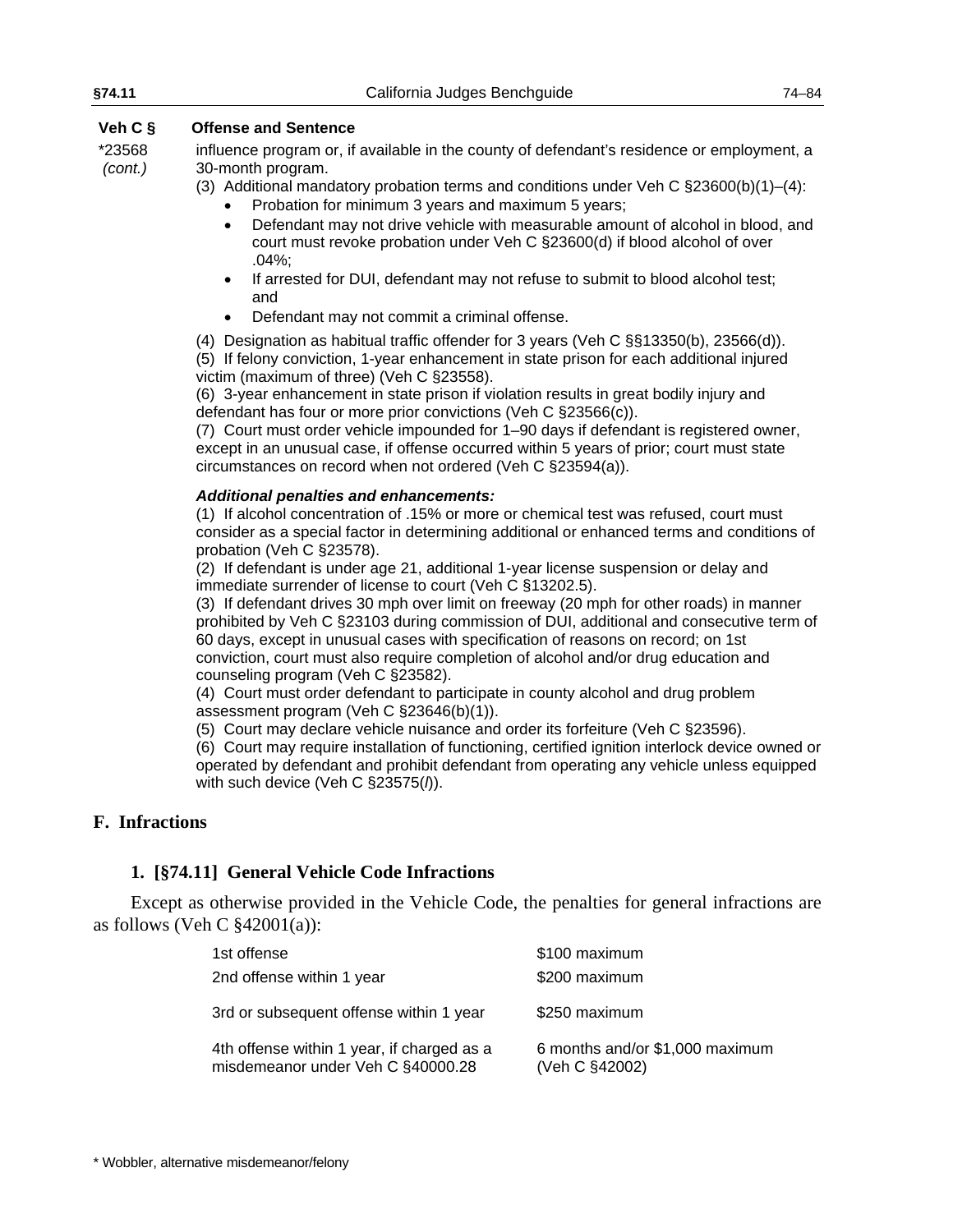| §74.11            | California Judges Benchguide                                                                                                                                                                                                                      | $74 - 84$ |
|-------------------|---------------------------------------------------------------------------------------------------------------------------------------------------------------------------------------------------------------------------------------------------|-----------|
| Veh $C$ §         | <b>Offense and Sentence</b>                                                                                                                                                                                                                       |           |
| *23568<br>(cont.) | influence program or, if available in the county of defendant's residence or employment, a<br>30-month program.                                                                                                                                   |           |
|                   | (3) Additional mandatory probation terms and conditions under Veh C $\S 23600(b)(1)–(4)$ :<br>Probation for minimum 3 years and maximum 5 years;                                                                                                  |           |
|                   | Defendant may not drive vehicle with measurable amount of alcohol in blood, and<br>$\bullet$<br>court must revoke probation under Veh C §23600(d) if blood alcohol of over<br>$.04\%;$                                                            |           |
|                   | If arrested for DUI, defendant may not refuse to submit to blood alcohol test;<br>$\bullet$<br>and                                                                                                                                                |           |
|                   | Defendant may not commit a criminal offense.<br>$\bullet$                                                                                                                                                                                         |           |
|                   | (4) Designation as habitual traffic offender for 3 years (Veh C §§13350(b), 23566(d)).<br>(5) If felony conviction, 1-year enhancement in state prison for each additional injured<br>victim (maximum of three) (Veh C §23558).                   |           |
|                   | (6) 3-year enhancement in state prison if violation results in great bodily injury and<br>defendant has four or more prior convictions (Veh C §23566(c)).                                                                                         |           |
|                   | (7) Court must order vehicle impounded for 1–90 days if defendant is registered owner,<br>except in an unusual case, if offense occurred within 5 years of prior; court must state<br>circumstances on record when not ordered (Veh C §23594(a)). |           |
|                   | <b>Additional penalties and enhancements:</b><br>(1) If alcohol concentration of .15% or more or chemical test was refused, court must<br>consider as a special factor in determining additional or enhanced terms and conditions of              |           |

consider as a special factor in determining additional or enhanced terms and conditions of probation (Veh C §23578).

(2) If defendant is under age 21, additional 1-year license suspension or delay and immediate surrender of license to court (Veh C §13202.5).

(3) If defendant drives 30 mph over limit on freeway (20 mph for other roads) in manner prohibited by Veh C §23103 during commission of DUI, additional and consecutive term of 60 days, except in unusual cases with specification of reasons on record; on 1st conviction, court must also require completion of alcohol and/or drug education and counseling program (Veh C §23582).

(4) Court must order defendant to participate in county alcohol and drug problem assessment program (Veh C §23646(b)(1)).

(5) Court may declare vehicle nuisance and order its forfeiture (Veh C §23596).

(6) Court may require installation of functioning, certified ignition interlock device owned or operated by defendant and prohibit defendant from operating any vehicle unless equipped with such device (Veh C §23575(*l*)).

# **F. Infractions**

# **1. [§74.11] General Vehicle Code Infractions**

Except as otherwise provided in the Vehicle Code, the penalties for general infractions are as follows (Veh C  $$42001(a)$ ):

| 1st offense                                                                     | \$100 maximum                                     |
|---------------------------------------------------------------------------------|---------------------------------------------------|
| 2nd offense within 1 year                                                       | \$200 maximum                                     |
| 3rd or subsequent offense within 1 year                                         | \$250 maximum                                     |
| 4th offense within 1 year, if charged as a<br>misdemeanor under Veh C §40000.28 | 6 months and/or \$1,000 maximum<br>(Veh C §42002) |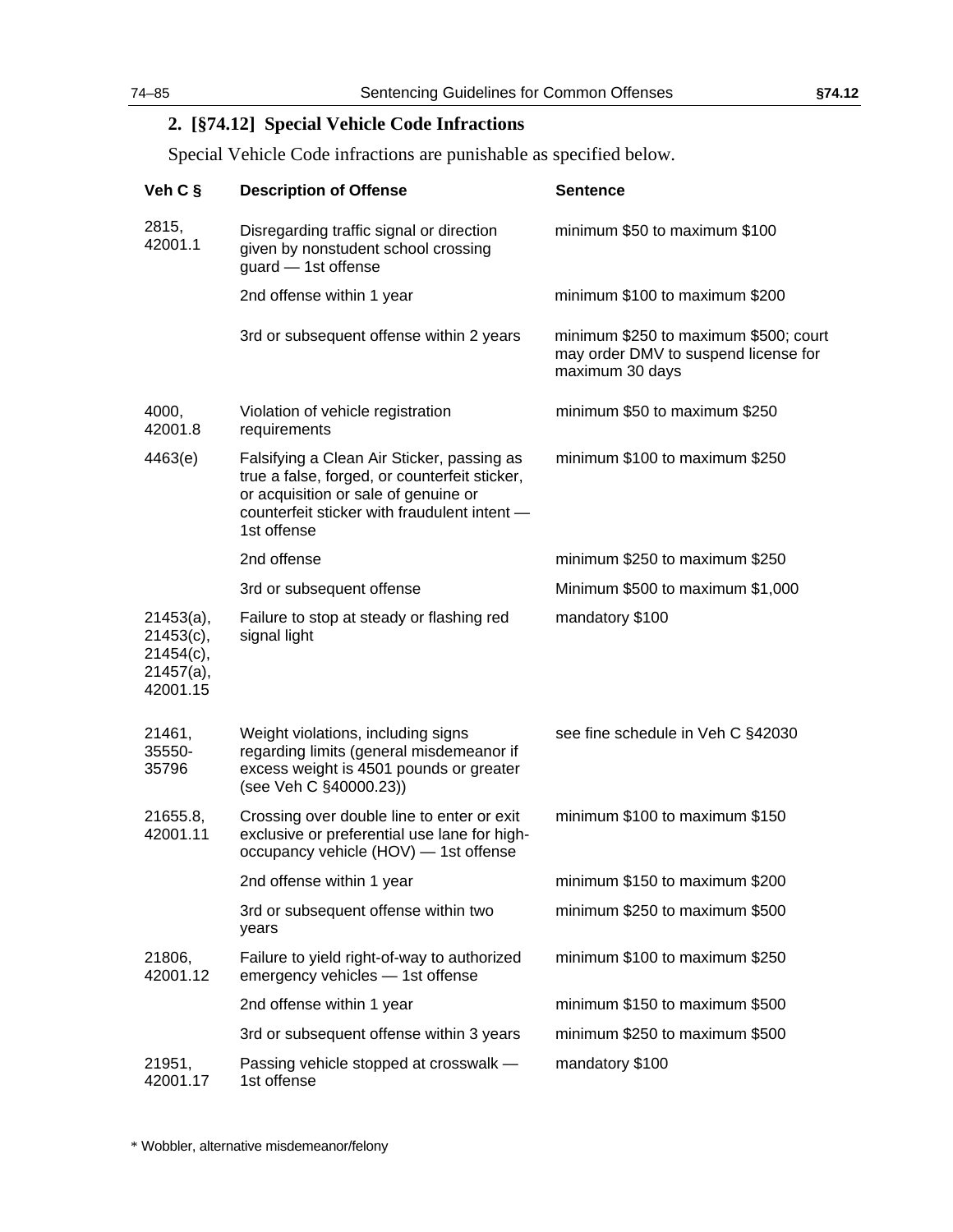# **2. [§74.12] Special Vehicle Code Infractions**

Special Vehicle Code infractions are punishable as specified below.

| Veh C §                                                                  | <b>Description of Offense</b>                                                                                                                                                                      | <b>Sentence</b>                                                                                  |
|--------------------------------------------------------------------------|----------------------------------------------------------------------------------------------------------------------------------------------------------------------------------------------------|--------------------------------------------------------------------------------------------------|
| 2815,<br>42001.1                                                         | Disregarding traffic signal or direction<br>given by nonstudent school crossing<br>guard - 1st offense                                                                                             | minimum \$50 to maximum \$100                                                                    |
|                                                                          | 2nd offense within 1 year                                                                                                                                                                          | minimum \$100 to maximum \$200                                                                   |
|                                                                          | 3rd or subsequent offense within 2 years                                                                                                                                                           | minimum \$250 to maximum \$500; court<br>may order DMV to suspend license for<br>maximum 30 days |
| 4000,<br>42001.8                                                         | Violation of vehicle registration<br>requirements                                                                                                                                                  | minimum \$50 to maximum \$250                                                                    |
| 4463(e)                                                                  | Falsifying a Clean Air Sticker, passing as<br>true a false, forged, or counterfeit sticker,<br>or acquisition or sale of genuine or<br>counterfeit sticker with fraudulent intent -<br>1st offense | minimum \$100 to maximum \$250                                                                   |
|                                                                          | 2nd offense                                                                                                                                                                                        | minimum \$250 to maximum \$250                                                                   |
|                                                                          | 3rd or subsequent offense                                                                                                                                                                          | Minimum \$500 to maximum \$1,000                                                                 |
| $21453(a)$ ,<br>$21453(c)$ ,<br>$21454(c)$ ,<br>$21457(a)$ ,<br>42001.15 | Failure to stop at steady or flashing red<br>signal light                                                                                                                                          | mandatory \$100                                                                                  |
| 21461,<br>35550-<br>35796                                                | Weight violations, including signs<br>regarding limits (general misdemeanor if<br>excess weight is 4501 pounds or greater<br>(see Veh C §40000.23))                                                | see fine schedule in Veh C §42030                                                                |
| 21655.8,<br>42001.11                                                     | Crossing over double line to enter or exit<br>exclusive or preferential use lane for high-<br>occupancy vehicle (HOV) - 1st offense                                                                | minimum \$100 to maximum \$150                                                                   |
|                                                                          | 2nd offense within 1 year                                                                                                                                                                          | minimum \$150 to maximum \$200                                                                   |
|                                                                          | 3rd or subsequent offense within two<br>years                                                                                                                                                      | minimum \$250 to maximum \$500                                                                   |
| 21806,<br>42001.12                                                       | Failure to yield right-of-way to authorized<br>emergency vehicles - 1st offense                                                                                                                    | minimum \$100 to maximum \$250                                                                   |
|                                                                          | 2nd offense within 1 year                                                                                                                                                                          | minimum \$150 to maximum \$500                                                                   |
|                                                                          | 3rd or subsequent offense within 3 years                                                                                                                                                           | minimum \$250 to maximum \$500                                                                   |
| 21951,<br>42001.17                                                       | Passing vehicle stopped at crosswalk -<br>1st offense                                                                                                                                              | mandatory \$100                                                                                  |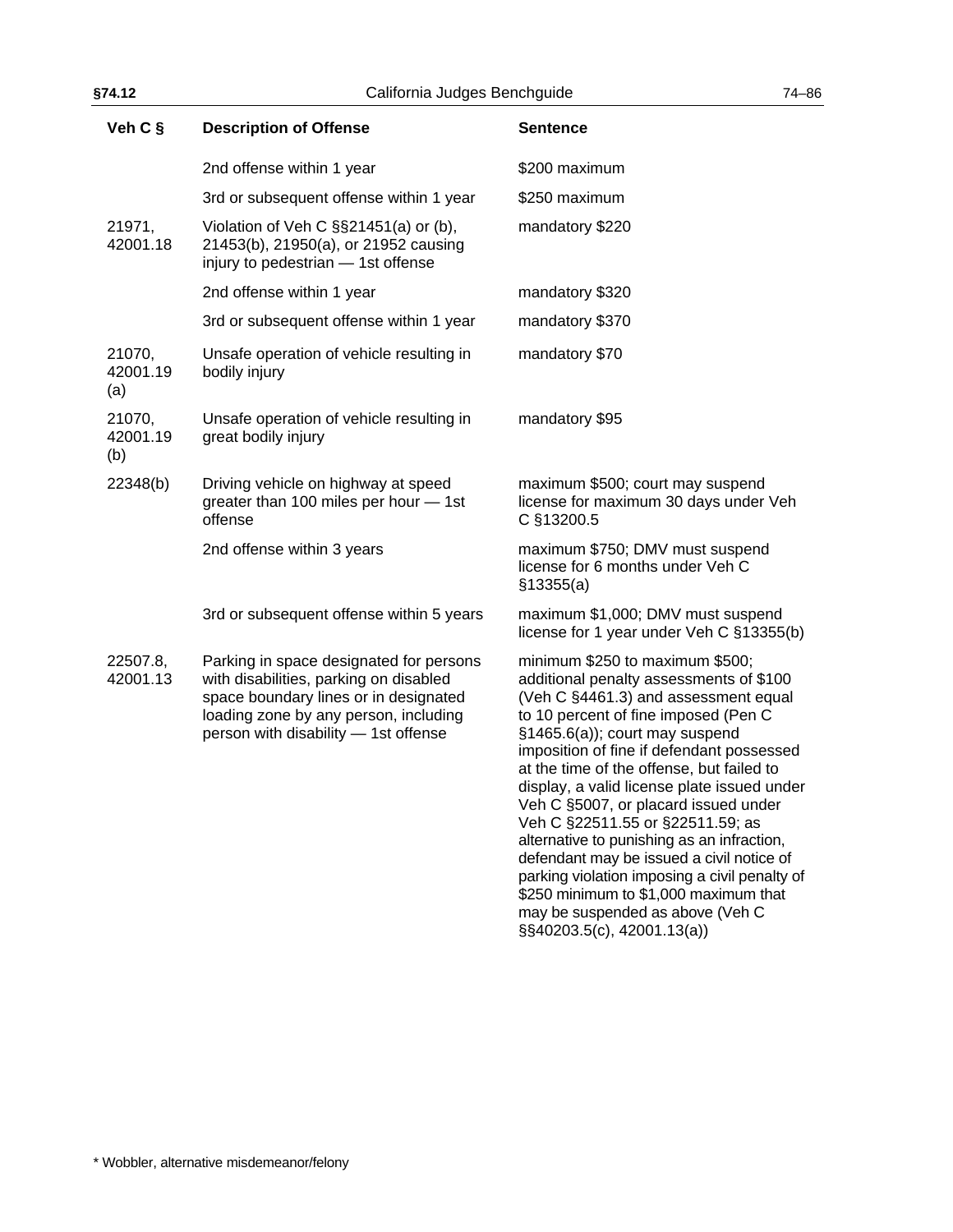| Veh C §                   | <b>Description of Offense</b>                                                                                                                                                                               | <b>Sentence</b>                                                                                                                                                                                                                                                                                                                                                                                                                                                                                                                                                                                                                            |
|---------------------------|-------------------------------------------------------------------------------------------------------------------------------------------------------------------------------------------------------------|--------------------------------------------------------------------------------------------------------------------------------------------------------------------------------------------------------------------------------------------------------------------------------------------------------------------------------------------------------------------------------------------------------------------------------------------------------------------------------------------------------------------------------------------------------------------------------------------------------------------------------------------|
|                           | 2nd offense within 1 year                                                                                                                                                                                   | \$200 maximum                                                                                                                                                                                                                                                                                                                                                                                                                                                                                                                                                                                                                              |
|                           | 3rd or subsequent offense within 1 year                                                                                                                                                                     | \$250 maximum                                                                                                                                                                                                                                                                                                                                                                                                                                                                                                                                                                                                                              |
| 21971,<br>42001.18        | Violation of Veh C §§21451(a) or (b),<br>21453(b), 21950(a), or 21952 causing<br>injury to pedestrian - 1st offense                                                                                         | mandatory \$220                                                                                                                                                                                                                                                                                                                                                                                                                                                                                                                                                                                                                            |
|                           | 2nd offense within 1 year                                                                                                                                                                                   | mandatory \$320                                                                                                                                                                                                                                                                                                                                                                                                                                                                                                                                                                                                                            |
|                           | 3rd or subsequent offense within 1 year                                                                                                                                                                     | mandatory \$370                                                                                                                                                                                                                                                                                                                                                                                                                                                                                                                                                                                                                            |
| 21070,<br>42001.19<br>(a) | Unsafe operation of vehicle resulting in<br>bodily injury                                                                                                                                                   | mandatory \$70                                                                                                                                                                                                                                                                                                                                                                                                                                                                                                                                                                                                                             |
| 21070,<br>42001.19<br>(b) | Unsafe operation of vehicle resulting in<br>great bodily injury                                                                                                                                             | mandatory \$95                                                                                                                                                                                                                                                                                                                                                                                                                                                                                                                                                                                                                             |
| 22348(b)                  | Driving vehicle on highway at speed<br>greater than 100 miles per hour - 1st<br>offense                                                                                                                     | maximum \$500; court may suspend<br>license for maximum 30 days under Veh<br>C §13200.5                                                                                                                                                                                                                                                                                                                                                                                                                                                                                                                                                    |
|                           | 2nd offense within 3 years                                                                                                                                                                                  | maximum \$750; DMV must suspend<br>license for 6 months under Veh C<br>\$13355(a)                                                                                                                                                                                                                                                                                                                                                                                                                                                                                                                                                          |
|                           | 3rd or subsequent offense within 5 years                                                                                                                                                                    | maximum \$1,000; DMV must suspend<br>license for 1 year under Veh C §13355(b)                                                                                                                                                                                                                                                                                                                                                                                                                                                                                                                                                              |
| 22507.8,<br>42001.13      | Parking in space designated for persons<br>with disabilities, parking on disabled<br>space boundary lines or in designated<br>loading zone by any person, including<br>person with disability - 1st offense | minimum \$250 to maximum \$500;<br>additional penalty assessments of \$100<br>(Veh C §4461.3) and assessment equal<br>to 10 percent of fine imposed (Pen C<br>§1465.6(a)); court may suspend<br>imposition of fine if defendant possessed<br>at the time of the offense, but failed to<br>display, a valid license plate issued under<br>Veh C §5007, or placard issued under<br>Veh C §22511.55 or §22511.59; as<br>alternative to punishing as an infraction,<br>defendant may be issued a civil notice of<br>parking violation imposing a civil penalty of<br>\$250 minimum to \$1,000 maximum that<br>may be suspended as above (Veh C |

§§40203.5(c), 42001.13(a))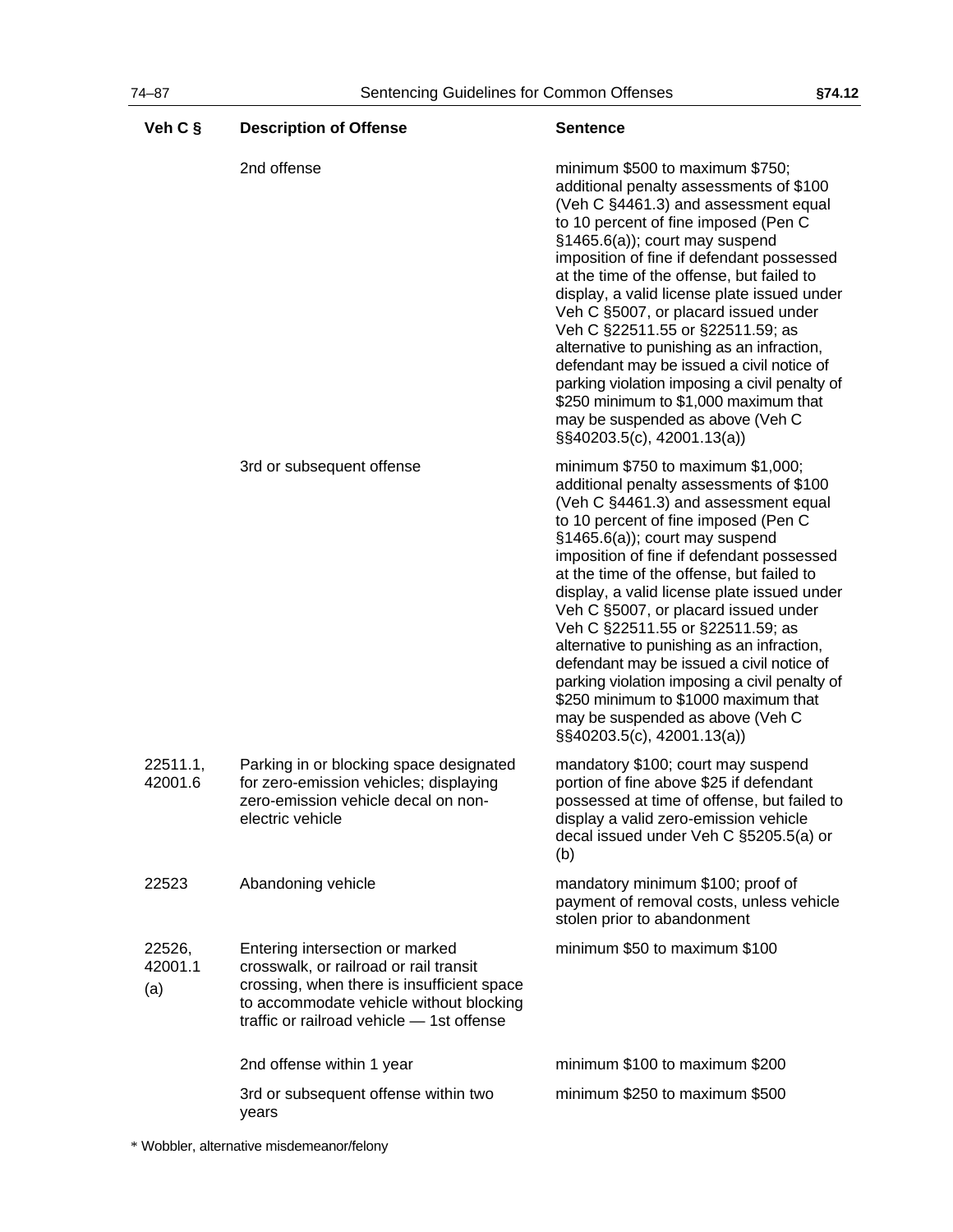| Veh C §                  | <b>Description of Offense</b>                                                                                                                                                                                   | <b>Sentence</b>                                                                                                                                                                                                                                                                                                                                                                                                                                                                                                                                                                                                                                                               |
|--------------------------|-----------------------------------------------------------------------------------------------------------------------------------------------------------------------------------------------------------------|-------------------------------------------------------------------------------------------------------------------------------------------------------------------------------------------------------------------------------------------------------------------------------------------------------------------------------------------------------------------------------------------------------------------------------------------------------------------------------------------------------------------------------------------------------------------------------------------------------------------------------------------------------------------------------|
|                          | 2nd offense                                                                                                                                                                                                     | minimum \$500 to maximum \$750;<br>additional penalty assessments of \$100<br>(Veh C §4461.3) and assessment equal<br>to 10 percent of fine imposed (Pen C<br>§1465.6(a)); court may suspend<br>imposition of fine if defendant possessed<br>at the time of the offense, but failed to<br>display, a valid license plate issued under<br>Veh C §5007, or placard issued under<br>Veh C §22511.55 or §22511.59; as<br>alternative to punishing as an infraction,<br>defendant may be issued a civil notice of<br>parking violation imposing a civil penalty of<br>\$250 minimum to \$1,000 maximum that<br>may be suspended as above (Veh C<br>$\S$ \$40203.5(c), 42001.13(a)) |
|                          | 3rd or subsequent offense                                                                                                                                                                                       | minimum $$750$ to maximum $$1,000$ ;<br>additional penalty assessments of \$100<br>(Veh C §4461.3) and assessment equal<br>to 10 percent of fine imposed (Pen C<br>§1465.6(a)); court may suspend<br>imposition of fine if defendant possessed<br>at the time of the offense, but failed to<br>display, a valid license plate issued under<br>Veh C §5007, or placard issued under<br>Veh C §22511.55 or §22511.59; as<br>alternative to punishing as an infraction,<br>defendant may be issued a civil notice of<br>parking violation imposing a civil penalty of<br>\$250 minimum to \$1000 maximum that<br>may be suspended as above (Veh C<br>§§40203.5(c), 42001.13(a))  |
| 22511.1,<br>42001.6      | Parking in or blocking space designated<br>for zero-emission vehicles; displaying<br>zero-emission vehicle decal on non-<br>electric vehicle                                                                    | mandatory \$100; court may suspend<br>portion of fine above \$25 if defendant<br>possessed at time of offense, but failed to<br>display a valid zero-emission vehicle<br>decal issued under Veh C §5205.5(a) or<br>(b)                                                                                                                                                                                                                                                                                                                                                                                                                                                        |
| 22523                    | Abandoning vehicle                                                                                                                                                                                              | mandatory minimum \$100; proof of<br>payment of removal costs, unless vehicle<br>stolen prior to abandonment                                                                                                                                                                                                                                                                                                                                                                                                                                                                                                                                                                  |
| 22526,<br>42001.1<br>(a) | Entering intersection or marked<br>crosswalk, or railroad or rail transit<br>crossing, when there is insufficient space<br>to accommodate vehicle without blocking<br>traffic or railroad vehicle - 1st offense | minimum \$50 to maximum \$100                                                                                                                                                                                                                                                                                                                                                                                                                                                                                                                                                                                                                                                 |
|                          | 2nd offense within 1 year                                                                                                                                                                                       | minimum \$100 to maximum \$200                                                                                                                                                                                                                                                                                                                                                                                                                                                                                                                                                                                                                                                |
|                          | 3rd or subsequent offense within two<br>years                                                                                                                                                                   | minimum \$250 to maximum \$500                                                                                                                                                                                                                                                                                                                                                                                                                                                                                                                                                                                                                                                |

\* Wobbler, alternative misdemeanor/felony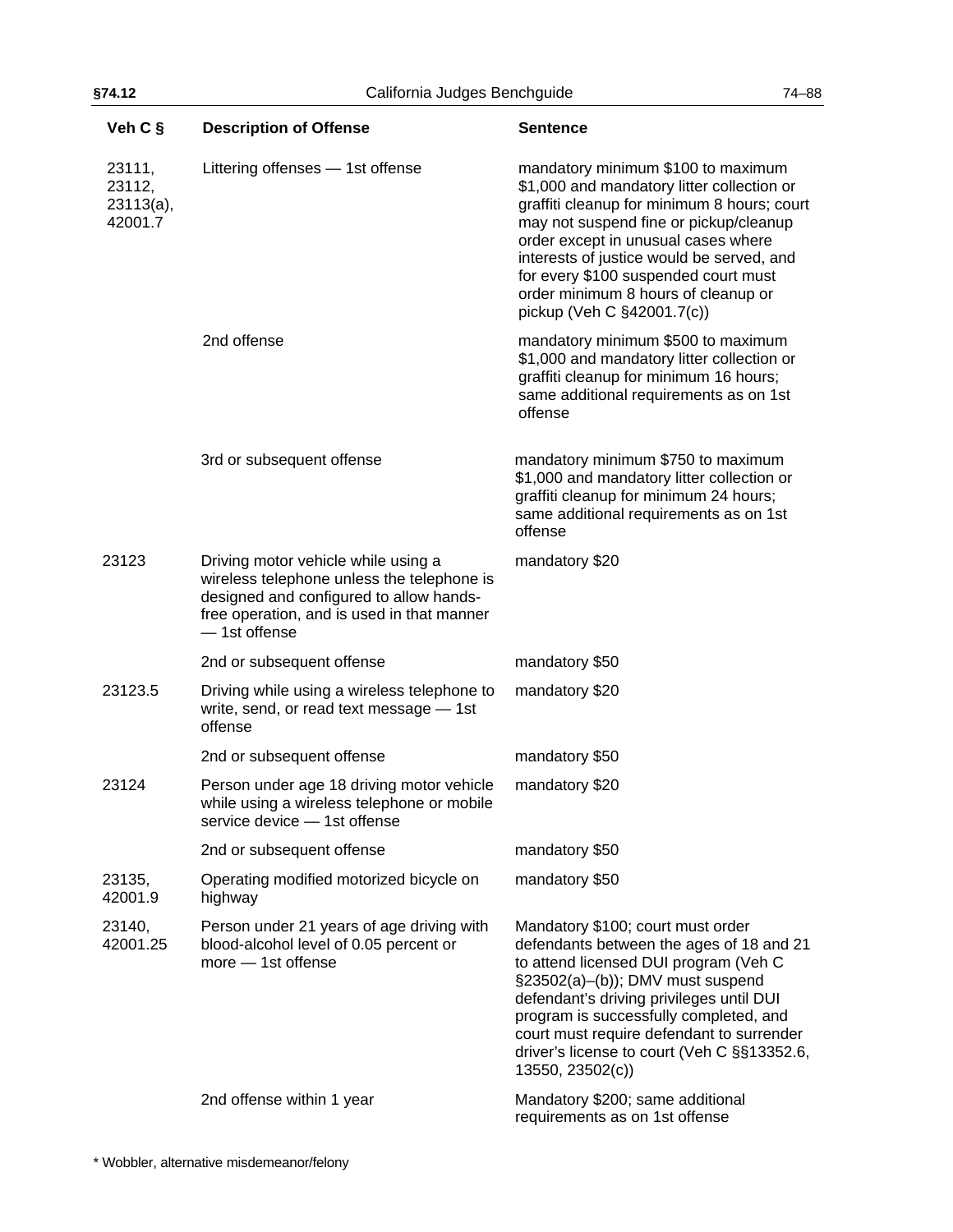| Veh C §                                     | <b>Description of Offense</b>                                                                                                                                                               | <b>Sentence</b>                                                                                                                                                                                                                                                                                                                                                            |
|---------------------------------------------|---------------------------------------------------------------------------------------------------------------------------------------------------------------------------------------------|----------------------------------------------------------------------------------------------------------------------------------------------------------------------------------------------------------------------------------------------------------------------------------------------------------------------------------------------------------------------------|
| 23111,<br>23112,<br>$23113(a)$ ,<br>42001.7 | Littering offenses - 1st offense                                                                                                                                                            | mandatory minimum \$100 to maximum<br>\$1,000 and mandatory litter collection or<br>graffiti cleanup for minimum 8 hours; court<br>may not suspend fine or pickup/cleanup<br>order except in unusual cases where<br>interests of justice would be served, and<br>for every \$100 suspended court must<br>order minimum 8 hours of cleanup or<br>pickup (Veh C §42001.7(c)) |
|                                             | 2nd offense                                                                                                                                                                                 | mandatory minimum \$500 to maximum<br>\$1,000 and mandatory litter collection or<br>graffiti cleanup for minimum 16 hours;<br>same additional requirements as on 1st<br>offense                                                                                                                                                                                            |
|                                             | 3rd or subsequent offense                                                                                                                                                                   | mandatory minimum \$750 to maximum<br>\$1,000 and mandatory litter collection or<br>graffiti cleanup for minimum 24 hours;<br>same additional requirements as on 1st<br>offense                                                                                                                                                                                            |
| 23123                                       | Driving motor vehicle while using a<br>wireless telephone unless the telephone is<br>designed and configured to allow hands-<br>free operation, and is used in that manner<br>- 1st offense | mandatory \$20                                                                                                                                                                                                                                                                                                                                                             |
|                                             | 2nd or subsequent offense                                                                                                                                                                   | mandatory \$50                                                                                                                                                                                                                                                                                                                                                             |
| 23123.5                                     | Driving while using a wireless telephone to<br>write, send, or read text message - 1st<br>offense                                                                                           | mandatory \$20                                                                                                                                                                                                                                                                                                                                                             |
|                                             | 2nd or subsequent offense                                                                                                                                                                   | mandatory \$50                                                                                                                                                                                                                                                                                                                                                             |
| 23124                                       | Person under age 18 driving motor vehicle<br>while using a wireless telephone or mobile<br>service device - 1st offense                                                                     | mandatory \$20                                                                                                                                                                                                                                                                                                                                                             |
|                                             | 2nd or subsequent offense                                                                                                                                                                   | mandatory \$50                                                                                                                                                                                                                                                                                                                                                             |
| 23135,<br>42001.9                           | Operating modified motorized bicycle on<br>highway                                                                                                                                          | mandatory \$50                                                                                                                                                                                                                                                                                                                                                             |
| 23140,<br>42001.25                          | Person under 21 years of age driving with<br>blood-alcohol level of 0.05 percent or<br>$more - 1st$ offense                                                                                 | Mandatory \$100; court must order<br>defendants between the ages of 18 and 21<br>to attend licensed DUI program (Veh C<br>§23502(a)-(b)); DMV must suspend<br>defendant's driving privileges until DUI<br>program is successfully completed, and<br>court must require defendant to surrender<br>driver's license to court (Veh C §§13352.6,<br>13550, 23502(c))           |
|                                             | 2nd offense within 1 year                                                                                                                                                                   | Mandatory \$200; same additional<br>requirements as on 1st offense                                                                                                                                                                                                                                                                                                         |